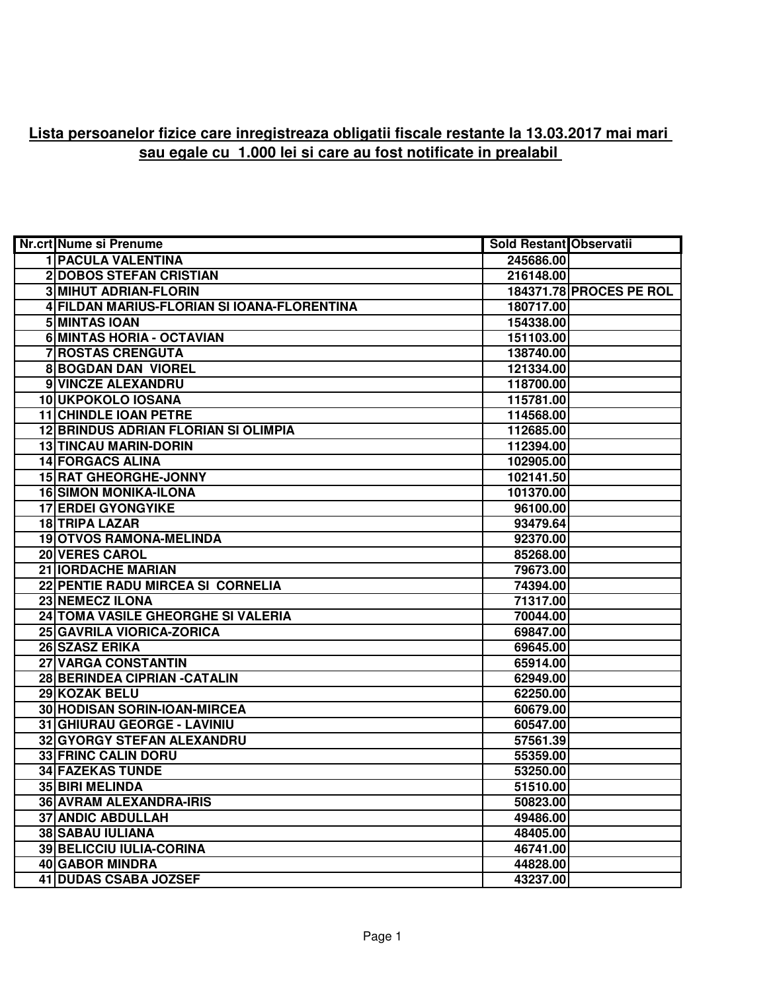## **Lista persoanelor fizice care inregistreaza obligatii fiscale restante la 13.03.2017 mai mari sau egale cu 1.000 lei si care au fost notificate in prealabil**

| <b>Nr.crt Nume si Prenume</b>               | <b>Sold Restant Observatii</b> |                                |
|---------------------------------------------|--------------------------------|--------------------------------|
| <b>1 PACULA VALENTINA</b>                   | 245686.00                      |                                |
| <b>2 DOBOS STEFAN CRISTIAN</b>              | 216148.00                      |                                |
| <b>3 MIHUT ADRIAN-FLORIN</b>                |                                | <b>184371.78 PROCES PE ROL</b> |
| 4 FILDAN MARIUS-FLORIAN SI IOANA-FLORENTINA | 180717.00                      |                                |
| <b>5 MINTAS IOAN</b>                        | 154338.00                      |                                |
| 6 MINTAS HORIA - OCTAVIAN                   | 151103.00                      |                                |
| <b>7 ROSTAS CRENGUTA</b>                    | 138740.00                      |                                |
| <b>8 BOGDAN DAN VIOREL</b>                  | 121334.00                      |                                |
| 9 VINCZE ALEXANDRU                          | 118700.00                      |                                |
| 10 UKPOKOLO IOSANA                          | 115781.00                      |                                |
| <b>11 CHINDLE IOAN PETRE</b>                | 114568.00                      |                                |
| <b>12 BRINDUS ADRIAN FLORIAN SI OLIMPIA</b> | 112685.00                      |                                |
| <b>13 TINCAU MARIN-DORIN</b>                | 112394.00                      |                                |
| <b>14 FORGACS ALINA</b>                     | 102905.00                      |                                |
| <b>15 RAT GHEORGHE-JONNY</b>                | 102141.50                      |                                |
| <b>16 SIMON MONIKA-ILONA</b>                | 101370.00                      |                                |
| <b>17 ERDEI GYONGYIKE</b>                   | 96100.00                       |                                |
| <b>18 TRIPA LAZAR</b>                       | 93479.64                       |                                |
| 19 OTVOS RAMONA-MELINDA                     | 92370.00                       |                                |
| 20 VERES CAROL                              | 85268.00                       |                                |
| 21 IORDACHE MARIAN                          | 79673.00                       |                                |
| 22 PENTIE RADU MIRCEA SI CORNELIA           | 74394.00                       |                                |
| 23 NEMECZ ILONA                             | 71317.00                       |                                |
| 24 TOMA VASILE GHEORGHE SI VALERIA          | 70044.00                       |                                |
| 25 GAVRILA VIORICA-ZORICA                   | 69847.00                       |                                |
| 26 SZASZ ERIKA                              | 69645.00                       |                                |
| 27 VARGA CONSTANTIN                         | 65914.00                       |                                |
| 28 BERINDEA CIPRIAN - CATALIN               | 62949.00                       |                                |
| 29 KOZAK BELU                               | 62250.00                       |                                |
| 30 HODISAN SORIN-IOAN-MIRCEA                | 60679.00                       |                                |
| 31 GHIURAU GEORGE - LAVINIU                 | 60547.00                       |                                |
| 32 GYORGY STEFAN ALEXANDRU                  | 57561.39                       |                                |
| <b>33 FRINC CALIN DORU</b>                  | 55359.00                       |                                |
| <b>34 FAZEKAS TUNDE</b>                     | 53250.00                       |                                |
| <b>35 BIRI MELINDA</b>                      | 51510.00                       |                                |
| <b>36 AVRAM ALEXANDRA-IRIS</b>              | 50823.00                       |                                |
| <b>37 ANDIC ABDULLAH</b>                    | 49486.00                       |                                |
| <b>38 SABAU IULIANA</b>                     | 48405.00                       |                                |
| <b>39 BELICCIU IULIA-CORINA</b>             | 46741.00                       |                                |
| 40 GABOR MINDRA                             | 44828.00                       |                                |
| <b>41 DUDAS CSABA JOZSEF</b>                | 43237.00                       |                                |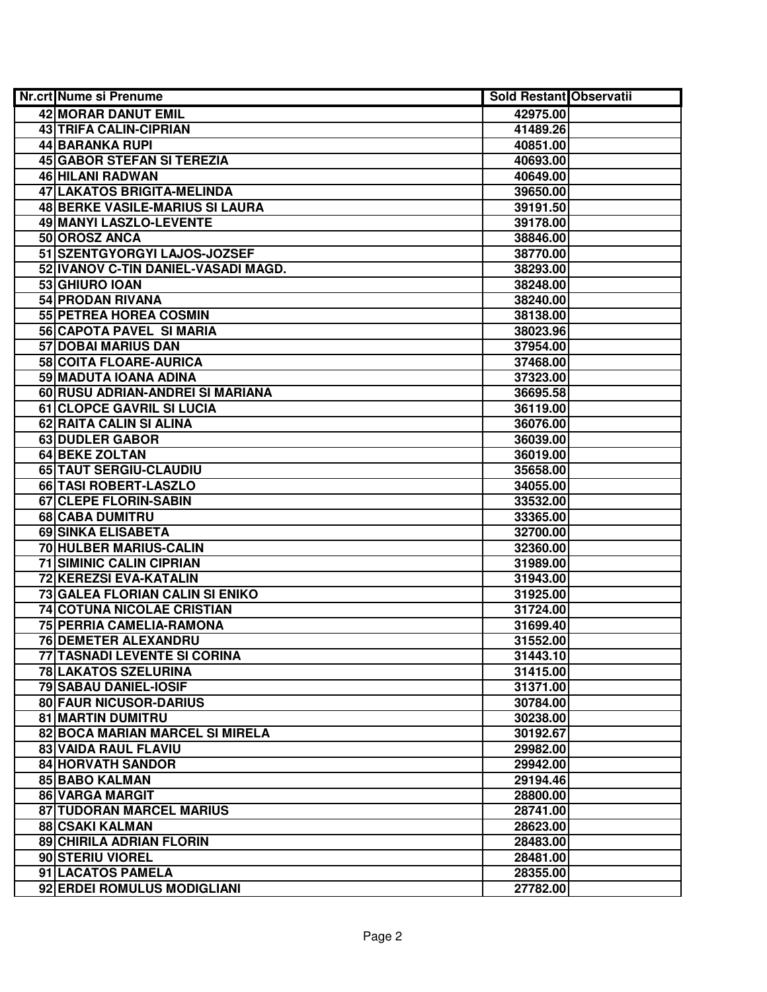| Nr.crt Nume si Prenume                 | <b>Sold Restant Observatii</b> |  |
|----------------------------------------|--------------------------------|--|
| 42 MORAR DANUT EMIL                    | 42975.00                       |  |
| <b>43 TRIFA CALIN-CIPRIAN</b>          | 41489.26                       |  |
| 44 BARANKA RUPI                        | 40851.00                       |  |
| 45 GABOR STEFAN SI TEREZIA             | 40693.00                       |  |
| 46 HILANI RADWAN                       | 40649.00                       |  |
| 47 LAKATOS BRIGITA-MELINDA             | 39650.00                       |  |
| <b>48 BERKE VASILE-MARIUS SI LAURA</b> | 39191.50                       |  |
| 49 MANYI LASZLO-LEVENTE                | 39178.00                       |  |
| 50 OROSZ ANCA                          | 38846.00                       |  |
| 51 SZENTGYORGYI LAJOS-JOZSEF           | 38770.00                       |  |
| 52 IVANOV C-TIN DANIEL-VASADI MAGD.    | 38293.00                       |  |
| 53 GHIURO IOAN                         | 38248.00                       |  |
| <b>54 PRODAN RIVANA</b>                | 38240.00                       |  |
| 55 PETREA HOREA COSMIN                 | 38138.00                       |  |
| 56 CAPOTA PAVEL SI MARIA               | 38023.96                       |  |
| 57 DOBAI MARIUS DAN                    | 37954.00                       |  |
| 58 COITA FLOARE-AURICA                 | 37468.00                       |  |
| 59 MADUTA IOANA ADINA                  | 37323.00                       |  |
| 60 RUSU ADRIAN-ANDREI SI MARIANA       | 36695.58                       |  |
| 61 CLOPCE GAVRIL SI LUCIA              | 36119.00                       |  |
| 62 RAITA CALIN SI ALINA                | 36076.00                       |  |
| 63 DUDLER GABOR                        | 36039.00                       |  |
| 64 BEKE ZOLTAN                         | 36019.00                       |  |
| 65 TAUT SERGIU-CLAUDIU                 | 35658.00                       |  |
| 66 TASI ROBERT-LASZLO                  | 34055.00                       |  |
| 67 CLEPE FLORIN-SABIN                  | 33532.00                       |  |
| 68 CABA DUMITRU                        | 33365.00                       |  |
| 69 SINKA ELISABETA                     | 32700.00                       |  |
| 70 HULBER MARIUS-CALIN                 | 32360.00                       |  |
| <b>71 SIMINIC CALIN CIPRIAN</b>        | 31989.00                       |  |
| 72 KEREZSI EVA-KATALIN                 | 31943.00                       |  |
| 73 GALEA FLORIAN CALIN SI ENIKO        | 31925.00                       |  |
| 74 COTUNA NICOLAE CRISTIAN             | 31724.00                       |  |
| 75 PERRIA CAMELIA-RAMONA               | 31699.40                       |  |
| <b>76 DEMETER ALEXANDRU</b>            | 31552.00                       |  |
| <b>77 TASNADI LEVENTE SI CORINA</b>    | 31443.10                       |  |
| <b>78 LAKATOS SZELURINA</b>            | 31415.00                       |  |
| <b>79 SABAU DANIEL-IOSIF</b>           | 31371.00                       |  |
| <b>80 FAUR NICUSOR-DARIUS</b>          | 30784.00                       |  |
| <b>81 MARTIN DUMITRU</b>               | 30238.00                       |  |
| 82 BOCA MARIAN MARCEL SI MIRELA        | 30192.67                       |  |
| 83 VAIDA RAUL FLAVIU                   | 29982.00                       |  |
| <b>84 HORVATH SANDOR</b>               | 29942.00                       |  |
| 85 BABO KALMAN                         | 29194.46                       |  |
| 86 VARGA MARGIT                        | 28800.00                       |  |
| 87 TUDORAN MARCEL MARIUS               | 28741.00                       |  |
| 88 CSAKI KALMAN                        | 28623.00                       |  |
| 89 CHIRILA ADRIAN FLORIN               | 28483.00                       |  |
| 90 STERIU VIOREL                       | 28481.00                       |  |
| 91 LACATOS PAMELA                      | 28355.00                       |  |
| 92 ERDEI ROMULUS MODIGLIANI            | 27782.00                       |  |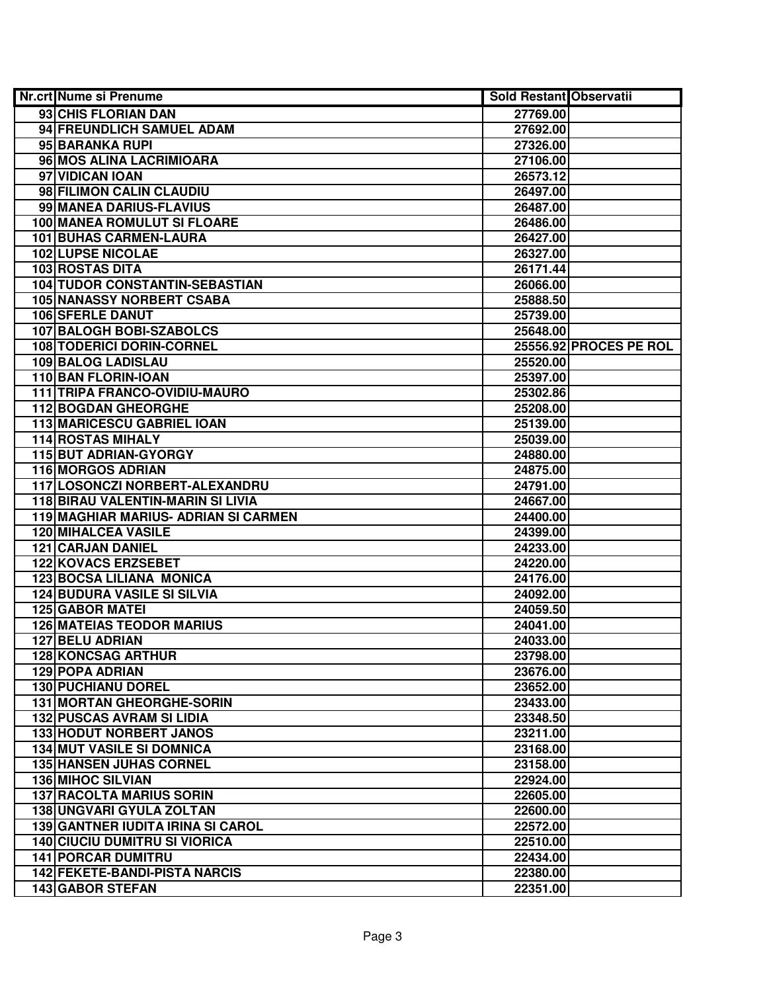| Nr.crt Nume si Prenume                   | <b>Sold Restant Observatii</b> |                        |
|------------------------------------------|--------------------------------|------------------------|
| 93 CHIS FLORIAN DAN                      | 27769.00                       |                        |
| 94 FREUNDLICH SAMUEL ADAM                | 27692.00                       |                        |
| 95 BARANKA RUPI                          | 27326.00                       |                        |
| 96 MOS ALINA LACRIMIOARA                 | 27106.00                       |                        |
| 97 VIDICAN IOAN                          | 26573.12                       |                        |
| 98 FILIMON CALIN CLAUDIU                 | 26497.00                       |                        |
| 99 MANEA DARIUS-FLAVIUS                  | 26487.00                       |                        |
| <b>100 MANEA ROMULUT SI FLOARE</b>       | 26486.00                       |                        |
| <b>101 BUHAS CARMEN-LAURA</b>            | 26427.00                       |                        |
| <b>102 LUPSE NICOLAE</b>                 | 26327.00                       |                        |
| <b>103 ROSTAS DITA</b>                   | 26171.44                       |                        |
| <b>104 TUDOR CONSTANTIN-SEBASTIAN</b>    | 26066.00                       |                        |
| <b>105 NANASSY NORBERT CSABA</b>         | 25888.50                       |                        |
| <b>106 SFERLE DANUT</b>                  | 25739.00                       |                        |
| 107 BALOGH BOBI-SZABOLCS                 | 25648.00                       |                        |
| 108 TODERICI DORIN-CORNEL                |                                | 25556.92 PROCES PE ROL |
| <b>109 BALOG LADISLAU</b>                | 25520.00                       |                        |
| 110 BAN FLORIN-IOAN                      | 25397.00                       |                        |
| 111 TRIPA FRANCO-OVIDIU-MAURO            | 25302.86                       |                        |
| <b>112 BOGDAN GHEORGHE</b>               | 25208.00                       |                        |
| 113 MARICESCU GABRIEL IOAN               | 25139.00                       |                        |
| <b>114 ROSTAS MIHALY</b>                 | 25039.00                       |                        |
| 115 BUT ADRIAN-GYORGY                    | 24880.00                       |                        |
| <b>116 MORGOS ADRIAN</b>                 | 24875.00                       |                        |
| 117 LOSONCZI NORBERT-ALEXANDRU           | 24791.00                       |                        |
| 118 BIRAU VALENTIN-MARIN SI LIVIA        | 24667.00                       |                        |
| 119 MAGHIAR MARIUS- ADRIAN SI CARMEN     | 24400.00                       |                        |
| <b>120 MIHALCEA VASILE</b>               | 24399.00                       |                        |
| 121 CARJAN DANIEL                        | 24233.00                       |                        |
| <b>122 KOVACS ERZSEBET</b>               | 24220.00                       |                        |
| <b>123 BOCSA LILIANA MONICA</b>          | 24176.00                       |                        |
| <b>124 BUDURA VASILE SI SILVIA</b>       | 24092.00                       |                        |
| <b>125 GABOR MATEI</b>                   | 24059.50                       |                        |
| <b>126 MATEIAS TEODOR MARIUS</b>         | 24041.00                       |                        |
| <b>127 BELU ADRIAN</b>                   | 24033.00                       |                        |
| <b>128 KONCSAG ARTHUR</b>                | 23798.00                       |                        |
| <b>129 POPA ADRIAN</b>                   | 23676.00                       |                        |
| <b>130 PUCHIANU DOREL</b>                | 23652.00                       |                        |
| <b>131 MORTAN GHEORGHE-SORIN</b>         | 23433.00                       |                        |
| <b>132 PUSCAS AVRAM SI LIDIA</b>         | 23348.50                       |                        |
| <b>133 HODUT NORBERT JANOS</b>           | 23211.00                       |                        |
| <b>134 MUT VASILE SI DOMNICA</b>         | 23168.00                       |                        |
| <b>135 HANSEN JUHAS CORNEL</b>           | 23158.00                       |                        |
| <b>136 MIHOC SILVIAN</b>                 | 22924.00                       |                        |
| <b>137 RACOLTA MARIUS SORIN</b>          | 22605.00                       |                        |
| 138 UNGVARI GYULA ZOLTAN                 | 22600.00                       |                        |
| <b>139 GANTNER IUDITA IRINA SI CAROL</b> | 22572.00                       |                        |
| <b>140 CIUCIU DUMITRU SI VIORICA</b>     | 22510.00                       |                        |
| <b>141 PORCAR DUMITRU</b>                | 22434.00                       |                        |
| <b>142 FEKETE-BANDI-PISTA NARCIS</b>     | 22380.00                       |                        |
| 143 GABOR STEFAN                         | 22351.00                       |                        |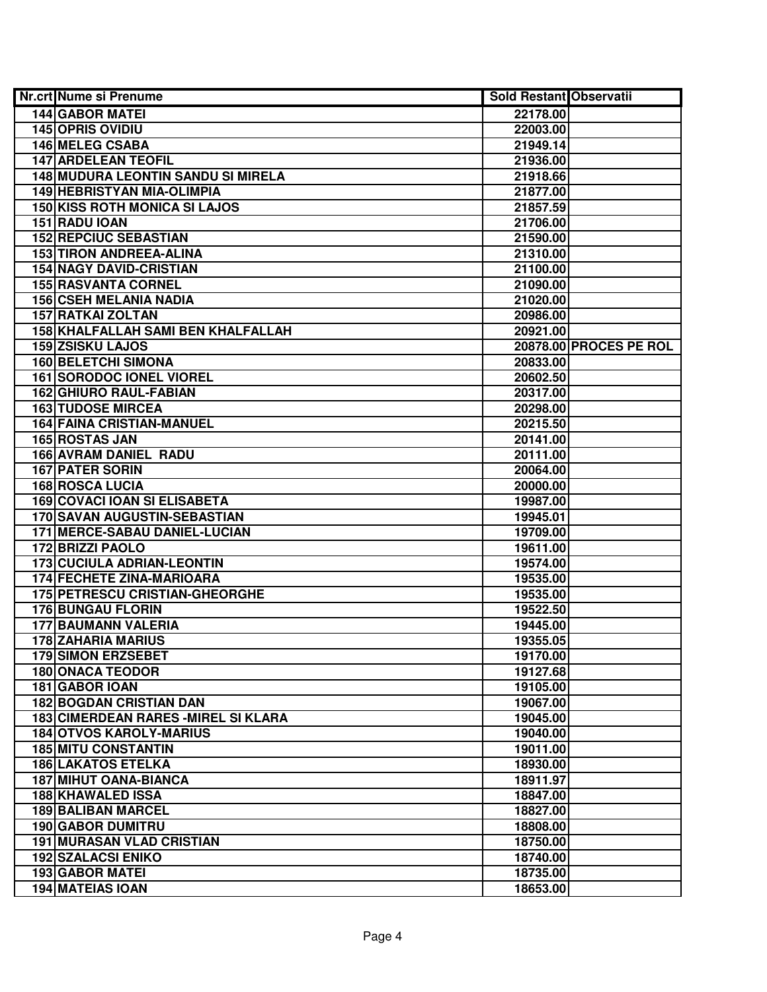| Nr.crt Nume si Prenume                    | Sold Restant Observatii |                        |
|-------------------------------------------|-------------------------|------------------------|
| <b>144 GABOR MATEI</b>                    | 22178.00                |                        |
| <b>145 OPRIS OVIDIU</b>                   | 22003.00                |                        |
| <b>146 MELEG CSABA</b>                    | 21949.14                |                        |
| <b>147 ARDELEAN TEOFIL</b>                | 21936.00                |                        |
| <b>148 MUDURA LEONTIN SANDU SI MIRELA</b> | 21918.66                |                        |
| 149 HEBRISTYAN MIA-OLIMPIA                | 21877.00                |                        |
| <b>150 KISS ROTH MONICA SI LAJOS</b>      | 21857.59                |                        |
| 151 RADU IOAN                             | 21706.00                |                        |
| <b>152 REPCIUC SEBASTIAN</b>              | 21590.00                |                        |
| <b>153 TIRON ANDREEA-ALINA</b>            | 21310.00                |                        |
| <b>154 NAGY DAVID-CRISTIAN</b>            | 21100.00                |                        |
| <b>155 RASVANTA CORNEL</b>                | 21090.00                |                        |
| <b>156 CSEH MELANIA NADIA</b>             | 21020.00                |                        |
| <b>157 RATKAI ZOLTAN</b>                  | 20986.00                |                        |
| 158 KHALFALLAH SAMI BEN KHALFALLAH        | 20921.00                |                        |
| 159 ZSISKU LAJOS                          |                         | 20878.00 PROCES PE ROL |
| 160 BELETCHI SIMONA                       | 20833.00                |                        |
| <b>161 SORODOC IONEL VIOREL</b>           | 20602.50                |                        |
| <b>162 GHIURO RAUL-FABIAN</b>             | 20317.00                |                        |
| <b>163 TUDOSE MIRCEA</b>                  | 20298.00                |                        |
| <b>164 FAINA CRISTIAN-MANUEL</b>          | 20215.50                |                        |
| 165 ROSTAS JAN                            | 20141.00                |                        |
| 166 AVRAM DANIEL RADU                     | 20111.00                |                        |
| <b>167 PATER SORIN</b>                    | 20064.00                |                        |
| <b>168 ROSCA LUCIA</b>                    | 20000.00                |                        |
| <b>169 COVACI IOAN SI ELISABETA</b>       | 19987.00                |                        |
| 170 SAVAN AUGUSTIN-SEBASTIAN              | 19945.01                |                        |
| 171 MERCE-SABAU DANIEL-LUCIAN             | 19709.00                |                        |
| 172 BRIZZI PAOLO                          | 19611.00                |                        |
| <b>173 CUCIULA ADRIAN-LEONTIN</b>         | 19574.00                |                        |
| 174 FECHETE ZINA-MARIOARA                 | 19535.00                |                        |
| 175 PETRESCU CRISTIAN-GHEORGHE            | 19535.00                |                        |
| <b>176 BUNGAU FLORIN</b>                  | 19522.50                |                        |
| <b>177 BAUMANN VALERIA</b>                | 19445.00                |                        |
| <b>178 ZAHARIA MARIUS</b>                 | 19355.05                |                        |
| <b>179 SIMON ERZSEBET</b>                 | 19170.00                |                        |
| <b>180 ONACA TEODOR</b>                   | 19127.68                |                        |
| 181 GABOR IOAN                            | 19105.00                |                        |
| <b>182 BOGDAN CRISTIAN DAN</b>            | 19067.00                |                        |
| 183 CIMERDEAN RARES - MIREL SI KLARA      | 19045.00                |                        |
| <b>184 OTVOS KAROLY-MARIUS</b>            | 19040.00                |                        |
| <b>185 MITU CONSTANTIN</b>                | 19011.00                |                        |
| <b>186 LAKATOS ETELKA</b>                 | 18930.00                |                        |
| <b>187 MIHUT OANA-BIANCA</b>              | 18911.97                |                        |
| 188 KHAWALED ISSA                         | 18847.00                |                        |
| <b>189 BALIBAN MARCEL</b>                 | 18827.00                |                        |
| <b>190 GABOR DUMITRU</b>                  | 18808.00                |                        |
| <b>191 MURASAN VLAD CRISTIAN</b>          | 18750.00                |                        |
| <b>192 SZALACSI ENIKO</b>                 | 18740.00                |                        |
| <b>193 GABOR MATEI</b>                    | 18735.00                |                        |
| <b>194 MATEIAS IOAN</b>                   | 18653.00                |                        |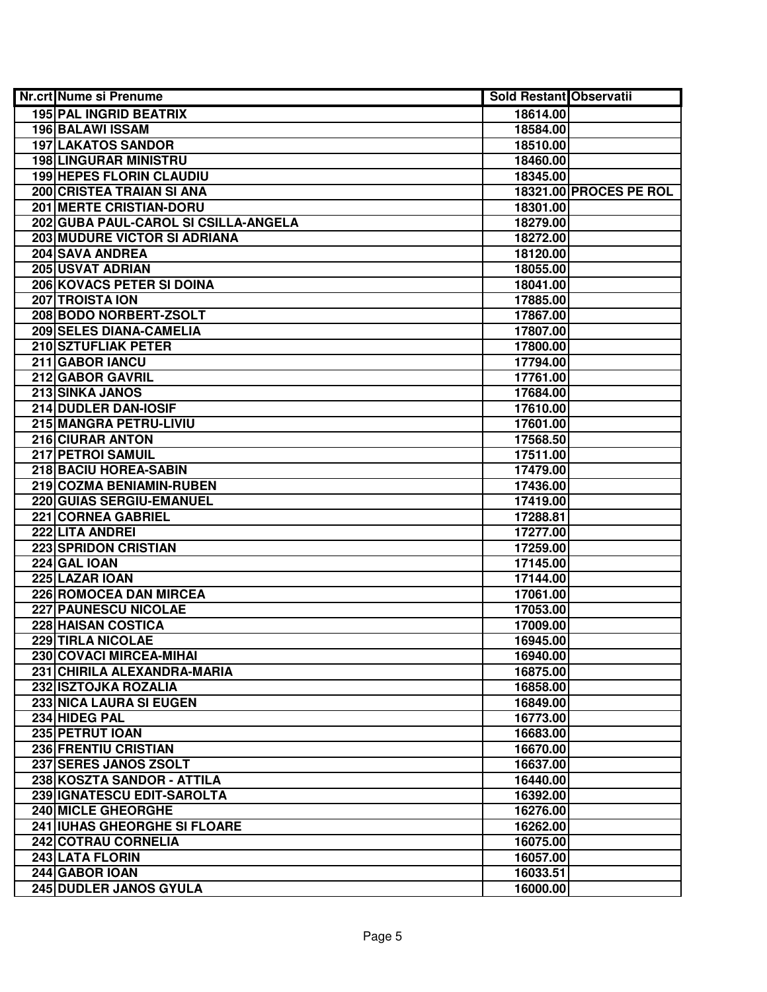| 195 PAL INGRID BEATRIX<br>18614.00<br><b>196 BALAWI ISSAM</b><br>18584.00<br><b>197 LAKATOS SANDOR</b><br>18510.00<br><b>198 LINGURAR MINISTRU</b><br>18460.00<br><b>199 HEPES FLORIN CLAUDIU</b><br>18345.00<br>200 CRISTEA TRAIAN SI ANA<br>18321.00 PROCES PE ROL<br>201 MERTE CRISTIAN-DORU<br>18301.00<br>202 GUBA PAUL-CAROL SI CSILLA-ANGELA<br>18279.00<br><b>203 MUDURE VICTOR SI ADRIANA</b><br>18272.00<br><b>204 SAVA ANDREA</b><br>18120.00<br><b>205 USVAT ADRIAN</b><br>18055.00<br>206 KOVACS PETER SI DOINA<br>18041.00<br>207 TROISTA ION<br>17885.00<br>208 BODO NORBERT-ZSOLT<br>17867.00<br>209 SELES DIANA-CAMELIA<br>17807.00<br>210 SZTUFLIAK PETER<br>17800.00<br>211 GABOR IANCU<br>17794.00<br>212 GABOR GAVRIL<br>17761.00 | Nr.crt Nume si Prenume | <b>Sold Restant Observatii</b> |  |
|--------------------------------------------------------------------------------------------------------------------------------------------------------------------------------------------------------------------------------------------------------------------------------------------------------------------------------------------------------------------------------------------------------------------------------------------------------------------------------------------------------------------------------------------------------------------------------------------------------------------------------------------------------------------------------------------------------------------------------------------------------|------------------------|--------------------------------|--|
|                                                                                                                                                                                                                                                                                                                                                                                                                                                                                                                                                                                                                                                                                                                                                        |                        |                                |  |
|                                                                                                                                                                                                                                                                                                                                                                                                                                                                                                                                                                                                                                                                                                                                                        |                        |                                |  |
|                                                                                                                                                                                                                                                                                                                                                                                                                                                                                                                                                                                                                                                                                                                                                        |                        |                                |  |
|                                                                                                                                                                                                                                                                                                                                                                                                                                                                                                                                                                                                                                                                                                                                                        |                        |                                |  |
|                                                                                                                                                                                                                                                                                                                                                                                                                                                                                                                                                                                                                                                                                                                                                        |                        |                                |  |
|                                                                                                                                                                                                                                                                                                                                                                                                                                                                                                                                                                                                                                                                                                                                                        |                        |                                |  |
|                                                                                                                                                                                                                                                                                                                                                                                                                                                                                                                                                                                                                                                                                                                                                        |                        |                                |  |
|                                                                                                                                                                                                                                                                                                                                                                                                                                                                                                                                                                                                                                                                                                                                                        |                        |                                |  |
|                                                                                                                                                                                                                                                                                                                                                                                                                                                                                                                                                                                                                                                                                                                                                        |                        |                                |  |
|                                                                                                                                                                                                                                                                                                                                                                                                                                                                                                                                                                                                                                                                                                                                                        |                        |                                |  |
|                                                                                                                                                                                                                                                                                                                                                                                                                                                                                                                                                                                                                                                                                                                                                        |                        |                                |  |
|                                                                                                                                                                                                                                                                                                                                                                                                                                                                                                                                                                                                                                                                                                                                                        |                        |                                |  |
|                                                                                                                                                                                                                                                                                                                                                                                                                                                                                                                                                                                                                                                                                                                                                        |                        |                                |  |
|                                                                                                                                                                                                                                                                                                                                                                                                                                                                                                                                                                                                                                                                                                                                                        |                        |                                |  |
|                                                                                                                                                                                                                                                                                                                                                                                                                                                                                                                                                                                                                                                                                                                                                        |                        |                                |  |
|                                                                                                                                                                                                                                                                                                                                                                                                                                                                                                                                                                                                                                                                                                                                                        |                        |                                |  |
|                                                                                                                                                                                                                                                                                                                                                                                                                                                                                                                                                                                                                                                                                                                                                        |                        |                                |  |
|                                                                                                                                                                                                                                                                                                                                                                                                                                                                                                                                                                                                                                                                                                                                                        |                        |                                |  |
|                                                                                                                                                                                                                                                                                                                                                                                                                                                                                                                                                                                                                                                                                                                                                        | 213 SINKA JANOS        | 17684.00                       |  |
| 214 DUDLER DAN-IOSIF<br>17610.00                                                                                                                                                                                                                                                                                                                                                                                                                                                                                                                                                                                                                                                                                                                       |                        |                                |  |
| 215 MANGRA PETRU-LIVIU<br>17601.00                                                                                                                                                                                                                                                                                                                                                                                                                                                                                                                                                                                                                                                                                                                     |                        |                                |  |
| 216 CIURAR ANTON<br>17568.50                                                                                                                                                                                                                                                                                                                                                                                                                                                                                                                                                                                                                                                                                                                           |                        |                                |  |
| 217 PETROI SAMUIL<br>17511.00                                                                                                                                                                                                                                                                                                                                                                                                                                                                                                                                                                                                                                                                                                                          |                        |                                |  |
| 218 BACIU HOREA-SABIN<br>17479.00                                                                                                                                                                                                                                                                                                                                                                                                                                                                                                                                                                                                                                                                                                                      |                        |                                |  |
| 219 COZMA BENIAMIN-RUBEN<br>17436.00                                                                                                                                                                                                                                                                                                                                                                                                                                                                                                                                                                                                                                                                                                                   |                        |                                |  |
| 220 GUIAS SERGIU-EMANUEL<br>17419.00                                                                                                                                                                                                                                                                                                                                                                                                                                                                                                                                                                                                                                                                                                                   |                        |                                |  |
| 221 CORNEA GABRIEL<br>17288.81                                                                                                                                                                                                                                                                                                                                                                                                                                                                                                                                                                                                                                                                                                                         |                        |                                |  |
| 222 LITA ANDREI<br>17277.00                                                                                                                                                                                                                                                                                                                                                                                                                                                                                                                                                                                                                                                                                                                            |                        |                                |  |
| <b>223 SPRIDON CRISTIAN</b><br>17259.00                                                                                                                                                                                                                                                                                                                                                                                                                                                                                                                                                                                                                                                                                                                |                        |                                |  |
| <b>224 GAL IOAN</b><br>17145.00                                                                                                                                                                                                                                                                                                                                                                                                                                                                                                                                                                                                                                                                                                                        |                        |                                |  |
| 225 LAZAR IOAN<br>17144.00                                                                                                                                                                                                                                                                                                                                                                                                                                                                                                                                                                                                                                                                                                                             |                        |                                |  |
| 226 ROMOCEA DAN MIRCEA<br>17061.00                                                                                                                                                                                                                                                                                                                                                                                                                                                                                                                                                                                                                                                                                                                     |                        |                                |  |
| <b>227 PAUNESCU NICOLAE</b><br>17053.00                                                                                                                                                                                                                                                                                                                                                                                                                                                                                                                                                                                                                                                                                                                |                        |                                |  |
| <b>228 HAISAN COSTICA</b><br>17009.00                                                                                                                                                                                                                                                                                                                                                                                                                                                                                                                                                                                                                                                                                                                  |                        |                                |  |
| <b>229 TIRLA NICOLAE</b><br>16945.00                                                                                                                                                                                                                                                                                                                                                                                                                                                                                                                                                                                                                                                                                                                   |                        |                                |  |
| 230 COVACI MIRCEA-MIHAI<br>16940.00                                                                                                                                                                                                                                                                                                                                                                                                                                                                                                                                                                                                                                                                                                                    |                        |                                |  |
| 231 CHIRILA ALEXANDRA-MARIA<br>16875.00                                                                                                                                                                                                                                                                                                                                                                                                                                                                                                                                                                                                                                                                                                                |                        |                                |  |
| 232 ISZTOJKA ROZALIA<br>16858.00                                                                                                                                                                                                                                                                                                                                                                                                                                                                                                                                                                                                                                                                                                                       |                        |                                |  |
| 233 NICA LAURA SI EUGEN<br>16849.00                                                                                                                                                                                                                                                                                                                                                                                                                                                                                                                                                                                                                                                                                                                    |                        |                                |  |
| 234 HIDEG PAL<br>16773.00                                                                                                                                                                                                                                                                                                                                                                                                                                                                                                                                                                                                                                                                                                                              |                        |                                |  |
| 235 PETRUT IOAN<br>16683.00                                                                                                                                                                                                                                                                                                                                                                                                                                                                                                                                                                                                                                                                                                                            |                        |                                |  |
| 236 FRENTIU CRISTIAN<br>16670.00                                                                                                                                                                                                                                                                                                                                                                                                                                                                                                                                                                                                                                                                                                                       |                        |                                |  |
| 237 SERES JANOS ZSOLT<br>16637.00                                                                                                                                                                                                                                                                                                                                                                                                                                                                                                                                                                                                                                                                                                                      |                        |                                |  |
| 238 KOSZTA SANDOR - ATTILA<br>16440.00                                                                                                                                                                                                                                                                                                                                                                                                                                                                                                                                                                                                                                                                                                                 |                        |                                |  |
| 239 IGNATESCU EDIT-SAROLTA<br>16392.00                                                                                                                                                                                                                                                                                                                                                                                                                                                                                                                                                                                                                                                                                                                 |                        |                                |  |
| <b>240 MICLE GHEORGHE</b><br>16276.00                                                                                                                                                                                                                                                                                                                                                                                                                                                                                                                                                                                                                                                                                                                  |                        |                                |  |
| 241 IUHAS GHEORGHE SI FLOARE<br>16262.00                                                                                                                                                                                                                                                                                                                                                                                                                                                                                                                                                                                                                                                                                                               |                        |                                |  |
| 242 COTRAU CORNELIA<br>16075.00                                                                                                                                                                                                                                                                                                                                                                                                                                                                                                                                                                                                                                                                                                                        |                        |                                |  |
| 243 LATA FLORIN<br>16057.00                                                                                                                                                                                                                                                                                                                                                                                                                                                                                                                                                                                                                                                                                                                            |                        |                                |  |
| 244 GABOR IOAN<br>16033.51                                                                                                                                                                                                                                                                                                                                                                                                                                                                                                                                                                                                                                                                                                                             |                        |                                |  |
| 245 DUDLER JANOS GYULA<br>16000.00                                                                                                                                                                                                                                                                                                                                                                                                                                                                                                                                                                                                                                                                                                                     |                        |                                |  |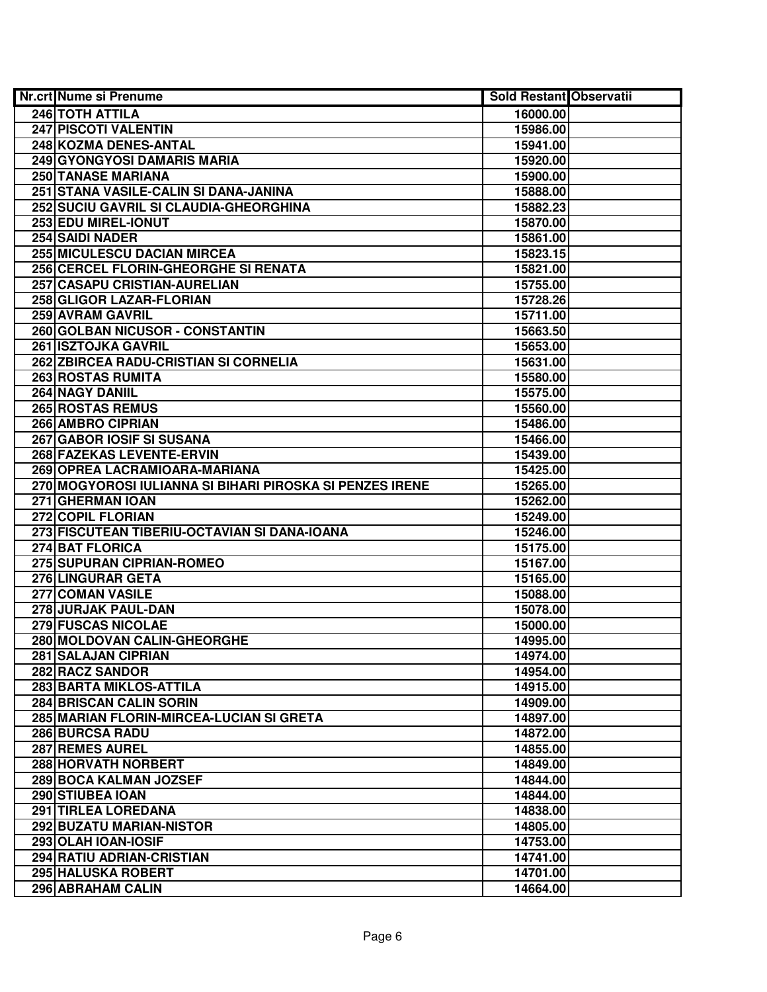| Nr.crt Nume si Prenume                                   | Sold Restant Observatii |  |
|----------------------------------------------------------|-------------------------|--|
| 246 TOTH ATTILA                                          | 16000.00                |  |
| 247 PISCOTI VALENTIN                                     | 15986.00                |  |
| 248 KOZMA DENES-ANTAL                                    | 15941.00                |  |
| 249 GYONGYOSI DAMARIS MARIA                              | 15920.00                |  |
| 250 TANASE MARIANA                                       | 15900.00                |  |
| 251 STANA VASILE-CALIN SI DANA-JANINA                    | 15888.00                |  |
| 252 SUCIU GAVRIL SI CLAUDIA-GHEORGHINA                   | 15882.23                |  |
| 253 EDU MIREL-IONUT                                      | 15870.00                |  |
| <b>254 SAIDI NADER</b>                                   | 15861.00                |  |
| <b>255 MICULESCU DACIAN MIRCEA</b>                       | 15823.15                |  |
| 256 CERCEL FLORIN-GHEORGHE SI RENATA                     | 15821.00                |  |
| 257 CASAPU CRISTIAN-AURELIAN                             | 15755.00                |  |
| 258 GLIGOR LAZAR-FLORIAN                                 | 15728.26                |  |
| 259 AVRAM GAVRIL                                         | 15711.00                |  |
| 260 GOLBAN NICUSOR - CONSTANTIN                          | 15663.50                |  |
| <b>261 ISZTOJKA GAVRIL</b>                               | 15653.00                |  |
| 262 ZBIRCEA RADU-CRISTIAN SI CORNELIA                    | 15631.00                |  |
| <b>263 ROSTAS RUMITA</b>                                 | 15580.00                |  |
| 264 NAGY DANIIL                                          | 15575.00                |  |
| <b>265 ROSTAS REMUS</b>                                  | 15560.00                |  |
| 266 AMBRO CIPRIAN                                        | 15486.00                |  |
| 267 GABOR IOSIF SI SUSANA                                | 15466.00                |  |
| 268 FAZEKAS LEVENTE-ERVIN                                | 15439.00                |  |
| 269 OPREA LACRAMIOARA-MARIANA                            | 15425.00                |  |
| 270 MOGYOROSI IULIANNA SI BIHARI PIROSKA SI PENZES IRENE | 15265.00                |  |
| 271 GHERMAN IOAN                                         | 15262.00                |  |
| 272 COPIL FLORIAN                                        | 15249.00                |  |
| 273 FISCUTEAN TIBERIU-OCTAVIAN SI DANA-IOANA             | 15246.00                |  |
| 274 BAT FLORICA                                          | 15175.00                |  |
| 275 SUPURAN CIPRIAN-ROMEO                                | 15167.00                |  |
| 276 LINGURAR GETA                                        | 15165.00                |  |
| 277 COMAN VASILE                                         | 15088.00                |  |
| 278 JURJAK PAUL-DAN                                      | 15078.00                |  |
| <b>279 FUSCAS NICOLAE</b>                                | 15000.00                |  |
| 280 MOLDOVAN CALIN-GHEORGHE                              | 14995.00                |  |
| 281 SALAJAN CIPRIAN                                      | 14974.00                |  |
| <b>282 RACZ SANDOR</b>                                   | 14954.00                |  |
| 283 BARTA MIKLOS-ATTILA                                  | 14915.00                |  |
| <b>284 BRISCAN CALIN SORIN</b>                           | 14909.00                |  |
| 285 MARIAN FLORIN-MIRCEA-LUCIAN SI GRETA                 | 14897.00                |  |
| 286 BURCSA RADU                                          | 14872.00                |  |
| <b>287 REMES AUREL</b>                                   | 14855.00                |  |
| 288 HORVATH NORBERT                                      | 14849.00                |  |
| 289 BOCA KALMAN JOZSEF                                   | 14844.00                |  |
| 290 STIUBEA IOAN                                         | 14844.00                |  |
| 291 TIRLEA LOREDANA                                      | 14838.00                |  |
|                                                          |                         |  |
| 292 BUZATU MARIAN-NISTOR                                 | 14805.00                |  |
| 293 OLAH IOAN-IOSIF                                      | 14753.00                |  |
| 294 RATIU ADRIAN-CRISTIAN                                | 14741.00                |  |
| <b>295 HALUSKA ROBERT</b>                                | 14701.00                |  |
| 296 ABRAHAM CALIN                                        | 14664.00                |  |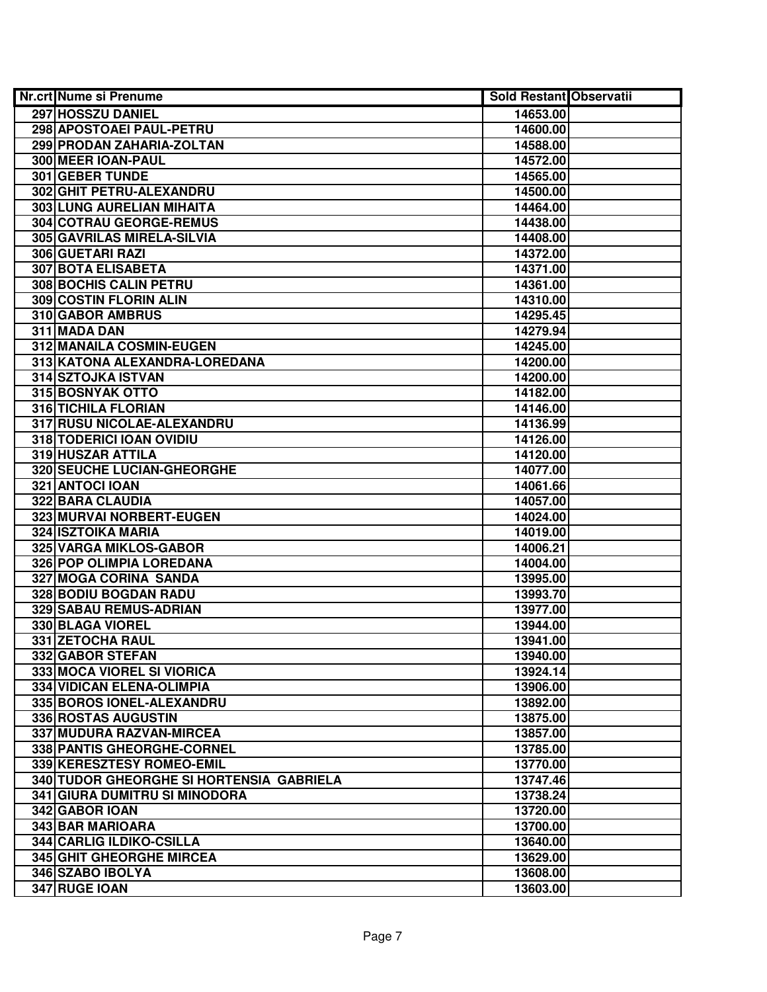| Nr.crt Nume si Prenume                   | <b>Sold Restant Observatii</b> |  |
|------------------------------------------|--------------------------------|--|
| 297 HOSSZU DANIEL                        | 14653.00                       |  |
| 298 APOSTOAEI PAUL-PETRU                 | 14600.00                       |  |
| 299 PRODAN ZAHARIA-ZOLTAN                | 14588.00                       |  |
| 300 MEER IOAN-PAUL                       | 14572.00                       |  |
| 301 GEBER TUNDE                          | 14565.00                       |  |
| 302 GHIT PETRU-ALEXANDRU                 | 14500.00                       |  |
| 303 LUNG AURELIAN MIHAITA                | 14464.00                       |  |
| 304 COTRAU GEORGE-REMUS                  | 14438.00                       |  |
| 305 GAVRILAS MIRELA-SILVIA               | 14408.00                       |  |
| <b>306 GUETARI RAZI</b>                  | 14372.00                       |  |
| <b>307 BOTA ELISABETA</b>                | 14371.00                       |  |
| <b>308 BOCHIS CALIN PETRU</b>            | 14361.00                       |  |
| <b>309 COSTIN FLORIN ALIN</b>            | 14310.00                       |  |
| 310 GABOR AMBRUS                         | 14295.45                       |  |
| 311 MADA DAN                             | 14279.94                       |  |
| 312 MANAILA COSMIN-EUGEN                 | 14245.00                       |  |
| 313 KATONA ALEXANDRA-LOREDANA            | 14200.00                       |  |
| 314 SZTOJKA ISTVAN                       | 14200.00                       |  |
| 315 BOSNYAK OTTO                         | 14182.00                       |  |
| 316 TICHILA FLORIAN                      | 14146.00                       |  |
| 317 RUSU NICOLAE-ALEXANDRU               | 14136.99                       |  |
| 318 TODERICI IOAN OVIDIU                 | 14126.00                       |  |
| 319 HUSZAR ATTILA                        | 14120.00                       |  |
| <b>320 SEUCHE LUCIAN-GHEORGHE</b>        | 14077.00                       |  |
| 321 ANTOCI IOAN                          | 14061.66                       |  |
| 322 BARA CLAUDIA                         | 14057.00                       |  |
| 323 MURVAI NORBERT-EUGEN                 | 14024.00                       |  |
| 324 ISZTOIKA MARIA                       | 14019.00                       |  |
| 325 VARGA MIKLOS-GABOR                   | 14006.21                       |  |
| 326 POP OLIMPIA LOREDANA                 | 14004.00                       |  |
| 327 MOGA CORINA SANDA                    | 13995.00                       |  |
| 328 BODIU BOGDAN RADU                    | 13993.70                       |  |
| 329 SABAU REMUS-ADRIAN                   | 13977.00                       |  |
| 330 BLAGA VIOREL                         | 13944.00                       |  |
| <b>331 ZETOCHA RAUL</b>                  | 13941.00                       |  |
| 332 GABOR STEFAN                         | 13940.00                       |  |
| 333 MOCA VIOREL SI VIORICA               | 13924.14                       |  |
| <b>334 VIDICAN ELENA-OLIMPIA</b>         | 13906.00                       |  |
| 335 BOROS IONEL-ALEXANDRU                | 13892.00                       |  |
| 336 ROSTAS AUGUSTIN                      | 13875.00                       |  |
| 337 MUDURA RAZVAN-MIRCEA                 | 13857.00                       |  |
| 338 PANTIS GHEORGHE-CORNEL               | 13785.00                       |  |
| 339 KERESZTESY ROMEO-EMIL                | 13770.00                       |  |
| 340 TUDOR GHEORGHE SI HORTENSIA GABRIELA | 13747.46                       |  |
| 341 GIURA DUMITRU SI MINODORA            | 13738.24                       |  |
| 342 GABOR IOAN                           | 13720.00                       |  |
| 343 BAR MARIOARA                         | 13700.00                       |  |
| 344 CARLIG ILDIKO-CSILLA                 | 13640.00                       |  |
| <b>345 GHIT GHEORGHE MIRCEA</b>          | 13629.00                       |  |
| 346 SZABO IBOLYA                         | 13608.00                       |  |
| 347 RUGE IOAN                            | 13603.00                       |  |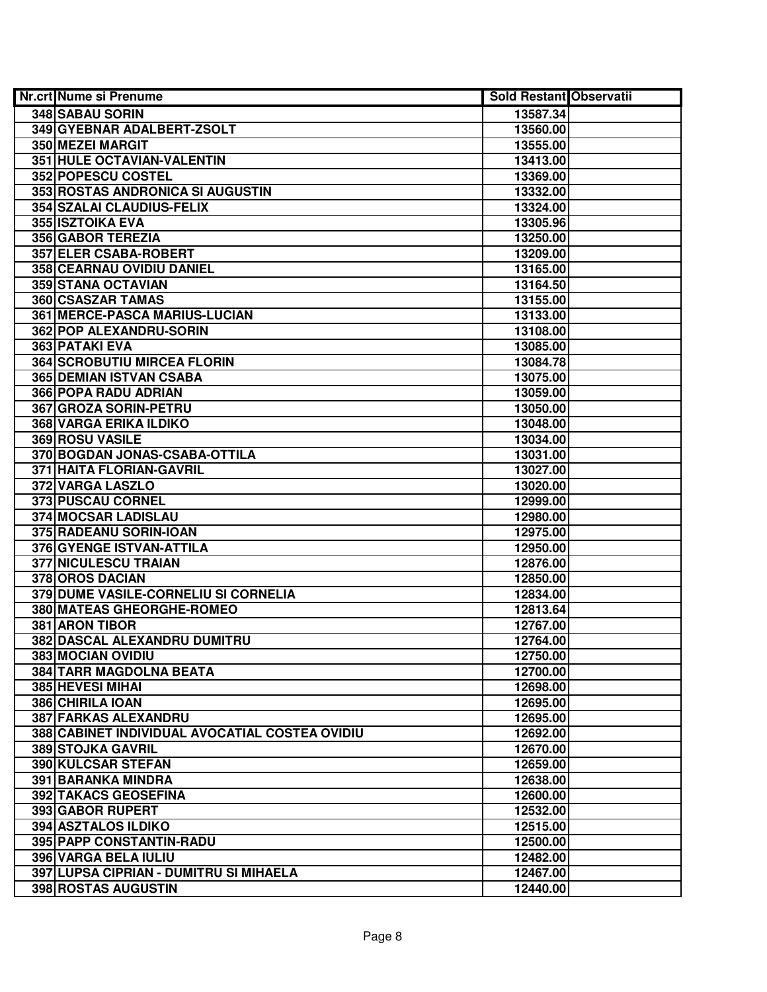| Nr.crt Nume si Prenume                         | <b>Sold Restant Observatii</b> |  |
|------------------------------------------------|--------------------------------|--|
| 348 SABAU SORIN                                | 13587.34                       |  |
| 349 GYEBNAR ADALBERT-ZSOLT                     | 13560.00                       |  |
| 350 MEZEI MARGIT                               | 13555.00                       |  |
| 351 HULE OCTAVIAN-VALENTIN                     | 13413.00                       |  |
| 352 POPESCU COSTEL                             | 13369.00                       |  |
| 353 ROSTAS ANDRONICA SI AUGUSTIN               | 13332.00                       |  |
| 354 SZALAI CLAUDIUS-FELIX                      | 13324.00                       |  |
| 355 ISZTOIKA EVA                               | 13305.96                       |  |
| <b>356 GABOR TEREZIA</b>                       | 13250.00                       |  |
| <b>357 ELER CSABA-ROBERT</b>                   | 13209.00                       |  |
| 358 CEARNAU OVIDIU DANIEL                      | 13165.00                       |  |
| <b>359 STANA OCTAVIAN</b>                      | 13164.50                       |  |
| 360 CSASZAR TAMAS                              | 13155.00                       |  |
| 361 MERCE-PASCA MARIUS-LUCIAN                  | 13133.00                       |  |
| 362 POP ALEXANDRU-SORIN                        | 13108.00                       |  |
| 363 PATAKI EVA                                 | 13085.00                       |  |
| <b>364 SCROBUTIU MIRCEA FLORIN</b>             | 13084.78                       |  |
| <b>365 DEMIAN ISTVAN CSABA</b>                 | 13075.00                       |  |
| 366 POPA RADU ADRIAN                           | 13059.00                       |  |
| 367 GROZA SORIN-PETRU                          | 13050.00                       |  |
| 368 VARGA ERIKA ILDIKO                         | 13048.00                       |  |
| 369 ROSU VASILE                                | 13034.00                       |  |
| 370 BOGDAN JONAS-CSABA-OTTILA                  | 13031.00                       |  |
| 371 HAITA FLORIAN-GAVRIL                       | 13027.00                       |  |
| 372 VARGA LASZLO                               | 13020.00                       |  |
| 373 PUSCAU CORNEL                              | 12999.00                       |  |
| 374 MOCSAR LADISLAU                            | 12980.00                       |  |
| 375 RADEANU SORIN-IOAN                         | 12975.00                       |  |
| 376 GYENGE ISTVAN-ATTILA                       | 12950.00                       |  |
| 377 NICULESCU TRAIAN                           | 12876.00                       |  |
| 378 OROS DACIAN                                | 12850.00                       |  |
| 379 DUME VASILE-CORNELIU SI CORNELIA           | 12834.00                       |  |
| 380 MATEAS GHEORGHE-ROMEO                      | 12813.64                       |  |
| 381 ARON TIBOR                                 | 12767.00                       |  |
| 382 DASCAL ALEXANDRU DUMITRU                   | 12764.00                       |  |
| 383 MOCIAN OVIDIU                              | 12750.00                       |  |
| <b>384 TARR MAGDOLNA BEATA</b>                 | 12700.00                       |  |
| 385 HEVESI MIHAI                               | 12698.00                       |  |
| 386 CHIRILA IOAN                               | 12695.00                       |  |
| 387 FARKAS ALEXANDRU                           | 12695.00                       |  |
| 388 CABINET INDIVIDUAL AVOCATIAL COSTEA OVIDIU | 12692.00                       |  |
| 389 STOJKA GAVRIL                              | 12670.00                       |  |
| 390 KULCSAR STEFAN                             | 12659.00                       |  |
| 391 BARANKA MINDRA                             | 12638.00                       |  |
| 392 TAKACS GEOSEFINA                           | 12600.00                       |  |
| 393 GABOR RUPERT                               | 12532.00                       |  |
| 394 ASZTALOS ILDIKO                            | 12515.00                       |  |
| 395 PAPP CONSTANTIN-RADU                       | 12500.00                       |  |
| 396 VARGA BELA IULIU                           | 12482.00                       |  |
| 397 LUPSA CIPRIAN - DUMITRU SI MIHAELA         | 12467.00                       |  |
| 398 ROSTAS AUGUSTIN                            | 12440.00                       |  |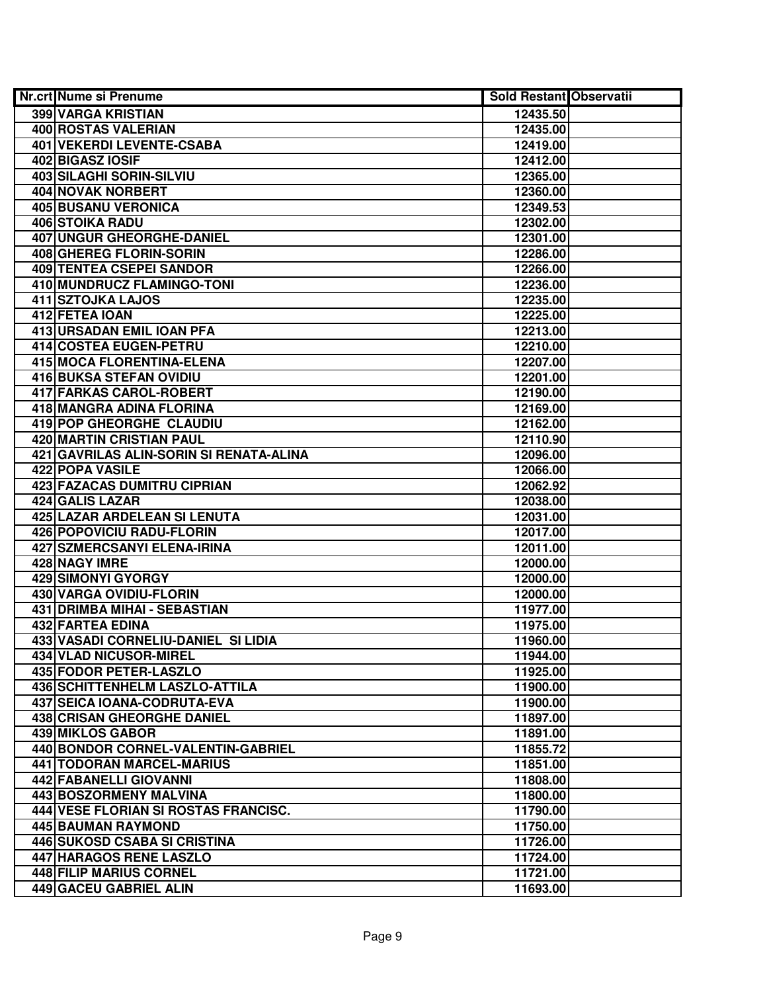| Nr.crt Nume si Prenume                  | <b>Sold Restant Observatii</b> |  |
|-----------------------------------------|--------------------------------|--|
| 399 VARGA KRISTIAN                      | 12435.50                       |  |
| <b>400 ROSTAS VALERIAN</b>              | 12435.00                       |  |
| <b>401 VEKERDI LEVENTE-CSABA</b>        | 12419.00                       |  |
| 402 BIGASZ IOSIF                        | 12412.00                       |  |
| 403 SILAGHI SORIN-SILVIU                | 12365.00                       |  |
| 404 NOVAK NORBERT                       | 12360.00                       |  |
| <b>405 BUSANU VERONICA</b>              | 12349.53                       |  |
| <b>406 STOIKA RADU</b>                  | 12302.00                       |  |
| <b>407 UNGUR GHEORGHE-DANIEL</b>        | 12301.00                       |  |
| 408 GHEREG FLORIN-SORIN                 | 12286.00                       |  |
| <b>409 TENTEA CSEPEI SANDOR</b>         | 12266.00                       |  |
| 410 MUNDRUCZ FLAMINGO-TONI              | 12236.00                       |  |
| 411 SZTOJKA LAJOS                       | 12235.00                       |  |
| 412 FETEA IOAN                          | 12225.00                       |  |
| 413 URSADAN EMIL IOAN PFA               | 12213.00                       |  |
| 414 COSTEA EUGEN-PETRU                  | 12210.00                       |  |
| 415 MOCA FLORENTINA-ELENA               | 12207.00                       |  |
| 416 BUKSA STEFAN OVIDIU                 | 12201.00                       |  |
| 417 FARKAS CAROL-ROBERT                 | 12190.00                       |  |
| 418 MANGRA ADINA FLORINA                | 12169.00                       |  |
| 419 POP GHEORGHE CLAUDIU                | 12162.00                       |  |
| 420 MARTIN CRISTIAN PAUL                | 12110.90                       |  |
| 421 GAVRILAS ALIN-SORIN SI RENATA-ALINA | 12096.00                       |  |
| 422 POPA VASILE                         | 12066.00                       |  |
| 423 FAZACAS DUMITRU CIPRIAN             | 12062.92                       |  |
| 424 GALIS LAZAR                         | 12038.00                       |  |
| 425 LAZAR ARDELEAN SI LENUTA            | 12031.00                       |  |
| 426 POPOVICIU RADU-FLORIN               | 12017.00                       |  |
| 427 SZMERCSANYI ELENA-IRINA             | 12011.00                       |  |
| 428 NAGY IMRE                           | 12000.00                       |  |
| <b>429 SIMONYI GYORGY</b>               | 12000.00                       |  |
| 430 VARGA OVIDIU-FLORIN                 | 12000.00                       |  |
| 431 DRIMBA MIHAI - SEBASTIAN            | 11977.00                       |  |
| 432 FARTEA EDINA                        | 11975.00                       |  |
| 433 VASADI CORNELIU-DANIEL SI LIDIA     | 11960.00                       |  |
| 434 VLAD NICUSOR-MIREL                  | 11944.00                       |  |
| 435 FODOR PETER-LASZLO                  | 11925.00                       |  |
| 436 SCHITTENHELM LASZLO-ATTILA          | 11900.00                       |  |
| <b>437 SEICA IOANA-CODRUTA-EVA</b>      | 11900.00                       |  |
| <b>438 CRISAN GHEORGHE DANIEL</b>       | 11897.00                       |  |
| 439 MIKLOS GABOR                        | 11891.00                       |  |
| 440 BONDOR CORNEL-VALENTIN-GABRIEL      | 11855.72                       |  |
| <b>441 TODORAN MARCEL-MARIUS</b>        | 11851.00                       |  |
| 442 FABANELLI GIOVANNI                  | 11808.00                       |  |
| 443 BOSZORMENY MALVINA                  | 11800.00                       |  |
| 444 VESE FLORIAN SI ROSTAS FRANCISC.    | 11790.00                       |  |
| 445 BAUMAN RAYMOND                      | 11750.00                       |  |
| 446 SUKOSD CSABA SI CRISTINA            | 11726.00                       |  |
| 447 HARAGOS RENE LASZLO                 | 11724.00                       |  |
| 448 FILIP MARIUS CORNEL                 | 11721.00                       |  |
| 449 GACEU GABRIEL ALIN                  | 11693.00                       |  |
|                                         |                                |  |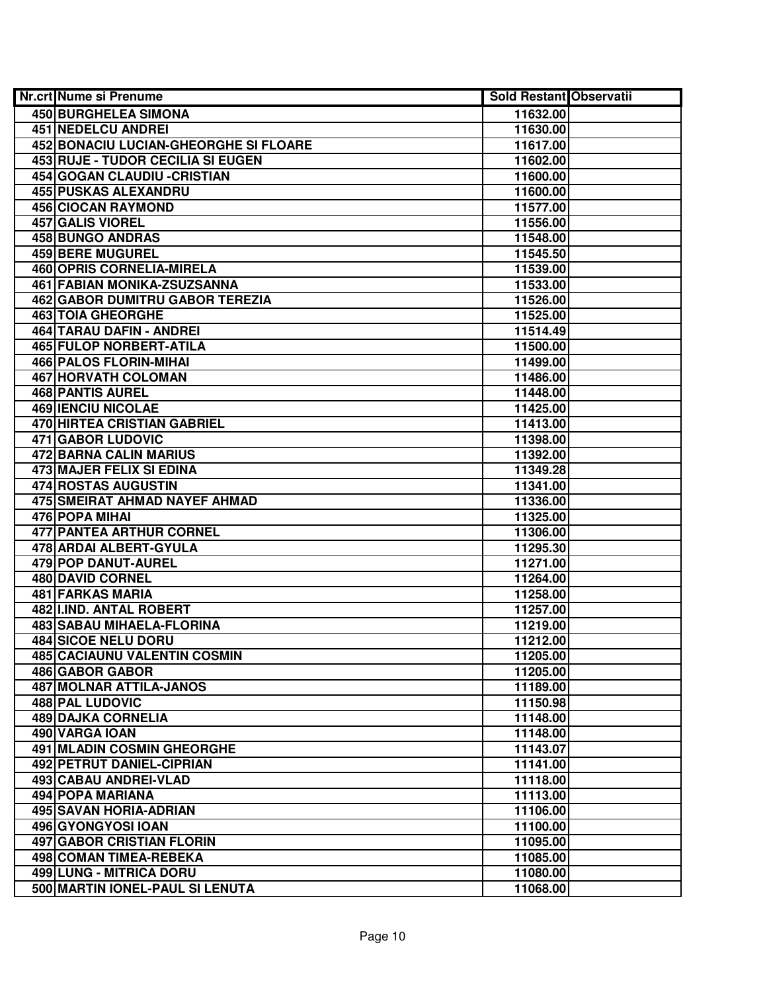| Nr.crt Nume si Prenume                       | Sold Restant Observatii |  |
|----------------------------------------------|-------------------------|--|
| <b>450 BURGHELEA SIMONA</b>                  | 11632.00                |  |
| <b>451 NEDELCU ANDREI</b>                    | 11630.00                |  |
| <b>452 BONACIU LUCIAN-GHEORGHE SI FLOARE</b> | 11617.00                |  |
| 453 RUJE - TUDOR CECILIA SI EUGEN            | 11602.00                |  |
| 454 GOGAN CLAUDIU - CRISTIAN                 | 11600.00                |  |
| 455 PUSKAS ALEXANDRU                         | 11600.00                |  |
| <b>456 CIOCAN RAYMOND</b>                    | 11577.00                |  |
| 457 GALIS VIOREL                             | 11556.00                |  |
| <b>458 BUNGO ANDRAS</b>                      | 11548.00                |  |
| <b>459 BERE MUGUREL</b>                      | 11545.50                |  |
| <b>460 OPRIS CORNELIA-MIRELA</b>             | 11539.00                |  |
| 461 FABIAN MONIKA-ZSUZSANNA                  | 11533.00                |  |
| <b>462 GABOR DUMITRU GABOR TEREZIA</b>       | 11526.00                |  |
| <b>463 TOIA GHEORGHE</b>                     | 11525.00                |  |
| 464 TARAU DAFIN - ANDREI                     | 11514.49                |  |
| 465 FULOP NORBERT-ATILA                      | 11500.00                |  |
| 466 PALOS FLORIN-MIHAI                       | 11499.00                |  |
| 467 HORVATH COLOMAN                          | 11486.00                |  |
| <b>468 PANTIS AUREL</b>                      | 11448.00                |  |
| 469 IENCIU NICOLAE                           | 11425.00                |  |
| 470 HIRTEA CRISTIAN GABRIEL                  | 11413.00                |  |
| 471 GABOR LUDOVIC                            | 11398.00                |  |
| 472 BARNA CALIN MARIUS                       | 11392.00                |  |
| 473 MAJER FELIX SI EDINA                     | 11349.28                |  |
| 474 ROSTAS AUGUSTIN                          | 11341.00                |  |
| 475 SMEIRAT AHMAD NAYEF AHMAD                | 11336.00                |  |
| 476 POPA MIHAI                               | 11325.00                |  |
| 477 PANTEA ARTHUR CORNEL                     | 11306.00                |  |
| 478 ARDAI ALBERT-GYULA                       | 11295.30                |  |
| 479 POP DANUT-AUREL                          | 11271.00                |  |
| 480 DAVID CORNEL                             | 11264.00                |  |
| 481 FARKAS MARIA                             | 11258.00                |  |
| 482 II.IND. ANTAL ROBERT                     | 11257.00                |  |
| <b>483 SABAU MIHAELA-FLORINA</b>             | 11219.00                |  |
| <b>484 SICOE NELU DORU</b>                   | 11212.00                |  |
| <b>485 CACIAUNU VALENTIN COSMIN</b>          | 11205.00                |  |
| 486 GABOR GABOR                              | 11205.00                |  |
| <b>487 MOLNAR ATTILA-JANOS</b>               | 11189.00                |  |
| 488 PAL LUDOVIC                              | 11150.98                |  |
| <b>489 DAJKA CORNELIA</b>                    | 11148.00                |  |
| 490 VARGA IOAN                               | 11148.00                |  |
| 491 MLADIN COSMIN GHEORGHE                   | 11143.07                |  |
| 492 PETRUT DANIEL-CIPRIAN                    | 11141.00                |  |
| 493 CABAU ANDREI-VLAD                        | 11118.00                |  |
| 494 POPA MARIANA                             | 11113.00                |  |
| 495 SAVAN HORIA-ADRIAN                       | 11106.00                |  |
| 496 GYONGYOSI IOAN                           | 11100.00                |  |
| 497 GABOR CRISTIAN FLORIN                    | 11095.00                |  |
| 498 COMAN TIMEA-REBEKA                       | 11085.00                |  |
| 499 LUNG - MITRICA DORU                      | 11080.00                |  |
| 500 MARTIN IONEL-PAUL SI LENUTA              | 11068.00                |  |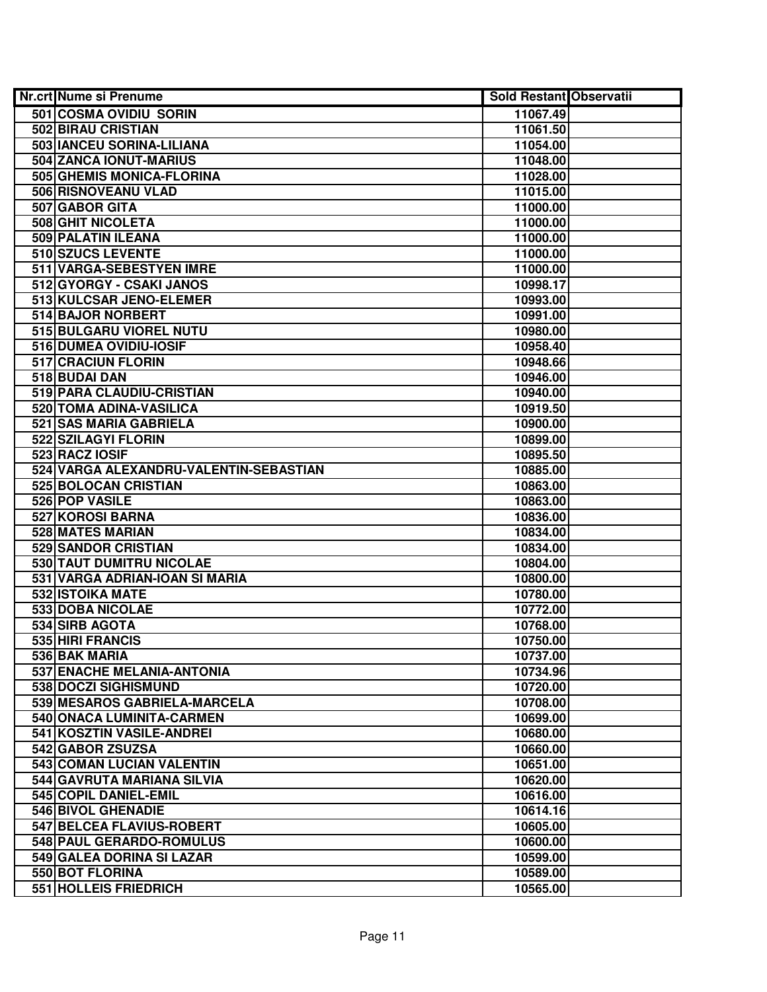| <b>Nr.crt Nume si Prenume</b>          | Sold Restant Observatii |  |
|----------------------------------------|-------------------------|--|
| 501 COSMA OVIDIU SORIN                 | 11067.49                |  |
| 502 BIRAU CRISTIAN                     | 11061.50                |  |
| 503 IANCEU SORINA-LILIANA              | 11054.00                |  |
| 504 ZANCA IONUT-MARIUS                 | 11048.00                |  |
| 505 GHEMIS MONICA-FLORINA              | 11028.00                |  |
| 506 RISNOVEANU VLAD                    | 11015.00                |  |
| 507 GABOR GITA                         | 11000.00                |  |
| 508 GHIT NICOLETA                      | 11000.00                |  |
| 509 PALATIN ILEANA                     | 11000.00                |  |
| 510 SZUCS LEVENTE                      | 11000.00                |  |
| 511 VARGA-SEBESTYEN IMRE               | 11000.00                |  |
| 512 GYORGY - CSAKI JANOS               | 10998.17                |  |
| 513 KULCSAR JENO-ELEMER                | 10993.00                |  |
| 514 BAJOR NORBERT                      | 10991.00                |  |
| 515 BULGARU VIOREL NUTU                | 10980.00                |  |
| 516 DUMEA OVIDIU-IOSIF                 | 10958.40                |  |
| 517 CRACIUN FLORIN                     | 10948.66                |  |
| 518 BUDAI DAN                          | 10946.00                |  |
| 519 PARA CLAUDIU-CRISTIAN              | 10940.00                |  |
| 520 TOMA ADINA-VASILICA                | 10919.50                |  |
| 521 SAS MARIA GABRIELA                 | 10900.00                |  |
| 522 SZILAGYI FLORIN                    | 10899.00                |  |
| 523 RACZ IOSIF                         | 10895.50                |  |
| 524 VARGA ALEXANDRU-VALENTIN-SEBASTIAN | 10885.00                |  |
| 525 BOLOCAN CRISTIAN                   | 10863.00                |  |
| 526 POP VASILE                         | 10863.00                |  |
| 527 KOROSI BARNA                       | 10836.00                |  |
| 528 MATES MARIAN                       | 10834.00                |  |
| 529 SANDOR CRISTIAN                    | 10834.00                |  |
| 530 TAUT DUMITRU NICOLAE               | 10804.00                |  |
| 531 VARGA ADRIAN-IOAN SI MARIA         | 10800.00                |  |
| 532 ISTOIKA MATE                       | 10780.00                |  |
| 533 DOBA NICOLAE                       | 10772.00                |  |
| 534 SIRB AGOTA                         | 10768.00                |  |
| 535 HIRI FRANCIS                       | 10750.00                |  |
| 536 BAK MARIA                          | 10737.00                |  |
| <b>537 ENACHE MELANIA-ANTONIA</b>      | 10734.96                |  |
| <b>538 DOCZI SIGHISMUND</b>            | 10720.00                |  |
| 539 MESAROS GABRIELA-MARCELA           | 10708.00                |  |
| 540 ONACA LUMINITA-CARMEN              | 10699.00                |  |
| 541 KOSZTIN VASILE-ANDREI              | 10680.00                |  |
| 542 GABOR ZSUZSA                       | 10660.00                |  |
| 543 COMAN LUCIAN VALENTIN              | 10651.00                |  |
| 544 GAVRUTA MARIANA SILVIA             | 10620.00                |  |
| 545 COPIL DANIEL-EMIL                  | 10616.00                |  |
| <b>546 BIVOL GHENADIE</b>              | 10614.16                |  |
| 547 BELCEA FLAVIUS-ROBERT              | 10605.00                |  |
| 548 PAUL GERARDO-ROMULUS               | 10600.00                |  |
| 549 GALEA DORINA SI LAZAR              | 10599.00                |  |
| 550 BOT FLORINA                        | 10589.00                |  |
| 551 HOLLEIS FRIEDRICH                  | 10565.00                |  |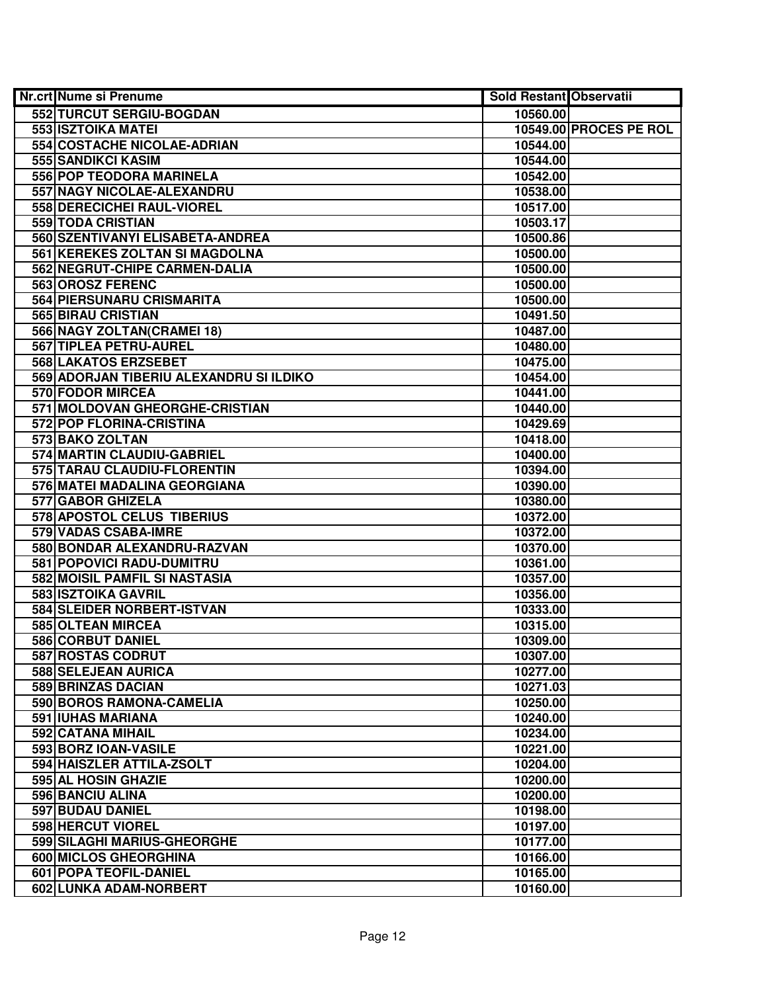| <b>Nr.crt Nume si Prenume</b>           | Sold Restant Observatii |                        |
|-----------------------------------------|-------------------------|------------------------|
| 552 TURCUT SERGIU-BOGDAN                | 10560.00                |                        |
| 553 ISZTOIKA MATEI                      |                         | 10549.00 PROCES PE ROL |
| 554 COSTACHE NICOLAE-ADRIAN             | 10544.00                |                        |
| 555 SANDIKCI KASIM                      | 10544.00                |                        |
| 556 POP TEODORA MARINELA                | 10542.00                |                        |
| 557 NAGY NICOLAE-ALEXANDRU              | 10538.00                |                        |
| 558 DERECICHEI RAUL-VIOREL              | 10517.00                |                        |
| 559 TODA CRISTIAN                       | 10503.17                |                        |
| 560 SZENTIVANYI ELISABETA-ANDREA        | 10500.86                |                        |
| 561 KEREKES ZOLTAN SI MAGDOLNA          | 10500.00                |                        |
| 562 NEGRUT-CHIPE CARMEN-DALIA           | 10500.00                |                        |
| 563 OROSZ FERENC                        | 10500.00                |                        |
| 564 PIERSUNARU CRISMARITA               | 10500.00                |                        |
| 565 BIRAU CRISTIAN                      | 10491.50                |                        |
| 566 NAGY ZOLTAN(CRAMEI 18)              | 10487.00                |                        |
| 567 TIPLEA PETRU-AUREL                  | 10480.00                |                        |
| 568 LAKATOS ERZSEBET                    | 10475.00                |                        |
| 569 ADORJAN TIBERIU ALEXANDRU SI ILDIKO | 10454.00                |                        |
| <b>570 FODOR MIRCEA</b>                 | 10441.00                |                        |
| 571 MOLDOVAN GHEORGHE-CRISTIAN          | 10440.00                |                        |
| 572 POP FLORINA-CRISTINA                | 10429.69                |                        |
| 573 BAKO ZOLTAN                         | 10418.00                |                        |
| 574 MARTIN CLAUDIU-GABRIEL              | 10400.00                |                        |
| 575 TARAU CLAUDIU-FLORENTIN             | 10394.00                |                        |
| 576 MATEI MADALINA GEORGIANA            | 10390.00                |                        |
| 577 GABOR GHIZELA                       | 10380.00                |                        |
| 578 APOSTOL CELUS TIBERIUS              | 10372.00                |                        |
| 579 VADAS CSABA-IMRE                    | 10372.00                |                        |
| 580 BONDAR ALEXANDRU-RAZVAN             | 10370.00                |                        |
| 581 POPOVICI RADU-DUMITRU               | 10361.00                |                        |
| 582 MOISIL PAMFIL SI NASTASIA           | 10357.00                |                        |
| 583 ISZTOIKA GAVRIL                     | 10356.00                |                        |
| 584 SLEIDER NORBERT-ISTVAN              | 10333.00                |                        |
| 585 OLTEAN MIRCEA                       | 10315.00                |                        |
| 586 CORBUT DANIEL                       | 10309.00                |                        |
| 587 ROSTAS CODRUT                       | 10307.00                |                        |
| 588 SELEJEAN AURICA                     | 10277.00                |                        |
| <b>589 BRINZAS DACIAN</b>               | 10271.03                |                        |
| 590 BOROS RAMONA-CAMELIA                | 10250.00                |                        |
| 591 IUHAS MARIANA                       | 10240.00                |                        |
| 592 CATANA MIHAIL                       | 10234.00                |                        |
| 593 BORZ IOAN-VASILE                    | 10221.00                |                        |
| 594 HAISZLER ATTILA-ZSOLT               | 10204.00                |                        |
| 595 AL HOSIN GHAZIE                     | 10200.00                |                        |
| 596 BANCIU ALINA                        | 10200.00                |                        |
| 597 BUDAU DANIEL                        | 10198.00                |                        |
| <b>598 HERCUT VIOREL</b>                | 10197.00                |                        |
| 599 SILAGHI MARIUS-GHEORGHE             | 10177.00                |                        |
| 600 MICLOS GHEORGHINA                   | 10166.00                |                        |
| 601 POPA TEOFIL-DANIEL                  | 10165.00                |                        |
| 602 LUNKA ADAM-NORBERT                  | 10160.00                |                        |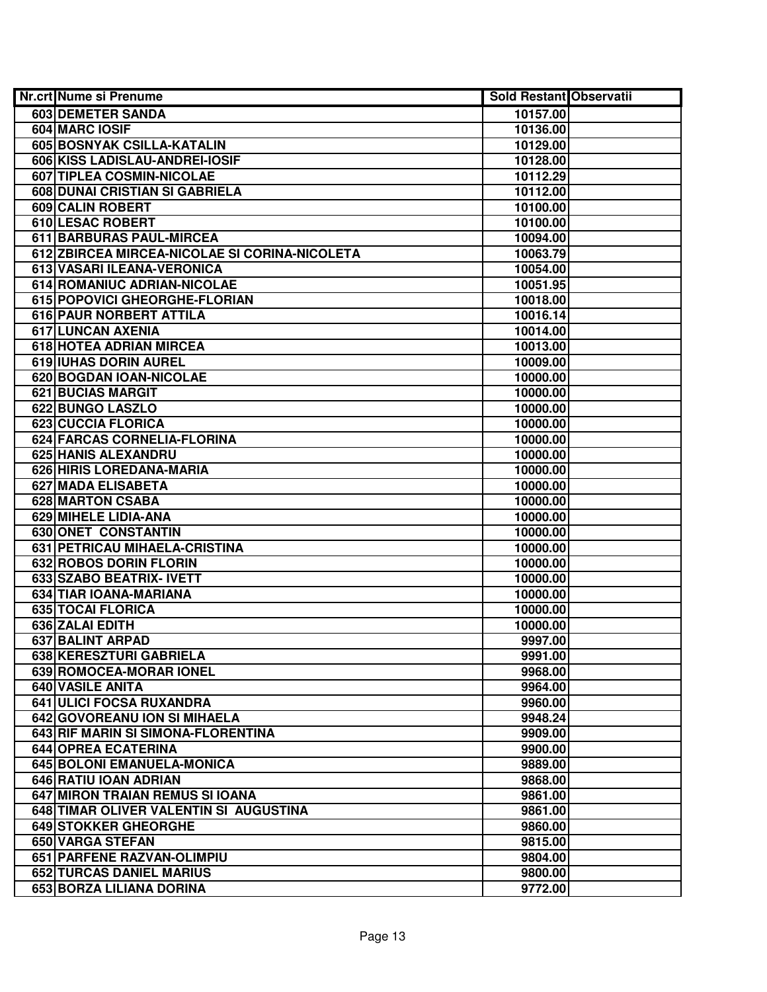| <b>Nr.crt Nume si Prenume</b>                 | Sold Restant Observatii |  |
|-----------------------------------------------|-------------------------|--|
| 603 DEMETER SANDA                             | 10157.00                |  |
| 604 MARC IOSIF                                | 10136.00                |  |
| 605 BOSNYAK CSILLA-KATALIN                    | 10129.00                |  |
| 606 KISS LADISLAU-ANDREI-IOSIF                | 10128.00                |  |
| 607 TIPLEA COSMIN-NICOLAE                     | 10112.29                |  |
| 608 DUNAI CRISTIAN SI GABRIELA                | 10112.00                |  |
| 609 CALIN ROBERT                              | 10100.00                |  |
| 610 LESAC ROBERT                              | 10100.00                |  |
| 611 BARBURAS PAUL-MIRCEA                      | 10094.00                |  |
| 612 ZBIRCEA MIRCEA-NICOLAE SI CORINA-NICOLETA | 10063.79                |  |
| 613 VASARI ILEANA-VERONICA                    | 10054.00                |  |
| 614 ROMANIUC ADRIAN-NICOLAE                   | 10051.95                |  |
| 615 POPOVICI GHEORGHE-FLORIAN                 | 10018.00                |  |
| 616 PAUR NORBERT ATTILA                       | 10016.14                |  |
| 617 LUNCAN AXENIA                             | 10014.00                |  |
| 618 HOTEA ADRIAN MIRCEA                       | 10013.00                |  |
| 619 IUHAS DORIN AUREL                         | 10009.00                |  |
| 620 BOGDAN IOAN-NICOLAE                       | 10000.00                |  |
| 621 BUCIAS MARGIT                             | 10000.00                |  |
| 622 BUNGO LASZLO                              | 10000.00                |  |
| 623 CUCCIA FLORICA                            | 10000.00                |  |
| 624 FARCAS CORNELIA-FLORINA                   | 10000.00                |  |
| <b>625 HANIS ALEXANDRU</b>                    | 10000.00                |  |
| 626 HIRIS LOREDANA-MARIA                      | 10000.00                |  |
| 627 MADA ELISABETA                            | 10000.00                |  |
| 628 MARTON CSABA                              | 10000.00                |  |
| 629 MIHELE LIDIA-ANA                          | 10000.00                |  |
| 630 ONET CONSTANTIN                           | 10000.00                |  |
| 631 PETRICAU MIHAELA-CRISTINA                 | 10000.00                |  |
| 632 ROBOS DORIN FLORIN                        | 10000.00                |  |
| 633 SZABO BEATRIX- IVETT                      | 10000.00                |  |
| 634 TIAR IOANA-MARIANA                        | 10000.00                |  |
| 635 TOCAI FLORICA                             | 10000.00                |  |
| 636 ZALAI EDITH                               | 10000.00                |  |
| <b>637 BALINT ARPAD</b>                       | 9997.00                 |  |
| 638 KERESZTURI GABRIELA                       | 9991.00                 |  |
| 639 ROMOCEA-MORAR IONEL                       | 9968.00                 |  |
| <b>640 VASILE ANITA</b>                       | 9964.00                 |  |
| 641 ULICI FOCSA RUXANDRA                      | 9960.00                 |  |
| 642 GOVOREANU ION SI MIHAELA                  | 9948.24                 |  |
| 643 RIF MARIN SI SIMONA-FLORENTINA            | 9909.00                 |  |
| 644 OPREA ECATERINA                           | 9900.00                 |  |
| 645 BOLONI EMANUELA-MONICA                    | 9889.00                 |  |
| 646 RATIU IOAN ADRIAN                         | 9868.00                 |  |
| 647 MIRON TRAIAN REMUS SI IOANA               | 9861.00                 |  |
| 648 TIMAR OLIVER VALENTIN SI AUGUSTINA        | 9861.00                 |  |
| 649 STOKKER GHEORGHE                          | 9860.00                 |  |
| 650 VARGA STEFAN                              | 9815.00                 |  |
| 651 PARFENE RAZVAN-OLIMPIU                    | 9804.00                 |  |
| 652 TURCAS DANIEL MARIUS                      | 9800.00                 |  |
| 653 BORZA LILIANA DORINA                      | 9772.00                 |  |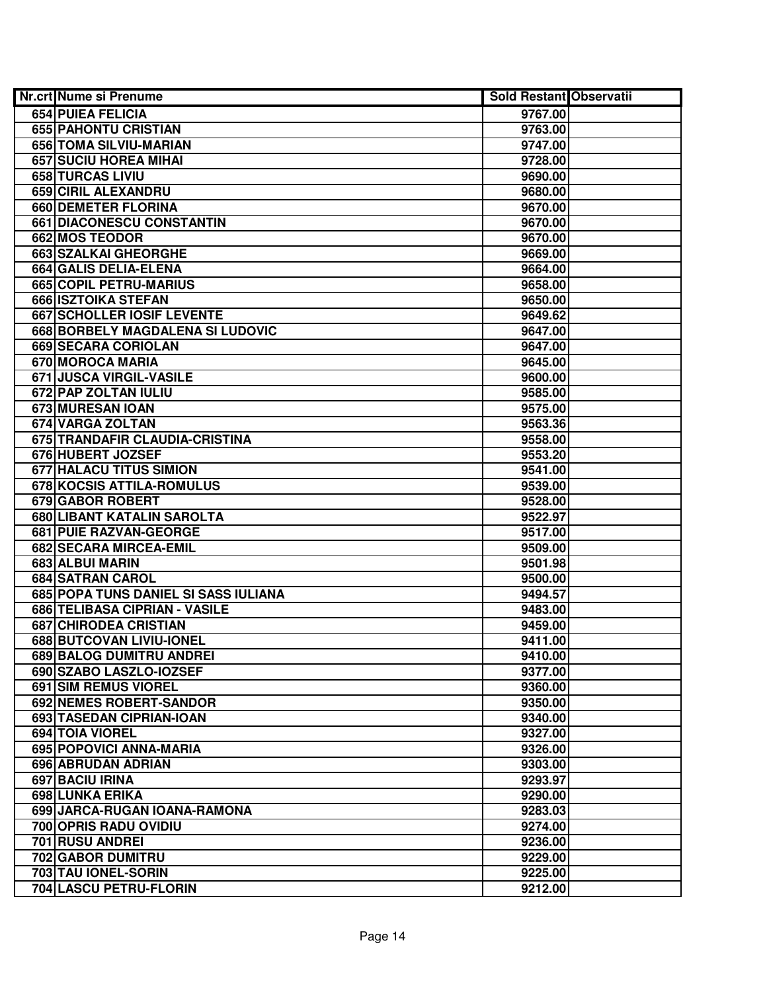| <b>Nr.crt Nume si Prenume</b>        | Sold Restant Observatii |  |
|--------------------------------------|-------------------------|--|
| 654 PUIEA FELICIA                    | 9767.00                 |  |
| 655 PAHONTU CRISTIAN                 | 9763.00                 |  |
| 656 TOMA SILVIU-MARIAN               | 9747.00                 |  |
| 657 SUCIU HOREA MIHAI                | 9728.00                 |  |
| 658 TURCAS LIVIU                     | 9690.00                 |  |
| 659 CIRIL ALEXANDRU                  | 9680.00                 |  |
| 660 DEMETER FLORINA                  | 9670.00                 |  |
| 661 DIACONESCU CONSTANTIN            | 9670.00                 |  |
| <b>662 MOS TEODOR</b>                | 9670.00                 |  |
| <b>663 SZALKAI GHEORGHE</b>          | 9669.00                 |  |
| <b>664 GALIS DELIA-ELENA</b>         | 9664.00                 |  |
| 665 COPIL PETRU-MARIUS               | 9658.00                 |  |
| 666 ISZTOIKA STEFAN                  | 9650.00                 |  |
| 667 SCHOLLER IOSIF LEVENTE           | 9649.62                 |  |
| 668 BORBELY MAGDALENA SI LUDOVIC     | 9647.00                 |  |
| 669 SECARA CORIOLAN                  | 9647.00                 |  |
| 670 MOROCA MARIA                     | 9645.00                 |  |
| 671 JUSCA VIRGIL-VASILE              | 9600.00                 |  |
| 672 PAP ZOLTAN IULIU                 | 9585.00                 |  |
| 673 MURESAN IOAN                     | 9575.00                 |  |
| 674 VARGA ZOLTAN                     | 9563.36                 |  |
| 675 TRANDAFIR CLAUDIA-CRISTINA       | 9558.00                 |  |
| 676 HUBERT JOZSEF                    | 9553.20                 |  |
| 677 HALACU TITUS SIMION              | 9541.00                 |  |
| 678 KOCSIS ATTILA-ROMULUS            | 9539.00                 |  |
| 679 GABOR ROBERT                     | 9528.00                 |  |
| 680 LIBANT KATALIN SAROLTA           | 9522.97                 |  |
| 681 PUIE RAZVAN-GEORGE               | 9517.00                 |  |
| 682 SECARA MIRCEA-EMIL               | 9509.00                 |  |
| 683 ALBUI MARIN                      | 9501.98                 |  |
| 684 SATRAN CAROL                     | 9500.00                 |  |
| 685 POPA TUNS DANIEL SI SASS IULIANA | 9494.57                 |  |
| 686 TELIBASA CIPRIAN - VASILE        | 9483.00                 |  |
| <b>687 CHIRODEA CRISTIAN</b>         | 9459.00                 |  |
| 688 BUTCOVAN LIVIU-IONEL             | 9411.00                 |  |
| 689 BALOG DUMITRU ANDREI             | 9410.00                 |  |
| 690 SZABO LASZLO-IOZSEF              | 9377.00                 |  |
| <b>691 SIM REMUS VIOREL</b>          | 9360.00                 |  |
| 692 NEMES ROBERT-SANDOR              | 9350.00                 |  |
| 693 TASEDAN CIPRIAN-IOAN             | 9340.00                 |  |
| 694 TOIA VIOREL                      | 9327.00                 |  |
| 695 POPOVICI ANNA-MARIA              | 9326.00                 |  |
| 696 ABRUDAN ADRIAN                   | 9303.00                 |  |
| 697 BACIU IRINA                      | 9293.97                 |  |
| 698 LUNKA ERIKA                      | 9290.00                 |  |
| 699 JARCA-RUGAN IOANA-RAMONA         | 9283.03                 |  |
| 700 OPRIS RADU OVIDIU                | 9274.00                 |  |
| 701 RUSU ANDREI                      | 9236.00                 |  |
| 702 GABOR DUMITRU                    | 9229.00                 |  |
| 703 TAU IONEL-SORIN                  | 9225.00                 |  |
| 704 LASCU PETRU-FLORIN               | 9212.00                 |  |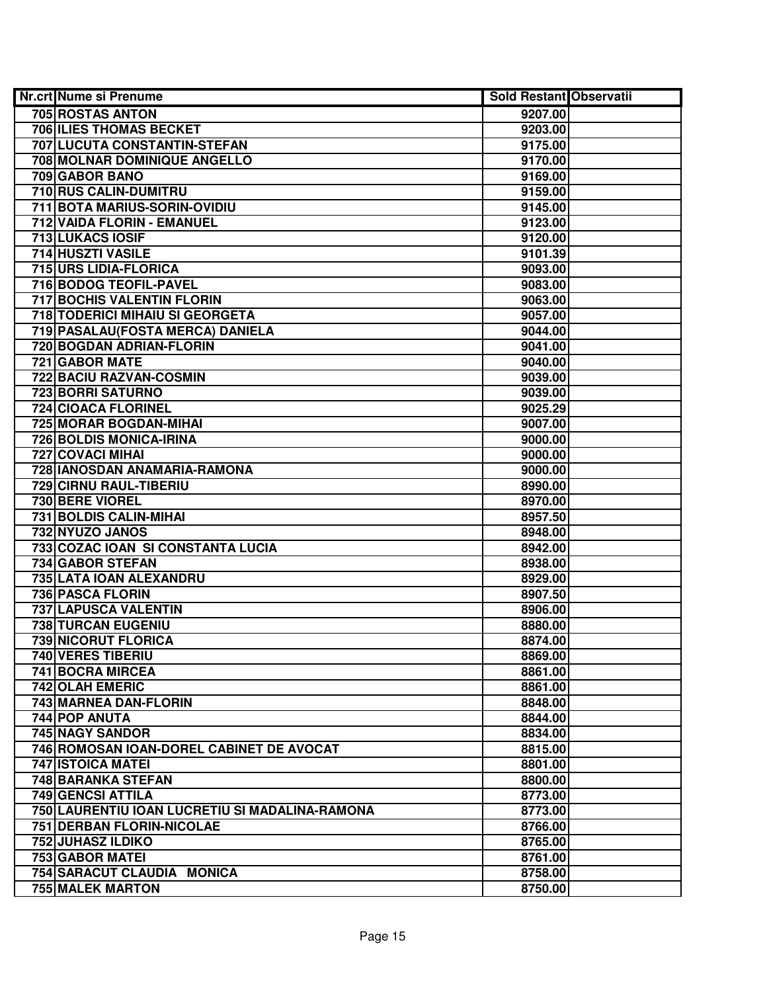| Nr.crt Nume si Prenume                         | <b>Sold Restant Observatii</b> |  |
|------------------------------------------------|--------------------------------|--|
| 705 ROSTAS ANTON                               | 9207.00                        |  |
| <b>706 ILIES THOMAS BECKET</b>                 | 9203.00                        |  |
| 707 LUCUTA CONSTANTIN-STEFAN                   | 9175.00                        |  |
| 708 MOLNAR DOMINIQUE ANGELLO                   | 9170.00                        |  |
| 709 GABOR BANO                                 | 9169.00                        |  |
| 710 RUS CALIN-DUMITRU                          | 9159.00                        |  |
| 711 BOTA MARIUS-SORIN-OVIDIU                   | 9145.00                        |  |
| 712 VAIDA FLORIN - EMANUEL                     | 9123.00                        |  |
| <b>713 LUKACS IOSIF</b>                        | 9120.00                        |  |
| 714 HUSZTI VASILE                              | 9101.39                        |  |
| 715 URS LIDIA-FLORICA                          | 9093.00                        |  |
| 716 BODOG TEOFIL-PAVEL                         | 9083.00                        |  |
| <b>717 BOCHIS VALENTIN FLORIN</b>              | 9063.00                        |  |
| <b>718 TODERICI MIHAIU SI GEORGETA</b>         | 9057.00                        |  |
| 719   PASALAU (FOSTA MERCA) DANIELA            | 9044.00                        |  |
| 720 BOGDAN ADRIAN-FLORIN                       | 9041.00                        |  |
| 721 GABOR MATE                                 | 9040.00                        |  |
| 722 BACIU RAZVAN-COSMIN                        | 9039.00                        |  |
| 723 BORRI SATURNO                              | 9039.00                        |  |
| 724 CIOACA FLORINEL                            | 9025.29                        |  |
| 725 MORAR BOGDAN-MIHAI                         | 9007.00                        |  |
| 726 BOLDIS MONICA-IRINA                        | 9000.00                        |  |
| 727 COVACI MIHAI                               | 9000.00                        |  |
| 728 IANOSDAN ANAMARIA-RAMONA                   | 9000.00                        |  |
| 729 CIRNU RAUL-TIBERIU                         | 8990.00                        |  |
| 730 BERE VIOREL                                | 8970.00                        |  |
| 731 BOLDIS CALIN-MIHAI                         | 8957.50                        |  |
| 732 NYUZO JANOS                                | 8948.00                        |  |
| 733 COZAC IOAN SI CONSTANTA LUCIA              | 8942.00                        |  |
| 734 GABOR STEFAN                               | 8938.00                        |  |
| 735 LATA IOAN ALEXANDRU                        | 8929.00                        |  |
| 736 PASCA FLORIN                               | 8907.50                        |  |
| <b>737 LAPUSCA VALENTIN</b>                    | 8906.00                        |  |
| 738 TURCAN EUGENIU                             | 8880.00                        |  |
| 739 NICORUT FLORICA                            | 8874.00                        |  |
| <b>740 VERES TIBERIU</b>                       | 8869.00                        |  |
| 741 BOCRA MIRCEA                               | 8861.00                        |  |
| <b>742 OLAH EMERIC</b>                         | 8861.00                        |  |
| <b>743 MARNEA DAN-FLORIN</b>                   | 8848.00                        |  |
| 744 POP ANUTA                                  | 8844.00                        |  |
| 745 NAGY SANDOR                                | 8834.00                        |  |
| 746 ROMOSAN IOAN-DOREL CABINET DE AVOCAT       | 8815.00                        |  |
| <b>747 ISTOICA MATEI</b>                       | 8801.00                        |  |
| <b>748 BARANKA STEFAN</b>                      | 8800.00                        |  |
| 749 GENCSI ATTILA                              | 8773.00                        |  |
| 750 LAURENTIU IOAN LUCRETIU SI MADALINA-RAMONA | 8773.00                        |  |
| 751 DERBAN FLORIN-NICOLAE                      | 8766.00                        |  |
| 752 JUHASZ ILDIKO                              | 8765.00                        |  |
| 753 GABOR MATEL                                | 8761.00                        |  |
| 754 SARACUT CLAUDIA MONICA                     | 8758.00                        |  |
| <b>755 MALEK MARTON</b>                        | 8750.00                        |  |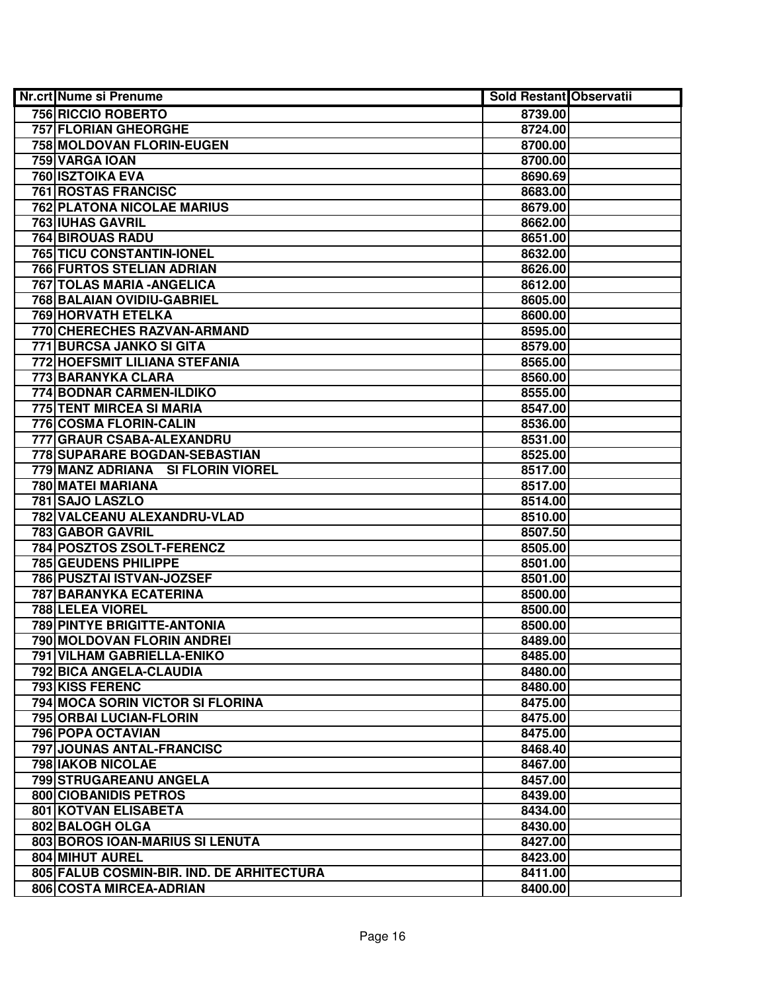| Nr.crt Nume si Prenume                    | Sold Restant Observatii |  |
|-------------------------------------------|-------------------------|--|
| 756 RICCIO ROBERTO                        | 8739.00                 |  |
| <b>757 FLORIAN GHEORGHE</b>               | 8724.00                 |  |
| 758 MOLDOVAN FLORIN-EUGEN                 | 8700.00                 |  |
| 759 VARGA IOAN                            | 8700.00                 |  |
| <b>760 ISZTOIKA EVA</b>                   | 8690.69                 |  |
| 761 ROSTAS FRANCISC                       | 8683.00                 |  |
| <b>762 PLATONA NICOLAE MARIUS</b>         | 8679.00                 |  |
| <b>763 IUHAS GAVRIL</b>                   | 8662.00                 |  |
| <b>764 BIROUAS RADU</b>                   | 8651.00                 |  |
| <b>765 TICU CONSTANTIN-IONEL</b>          | 8632.00                 |  |
| <b>766 FURTOS STELIAN ADRIAN</b>          | 8626.00                 |  |
| <b>767 TOLAS MARIA - ANGELICA</b>         | 8612.00                 |  |
| <b>768 BALAIAN OVIDIU-GABRIEL</b>         | 8605.00                 |  |
| <b>769 HORVATH ETELKA</b>                 | 8600.00                 |  |
| 770 CHERECHES RAZVAN-ARMAND               | 8595.00                 |  |
| 771 BURCSA JANKO SI GITA                  | 8579.00                 |  |
| 772 HOEFSMIT LILIANA STEFANIA             | 8565.00                 |  |
| 773 BARANYKA CLARA                        | 8560.00                 |  |
| 774 BODNAR CARMEN-ILDIKO                  | 8555.00                 |  |
| 775 TENT MIRCEA SI MARIA                  | 8547.00                 |  |
| 776 COSMA FLORIN-CALIN                    | 8536.00                 |  |
| 777 GRAUR CSABA-ALEXANDRU                 | 8531.00                 |  |
| 778 SUPARARE BOGDAN-SEBASTIAN             | 8525.00                 |  |
| 779 MANZ ADRIANA SI FLORIN VIOREL         | 8517.00                 |  |
| 780 MATEI MARIANA                         | 8517.00                 |  |
| 781 SAJO LASZLO                           | 8514.00                 |  |
| 782 VALCEANU ALEXANDRU-VLAD               | 8510.00                 |  |
| 783 GABOR GAVRIL                          | 8507.50                 |  |
| 784 POSZTOS ZSOLT-FERENCZ                 | 8505.00                 |  |
| 785 GEUDENS PHILIPPE                      | 8501.00                 |  |
| 786 PUSZTAI ISTVAN-JOZSEF                 | 8501.00                 |  |
| 787 BARANYKA ECATERINA                    | 8500.00                 |  |
| 788 LELEA VIOREL                          | 8500.00                 |  |
| <b>789 PINTYE BRIGITTE-ANTONIA</b>        | 8500.00                 |  |
| 790 MOLDOVAN FLORIN ANDREI                | 8489.00                 |  |
| 791 VILHAM GABRIELLA-ENIKO                | 8485.00                 |  |
| 792 BICA ANGELA-CLAUDIA                   | 8480.00                 |  |
| <b>793 KISS FERENC</b>                    | 8480.00                 |  |
| 794 MOCA SORIN VICTOR SI FLORINA          | 8475.00                 |  |
| 795 ORBAI LUCIAN-FLORIN                   | 8475.00                 |  |
| 796 POPA OCTAVIAN                         | 8475.00                 |  |
| 797 JOUNAS ANTAL-FRANCISC                 | 8468.40                 |  |
| 798 IAKOB NICOLAE                         | 8467.00                 |  |
| 799 STRUGAREANU ANGELA                    | 8457.00                 |  |
| <b>800 CIOBANIDIS PETROS</b>              | 8439.00                 |  |
| 801 KOTVAN ELISABETA                      | 8434.00                 |  |
| 802 BALOGH OLGA                           | 8430.00                 |  |
| 803 BOROS IOAN-MARIUS SI LENUTA           | 8427.00                 |  |
| 804 MIHUT AUREL                           | 8423.00                 |  |
| 805 FALUB COSMIN-BIR. IND. DE ARHITECTURA | 8411.00                 |  |
| 806 COSTA MIRCEA-ADRIAN                   | 8400.00                 |  |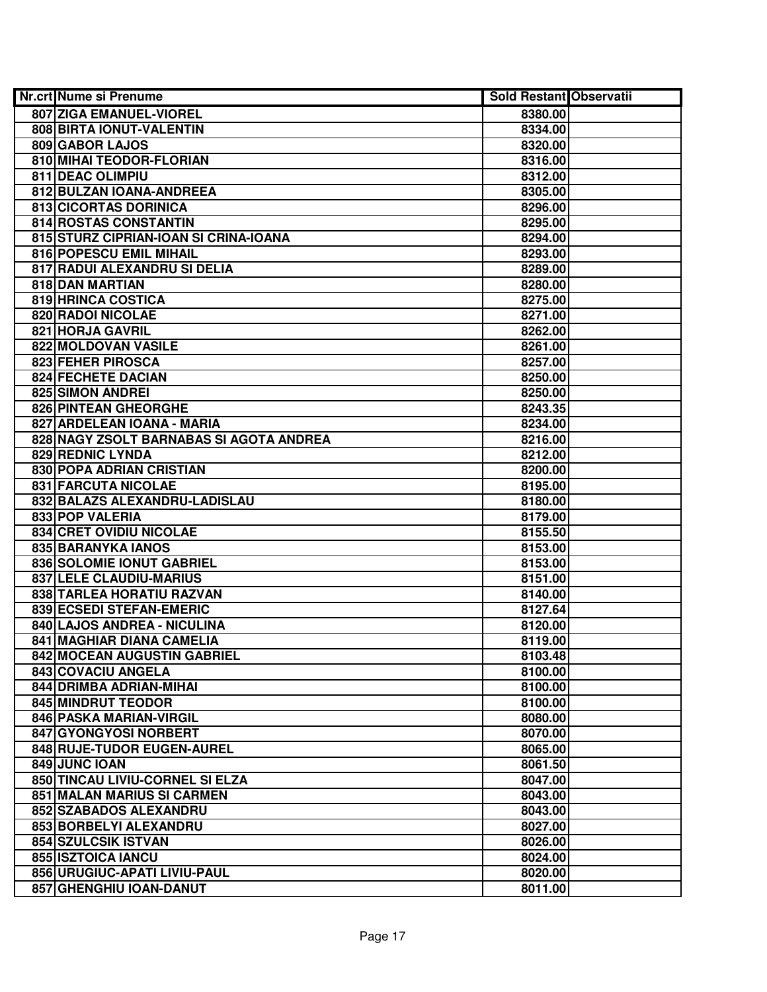| <b>Nr.crt Nume si Prenume</b>           | Sold Restant Observatii |  |
|-----------------------------------------|-------------------------|--|
| 807 ZIGA EMANUEL-VIOREL                 | 8380.00                 |  |
| 808 BIRTA IONUT-VALENTIN                | 8334.00                 |  |
| 809 GABOR LAJOS                         | 8320.00                 |  |
| 810 MIHAI TEODOR-FLORIAN                | 8316.00                 |  |
| 811 DEAC OLIMPIU                        | 8312.00                 |  |
| 812 BULZAN IOANA-ANDREEA                | 8305.00                 |  |
| 813 CICORTAS DORINICA                   | 8296.00                 |  |
| 814 ROSTAS CONSTANTIN                   | 8295.00                 |  |
| 815 STURZ CIPRIAN-IOAN SI CRINA-IOANA   | 8294.00                 |  |
| 816 POPESCU EMIL MIHAIL                 | 8293.00                 |  |
| 817 RADUI ALEXANDRU SI DELIA            | 8289.00                 |  |
| 818 DAN MARTIAN                         | 8280.00                 |  |
| 819 HRINCA COSTICA                      | 8275.00                 |  |
| 820 RADOI NICOLAE                       | 8271.00                 |  |
| 821 HORJA GAVRIL                        | 8262.00                 |  |
| 822 MOLDOVAN VASILE                     | 8261.00                 |  |
| 823 FEHER PIROSCA                       | 8257.00                 |  |
| 824 FECHETE DACIAN                      | 8250.00                 |  |
| 825 SIMON ANDREI                        | 8250.00                 |  |
| 826 PINTEAN GHEORGHE                    | 8243.35                 |  |
| 827 ARDELEAN IOANA - MARIA              | 8234.00                 |  |
| 828 NAGY ZSOLT BARNABAS SI AGOTA ANDREA | 8216.00                 |  |
| 829 REDNIC LYNDA                        | 8212.00                 |  |
| 830 POPA ADRIAN CRISTIAN                | 8200.00                 |  |
| 831 FARCUTA NICOLAE                     | 8195.00                 |  |
| 832 BALAZS ALEXANDRU-LADISLAU           | 8180.00                 |  |
| 833 POP VALERIA                         | 8179.00                 |  |
| 834 CRET OVIDIU NICOLAE                 | 8155.50                 |  |
| 835 BARANYKA IANOS                      | 8153.00                 |  |
| 836 SOLOMIE IONUT GABRIEL               | 8153.00                 |  |
| 837 LELE CLAUDIU-MARIUS                 | 8151.00                 |  |
| 838 TARLEA HORATIU RAZVAN               | 8140.00                 |  |
| 839 ECSEDI STEFAN-EMERIC                | 8127.64                 |  |
| 840 LAJOS ANDREA - NICULINA             | 8120.00                 |  |
| 841 MAGHIAR DIANA CAMELIA               | 8119.00                 |  |
| 842 MOCEAN AUGUSTIN GABRIEL             | 8103.48                 |  |
| 843 COVACIU ANGELA                      | 8100.00                 |  |
| 844 DRIMBA ADRIAN-MIHAI                 | 8100.00                 |  |
| 845 MINDRUT TEODOR                      | 8100.00                 |  |
| 846 PASKA MARIAN-VIRGIL                 | 8080.00                 |  |
| 847 GYONGYOSI NORBERT                   | 8070.00                 |  |
| 848 RUJE-TUDOR EUGEN-AUREL              | 8065.00                 |  |
| 849 JUNC IOAN                           | 8061.50                 |  |
| 850 TINCAU LIVIU-CORNEL SI ELZA         | 8047.00                 |  |
| 851 MALAN MARIUS SI CARMEN              | 8043.00                 |  |
| 852 SZABADOS ALEXANDRU                  | 8043.00                 |  |
| 853 BORBELYI ALEXANDRU                  | 8027.00                 |  |
| 854 SZULCSIK ISTVAN                     | 8026.00                 |  |
| 855 ISZTOICA IANCU                      | 8024.00                 |  |
| 856 URUGIUC-APATI LIVIU-PAUL            | 8020.00                 |  |
| 857 GHENGHIU IOAN-DANUT                 | 8011.00                 |  |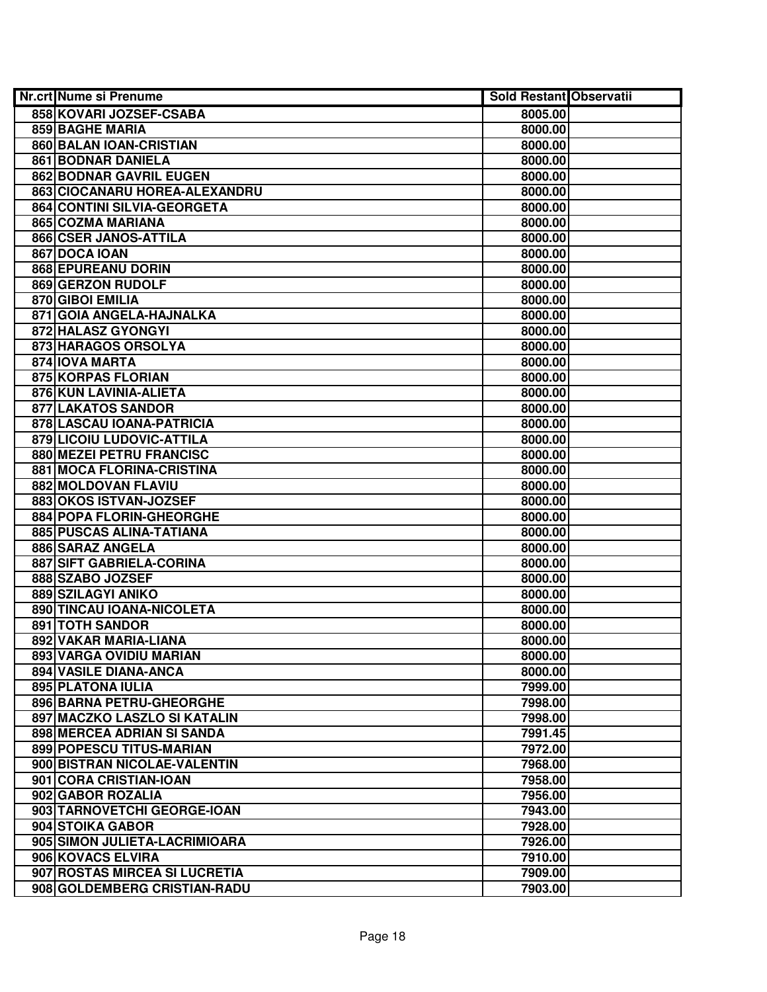| <b>Nr.crt Nume si Prenume</b> | <b>Sold Restant Observatii</b> |  |
|-------------------------------|--------------------------------|--|
| 858 KOVARI JOZSEF-CSABA       | 8005.00                        |  |
| <b>859 BAGHE MARIA</b>        | 8000.00                        |  |
| 860 BALAN IOAN-CRISTIAN       | 8000.00                        |  |
| 861 BODNAR DANIELA            | 8000.00                        |  |
| 862 BODNAR GAVRIL EUGEN       | 8000.00                        |  |
| 863 CIOCANARU HOREA-ALEXANDRU | 8000.00                        |  |
| 864 CONTINI SILVIA-GEORGETA   | 8000.00                        |  |
| 865 COZMA MARIANA             | 8000.00                        |  |
| 866 CSER JANOS-ATTILA         | 8000.00                        |  |
| 867 DOCA IOAN                 | 8000.00                        |  |
| 868 EPUREANU DORIN            | 8000.00                        |  |
| 869 GERZON RUDOLF             | 8000.00                        |  |
| 870 GIBOI EMILIA              | 8000.00                        |  |
| 871 GOIA ANGELA-HAJNALKA      | 8000.00                        |  |
| 872 HALASZ GYONGYI            | 8000.00                        |  |
| 873 HARAGOS ORSOLYA           | 8000.00                        |  |
| 874 IOVA MARTA                | 8000.00                        |  |
| 875 KORPAS FLORIAN            | 8000.00                        |  |
| 876 KUN LAVINIA-ALIETA        | 8000.00                        |  |
| 877 LAKATOS SANDOR            | 8000.00                        |  |
| 878 LASCAU IOANA-PATRICIA     | 8000.00                        |  |
| 879 LICOIU LUDOVIC-ATTILA     | 8000.00                        |  |
| 880 MEZEI PETRU FRANCISC      | 8000.00                        |  |
| 881 MOCA FLORINA-CRISTINA     | 8000.00                        |  |
| 882 MOLDOVAN FLAVIU           | 8000.00                        |  |
| 883 OKOS ISTVAN-JOZSEF        | 8000.00                        |  |
| 884 POPA FLORIN-GHEORGHE      | 8000.00                        |  |
| 885 PUSCAS ALINA-TATIANA      | 8000.00                        |  |
| 886 SARAZ ANGELA              | 8000.00                        |  |
| 887 SIFT GABRIELA-CORINA      | 8000.00                        |  |
| 888 SZABO JOZSEF              | 8000.00                        |  |
| 889 SZILAGYI ANIKO            | 8000.00                        |  |
| 890 TINCAU IOANA-NICOLETA     | 8000.00                        |  |
| <b>891 TOTH SANDOR</b>        | 8000.00                        |  |
| 892 VAKAR MARIA-LIANA         | 8000.00                        |  |
| 893 VARGA OVIDIU MARIAN       | 8000.00                        |  |
| 894 VASILE DIANA-ANCA         | 8000.00                        |  |
| <b>895 PLATONA IULIA</b>      | 7999.00                        |  |
| 896 BARNA PETRU-GHEORGHE      | 7998.00                        |  |
| 897 MACZKO LASZLO SI KATALIN  | 7998.00                        |  |
| 898 MERCEA ADRIAN SI SANDA    | 7991.45                        |  |
| 899 POPESCU TITUS-MARIAN      | 7972.00                        |  |
| 900 BISTRAN NICOLAE-VALENTIN  | 7968.00                        |  |
| 901 CORA CRISTIAN-IOAN        | 7958.00                        |  |
| 902 GABOR ROZALIA             | 7956.00                        |  |
| 903 TARNOVETCHI GEORGE-IOAN   | 7943.00                        |  |
| 904 STOIKA GABOR              | 7928.00                        |  |
| 905 SIMON JULIETA-LACRIMIOARA | 7926.00                        |  |
| 906 KOVACS ELVIRA             | 7910.00                        |  |
| 907 ROSTAS MIRCEA SI LUCRETIA | 7909.00                        |  |
| 908 GOLDEMBERG CRISTIAN-RADU  | 7903.00                        |  |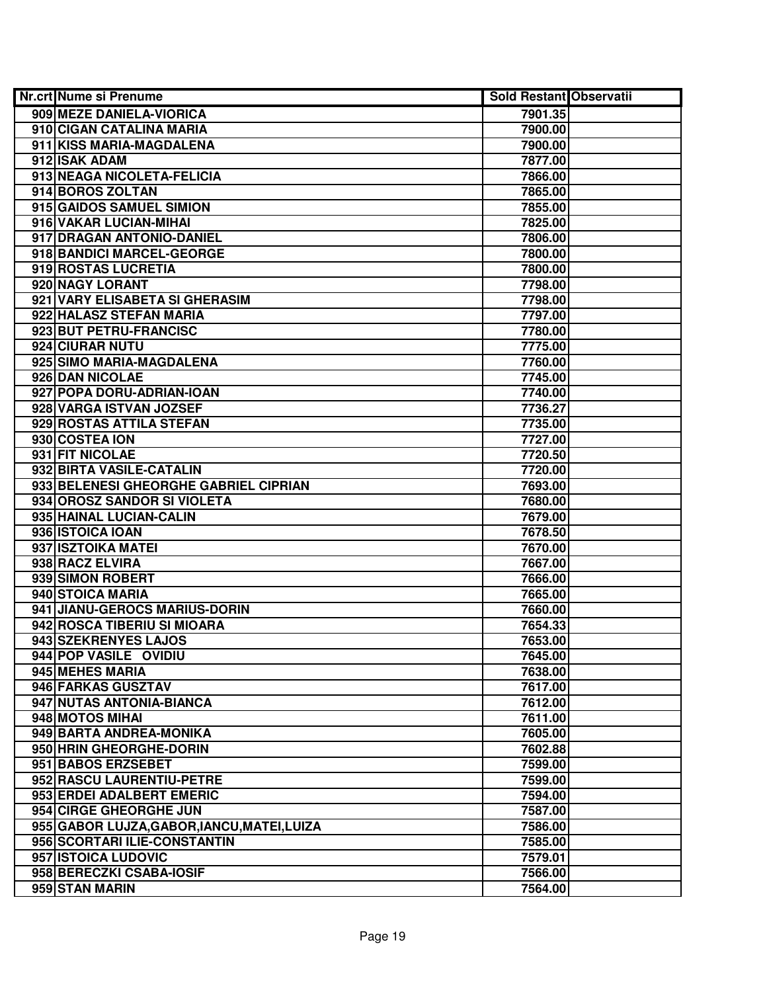| <b>Nr.crt Nume si Prenume</b>               | <b>Sold Restant Observatii</b> |  |
|---------------------------------------------|--------------------------------|--|
| 909 MEZE DANIELA-VIORICA                    | 7901.35                        |  |
| 910 CIGAN CATALINA MARIA                    | 7900.00                        |  |
| 911 KISS MARIA-MAGDALENA                    | 7900.00                        |  |
| 912 ISAK ADAM                               | 7877.00                        |  |
| 913 NEAGA NICOLETA-FELICIA                  | 7866.00                        |  |
| 914 BOROS ZOLTAN                            | 7865.00                        |  |
| 915 GAIDOS SAMUEL SIMION                    | 7855.00                        |  |
| 916 VAKAR LUCIAN-MIHAI                      | 7825.00                        |  |
| 917 DRAGAN ANTONIO-DANIEL                   | 7806.00                        |  |
| 918 BANDICI MARCEL-GEORGE                   | 7800.00                        |  |
| 919 ROSTAS LUCRETIA                         | 7800.00                        |  |
| 920 NAGY LORANT                             | 7798.00                        |  |
| 921 VARY ELISABETA SI GHERASIM              | 7798.00                        |  |
| 922 HALASZ STEFAN MARIA                     | 7797.00                        |  |
| 923 BUT PETRU-FRANCISC                      | 7780.00                        |  |
| 924 CIURAR NUTU                             | 7775.00                        |  |
| 925 SIMO MARIA-MAGDALENA                    | 7760.00                        |  |
| 926 DAN NICOLAE                             | 7745.00                        |  |
| 927 POPA DORU-ADRIAN-IOAN                   | 7740.00                        |  |
| 928 VARGA ISTVAN JOZSEF                     | 7736.27                        |  |
| 929 ROSTAS ATTILA STEFAN                    | 7735.00                        |  |
| 930 COSTEA ION                              | 7727.00                        |  |
| 931 FIT NICOLAE                             | 7720.50                        |  |
| 932 BIRTA VASILE-CATALIN                    | 7720.00                        |  |
| 933 BELENESI GHEORGHE GABRIEL CIPRIAN       | 7693.00                        |  |
| 934 OROSZ SANDOR SI VIOLETA                 | 7680.00                        |  |
| 935 HAINAL LUCIAN-CALIN                     | 7679.00                        |  |
| 936 ISTOICA IOAN                            | 7678.50                        |  |
| 937 ISZTOIKA MATEI                          | 7670.00                        |  |
| 938 RACZ ELVIRA                             | 7667.00                        |  |
| 939 SIMON ROBERT                            | 7666.00                        |  |
| 940 STOICA MARIA                            | 7665.00                        |  |
| 941 JIANU-GEROCS MARIUS-DORIN               | 7660.00                        |  |
| 942 ROSCA TIBERIU SI MIOARA                 | 7654.33                        |  |
| 943 SZEKRENYES LAJOS                        | 7653.00                        |  |
| 944 POP VASILE OVIDIU                       | 7645.00                        |  |
| 945 MEHES MARIA                             | 7638.00                        |  |
| 946 FARKAS GUSZTAV                          | 7617.00                        |  |
| 947 NUTAS ANTONIA-BIANCA                    | 7612.00                        |  |
| 948 MOTOS MIHAI                             | 7611.00                        |  |
| 949 BARTA ANDREA-MONIKA                     | 7605.00                        |  |
| 950 HRIN GHEORGHE-DORIN                     | 7602.88                        |  |
| 951 BABOS ERZSEBET                          | 7599.00                        |  |
| 952 RASCU LAURENTIU-PETRE                   | 7599.00                        |  |
| 953 ERDEI ADALBERT EMERIC                   | 7594.00                        |  |
| 954 CIRGE GHEORGHE JUN                      | 7587.00                        |  |
| 955 GABOR LUJZA, GABOR, IANCU, MATEI, LUIZA | 7586.00                        |  |
| 956 SCORTARI ILIE-CONSTANTIN                | 7585.00                        |  |
| 957 ISTOICA LUDOVIC                         | 7579.01                        |  |
| 958 BERECZKI CSABA-IOSIF                    | 7566.00                        |  |
| 959 STAN MARIN                              | 7564.00                        |  |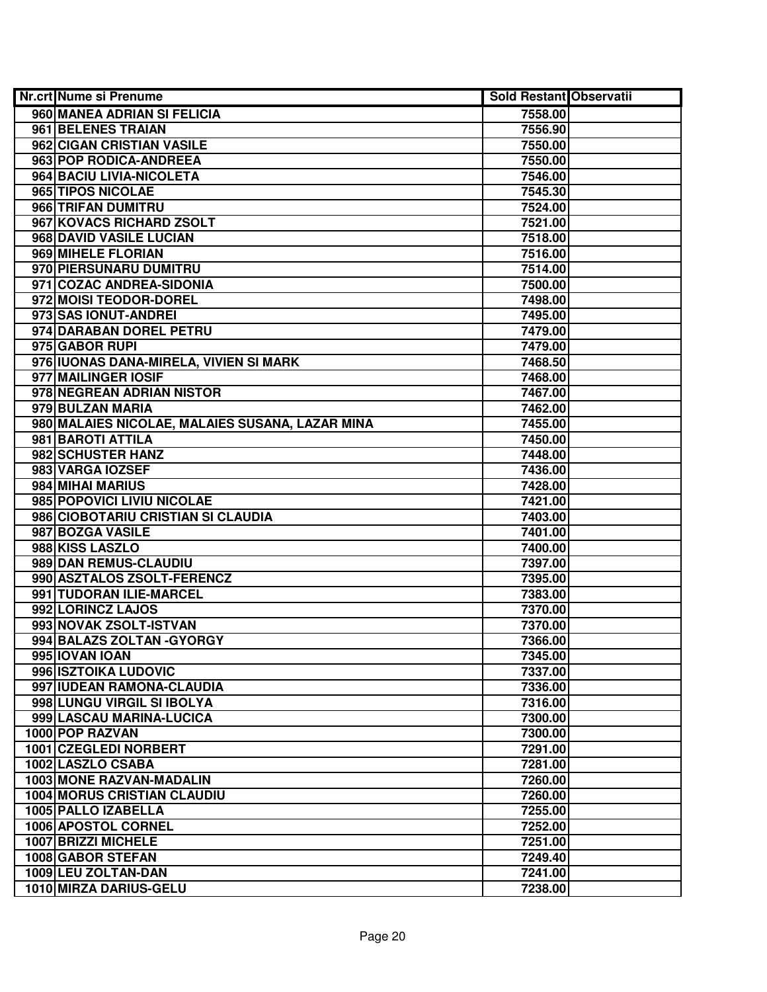| <b>Nr.crt Nume si Prenume</b>                   | <b>Sold Restant Observatii</b> |  |
|-------------------------------------------------|--------------------------------|--|
| 960 MANEA ADRIAN SI FELICIA                     | 7558.00                        |  |
| 961 BELENES TRAIAN                              | 7556.90                        |  |
| 962 CIGAN CRISTIAN VASILE                       | 7550.00                        |  |
| 963 POP RODICA-ANDREEA                          | 7550.00                        |  |
| 964 BACIU LIVIA-NICOLETA                        | 7546.00                        |  |
| 965 TIPOS NICOLAE                               | 7545.30                        |  |
| 966 TRIFAN DUMITRU                              | 7524.00                        |  |
| 967 KOVACS RICHARD ZSOLT                        | 7521.00                        |  |
| 968 DAVID VASILE LUCIAN                         | 7518.00                        |  |
| 969 MIHELE FLORIAN                              | 7516.00                        |  |
| 970 PIERSUNARU DUMITRU                          | 7514.00                        |  |
| 971 COZAC ANDREA-SIDONIA                        | 7500.00                        |  |
| 972 MOISI TEODOR-DOREL                          | 7498.00                        |  |
| 973 SAS IONUT-ANDREI                            | 7495.00                        |  |
| 974 DARABAN DOREL PETRU                         | 7479.00                        |  |
| 975 GABOR RUPI                                  | 7479.00                        |  |
| 976 IUONAS DANA-MIRELA, VIVIEN SI MARK          | 7468.50                        |  |
| 977 MAILINGER IOSIF                             | 7468.00                        |  |
| 978 NEGREAN ADRIAN NISTOR                       | 7467.00                        |  |
| 979 BULZAN MARIA                                | 7462.00                        |  |
| 980 MALAIES NICOLAE, MALAIES SUSANA, LAZAR MINA | 7455.00                        |  |
| 981 BAROTI ATTILA                               | 7450.00                        |  |
| 982 SCHUSTER HANZ                               | 7448.00                        |  |
| 983 VARGA IOZSEF                                | 7436.00                        |  |
| 984 MIHAI MARIUS                                | 7428.00                        |  |
| 985 POPOVICI LIVIU NICOLAE                      | 7421.00                        |  |
| 986 CIOBOTARIU CRISTIAN SI CLAUDIA              | 7403.00                        |  |
| 987 BOZGA VASILE                                | 7401.00                        |  |
| 988 KISS LASZLO                                 | 7400.00                        |  |
| 989 DAN REMUS-CLAUDIU                           | 7397.00                        |  |
| 990 ASZTALOS ZSOLT-FERENCZ                      | 7395.00                        |  |
| 991 TUDORAN ILIE-MARCEL                         | 7383.00                        |  |
| 992 LORINCZ LAJOS                               | 7370.00                        |  |
| 993 NOVAK ZSOLT-ISTVAN                          | 7370.00                        |  |
| 994 BALAZS ZOLTAN - GYORGY                      | 7366.00                        |  |
| 995 IOVAN IOAN                                  | 7345.00                        |  |
| 996 ISZTOIKA LUDOVIC                            | 7337.00                        |  |
| 997 IUDEAN RAMONA-CLAUDIA                       | 7336.00                        |  |
| 998 LUNGU VIRGIL SI IBOLYA                      | 7316.00                        |  |
| 999 LASCAU MARINA-LUCICA                        | 7300.00                        |  |
| 1000 POP RAZVAN                                 | 7300.00                        |  |
| 1001 CZEGLEDI NORBERT                           | 7291.00                        |  |
| 1002 LASZLO CSABA                               | 7281.00                        |  |
| 1003 MONE RAZVAN-MADALIN                        | 7260.00                        |  |
| <b>1004 MORUS CRISTIAN CLAUDIU</b>              | 7260.00                        |  |
| 1005 PALLO IZABELLA                             | 7255.00                        |  |
| 1006 APOSTOL CORNEL                             | 7252.00                        |  |
| 1007 BRIZZI MICHELE                             | 7251.00                        |  |
| 1008 GABOR STEFAN                               | 7249.40                        |  |
| 1009 LEU ZOLTAN-DAN                             | 7241.00                        |  |
| 1010 MIRZA DARIUS-GELU                          | 7238.00                        |  |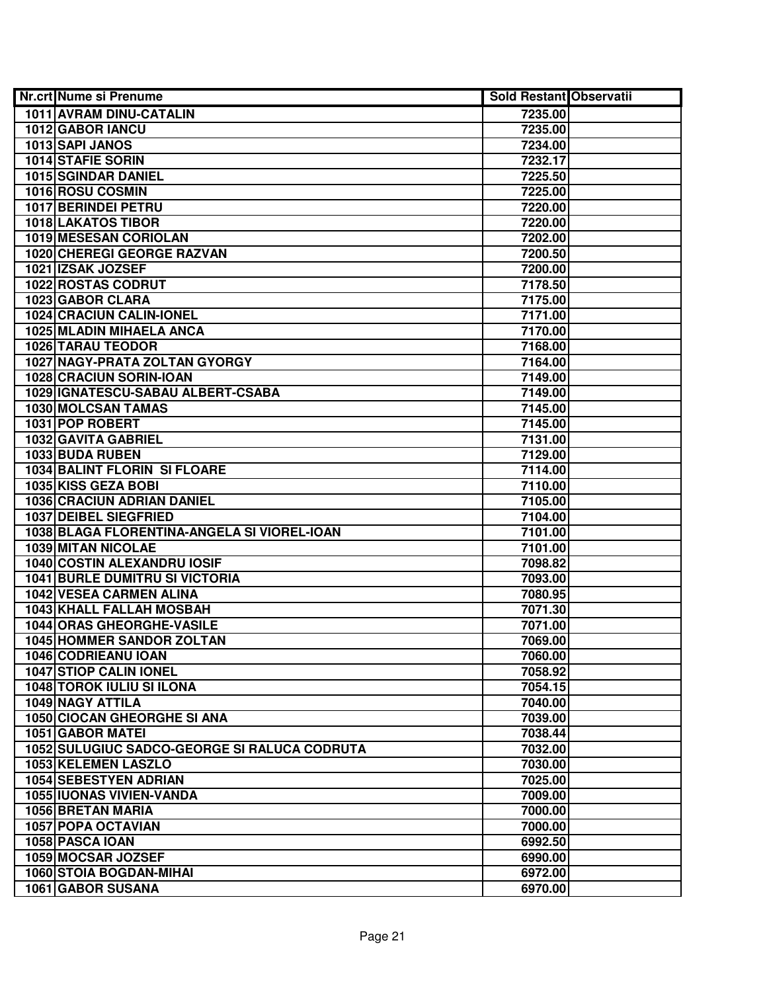| Nr.crt Nume si Prenume                       | Sold Restant Observatii |  |
|----------------------------------------------|-------------------------|--|
| 1011 AVRAM DINU-CATALIN                      | 7235.00                 |  |
| 1012 GABOR IANCU                             | 7235.00                 |  |
| 1013 SAPI JANOS                              | 7234.00                 |  |
| 1014 STAFIE SORIN                            | 7232.17                 |  |
| 1015 SGINDAR DANIEL                          | 7225.50                 |  |
| 1016 ROSU COSMIN                             | 7225.00                 |  |
| 1017 BERINDEI PETRU                          | 7220.00                 |  |
| <b>1018 LAKATOS TIBOR</b>                    | 7220.00                 |  |
| 1019 MESESAN CORIOLAN                        | 7202.00                 |  |
| 1020 CHEREGI GEORGE RAZVAN                   | 7200.50                 |  |
| 1021 IZSAK JOZSEF                            | 7200.00                 |  |
| 1022 ROSTAS CODRUT                           | 7178.50                 |  |
| 1023 GABOR CLARA                             | 7175.00                 |  |
| <b>1024 CRACIUN CALIN-IONEL</b>              | 7171.00                 |  |
| 1025 MLADIN MIHAELA ANCA                     | 7170.00                 |  |
| 1026 TARAU TEODOR                            | 7168.00                 |  |
| 1027 NAGY-PRATA ZOLTAN GYORGY                | 7164.00                 |  |
| 1028 CRACIUN SORIN-IOAN                      | 7149.00                 |  |
| 1029 IGNATESCU-SABAU ALBERT-CSABA            | 7149.00                 |  |
| <b>1030 MOLCSAN TAMAS</b>                    | 7145.00                 |  |
| 1031 POP ROBERT                              | 7145.00                 |  |
| 1032 GAVITA GABRIEL                          | 7131.00                 |  |
| 1033 BUDA RUBEN                              | 7129.00                 |  |
| 1034 BALINT FLORIN SI FLOARE                 | 7114.00                 |  |
| 1035 KISS GEZA BOBI                          | 7110.00                 |  |
| <b>1036 CRACIUN ADRIAN DANIEL</b>            | 7105.00                 |  |
| 1037 DEIBEL SIEGFRIED                        | 7104.00                 |  |
| 1038 BLAGA FLORENTINA-ANGELA SI VIOREL-IOAN  | 7101.00                 |  |
| 1039 MITAN NICOLAE                           | 7101.00                 |  |
| 1040 COSTIN ALEXANDRU IOSIF                  | 7098.82                 |  |
| <b>1041 BURLE DUMITRU SI VICTORIA</b>        | 7093.00                 |  |
| 1042 VESEA CARMEN ALINA                      | 7080.95                 |  |
| <b>1043 KHALL FALLAH MOSBAH</b>              | 7071.30                 |  |
| <b>1044 ORAS GHEORGHE-VASILE</b>             | 7071.00                 |  |
| 1045 HOMMER SANDOR ZOLTAN                    | 7069.00                 |  |
| 1046 CODRIEANU IOAN                          | 7060.00                 |  |
| <b>1047 STIOP CALIN IONEL</b>                | 7058.92                 |  |
| <b>1048 TOROK IULIU SI ILONA</b>             | 7054.15                 |  |
| 1049 NAGY ATTILA                             | 7040.00                 |  |
| 1050 CIOCAN GHEORGHE SI ANA                  | 7039.00                 |  |
| 1051 GABOR MATEI                             | 7038.44                 |  |
| 1052 SULUGIUC SADCO-GEORGE SI RALUCA CODRUTA | 7032.00                 |  |
| 1053 KELEMEN LASZLO                          | 7030.00                 |  |
| 1054 SEBESTYEN ADRIAN                        | 7025.00                 |  |
| <b>1055 IUONAS VIVIEN-VANDA</b>              | 7009.00                 |  |
| 1056 BRETAN MARIA                            | 7000.00                 |  |
| 1057 POPA OCTAVIAN                           | 7000.00                 |  |
| 1058 PASCA IOAN                              | 6992.50                 |  |
| 1059 MOCSAR JOZSEF                           | 6990.00                 |  |
| 1060 STOIA BOGDAN-MIHAI                      | 6972.00                 |  |
| 1061 GABOR SUSANA                            | 6970.00                 |  |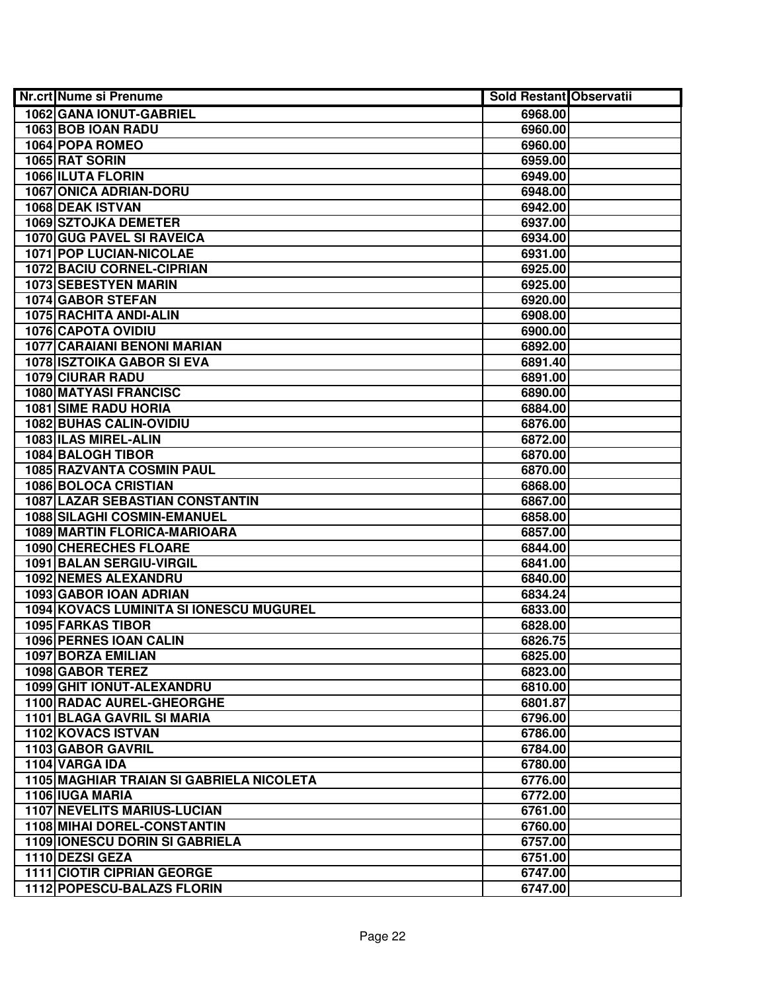| Nr.crt Nume si Prenume                                      | Sold Restant Observatii |  |
|-------------------------------------------------------------|-------------------------|--|
| 1062 GANA IONUT-GABRIEL                                     | 6968.00                 |  |
| 1063 BOB IOAN RADU                                          | 6960.00                 |  |
| 1064 POPA ROMEO                                             | 6960.00                 |  |
| 1065 RAT SORIN                                              | 6959.00                 |  |
| 1066 ILUTA FLORIN                                           | 6949.00                 |  |
| 1067 ONICA ADRIAN-DORU                                      | 6948.00                 |  |
| 1068 DEAK ISTVAN                                            | 6942.00                 |  |
| <b>1069 SZTOJKA DEMETER</b>                                 | 6937.00                 |  |
| <b>1070 GUG PAVEL SI RAVEICA</b>                            | 6934.00                 |  |
| <b>1071 POP LUCIAN-NICOLAE</b>                              | 6931.00                 |  |
| <b>1072 BACIU CORNEL-CIPRIAN</b>                            | 6925.00                 |  |
| <b>1073 SEBESTYEN MARIN</b>                                 | 6925.00                 |  |
| 1074 GABOR STEFAN                                           | 6920.00                 |  |
| 1075 RACHITA ANDI-ALIN                                      | 6908.00                 |  |
| 1076 CAPOTA OVIDIU                                          | 6900.00                 |  |
| 1077 CARAIANI BENONI MARIAN                                 | 6892.00                 |  |
| <b>1078 ISZTOIKA GABOR SI EVA</b>                           | 6891.40                 |  |
| <b>1079 CIURAR RADU</b>                                     | 6891.00                 |  |
| 1080 MATYASI FRANCISC                                       | 6890.00                 |  |
| 1081 SIME RADU HORIA                                        | 6884.00                 |  |
| 1082 BUHAS CALIN-OVIDIU                                     | 6876.00                 |  |
| 1083 ILAS MIREL-ALIN                                        | 6872.00                 |  |
| 1084 BALOGH TIBOR                                           | 6870.00                 |  |
| 1085 RAZVANTA COSMIN PAUL                                   | 6870.00                 |  |
| 1086 BOLOCA CRISTIAN                                        | 6868.00                 |  |
| 1087 LAZAR SEBASTIAN CONSTANTIN                             | 6867.00                 |  |
| 1088 SILAGHI COSMIN-EMANUEL                                 | 6858.00                 |  |
| 1089 MARTIN FLORICA-MARIOARA                                | 6857.00                 |  |
| 1090 CHERECHES FLOARE                                       | 6844.00                 |  |
| 1091 BALAN SERGIU-VIRGIL                                    | 6841.00                 |  |
| 1092 NEMES ALEXANDRU                                        | 6840.00                 |  |
| 1093 GABOR IOAN ADRIAN                                      | 6834.24                 |  |
| 1094 KOVACS LUMINITA SI IONESCU MUGUREL                     | 6833.00                 |  |
| <b>1095 FARKAS TIBOR</b>                                    | 6828.00                 |  |
| 1096 PERNES IOAN CALIN                                      | 6826.75                 |  |
| 1097 BORZA EMILIAN                                          | 6825.00                 |  |
| 1098 GABOR TEREZ                                            | 6823.00                 |  |
| 1099 GHIT IONUT-ALEXANDRU                                   | 6810.00                 |  |
| <b>1100 RADAC AUREL-GHEORGHE</b>                            | 6801.87                 |  |
| 1101 BLAGA GAVRIL SI MARIA                                  | 6796.00                 |  |
| 1102 KOVACS ISTVAN                                          | 6786.00                 |  |
| 1103 GABOR GAVRIL<br>1104 VARGA IDA                         | 6784.00                 |  |
|                                                             | 6780.00                 |  |
| 1105 MAGHIAR TRAIAN SI GABRIELA NICOLETA<br>1106 IUGA MARIA | 6776.00                 |  |
| <b>1107 NEVELITS MARIUS-LUCIAN</b>                          | 6772.00<br>6761.00      |  |
| 1108 MIHAI DOREL-CONSTANTIN                                 | 6760.00                 |  |
| 1109 IONESCU DORIN SI GABRIELA                              | 6757.00                 |  |
| 1110 DEZSI GEZA                                             | 6751.00                 |  |
| 1111 CIOTIR CIPRIAN GEORGE                                  | 6747.00                 |  |
| 1112 POPESCU-BALAZS FLORIN                                  | 6747.00                 |  |
|                                                             |                         |  |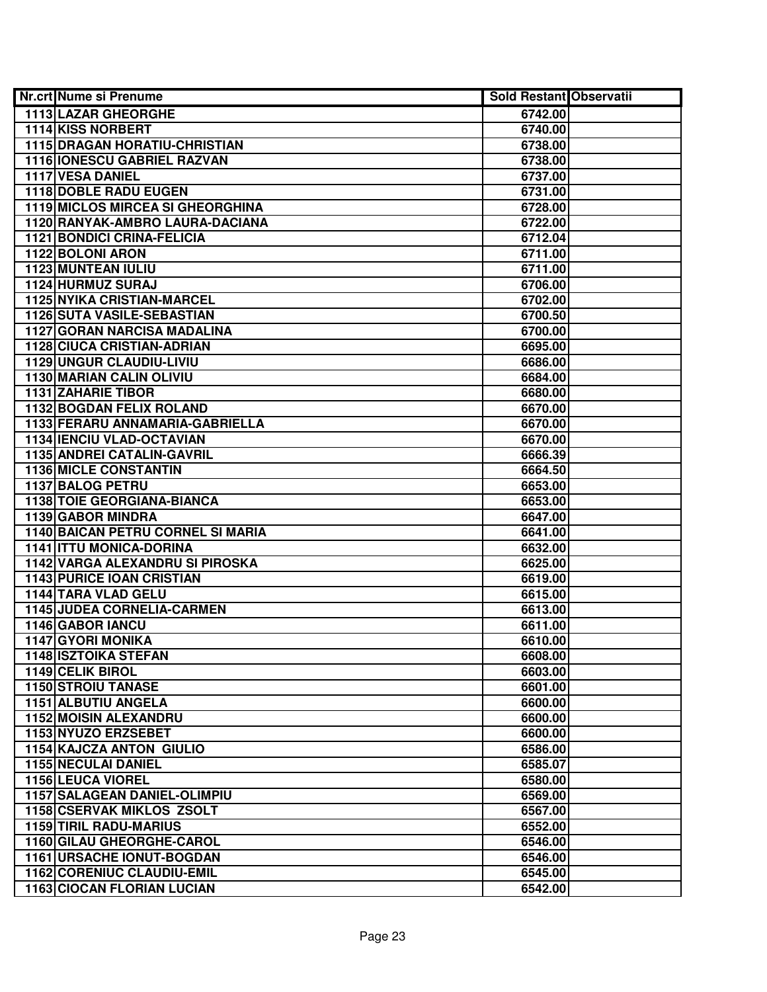| <b>Nr.crt Nume si Prenume</b>        | <b>Sold Restant Observatii</b> |  |
|--------------------------------------|--------------------------------|--|
| 1113 LAZAR GHEORGHE                  | 6742.00                        |  |
| <b>1114 KISS NORBERT</b>             | 6740.00                        |  |
| <b>1115 DRAGAN HORATIU-CHRISTIAN</b> | 6738.00                        |  |
| 1116 IONESCU GABRIEL RAZVAN          | 6738.00                        |  |
| 1117 VESA DANIEL                     | 6737.00                        |  |
| 1118 DOBLE RADU EUGEN                | 6731.00                        |  |
| 1119 MICLOS MIRCEA SI GHEORGHINA     | 6728.00                        |  |
| 1120 RANYAK-AMBRO LAURA-DACIANA      | 6722.00                        |  |
| <b>1121 BONDICI CRINA-FELICIA</b>    | 6712.04                        |  |
| 1122 BOLONI ARON                     | 6711.00                        |  |
| <b>1123 MUNTEAN IULIU</b>            | 6711.00                        |  |
| 1124 HURMUZ SURAJ                    | 6706.00                        |  |
| <b>1125 NYIKA CRISTIAN-MARCEL</b>    | 6702.00                        |  |
| <b>1126 SUTA VASILE-SEBASTIAN</b>    | 6700.50                        |  |
| <b>1127 GORAN NARCISA MADALINA</b>   | 6700.00                        |  |
| <b>1128 CIUCA CRISTIAN-ADRIAN</b>    | 6695.00                        |  |
| 1129 UNGUR CLAUDIU-LIVIU             | 6686.00                        |  |
| 1130 MARIAN CALIN OLIVIU             | 6684.00                        |  |
| <b>1131 ZAHARIE TIBOR</b>            | 6680.00                        |  |
| <b>1132 BOGDAN FELIX ROLAND</b>      | 6670.00                        |  |
| 1133 FERARU ANNAMARIA-GABRIELLA      | 6670.00                        |  |
| 1134 IENCIU VLAD-OCTAVIAN            | 6670.00                        |  |
| 1135 ANDREI CATALIN-GAVRIL           | 6666.39                        |  |
| <b>1136 MICLE CONSTANTIN</b>         | 6664.50                        |  |
| <b>1137 BALOG PETRU</b>              | 6653.00                        |  |
| <b>1138 TOIE GEORGIANA-BIANCA</b>    | 6653.00                        |  |
| 1139 GABOR MINDRA                    | 6647.00                        |  |
| 1140 BAICAN PETRU CORNEL SI MARIA    | 6641.00                        |  |
| 1141 ITTU MONICA-DORINA              | 6632.00                        |  |
| 1142 VARGA ALEXANDRU SI PIROSKA      | 6625.00                        |  |
| <b>1143 PURICE IOAN CRISTIAN</b>     | 6619.00                        |  |
| 1144 TARA VLAD GELU                  | 6615.00                        |  |
| 1145 JUDEA CORNELIA-CARMEN           | 6613.00                        |  |
| 1146 GABOR IANCU                     | 6611.00                        |  |
| <b>1147 GYORI MONIKA</b>             | 6610.00                        |  |
| 1148 ISZTOIKA STEFAN                 | 6608.00                        |  |
| 1149 CELIK BIROL                     | 6603.00                        |  |
| <b>1150 STROIU TANASE</b>            | 6601.00                        |  |
| 1151 ALBUTIU ANGELA                  | 6600.00                        |  |
| 1152 MOISIN ALEXANDRU                | 6600.00                        |  |
| 1153 NYUZO ERZSEBET                  | 6600.00                        |  |
| <b>1154 KAJCZA ANTON GIULIO</b>      | 6586.00                        |  |
| <b>1155 NECULAI DANIEL</b>           | 6585.07                        |  |
| <b>1156 LEUCA VIOREL</b>             | 6580.00                        |  |
| 1157 SALAGEAN DANIEL-OLIMPIU         | 6569.00                        |  |
| <b>1158 CSERVAK MIKLOS ZSOLT</b>     | 6567.00                        |  |
| <b>1159 TIRIL RADU-MARIUS</b>        | 6552.00                        |  |
| 1160 GILAU GHEORGHE-CAROL            | 6546.00                        |  |
| <b>1161 URSACHE IONUT-BOGDAN</b>     | 6546.00                        |  |
| 1162 CORENIUC CLAUDIU-EMIL           | 6545.00                        |  |
| 1163 CIOCAN FLORIAN LUCIAN           | 6542.00                        |  |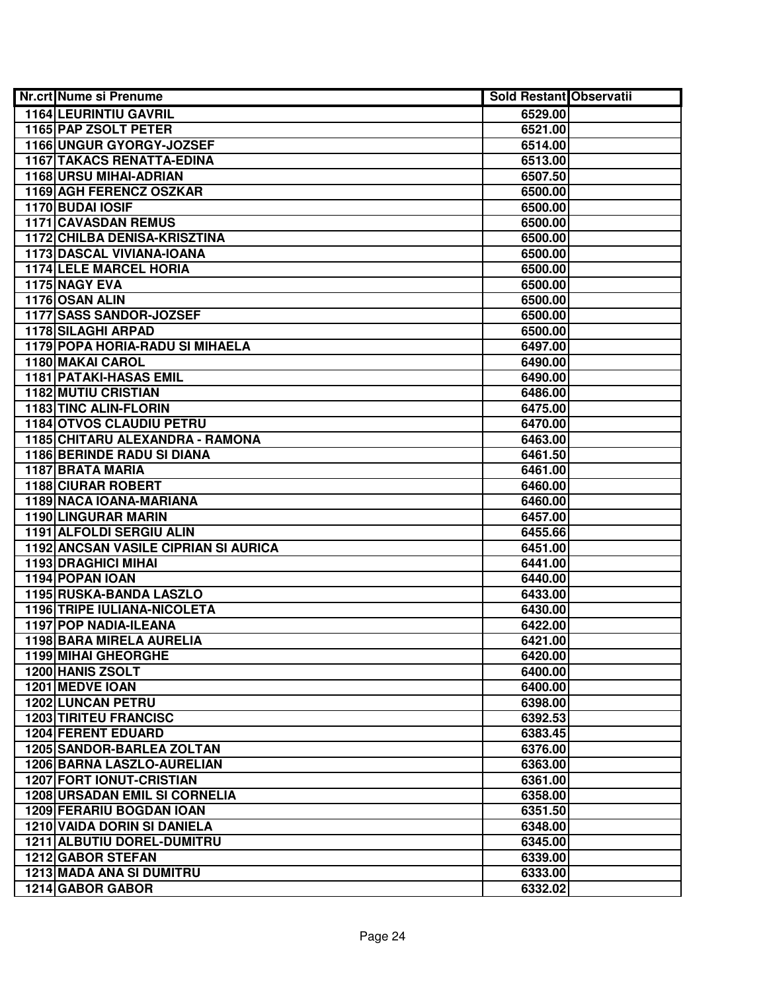| Nr.crt Nume si Prenume               | Sold Restant Observatii |  |
|--------------------------------------|-------------------------|--|
| 1164 LEURINTIU GAVRIL                | 6529.00                 |  |
| 1165 PAP ZSOLT PETER                 | 6521.00                 |  |
| 1166 UNGUR GYORGY-JOZSEF             | 6514.00                 |  |
| <b>1167 TAKACS RENATTA-EDINA</b>     | 6513.00                 |  |
| 1168 URSU MIHAI-ADRIAN               | 6507.50                 |  |
| 1169 AGH FERENCZ OSZKAR              | 6500.00                 |  |
| 1170 BUDAI IOSIF                     | 6500.00                 |  |
| 1171 CAVASDAN REMUS                  | 6500.00                 |  |
| <b>1172 CHILBA DENISA-KRISZTINA</b>  | 6500.00                 |  |
| 1173 DASCAL VIVIANA-IOANA            | 6500.00                 |  |
| <b>1174 LELE MARCEL HORIA</b>        | 6500.00                 |  |
| 1175 NAGY EVA                        | 6500.00                 |  |
| 1176 OSAN ALIN                       | 6500.00                 |  |
| 1177 SASS SANDOR-JOZSEF              | 6500.00                 |  |
| 1178 SILAGHI ARPAD                   | 6500.00                 |  |
| 1179 POPA HORIA-RADU SI MIHAELA      | 6497.00                 |  |
| 1180 MAKAI CAROL                     | 6490.00                 |  |
| <b>1181 PATAKI-HASAS EMIL</b>        | 6490.00                 |  |
| <b>1182 MUTIU CRISTIAN</b>           | 6486.00                 |  |
| 1183 TINC ALIN-FLORIN                | 6475.00                 |  |
| 1184 OTVOS CLAUDIU PETRU             | 6470.00                 |  |
| 1185 CHITARU ALEXANDRA - RAMONA      | 6463.00                 |  |
| 1186 BERINDE RADU SI DIANA           | 6461.50                 |  |
| 1187 BRATA MARIA                     | 6461.00                 |  |
| <b>1188 CIURAR ROBERT</b>            | 6460.00                 |  |
| 1189 NACA IOANA-MARIANA              | 6460.00                 |  |
| 1190 LINGURAR MARIN                  | 6457.00                 |  |
| 1191 ALFOLDI SERGIU ALIN             | 6455.66                 |  |
| 1192 ANCSAN VASILE CIPRIAN SI AURICA | 6451.00                 |  |
| 1193 DRAGHICI MIHAI                  | 6441.00                 |  |
| 1194 POPAN IOAN                      | 6440.00                 |  |
| 1195 RUSKA-BANDA LASZLO              | 6433.00                 |  |
| 1196 TRIPE IULIANA-NICOLETA          | 6430.00                 |  |
| 1197 POP NADIA-ILEANA                | 6422.00                 |  |
| 1198 BARA MIRELA AURELIA             | 6421.00                 |  |
| <b>1199 MIHAI GHEORGHE</b>           | 6420.00                 |  |
| 1200 HANIS ZSOLT                     | 6400.00                 |  |
| 1201 MEDVE IOAN                      | 6400.00                 |  |
| <b>1202 LUNCAN PETRU</b>             | 6398.00                 |  |
| <b>1203 TIRITEU FRANCISC</b>         | 6392.53                 |  |
| <b>1204 FERENT EDUARD</b>            | 6383.45                 |  |
| <b>1205 SANDOR-BARLEA ZOLTAN</b>     | 6376.00                 |  |
| 1206 BARNA LASZLO-AURELIAN           | 6363.00                 |  |
| <b>1207 FORT IONUT-CRISTIAN</b>      | 6361.00                 |  |
| <b>1208 URSADAN EMIL SI CORNELIA</b> | 6358.00                 |  |
| 1209 FERARIU BOGDAN IOAN             | 6351.50                 |  |
| 1210 VAIDA DORIN SI DANIELA          | 6348.00                 |  |
| 1211 ALBUTIU DOREL-DUMITRU           | 6345.00                 |  |
| 1212 GABOR STEFAN                    | 6339.00                 |  |
| <b>1213 MADA ANA SI DUMITRU</b>      | 6333.00                 |  |
| 1214 GABOR GABOR                     | 6332.02                 |  |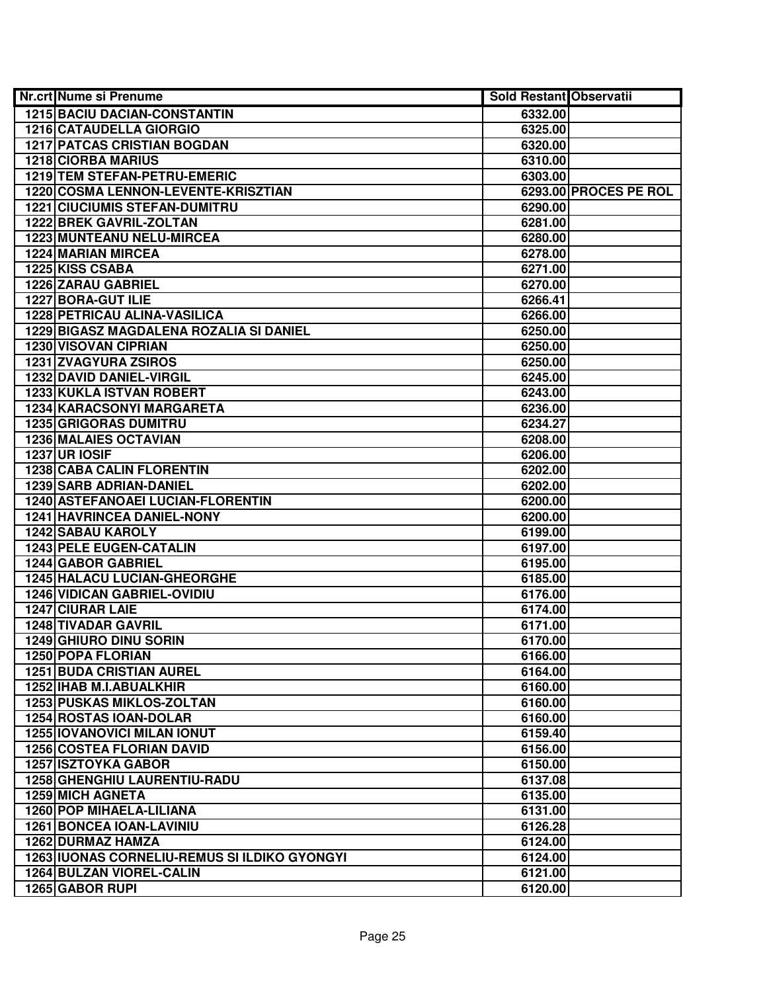| <b>Nr.crt Nume si Prenume</b>                | <b>Sold Restant Observatii</b> |                       |
|----------------------------------------------|--------------------------------|-----------------------|
| <b>1215 BACIU DACIAN-CONSTANTIN</b>          | 6332.00                        |                       |
| 1216 CATAUDELLA GIORGIO                      | 6325.00                        |                       |
| <b>1217 PATCAS CRISTIAN BOGDAN</b>           | 6320.00                        |                       |
| <b>1218 CIORBA MARIUS</b>                    | 6310.00                        |                       |
| 1219 TEM STEFAN-PETRU-EMERIC                 | 6303.00                        |                       |
| 1220 COSMA LENNON-LEVENTE-KRISZTIAN          |                                | 6293.00 PROCES PE ROL |
| <b>1221 CIUCIUMIS STEFAN-DUMITRU</b>         | 6290.00                        |                       |
| <b>1222 BREK GAVRIL-ZOLTAN</b>               | 6281.00                        |                       |
| <b>1223 MUNTEANU NELU-MIRCEA</b>             | 6280.00                        |                       |
| <b>1224 MARIAN MIRCEA</b>                    | 6278.00                        |                       |
| 1225 KISS CSABA                              | 6271.00                        |                       |
| <b>1226 ZARAU GABRIEL</b>                    | 6270.00                        |                       |
| 1227 BORA-GUT ILIE                           | 6266.41                        |                       |
| <b>1228 PETRICAU ALINA-VASILICA</b>          | 6266.00                        |                       |
| 1229 BIGASZ MAGDALENA ROZALIA SI DANIEL      | 6250.00                        |                       |
| 1230 VISOVAN CIPRIAN                         | 6250.00                        |                       |
| 1231 ZVAGYURA ZSIROS                         | 6250.00                        |                       |
| 1232 DAVID DANIEL-VIRGIL                     | 6245.00                        |                       |
| 1233 KUKLA ISTVAN ROBERT                     | 6243.00                        |                       |
| 1234 KARACSONYI MARGARETA                    | 6236.00                        |                       |
| <b>1235 GRIGORAS DUMITRU</b>                 | 6234.27                        |                       |
| 1236 MALAIES OCTAVIAN                        | 6208.00                        |                       |
| <b>1237 UR IOSIF</b>                         | 6206.00                        |                       |
| <b>1238 CABA CALIN FLORENTIN</b>             | 6202.00                        |                       |
| <b>1239 SARB ADRIAN-DANIEL</b>               | 6202.00                        |                       |
| 1240 ASTEFANOAEI LUCIAN-FLORENTIN            | 6200.00                        |                       |
| 1241 HAVRINCEA DANIEL-NONY                   | 6200.00                        |                       |
| 1242 SABAU KAROLY                            | 6199.00                        |                       |
| <b>1243 PELE EUGEN-CATALIN</b>               | 6197.00                        |                       |
| 1244 GABOR GABRIEL                           | 6195.00                        |                       |
| 1245 HALACU LUCIAN-GHEORGHE                  | 6185.00                        |                       |
| <b>1246 VIDICAN GABRIEL-OVIDIU</b>           | 6176.00                        |                       |
| 1247 CIURAR LAIE                             | 6174.00                        |                       |
| <b>1248 TIVADAR GAVRIL</b>                   | 6171.00                        |                       |
| <b>1249 GHIURO DINU SORIN</b>                | 6170.00                        |                       |
| <b>1250 POPA FLORIAN</b>                     | 6166.00                        |                       |
| <b>1251 BUDA CRISTIAN AUREL</b>              | 6164.00                        |                       |
| 1252 IHAB M.I.ABUALKHIR                      | 6160.00                        |                       |
| <b>1253 PUSKAS MIKLOS-ZOLTAN</b>             | 6160.00                        |                       |
| 1254 ROSTAS IOAN-DOLAR                       | 6160.00                        |                       |
| <b>1255 IOVANOVICI MILAN IONUT</b>           | 6159.40                        |                       |
| <b>1256 COSTEA FLORIAN DAVID</b>             | 6156.00                        |                       |
| <b>1257 ISZTOYKA GABOR</b>                   | 6150.00                        |                       |
| 1258 GHENGHIU LAURENTIU-RADU                 | 6137.08                        |                       |
| 1259 MICH AGNETA                             | 6135.00                        |                       |
| 1260 POP MIHAELA-LILIANA                     | 6131.00                        |                       |
| <b>1261 BONCEA IOAN-LAVINIU</b>              | 6126.28                        |                       |
| 1262 DURMAZ HAMZA                            | 6124.00                        |                       |
| 1263 IUONAS CORNELIU-REMUS SI ILDIKO GYONGYI | 6124.00                        |                       |
| <b>1264 BULZAN VIOREL-CALIN</b>              | 6121.00                        |                       |
| 1265 GABOR RUPI                              | 6120.00                        |                       |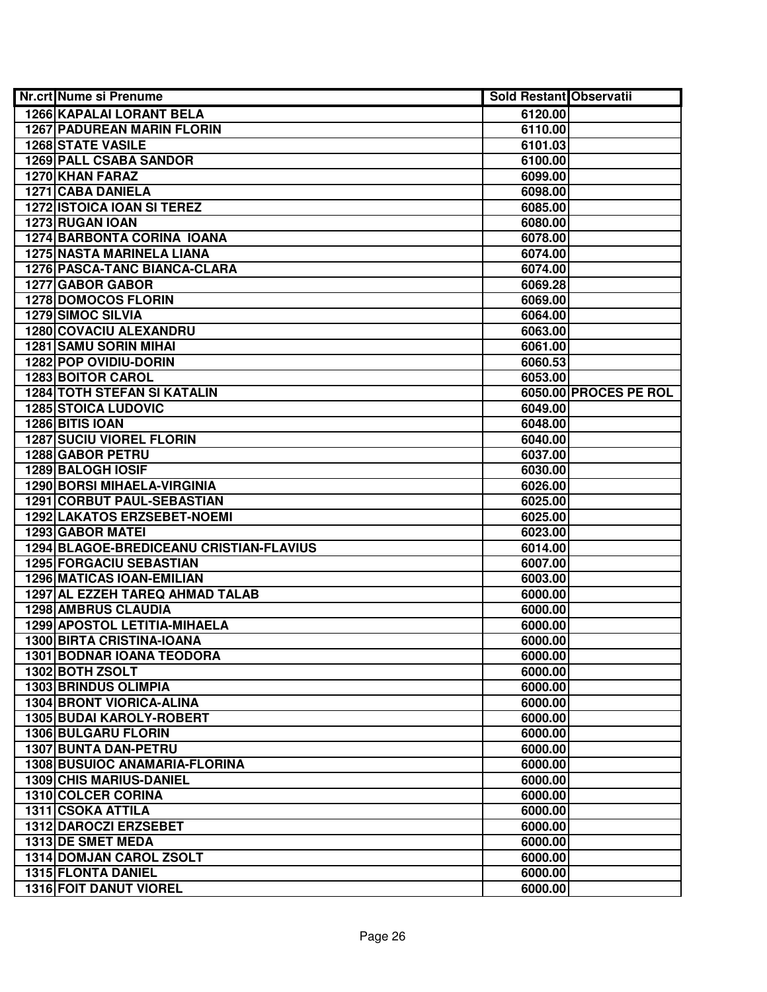| <b>Nr.crt Nume si Prenume</b>           | <b>Sold Restant Observatii</b> |                       |
|-----------------------------------------|--------------------------------|-----------------------|
| 1266 KAPALAI LORANT BELA                | 6120.00                        |                       |
| <b>1267 PADUREAN MARIN FLORIN</b>       | 6110.00                        |                       |
| <b>1268 STATE VASILE</b>                | 6101.03                        |                       |
| <b>1269 PALL CSABA SANDOR</b>           | 6100.00                        |                       |
| 1270 KHAN FARAZ                         | 6099.00                        |                       |
| 1271 CABA DANIELA                       | 6098.00                        |                       |
| <b>1272 ISTOICA IOAN SI TEREZ</b>       | 6085.00                        |                       |
| 1273 RUGAN IOAN                         | 6080.00                        |                       |
| <b>1274 BARBONTA CORINA IOANA</b>       | 6078.00                        |                       |
| <b>1275 NASTA MARINELA LIANA</b>        | 6074.00                        |                       |
| 1276 PASCA-TANC BIANCA-CLARA            | 6074.00                        |                       |
| <b>1277 GABOR GABOR</b>                 | 6069.28                        |                       |
| <b>1278 DOMOCOS FLORIN</b>              | 6069.00                        |                       |
| <b>1279 SIMOC SILVIA</b>                | 6064.00                        |                       |
| 1280 COVACIU ALEXANDRU                  | 6063.00                        |                       |
| <b>1281 SAMU SORIN MIHAI</b>            | 6061.00                        |                       |
| 1282 POP OVIDIU-DORIN                   | 6060.53                        |                       |
| 1283 BOITOR CAROL                       | 6053.00                        |                       |
| <b>1284 TOTH STEFAN SI KATALIN</b>      |                                | 6050.00 PROCES PE ROL |
| <b>1285 STOICA LUDOVIC</b>              | 6049.00                        |                       |
| 1286 BITIS IOAN                         | 6048.00                        |                       |
| <b>1287 SUCIU VIOREL FLORIN</b>         | 6040.00                        |                       |
| 1288 GABOR PETRU                        | 6037.00                        |                       |
| 1289 BALOGH IOSIF                       | 6030.00                        |                       |
| <b>1290 BORSI MIHAELA-VIRGINIA</b>      | 6026.00                        |                       |
| 1291 CORBUT PAUL-SEBASTIAN              | 6025.00                        |                       |
| 1292 LAKATOS ERZSEBET-NOEMI             | 6025.00                        |                       |
| 1293 GABOR MATEI                        | 6023.00                        |                       |
| 1294 BLAGOE-BREDICEANU CRISTIAN-FLAVIUS | 6014.00                        |                       |
| <b>1295 FORGACIU SEBASTIAN</b>          | 6007.00                        |                       |
| <b>1296 MATICAS IOAN-EMILIAN</b>        | 6003.00                        |                       |
| 1297 AL EZZEH TAREQ AHMAD TALAB         | 6000.00                        |                       |
| <b>1298 AMBRUS CLAUDIA</b>              | 6000.00                        |                       |
| 1299 APOSTOL LETITIA-MIHAELA            | 6000.00                        |                       |
| <b>1300 BIRTA CRISTINA-IOANA</b>        | 6000.00                        |                       |
| <b>1301 BODNAR IOANA TEODORA</b>        | 6000.00                        |                       |
| 1302 BOTH ZSOLT                         | 6000.00                        |                       |
| <b>1303 BRINDUS OLIMPIA</b>             | 6000.00                        |                       |
| <b>1304 BRONT VIORICA-ALINA</b>         | 6000.00                        |                       |
| <b>1305 BUDAI KAROLY-ROBERT</b>         | 6000.00                        |                       |
| 1306 BULGARU FLORIN                     | 6000.00                        |                       |
| <b>1307 BUNTA DAN-PETRU</b>             | 6000.00                        |                       |
| 1308 BUSUIOC ANAMARIA-FLORINA           | 6000.00                        |                       |
| 1309 CHIS MARIUS-DANIEL                 | 6000.00                        |                       |
| 1310 COLCER CORINA                      | 6000.00                        |                       |
| 1311 CSOKA ATTILA                       | 6000.00                        |                       |
| 1312 DAROCZI ERZSEBET                   | 6000.00                        |                       |
| 1313 DE SMET MEDA                       | 6000.00                        |                       |
| 1314 DOMJAN CAROL ZSOLT                 | 6000.00                        |                       |
| 1315 FLONTA DANIEL                      | 6000.00                        |                       |
| 1316 FOIT DANUT VIOREL                  | 6000.00                        |                       |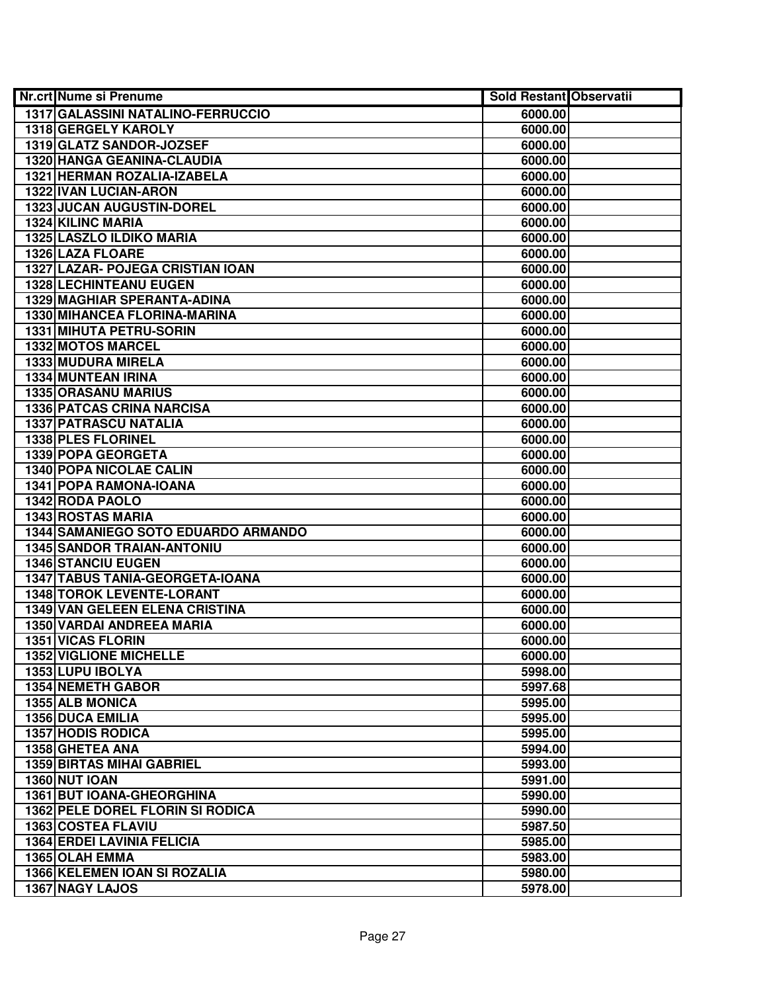| <b>Nr.crt Nume si Prenume</b>       | <b>Sold Restant Observatii</b> |  |
|-------------------------------------|--------------------------------|--|
| 1317 GALASSINI NATALINO-FERRUCCIO   | 6000.00                        |  |
| 1318 GERGELY KAROLY                 | 6000.00                        |  |
| 1319 GLATZ SANDOR-JOZSEF            | 6000.00                        |  |
| <b>1320 HANGA GEANINA-CLAUDIA</b>   | 6000.00                        |  |
| 1321 HERMAN ROZALIA-IZABELA         | 6000.00                        |  |
| 1322 IVAN LUCIAN-ARON               | 6000.00                        |  |
| <b>1323 JUCAN AUGUSTIN-DOREL</b>    | 6000.00                        |  |
| 1324 KILINC MARIA                   | 6000.00                        |  |
| <b>1325 LASZLO ILDIKO MARIA</b>     | 6000.00                        |  |
| 1326 LAZA FLOARE                    | 6000.00                        |  |
| 1327 LAZAR- POJEGA CRISTIAN IOAN    | 6000.00                        |  |
| <b>1328 LECHINTEANU EUGEN</b>       | 6000.00                        |  |
| 1329 MAGHIAR SPERANTA-ADINA         | 6000.00                        |  |
| 1330 MIHANCEA FLORINA-MARINA        | 6000.00                        |  |
| 1331 MIHUTA PETRU-SORIN             | 6000.00                        |  |
| 1332 MOTOS MARCEL                   | 6000.00                        |  |
| 1333 MUDURA MIRELA                  | 6000.00                        |  |
| 1334 MUNTEAN IRINA                  | 6000.00                        |  |
| <b>1335 ORASANU MARIUS</b>          | 6000.00                        |  |
| <b>1336 PATCAS CRINA NARCISA</b>    | 6000.00                        |  |
| 1337 PATRASCU NATALIA               | 6000.00                        |  |
| 1338 PLES FLORINEL                  | 6000.00                        |  |
| 1339 POPA GEORGETA                  | 6000.00                        |  |
| <b>1340 POPA NICOLAE CALIN</b>      | 6000.00                        |  |
| 1341 POPA RAMONA-IOANA              | 6000.00                        |  |
| 1342 RODA PAOLO                     | 6000.00                        |  |
| <b>1343 ROSTAS MARIA</b>            | 6000.00                        |  |
| 1344 SAMANIEGO SOTO EDUARDO ARMANDO | 6000.00                        |  |
| <b>1345 SANDOR TRAIAN-ANTONIU</b>   | 6000.00                        |  |
| <b>1346 STANCIU EUGEN</b>           | 6000.00                        |  |
| 1347 TABUS TANIA-GEORGETA-IOANA     | 6000.00                        |  |
| 1348 TOROK LEVENTE-LORANT           | 6000.00                        |  |
| 1349 VAN GELEEN ELENA CRISTINA      | 6000.00                        |  |
| 1350 VARDAI ANDREEA MARIA           | 6000.00                        |  |
| <b>1351 VICAS FLORIN</b>            | 6000.00                        |  |
| <b>1352 VIGLIONE MICHELLE</b>       | 6000.00                        |  |
| 1353 LUPU IBOLYA                    | 5998.00                        |  |
| <b>1354 NEMETH GABOR</b>            | 5997.68                        |  |
| 1355 ALB MONICA                     | 5995.00                        |  |
| <b>1356 DUCA EMILIA</b>             | 5995.00                        |  |
| <b>1357 HODIS RODICA</b>            | 5995.00                        |  |
| 1358 GHETEA ANA                     | 5994.00                        |  |
| <b>1359 BIRTAS MIHAI GABRIEL</b>    | 5993.00                        |  |
| <b>1360 NUT IOAN</b>                | 5991.00                        |  |
| 1361 BUT IOANA-GHEORGHINA           | 5990.00                        |  |
| 1362 PELE DOREL FLORIN SI RODICA    | 5990.00                        |  |
| <b>1363 COSTEA FLAVIU</b>           | 5987.50                        |  |
| <b>1364 ERDEI LAVINIA FELICIA</b>   | 5985.00                        |  |
| 1365 OLAH EMMA                      | 5983.00                        |  |
| 1366 KELEMEN IOAN SI ROZALIA        | 5980.00                        |  |
| 1367 NAGY LAJOS                     | 5978.00                        |  |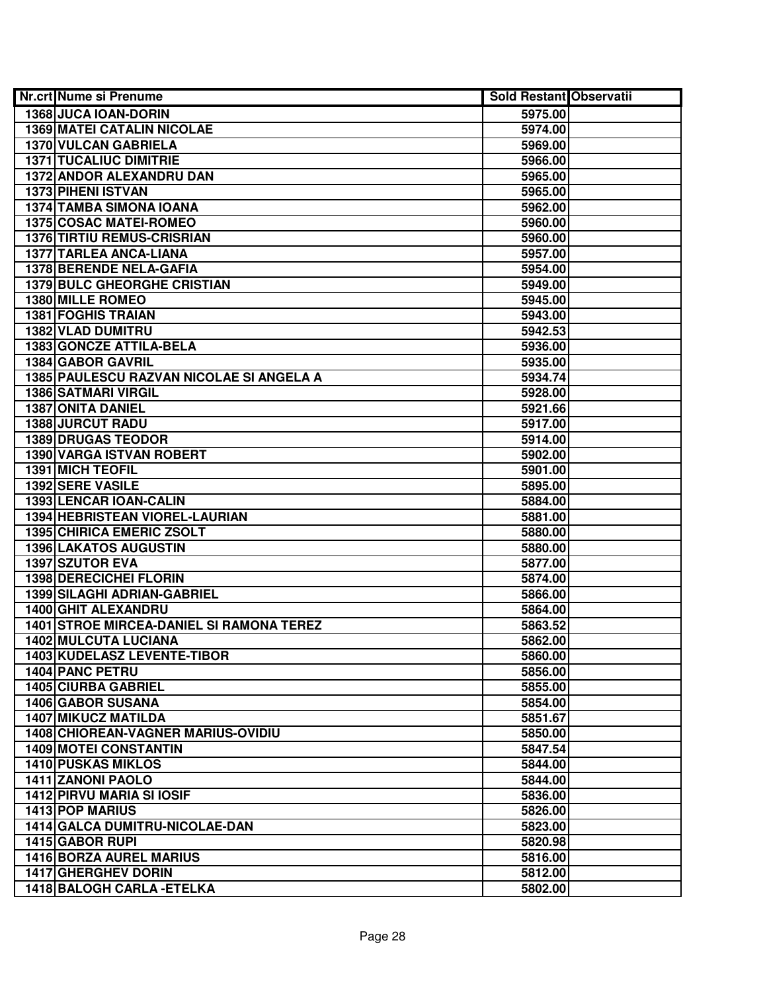| <b>Nr.crt Nume si Prenume</b>                     | <b>Sold Restant Observatii</b> |  |
|---------------------------------------------------|--------------------------------|--|
| 1368 JUCA IOAN-DORIN                              | 5975.00                        |  |
| <b>1369 MATEI CATALIN NICOLAE</b>                 | 5974.00                        |  |
| 1370 VULCAN GABRIELA                              | 5969.00                        |  |
| <b>1371 TUCALIUC DIMITRIE</b>                     | 5966.00                        |  |
| <b>1372 ANDOR ALEXANDRU DAN</b>                   | 5965.00                        |  |
| 1373 PIHENI ISTVAN                                | 5965.00                        |  |
| 1374 TAMBA SIMONA IOANA                           | 5962.00                        |  |
| 1375 COSAC MATEI-ROMEO                            | 5960.00                        |  |
| <b>1376 TIRTIU REMUS-CRISRIAN</b>                 | 5960.00                        |  |
| <b>1377 TARLEA ANCA-LIANA</b>                     | 5957.00                        |  |
| <b>1378 BERENDE NELA-GAFIA</b>                    | 5954.00                        |  |
| <b>1379 BULC GHEORGHE CRISTIAN</b>                | 5949.00                        |  |
| <b>1380 MILLE ROMEO</b>                           | 5945.00                        |  |
| <b>1381 FOGHIS TRAIAN</b>                         | 5943.00                        |  |
| 1382 VLAD DUMITRU                                 | 5942.53                        |  |
| 1383 GONCZE ATTILA-BELA                           | 5936.00                        |  |
| 1384 GABOR GAVRIL                                 | 5935.00                        |  |
| 1385 PAULESCU RAZVAN NICOLAE SI ANGELA A          | 5934.74                        |  |
| <b>1386 SATMARI VIRGIL</b>                        | 5928.00                        |  |
| 1387 ONITA DANIEL                                 | 5921.66                        |  |
| <b>1388 JURCUT RADU</b>                           | 5917.00                        |  |
| <b>1389 DRUGAS TEODOR</b>                         | 5914.00                        |  |
| 1390 VARGA ISTVAN ROBERT                          | 5902.00                        |  |
| 1391 MICH TEOFIL                                  | 5901.00                        |  |
| 1392 SERE VASILE                                  | 5895.00                        |  |
| 1393 LENCAR IOAN-CALIN                            | 5884.00                        |  |
| 1394 HEBRISTEAN VIOREL-LAURIAN                    | 5881.00                        |  |
| 1395 CHIRICA EMERIC ZSOLT                         | 5880.00                        |  |
| <b>1396 LAKATOS AUGUSTIN</b>                      | 5880.00                        |  |
| 1397 SZUTOR EVA                                   | 5877.00                        |  |
| 1398 DERECICHEI FLORIN                            | 5874.00                        |  |
| <b>1399 SILAGHI ADRIAN-GABRIEL</b>                | 5866.00                        |  |
| <b>1400 GHIT ALEXANDRU</b>                        | 5864.00                        |  |
| <b>1401 STROE MIRCEA-DANIEL SI RAMONA TEREZ</b>   | 5863.52                        |  |
| <b>1402 MULCUTA LUCIANA</b>                       | 5862.00                        |  |
| 1403 KUDELASZ LEVENTE-TIBOR                       | 5860.00                        |  |
| <b>1404 PANC PETRU</b>                            | 5856.00                        |  |
| <b>1405 CIURBA GABRIEL</b>                        | 5855.00                        |  |
| <b>1406 GABOR SUSANA</b>                          | 5854.00                        |  |
| <b>1407 MIKUCZ MATILDA</b>                        | 5851.67                        |  |
| <b>1408 CHIOREAN-VAGNER MARIUS-OVIDIU</b>         | 5850.00                        |  |
| <b>1409 MOTEI CONSTANTIN</b>                      | 5847.54                        |  |
| <b>1410 PUSKAS MIKLOS</b>                         | 5844.00                        |  |
| 1411 ZANONI PAOLO                                 | 5844.00                        |  |
| <b>1412 PIRVU MARIA SI IOSIF</b>                  | 5836.00                        |  |
| 1413 POP MARIUS                                   | 5826.00                        |  |
| 1414 GALCA DUMITRU-NICOLAE-DAN                    | 5823.00                        |  |
| 1415 GABOR RUPI<br><b>1416 BORZA AUREL MARIUS</b> | 5820.98                        |  |
| <b>1417 GHERGHEV DORIN</b>                        | 5816.00<br>5812.00             |  |
| 1418 BALOGH CARLA - ETELKA                        | 5802.00                        |  |
|                                                   |                                |  |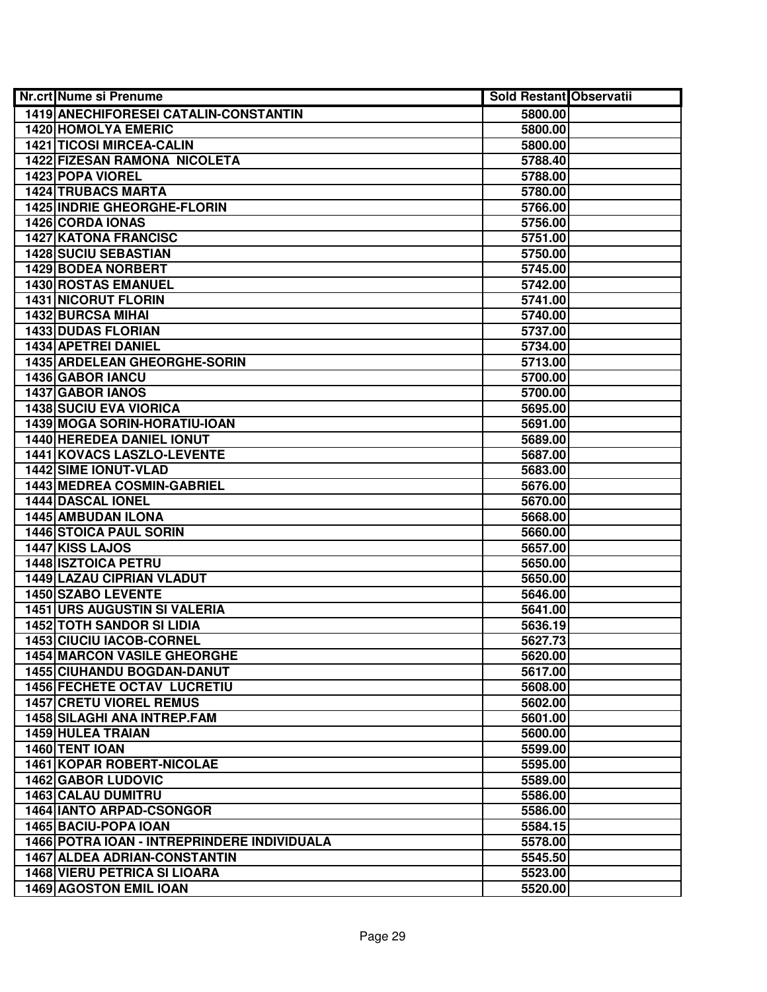| <b>Nr.crt Nume si Prenume</b>               | <b>Sold Restant Observatii</b> |  |
|---------------------------------------------|--------------------------------|--|
| 1419 ANECHIFORESEI CATALIN-CONSTANTIN       | 5800.00                        |  |
| <b>1420 HOMOLYA EMERIC</b>                  | 5800.00                        |  |
| <b>1421 TICOSI MIRCEA-CALIN</b>             | 5800.00                        |  |
| 1422 FIZESAN RAMONA NICOLETA                | 5788.40                        |  |
| 1423 POPA VIOREL                            | 5788.00                        |  |
| <b>1424 TRUBACS MARTA</b>                   | 5780.00                        |  |
| 1425 INDRIE GHEORGHE-FLORIN                 | 5766.00                        |  |
| 1426 CORDA IONAS                            | 5756.00                        |  |
| <b>1427 KATONA FRANCISC</b>                 | 5751.00                        |  |
| <b>1428 SUCIU SEBASTIAN</b>                 | 5750.00                        |  |
| <b>1429 BODEA NORBERT</b>                   | 5745.00                        |  |
| <b>1430 ROSTAS EMANUEL</b>                  | 5742.00                        |  |
| <b>1431 NICORUT FLORIN</b>                  | 5741.00                        |  |
| <b>1432 BURCSA MIHAI</b>                    | 5740.00                        |  |
| 1433 DUDAS FLORIAN                          | 5737.00                        |  |
| 1434 APETREI DANIEL                         | 5734.00                        |  |
| 1435 ARDELEAN GHEORGHE-SORIN                | 5713.00                        |  |
| 1436 GABOR IANCU                            | 5700.00                        |  |
| 1437 GABOR IANOS                            | 5700.00                        |  |
| <b>1438 SUCIU EVA VIORICA</b>               | 5695.00                        |  |
| 1439 MOGA SORIN-HORATIU-IOAN                | 5691.00                        |  |
| <b>1440 HEREDEA DANIEL IONUT</b>            | 5689.00                        |  |
| 1441 KOVACS LASZLO-LEVENTE                  | 5687.00                        |  |
| <b>1442 SIME IONUT-VLAD</b>                 | 5683.00                        |  |
| 1443 MEDREA COSMIN-GABRIEL                  | 5676.00                        |  |
| 1444 DASCAL IONEL                           | 5670.00                        |  |
| 1445 AMBUDAN ILONA                          | 5668.00                        |  |
| 1446 STOICA PAUL SORIN                      | 5660.00                        |  |
| 1447 KISS LAJOS                             | 5657.00                        |  |
| 1448 ISZTOICA PETRU                         | 5650.00                        |  |
| 1449 LAZAU CIPRIAN VLADUT                   | 5650.00                        |  |
| <b>1450 SZABO LEVENTE</b>                   | 5646.00                        |  |
| <b>1451 URS AUGUSTIN SI VALERIA</b>         | 5641.00                        |  |
| <b>1452 TOTH SANDOR SI LIDIA</b>            | 5636.19                        |  |
| <b>1453 CIUCIU IACOB-CORNEL</b>             | 5627.73                        |  |
| <b>1454 MARCON VASILE GHEORGHE</b>          | 5620.00                        |  |
| <b>1455 CIUHANDU BOGDAN-DANUT</b>           | 5617.00                        |  |
| <b>1456 FECHETE OCTAV LUCRETIU</b>          | 5608.00                        |  |
| <b>1457 CRETU VIOREL REMUS</b>              | 5602.00                        |  |
| 1458 SILAGHI ANA INTREP.FAM                 | 5601.00                        |  |
| <b>1459 HULEA TRAIAN</b>                    | 5600.00                        |  |
| 1460 TENT IOAN                              | 5599.00                        |  |
| <b>1461 KOPAR ROBERT-NICOLAE</b>            | 5595.00                        |  |
| 1462 GABOR LUDOVIC                          | 5589.00                        |  |
| <b>1463 CALAU DUMITRU</b>                   | 5586.00                        |  |
| <b>1464 IANTO ARPAD-CSONGOR</b>             | 5586.00                        |  |
| 1465 BACIU-POPA IOAN                        | 5584.15                        |  |
| 1466 POTRA IOAN - INTREPRINDERE INDIVIDUALA | 5578.00                        |  |
| <b>1467 ALDEA ADRIAN-CONSTANTIN</b>         | 5545.50                        |  |
| <b>1468 VIERU PETRICA SI LIOARA</b>         | 5523.00                        |  |
| 1469 AGOSTON EMIL IOAN                      | 5520.00                        |  |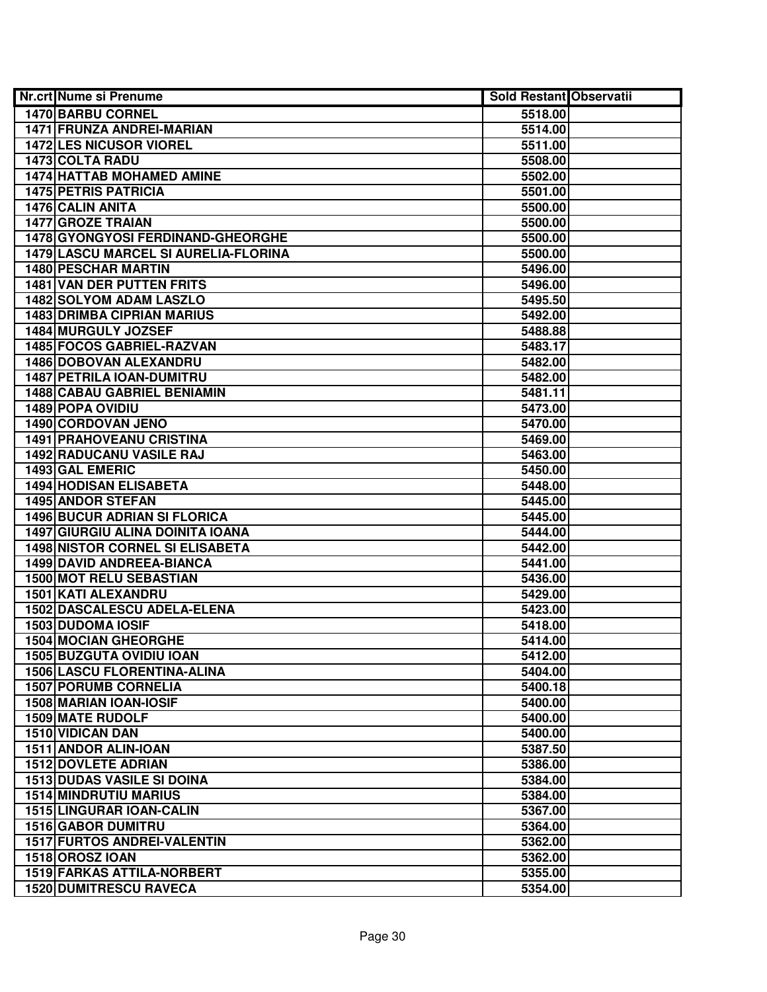| <b>Nr.crt Nume si Prenume</b>               | <b>Sold Restant Observatii</b> |  |
|---------------------------------------------|--------------------------------|--|
| 1470 BARBU CORNEL                           | 5518.00                        |  |
| <b>1471 FRUNZA ANDREI-MARIAN</b>            | 5514.00                        |  |
| 1472 LES NICUSOR VIOREL                     | 5511.00                        |  |
| 1473 COLTA RADU                             | 5508.00                        |  |
| <b>1474 HATTAB MOHAMED AMINE</b>            | 5502.00                        |  |
| <b>1475 PETRIS PATRICIA</b>                 | 5501.00                        |  |
| 1476 CALIN ANITA                            | 5500.00                        |  |
| <b>1477 GROZE TRAIAN</b>                    | 5500.00                        |  |
| 1478 GYONGYOSI FERDINAND-GHEORGHE           | 5500.00                        |  |
| <b>1479 LASCU MARCEL SI AURELIA-FLORINA</b> | 5500.00                        |  |
| <b>1480 PESCHAR MARTIN</b>                  | 5496.00                        |  |
| <b>1481 VAN DER PUTTEN FRITS</b>            | 5496.00                        |  |
| 1482 SOLYOM ADAM LASZLO                     | 5495.50                        |  |
| <b>1483 DRIMBA CIPRIAN MARIUS</b>           | 5492.00                        |  |
| 1484 MURGULY JOZSEF                         | 5488.88                        |  |
| 1485 FOCOS GABRIEL-RAZVAN                   | 5483.17                        |  |
| 1486 DOBOVAN ALEXANDRU                      | 5482.00                        |  |
| 1487 PETRILA IOAN-DUMITRU                   | 5482.00                        |  |
| <b>1488 CABAU GABRIEL BENIAMIN</b>          | 5481.11                        |  |
| 1489 POPA OVIDIU                            | 5473.00                        |  |
| 1490 CORDOVAN JENO                          | 5470.00                        |  |
| <b>1491 PRAHOVEANU CRISTINA</b>             | 5469.00                        |  |
| 1492 RADUCANU VASILE RAJ                    | 5463.00                        |  |
| 1493 GAL EMERIC                             | 5450.00                        |  |
| <b>1494 HODISAN ELISABETA</b>               | 5448.00                        |  |
| <b>1495 ANDOR STEFAN</b>                    | 5445.00                        |  |
| <b>1496 BUCUR ADRIAN SI FLORICA</b>         | 5445.00                        |  |
| <b>1497 GIURGIU ALINA DOINITA IOANA</b>     | 5444.00                        |  |
| <b>1498 NISTOR CORNEL SI ELISABETA</b>      | 5442.00                        |  |
| 1499 DAVID ANDREEA-BIANCA                   | 5441.00                        |  |
| 1500 MOT RELU SEBASTIAN                     | 5436.00                        |  |
| 1501 KATI ALEXANDRU                         | 5429.00                        |  |
| 1502 DASCALESCU ADELA-ELENA                 | 5423.00                        |  |
| 1503 DUDOMA IOSIF                           | 5418.00                        |  |
| <b>1504 MOCIAN GHEORGHE</b>                 | 5414.00                        |  |
| <b>1505 BUZGUTA OVIDIU IOAN</b>             | 5412.00                        |  |
| <b>1506 LASCU FLORENTINA-ALINA</b>          | 5404.00                        |  |
| <b>1507 PORUMB CORNELIA</b>                 | 5400.18                        |  |
| 1508 MARIAN IOAN-IOSIF                      | 5400.00                        |  |
| 1509 MATE RUDOLF                            | 5400.00                        |  |
| 1510 VIDICAN DAN                            | 5400.00                        |  |
| 1511 ANDOR ALIN-IOAN                        | 5387.50                        |  |
| <b>1512 DOVLETE ADRIAN</b>                  | 5386.00                        |  |
| <b>1513 DUDAS VASILE SI DOINA</b>           | 5384.00                        |  |
| <b>1514 MINDRUTIU MARIUS</b>                | 5384.00                        |  |
| 1515 LINGURAR IOAN-CALIN                    | 5367.00                        |  |
| <b>1516 GABOR DUMITRU</b>                   | 5364.00                        |  |
| 1517 FURTOS ANDREI-VALENTIN                 | 5362.00                        |  |
| 1518 OROSZ IOAN                             | 5362.00                        |  |
| 1519 FARKAS ATTILA-NORBERT                  | 5355.00                        |  |
| <b>1520 DUMITRESCU RAVECA</b>               | 5354.00                        |  |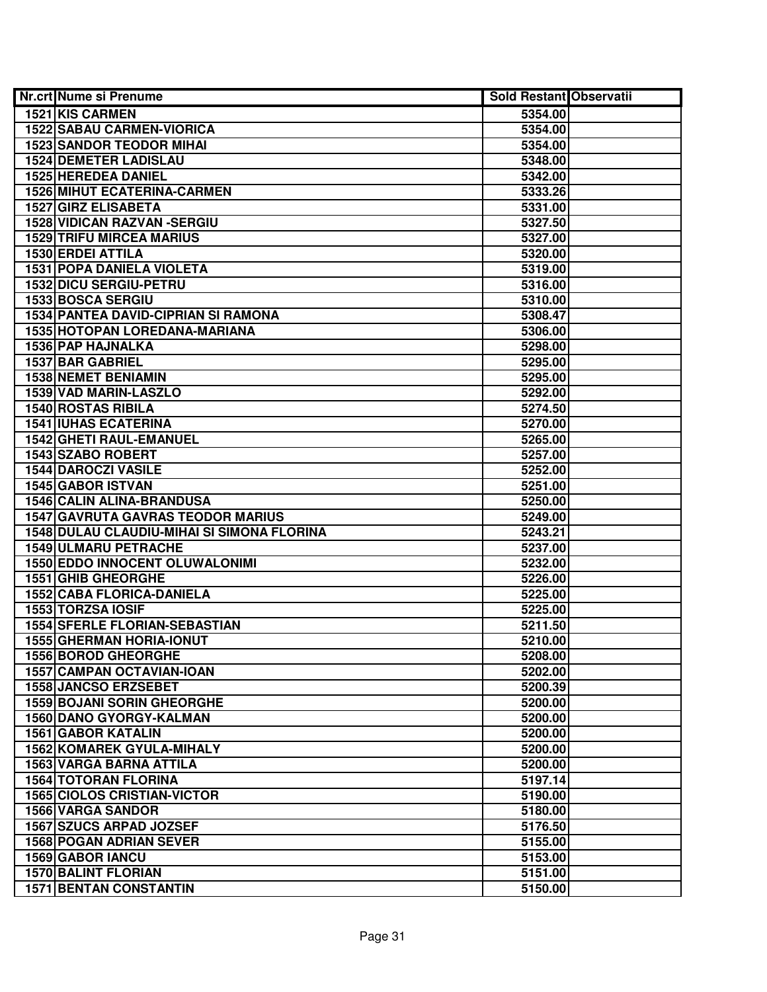| <b>Nr.crt Nume si Prenume</b>              | <b>Sold Restant Observatii</b> |  |
|--------------------------------------------|--------------------------------|--|
| 1521 KIS CARMEN                            | 5354.00                        |  |
| <b>1522 SABAU CARMEN-VIORICA</b>           | 5354.00                        |  |
| <b>1523 SANDOR TEODOR MIHAI</b>            | 5354.00                        |  |
| <b>1524 DEMETER LADISLAU</b>               | 5348.00                        |  |
| 1525 HEREDEA DANIEL                        | 5342.00                        |  |
| <b>1526 MIHUT ECATERINA-CARMEN</b>         | 5333.26                        |  |
| 1527 GIRZ ELISABETA                        | 5331.00                        |  |
| <b>1528 VIDICAN RAZVAN - SERGIU</b>        | 5327.50                        |  |
| <b>1529 TRIFU MIRCEA MARIUS</b>            | 5327.00                        |  |
| <b>1530 ERDEI ATTILA</b>                   | 5320.00                        |  |
| <b>1531 POPA DANIELA VIOLETA</b>           | 5319.00                        |  |
| <b>1532 DICU SERGIU-PETRU</b>              | 5316.00                        |  |
| <b>1533 BOSCA SERGIU</b>                   | 5310.00                        |  |
| <b>1534 PANTEA DAVID-CIPRIAN SI RAMONA</b> | 5308.47                        |  |
| 1535 HOTOPAN LOREDANA-MARIANA              | 5306.00                        |  |
| 1536 PAP HAJNALKA                          | 5298.00                        |  |
| 1537 BAR GABRIEL                           | 5295.00                        |  |
| 1538 NEMET BENIAMIN                        | 5295.00                        |  |
| 1539 VAD MARIN-LASZLO                      | 5292.00                        |  |
| 1540 ROSTAS RIBILA                         | 5274.50                        |  |
| <b>1541 IUHAS ECATERINA</b>                | 5270.00                        |  |
| 1542 GHETI RAUL-EMANUEL                    | 5265.00                        |  |
| 1543 SZABO ROBERT                          | 5257.00                        |  |
| <b>1544 DAROCZI VASILE</b>                 | 5252.00                        |  |
| 1545 GABOR ISTVAN                          | 5251.00                        |  |
| 1546 CALIN ALINA-BRANDUSA                  | 5250.00                        |  |
| <b>1547 GAVRUTA GAVRAS TEODOR MARIUS</b>   | 5249.00                        |  |
| 1548 DULAU CLAUDIU-MIHAI SI SIMONA FLORINA | 5243.21                        |  |
| 1549 ULMARU PETRACHE                       | 5237.00                        |  |
| <b>1550 EDDO INNOCENT OLUWALONIMI</b>      | 5232.00                        |  |
| 1551 GHIB GHEORGHE                         | 5226.00                        |  |
| <b>1552 CABA FLORICA-DANIELA</b>           | 5225.00                        |  |
| 1553 TORZSA IOSIF                          | 5225.00                        |  |
| <b>1554 SFERLE FLORIAN-SEBASTIAN</b>       | 5211.50                        |  |
| 1555 GHERMAN HORIA-IONUT                   | 5210.00                        |  |
| <b>1556 BOROD GHEORGHE</b>                 | 5208.00                        |  |
| 1557 CAMPAN OCTAVIAN-IOAN                  | 5202.00                        |  |
| <b>1558 JANCSO ERZSEBET</b>                | 5200.39                        |  |
| <b>1559 BOJANI SORIN GHEORGHE</b>          | 5200.00                        |  |
| <b>1560 DANO GYORGY-KALMAN</b>             | 5200.00                        |  |
| <b>1561 GABOR KATALIN</b>                  | 5200.00                        |  |
| <b>1562 KOMAREK GYULA-MIHALY</b>           | 5200.00                        |  |
| 1563 VARGA BARNA ATTILA                    | 5200.00                        |  |
| <b>1564 TOTORAN FLORINA</b>                | 5197.14                        |  |
| <b>1565 CIOLOS CRISTIAN-VICTOR</b>         | 5190.00                        |  |
| 1566 VARGA SANDOR                          | 5180.00                        |  |
| 1567 SZUCS ARPAD JOZSEF                    | 5176.50                        |  |
| <b>1568 POGAN ADRIAN SEVER</b>             | 5155.00                        |  |
| 1569 GABOR IANCU                           | 5153.00                        |  |
| <b>1570 BALINT FLORIAN</b>                 | 5151.00                        |  |
| <b>1571 BENTAN CONSTANTIN</b>              | 5150.00                        |  |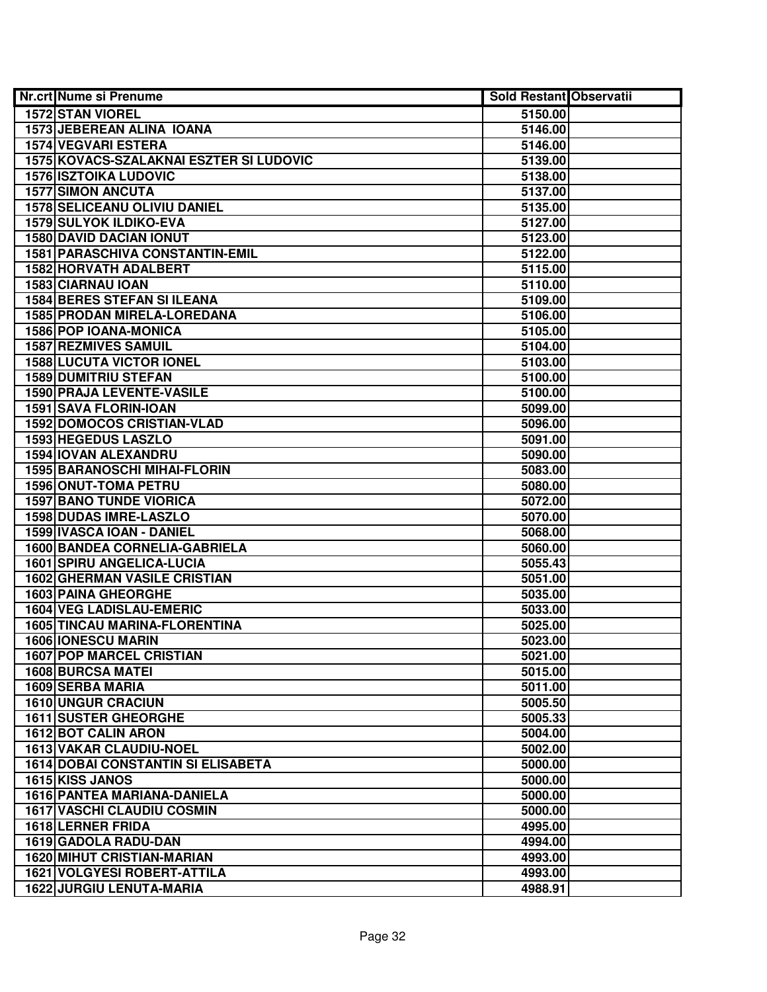| <b>Nr.crt Nume si Prenume</b>             | <b>Sold Restant Observatii</b> |  |
|-------------------------------------------|--------------------------------|--|
| <b>1572 STAN VIOREL</b>                   | 5150.00                        |  |
| <b>1573 JEBEREAN ALINA IOANA</b>          | 5146.00                        |  |
| <b>1574 VEGVARI ESTERA</b>                | 5146.00                        |  |
| 1575 KOVACS-SZALAKNAI ESZTER SI LUDOVIC   | 5139.00                        |  |
| <b>1576 ISZTOIKA LUDOVIC</b>              | 5138.00                        |  |
| <b>1577 SIMON ANCUTA</b>                  | 5137.00                        |  |
| <b>1578 SELICEANU OLIVIU DANIEL</b>       | 5135.00                        |  |
| <b>1579 SULYOK ILDIKO-EVA</b>             | 5127.00                        |  |
| <b>1580 DAVID DACIAN IONUT</b>            | 5123.00                        |  |
| <b>1581 PARASCHIVA CONSTANTIN-EMIL</b>    | 5122.00                        |  |
| 1582 HORVATH ADALBERT                     | 5115.00                        |  |
| <b>1583 CIARNAU IOAN</b>                  | 5110.00                        |  |
| <b>1584 BERES STEFAN SI ILEANA</b>        | 5109.00                        |  |
| 1585 PRODAN MIRELA-LOREDANA               | 5106.00                        |  |
| 1586 POP IOANA-MONICA                     | 5105.00                        |  |
| <b>1587 REZMIVES SAMUIL</b>               | 5104.00                        |  |
| <b>1588 LUCUTA VICTOR IONEL</b>           | 5103.00                        |  |
| <b>1589 DUMITRIU STEFAN</b>               | 5100.00                        |  |
| <b>1590 PRAJA LEVENTE-VASILE</b>          | 5100.00                        |  |
| 1591 SAVA FLORIN-IOAN                     | 5099.00                        |  |
| <b>1592 DOMOCOS CRISTIAN-VLAD</b>         | 5096.00                        |  |
| 1593 HEGEDUS LASZLO                       | 5091.00                        |  |
| 1594 IOVAN ALEXANDRU                      | 5090.00                        |  |
| 1595 BARANOSCHI MIHAI-FLORIN              | 5083.00                        |  |
| <b>1596 ONUT-TOMA PETRU</b>               | 5080.00                        |  |
| <b>1597 BANO TUNDE VIORICA</b>            | 5072.00                        |  |
| <b>1598 DUDAS IMRE-LASZLO</b>             | 5070.00                        |  |
| 1599 IVASCA IOAN - DANIEL                 | 5068.00                        |  |
| 1600 BANDEA CORNELIA-GABRIELA             | 5060.00                        |  |
| 1601 SPIRU ANGELICA-LUCIA                 | 5055.43                        |  |
| <b>1602 GHERMAN VASILE CRISTIAN</b>       | 5051.00                        |  |
| <b>1603 PAINA GHEORGHE</b>                | 5035.00                        |  |
| 1604 VEG LADISLAU-EMERIC                  | 5033.00                        |  |
| <b>1605 TINCAU MARINA-FLORENTINA</b>      | 5025.00                        |  |
| <b>1606 IONESCU MARIN</b>                 | 5023.00                        |  |
| <b>1607 POP MARCEL CRISTIAN</b>           | 5021.00                        |  |
| <b>1608 BURCSA MATEI</b>                  | 5015.00                        |  |
| 1609 SERBA MARIA                          | 5011.00                        |  |
| <b>1610 UNGUR CRACIUN</b>                 | 5005.50                        |  |
| <b>1611 SUSTER GHEORGHE</b>               | 5005.33                        |  |
| 1612 BOT CALIN ARON                       | 5004.00                        |  |
| 1613 VAKAR CLAUDIU-NOEL                   | 5002.00                        |  |
| <b>1614 DOBAI CONSTANTIN SI ELISABETA</b> | 5000.00                        |  |
| 1615 KISS JANOS                           | 5000.00                        |  |
| 1616 PANTEA MARIANA-DANIELA               | 5000.00                        |  |
| <b>1617 VASCHI CLAUDIU COSMIN</b>         | 5000.00                        |  |
| 1618 LERNER FRIDA                         | 4995.00                        |  |
| 1619 GADOLA RADU-DAN                      | 4994.00                        |  |
| <b>1620 MIHUT CRISTIAN-MARIAN</b>         | 4993.00                        |  |
| <b>1621 VOLGYESI ROBERT-ATTILA</b>        | 4993.00                        |  |
| <b>1622 JURGIU LENUTA-MARIA</b>           | 4988.91                        |  |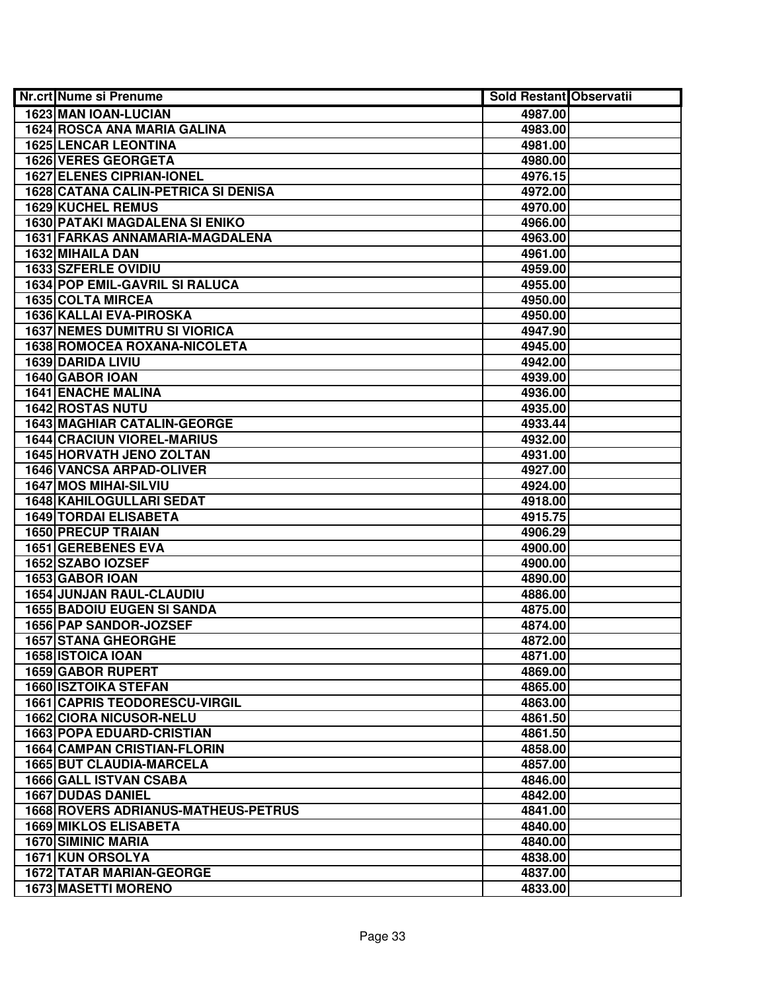| <b>Nr.crt Nume si Prenume</b>              | <b>Sold Restant Observatii</b> |  |
|--------------------------------------------|--------------------------------|--|
| 1623 MAN IOAN-LUCIAN                       | 4987.00                        |  |
| <b>1624 ROSCA ANA MARIA GALINA</b>         | 4983.00                        |  |
| <b>1625 LENCAR LEONTINA</b>                | 4981.00                        |  |
| 1626 VERES GEORGETA                        | 4980.00                        |  |
| <b>1627 ELENES CIPRIAN-IONEL</b>           | 4976.15                        |  |
| 1628 CATANA CALIN-PETRICA SI DENISA        | 4972.00                        |  |
| 1629 KUCHEL REMUS                          | 4970.00                        |  |
| 1630 PATAKI MAGDALENA SI ENIKO             | 4966.00                        |  |
| 1631 FARKAS ANNAMARIA-MAGDALENA            | 4963.00                        |  |
| 1632 MIHAILA DAN                           | 4961.00                        |  |
| <b>1633 SZFERLE OVIDIU</b>                 | 4959.00                        |  |
| <b>1634 POP EMIL-GAVRIL SI RALUCA</b>      | 4955.00                        |  |
| <b>1635 COLTA MIRCEA</b>                   | 4950.00                        |  |
| 1636 KALLAI EVA-PIROSKA                    | 4950.00                        |  |
| <b>1637 NEMES DUMITRU SI VIORICA</b>       | 4947.90                        |  |
| 1638 ROMOCEA ROXANA-NICOLETA               | 4945.00                        |  |
| 1639 DARIDA LIVIU                          | 4942.00                        |  |
| 1640 GABOR IOAN                            | 4939.00                        |  |
| <b>1641 ENACHE MALINA</b>                  | 4936.00                        |  |
| <b>1642 ROSTAS NUTU</b>                    | 4935.00                        |  |
| <b>1643 MAGHIAR CATALIN-GEORGE</b>         | 4933.44                        |  |
| <b>1644 CRACIUN VIOREL-MARIUS</b>          | 4932.00                        |  |
| 1645 HORVATH JENO ZOLTAN                   | 4931.00                        |  |
| 1646 VANCSA ARPAD-OLIVER                   | 4927.00                        |  |
| <b>1647 MOS MIHAI-SILVIU</b>               | 4924.00                        |  |
| 1648 KAHILOGULLARI SEDAT                   | 4918.00                        |  |
| 1649 TORDAI ELISABETA                      | 4915.75                        |  |
| 1650 PRECUP TRAIAN                         | 4906.29                        |  |
| <b>1651 GEREBENES EVA</b>                  | 4900.00                        |  |
| 1652 SZABO IOZSEF                          | 4900.00                        |  |
| 1653 GABOR IOAN                            | 4890.00                        |  |
| 1654 JUNJAN RAUL-CLAUDIU                   | 4886.00                        |  |
| <b>1655 BADOIU EUGEN SI SANDA</b>          | 4875.00                        |  |
| 1656 PAP SANDOR-JOZSEF                     | 4874.00                        |  |
| <b>1657 STANA GHEORGHE</b>                 | 4872.00                        |  |
| 1658 ISTOICA IOAN                          | 4871.00                        |  |
| <b>1659 GABOR RUPERT</b>                   | 4869.00                        |  |
| <b>1660 ISZTOIKA STEFAN</b>                | 4865.00                        |  |
| <b>1661 CAPRIS TEODORESCU-VIRGIL</b>       | 4863.00                        |  |
| <b>1662 CIORA NICUSOR-NELU</b>             | 4861.50                        |  |
| <b>1663 POPA EDUARD-CRISTIAN</b>           | 4861.50                        |  |
| <b>1664 CAMPAN CRISTIAN-FLORIN</b>         | 4858.00                        |  |
| <b>1665 BUT CLAUDIA-MARCELA</b>            | 4857.00                        |  |
| <b>1666 GALL ISTVAN CSABA</b>              | 4846.00                        |  |
| <b>1667 DUDAS DANIEL</b>                   | 4842.00                        |  |
| <b>1668 ROVERS ADRIANUS-MATHEUS-PETRUS</b> | 4841.00                        |  |
| <b>1669 MIKLOS ELISABETA</b>               | 4840.00                        |  |
| <b>1670 SIMINIC MARIA</b>                  | 4840.00                        |  |
| 1671 KUN ORSOLYA                           | 4838.00                        |  |
| 1672 TATAR MARIAN-GEORGE                   | 4837.00                        |  |
| <b>1673 MASETTI MORENO</b>                 | 4833.00                        |  |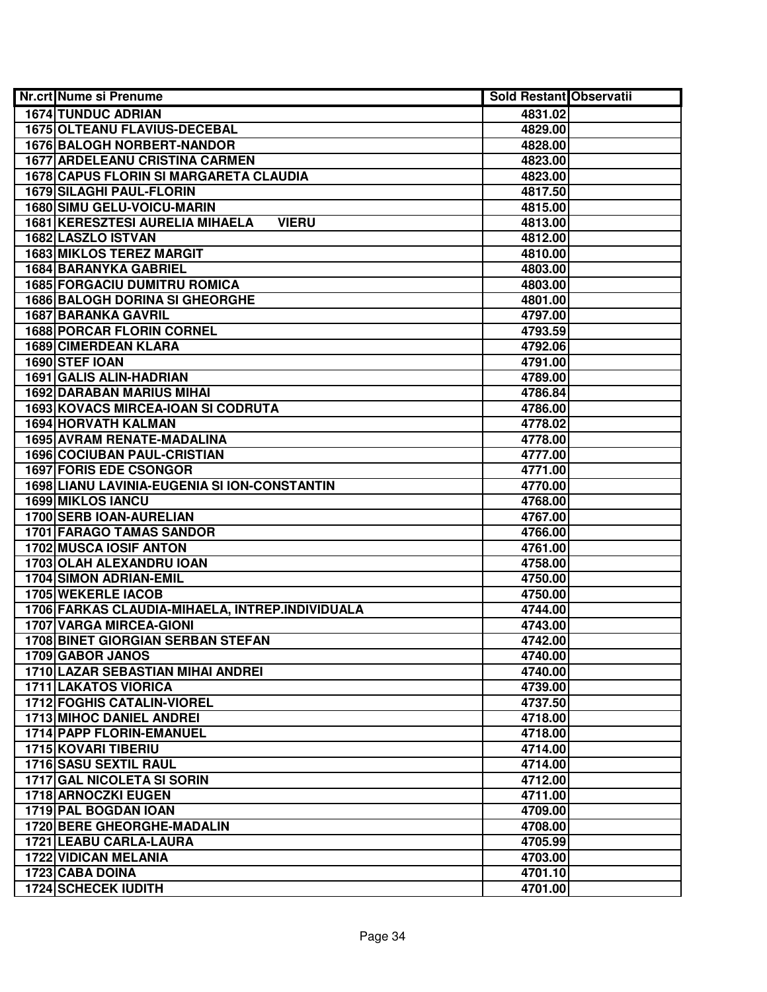| <b>Nr.crt Nume si Prenume</b>                          | <b>Sold Restant Observatii</b> |  |
|--------------------------------------------------------|--------------------------------|--|
| <b>1674 TUNDUC ADRIAN</b>                              | 4831.02                        |  |
| 1675 OLTEANU FLAVIUS-DECEBAL                           | 4829.00                        |  |
| <b>1676 BALOGH NORBERT-NANDOR</b>                      | 4828.00                        |  |
| <b>1677 ARDELEANU CRISTINA CARMEN</b>                  | 4823.00                        |  |
| 1678 CAPUS FLORIN SI MARGARETA CLAUDIA                 | 4823.00                        |  |
| 1679 SILAGHI PAUL-FLORIN                               | 4817.50                        |  |
| <b>1680 SIMU GELU-VOICU-MARIN</b>                      | 4815.00                        |  |
| <b>1681 KERESZTESI AURELIA MIHAELA</b><br><b>VIERU</b> | 4813.00                        |  |
| 1682 LASZLO ISTVAN                                     | 4812.00                        |  |
| <b>1683 MIKLOS TEREZ MARGIT</b>                        | 4810.00                        |  |
| <b>1684 BARANYKA GABRIEL</b>                           | 4803.00                        |  |
| <b>1685 FORGACIU DUMITRU ROMICA</b>                    | 4803.00                        |  |
| <b>1686 BALOGH DORINA SI GHEORGHE</b>                  | 4801.00                        |  |
| <b>1687 BARANKA GAVRIL</b>                             | 4797.00                        |  |
| <b>1688 PORCAR FLORIN CORNEL</b>                       | 4793.59                        |  |
| 1689 CIMERDEAN KLARA                                   | 4792.06                        |  |
| 1690 STEF IOAN                                         | 4791.00                        |  |
| 1691 GALIS ALIN-HADRIAN                                | 4789.00                        |  |
| <b>1692 DARABAN MARIUS MIHAI</b>                       | 4786.84                        |  |
| 1693 KOVACS MIRCEA-IOAN SI CODRUTA                     | 4786.00                        |  |
| 1694 HORVATH KALMAN                                    | 4778.02                        |  |
| 1695 AVRAM RENATE-MADALINA                             | 4778.00                        |  |
| <b>1696 COCIUBAN PAUL-CRISTIAN</b>                     | 4777.00                        |  |
| <b>1697 FORIS EDE CSONGOR</b>                          | 4771.00                        |  |
| 1698 LIANU LAVINIA-EUGENIA SI ION-CONSTANTIN           | 4770.00                        |  |
| <b>1699 MIKLOS IANCU</b>                               | 4768.00                        |  |
| 1700 SERB IOAN-AURELIAN                                | 4767.00                        |  |
| <b>1701 FARAGO TAMAS SANDOR</b>                        | 4766.00                        |  |
| 1702 MUSCA IOSIF ANTON                                 | 4761.00                        |  |
| 1703 OLAH ALEXANDRU IOAN                               | 4758.00                        |  |
| 1704 SIMON ADRIAN-EMIL                                 | 4750.00                        |  |
| 1705 WEKERLE IACOB                                     | 4750.00                        |  |
| 1706 FARKAS CLAUDIA-MIHAELA, INTREP.INDIVIDUALA        | 4744.00                        |  |
| <b>1707 VARGA MIRCEA-GIONI</b>                         | 4743.00                        |  |
| <b>1708 BINET GIORGIAN SERBAN STEFAN</b>               | 4742.00                        |  |
| 1709 GABOR JANOS                                       | 4740.00                        |  |
| <b>1710 LAZAR SEBASTIAN MIHAI ANDREI</b>               | 4740.00                        |  |
| <b>1711 LAKATOS VIORICA</b>                            | 4739.00                        |  |
| <b>1712 FOGHIS CATALIN-VIOREL</b>                      | 4737.50                        |  |
| <b>1713 MIHOC DANIEL ANDREI</b>                        | 4718.00                        |  |
| <b>1714 PAPP FLORIN-EMANUEL</b>                        | 4718.00                        |  |
| 1715 KOVARI TIBERIU                                    | 4714.00                        |  |
| 1716 SASU SEXTIL RAUL                                  | 4714.00                        |  |
| 1717 GAL NICOLETA SI SORIN                             | 4712.00                        |  |
| 1718 ARNOCZKI EUGEN                                    | 4711.00                        |  |
| 1719 PAL BOGDAN IOAN                                   | 4709.00                        |  |
| <b>1720 BERE GHEORGHE-MADALIN</b>                      | 4708.00                        |  |
| 1721 LEABU CARLA-LAURA                                 | 4705.99                        |  |
| <b>1722 VIDICAN MELANIA</b>                            | 4703.00                        |  |
| 1723 CABA DOINA                                        | 4701.10                        |  |
| <b>1724 SCHECEK IUDITH</b>                             | 4701.00                        |  |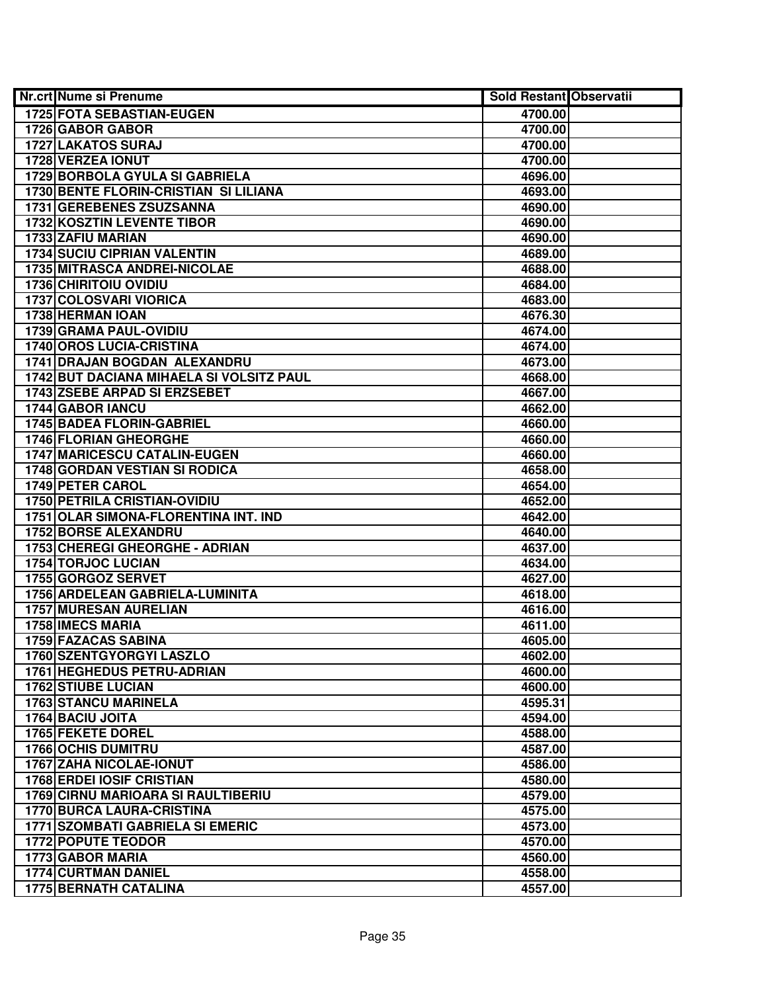| <b>Nr.crt Nume si Prenume</b>                                   | <b>Sold Restant Observatii</b> |  |
|-----------------------------------------------------------------|--------------------------------|--|
| 1725 FOTA SEBASTIAN-EUGEN                                       | 4700.00                        |  |
| 1726 GABOR GABOR                                                | 4700.00                        |  |
| 1727 LAKATOS SURAJ                                              | 4700.00                        |  |
| 1728 VERZEA IONUT                                               | 4700.00                        |  |
| 1729 BORBOLA GYULA SI GABRIELA                                  | 4696.00                        |  |
| 1730 BENTE FLORIN-CRISTIAN SI LILIANA                           | 4693.00                        |  |
| 1731 GEREBENES ZSUZSANNA                                        | 4690.00                        |  |
| 1732 KOSZTIN LEVENTE TIBOR                                      | 4690.00                        |  |
| 1733 ZAFIU MARIAN                                               | 4690.00                        |  |
| <b>1734 SUCIU CIPRIAN VALENTIN</b>                              | 4689.00                        |  |
| 1735 MITRASCA ANDREI-NICOLAE                                    | 4688.00                        |  |
| <b>1736 CHIRITOIU OVIDIU</b>                                    | 4684.00                        |  |
| <b>1737 COLOSVARI VIORICA</b>                                   | 4683.00                        |  |
| 1738 HERMAN IOAN                                                | 4676.30                        |  |
| 1739 GRAMA PAUL-OVIDIU                                          | 4674.00                        |  |
| <b>1740 OROS LUCIA-CRISTINA</b>                                 | 4674.00                        |  |
| 1741 DRAJAN BOGDAN ALEXANDRU                                    | 4673.00                        |  |
| 1742 BUT DACIANA MIHAELA SI VOLSITZ PAUL                        | 4668.00                        |  |
| <b>1743 ZSEBE ARPAD SI ERZSEBET</b>                             | 4667.00                        |  |
| 1744 GABOR IANCU                                                | 4662.00                        |  |
| 1745 BADEA FLORIN-GABRIEL                                       | 4660.00                        |  |
| 1746 FLORIAN GHEORGHE                                           | 4660.00                        |  |
| 1747 MARICESCU CATALIN-EUGEN                                    | 4660.00                        |  |
| <b>1748 GORDAN VESTIAN SI RODICA</b>                            | 4658.00                        |  |
| 1749 PETER CAROL                                                | 4654.00                        |  |
| <b>1750 PETRILA CRISTIAN-OVIDIU</b>                             | 4652.00                        |  |
| 1751 OLAR SIMONA-FLORENTINA INT. IND                            | 4642.00                        |  |
| 1752 BORSE ALEXANDRU                                            | 4640.00                        |  |
| 1753 CHEREGI GHEORGHE - ADRIAN                                  | 4637.00                        |  |
| 1754 TORJOC LUCIAN                                              | 4634.00                        |  |
| 1755 GORGOZ SERVET                                              | 4627.00                        |  |
| 1756 ARDELEAN GABRIELA-LUMINITA                                 | 4618.00                        |  |
| 1757 MURESAN AURELIAN                                           | 4616.00                        |  |
| <b>1758 IMECS MARIA</b>                                         | 4611.00                        |  |
| 1759 FAZACAS SABINA                                             | 4605.00                        |  |
| 1760 SZENTGYORGYI LASZLO                                        | 4602.00                        |  |
| <b>1761 HEGHEDUS PETRU-ADRIAN</b>                               | 4600.00                        |  |
| <b>1762 STIUBE LUCIAN</b>                                       | 4600.00                        |  |
| <b>1763 STANCU MARINELA</b>                                     | 4595.31                        |  |
| 1764 BACIU JOITA                                                | 4594.00                        |  |
| 1765 FEKETE DOREL                                               | 4588.00                        |  |
| <b>1766 OCHIS DUMITRU</b>                                       | 4587.00                        |  |
| 1767 ZAHA NICOLAE-IONUT                                         | 4586.00                        |  |
| 1768 ERDEI IOSIF CRISTIAN<br>1769 CIRNU MARIOARA SI RAULTIBERIU | 4580.00                        |  |
| <b>1770 BURCA LAURA-CRISTINA</b>                                | 4579.00<br>4575.00             |  |
| <b>1771 SZOMBATI GABRIELA SI EMERIC</b>                         | 4573.00                        |  |
| <b>1772 POPUTE TEODOR</b>                                       | 4570.00                        |  |
| 1773 GABOR MARIA                                                | 4560.00                        |  |
| <b>1774 CURTMAN DANIEL</b>                                      | 4558.00                        |  |
| <b>1775 BERNATH CATALINA</b>                                    | 4557.00                        |  |
|                                                                 |                                |  |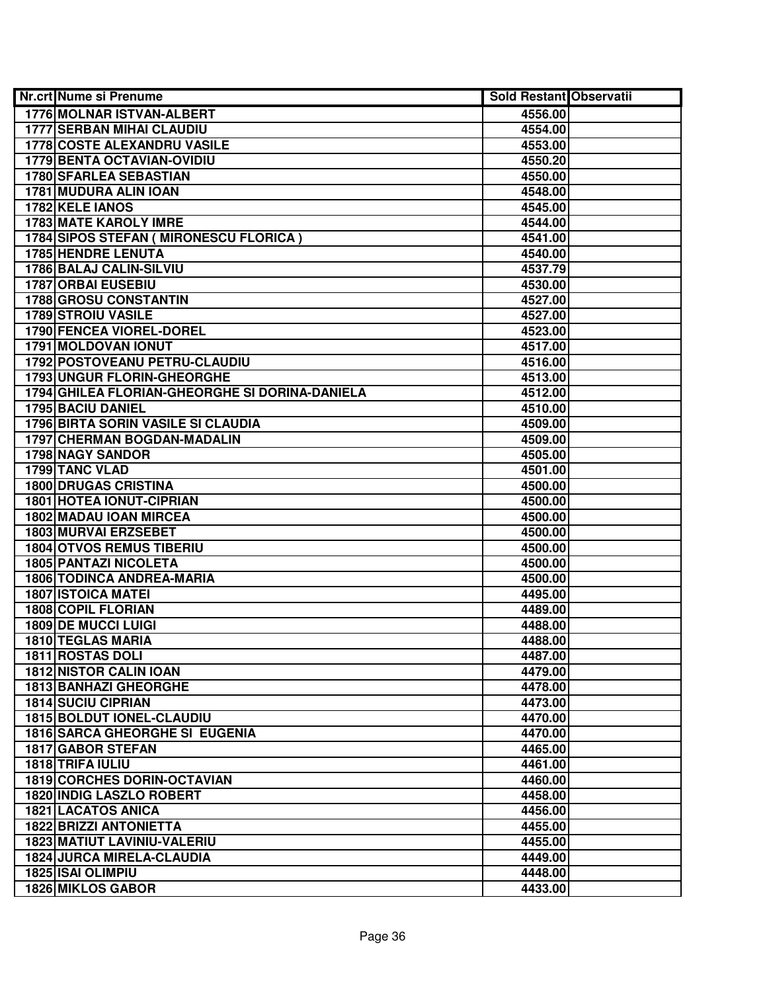| <b>Nr.crt Nume si Prenume</b>                  | <b>Sold Restant Observatii</b> |  |
|------------------------------------------------|--------------------------------|--|
| <b>1776 MOLNAR ISTVAN-ALBERT</b>               | 4556.00                        |  |
| <b>1777 SERBAN MIHAI CLAUDIU</b>               | 4554.00                        |  |
| <b>1778 COSTE ALEXANDRU VASILE</b>             | 4553.00                        |  |
| <b>1779 BENTA OCTAVIAN-OVIDIU</b>              | 4550.20                        |  |
| 1780 SFARLEA SEBASTIAN                         | 4550.00                        |  |
| 1781 MUDURA ALIN IOAN                          | 4548.00                        |  |
| 1782 KELE IANOS                                | 4545.00                        |  |
| <b>1783 MATE KAROLY IMRE</b>                   | 4544.00                        |  |
| <b>1784 SIPOS STEFAN ( MIRONESCU FLORICA )</b> | 4541.00                        |  |
| <b>1785 HENDRE LENUTA</b>                      | 4540.00                        |  |
| 1786 BALAJ CALIN-SILVIU                        | 4537.79                        |  |
| <b>1787 ORBAI EUSEBIU</b>                      | 4530.00                        |  |
| <b>1788 GROSU CONSTANTIN</b>                   | 4527.00                        |  |
| <b>1789 STROIU VASILE</b>                      | 4527.00                        |  |
| 1790 FENCEA VIOREL-DOREL                       | 4523.00                        |  |
| 1791 MOLDOVAN IONUT                            | 4517.00                        |  |
| 1792 POSTOVEANU PETRU-CLAUDIU                  | 4516.00                        |  |
| 1793 UNGUR FLORIN-GHEORGHE                     | 4513.00                        |  |
| 1794 GHILEA FLORIAN-GHEORGHE SI DORINA-DANIELA | 4512.00                        |  |
| 1795 BACIU DANIEL                              | 4510.00                        |  |
| 1796 BIRTA SORIN VASILE SI CLAUDIA             | 4509.00                        |  |
| 1797 CHERMAN BOGDAN-MADALIN                    | 4509.00                        |  |
| 1798 NAGY SANDOR                               | 4505.00                        |  |
| 1799 TANC VLAD                                 | 4501.00                        |  |
| <b>1800 DRUGAS CRISTINA</b>                    | 4500.00                        |  |
| <b>1801 HOTEA IONUT-CIPRIAN</b>                | 4500.00                        |  |
| 1802 MADAU IOAN MIRCEA                         | 4500.00                        |  |
| 1803 MURVAI ERZSEBET                           | 4500.00                        |  |
| <b>1804 OTVOS REMUS TIBERIU</b>                | 4500.00                        |  |
| 1805 PANTAZI NICOLETA                          | 4500.00                        |  |
| <b>1806 TODINCA ANDREA-MARIA</b>               | 4500.00                        |  |
| <b>1807 ISTOICA MATEI</b>                      | 4495.00                        |  |
| 1808 COPIL FLORIAN                             | 4489.00                        |  |
| <b>1809 DE MUCCI LUIGI</b>                     | 4488.00                        |  |
| <b>1810 TEGLAS MARIA</b>                       | 4488.00                        |  |
| 1811 ROSTAS DOLI                               | 4487.00                        |  |
| <b>1812 NISTOR CALIN IOAN</b>                  | 4479.00                        |  |
| <b>1813 BANHAZI GHEORGHE</b>                   | 4478.00                        |  |
| <b>1814 SUCIU CIPRIAN</b>                      | 4473.00                        |  |
| 1815 BOLDUT IONEL-CLAUDIU                      | 4470.00                        |  |
| <b>1816 SARCA GHEORGHE SI EUGENIA</b>          | 4470.00                        |  |
| 1817 GABOR STEFAN                              | 4465.00                        |  |
| 1818 TRIFA IULIU                               | 4461.00                        |  |
| 1819 CORCHES DORIN-OCTAVIAN                    | 4460.00                        |  |
| 1820 INDIG LASZLO ROBERT                       | 4458.00                        |  |
| <b>1821 LACATOS ANICA</b>                      | 4456.00                        |  |
| <b>1822 BRIZZI ANTONIETTA</b>                  | 4455.00                        |  |
| 1823 MATIUT LAVINIU-VALERIU                    | 4455.00                        |  |
| <b>1824 JURCA MIRELA-CLAUDIA</b>               | 4449.00                        |  |
| <b>1825 ISAI OLIMPIU</b>                       | 4448.00                        |  |
| <b>1826 MIKLOS GABOR</b>                       | 4433.00                        |  |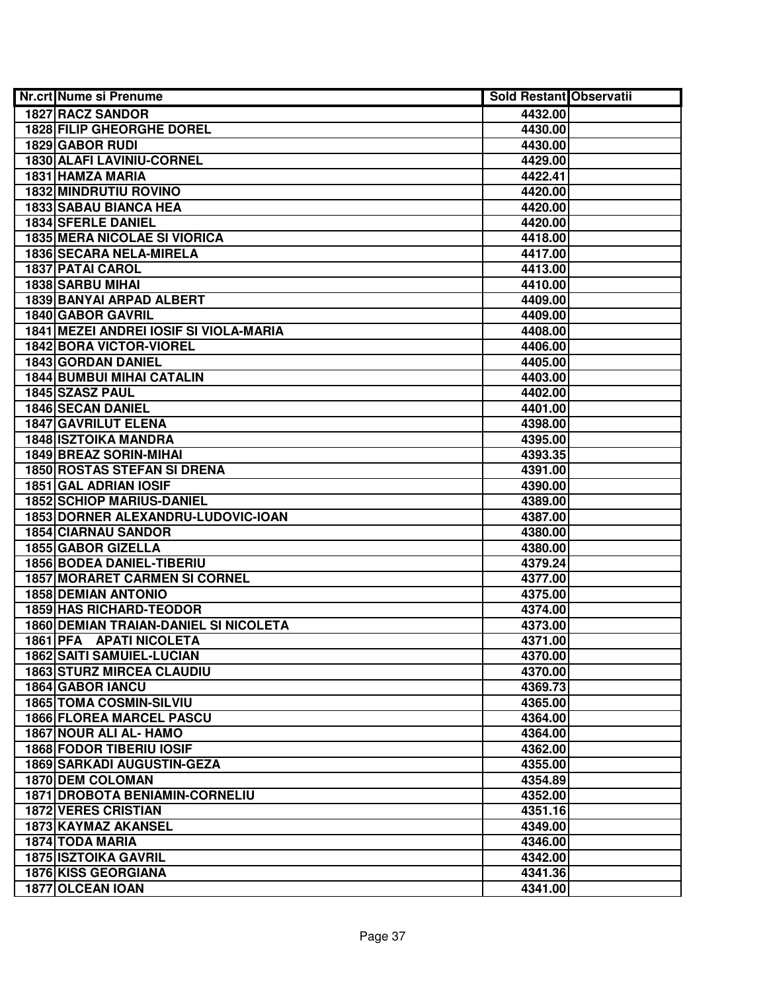| <b>Nr.crt Nume si Prenume</b>                | <b>Sold Restant Observatii</b> |  |
|----------------------------------------------|--------------------------------|--|
| <b>1827 RACZ SANDOR</b>                      | 4432.00                        |  |
| <b>1828 FILIP GHEORGHE DOREL</b>             | 4430.00                        |  |
| 1829 GABOR RUDI                              | 4430.00                        |  |
| <b>1830 ALAFI LAVINIU-CORNEL</b>             | 4429.00                        |  |
| 1831 HAMZA MARIA                             | 4422.41                        |  |
| <b>1832 MINDRUTIU ROVINO</b>                 | 4420.00                        |  |
| 1833 SABAU BIANCA HEA                        | 4420.00                        |  |
| <b>1834 SFERLE DANIEL</b>                    | 4420.00                        |  |
| <b>1835 MERA NICOLAE SI VIORICA</b>          | 4418.00                        |  |
| <b>1836 SECARA NELA-MIRELA</b>               | 4417.00                        |  |
| <b>1837 PATAI CAROL</b>                      | 4413.00                        |  |
| <b>1838 SARBU MIHAI</b>                      | 4410.00                        |  |
| 1839 BANYAI ARPAD ALBERT                     | 4409.00                        |  |
| <b>1840 GABOR GAVRIL</b>                     | 4409.00                        |  |
| 1841 MEZEI ANDREI IOSIF SI VIOLA-MARIA       | 4408.00                        |  |
| 1842 BORA VICTOR-VIOREL                      | 4406.00                        |  |
| 1843 GORDAN DANIEL                           | 4405.00                        |  |
| <b>1844 BUMBUI MIHAI CATALIN</b>             | 4403.00                        |  |
| 1845 SZASZ PAUL                              | 4402.00                        |  |
| <b>1846 SECAN DANIEL</b>                     | 4401.00                        |  |
| <b>1847 GAVRILUT ELENA</b>                   | 4398.00                        |  |
| <b>1848 ISZTOIKA MANDRA</b>                  | 4395.00                        |  |
| 1849 BREAZ SORIN-MIHAI                       | 4393.35                        |  |
| 1850 ROSTAS STEFAN SI DRENA                  | 4391.00                        |  |
| 1851 GAL ADRIAN IOSIF                        | 4390.00                        |  |
| <b>1852 SCHIOP MARIUS-DANIEL</b>             | 4389.00                        |  |
| 1853 DORNER ALEXANDRU-LUDOVIC-IOAN           | 4387.00                        |  |
| <b>1854 CIARNAU SANDOR</b>                   | 4380.00                        |  |
| 1855 GABOR GIZELLA                           | 4380.00                        |  |
| 1856 BODEA DANIEL-TIBERIU                    | 4379.24                        |  |
| <b>1857 MORARET CARMEN SI CORNEL</b>         | 4377.00                        |  |
| <b>1858 DEMIAN ANTONIO</b>                   | 4375.00                        |  |
| <b>1859 HAS RICHARD-TEODOR</b>               | 4374.00                        |  |
| <b>1860 DEMIAN TRAIAN-DANIEL SI NICOLETA</b> | 4373.00                        |  |
| <b>1861 PFA APATI NICOLETA</b>               | 4371.00                        |  |
| <b>1862 SAITI SAMUIEL-LUCIAN</b>             | 4370.00                        |  |
| <b>1863 STURZ MIRCEA CLAUDIU</b>             | 4370.00                        |  |
| <b>1864 GABOR IANCU</b>                      | 4369.73                        |  |
| <b>1865 TOMA COSMIN-SILVIU</b>               | 4365.00                        |  |
| <b>1866 FLOREA MARCEL PASCU</b>              | 4364.00                        |  |
| 1867 NOUR ALI AL- HAMO                       | 4364.00                        |  |
| <b>1868 FODOR TIBERIU IOSIF</b>              | 4362.00                        |  |
| <b>1869 SARKADI AUGUSTIN-GEZA</b>            | 4355.00                        |  |
| <b>1870 DEM COLOMAN</b>                      | 4354.89                        |  |
| <b>1871 DROBOTA BENIAMIN-CORNELIU</b>        | 4352.00                        |  |
| <b>1872 VERES CRISTIAN</b>                   | 4351.16                        |  |
| 1873 KAYMAZ AKANSEL                          | 4349.00                        |  |
| 1874 TODA MARIA                              | 4346.00                        |  |
| <b>1875 ISZTOIKA GAVRIL</b>                  | 4342.00                        |  |
| <b>1876 KISS GEORGIANA</b>                   | 4341.36                        |  |
| 1877 OLCEAN IOAN                             | 4341.00                        |  |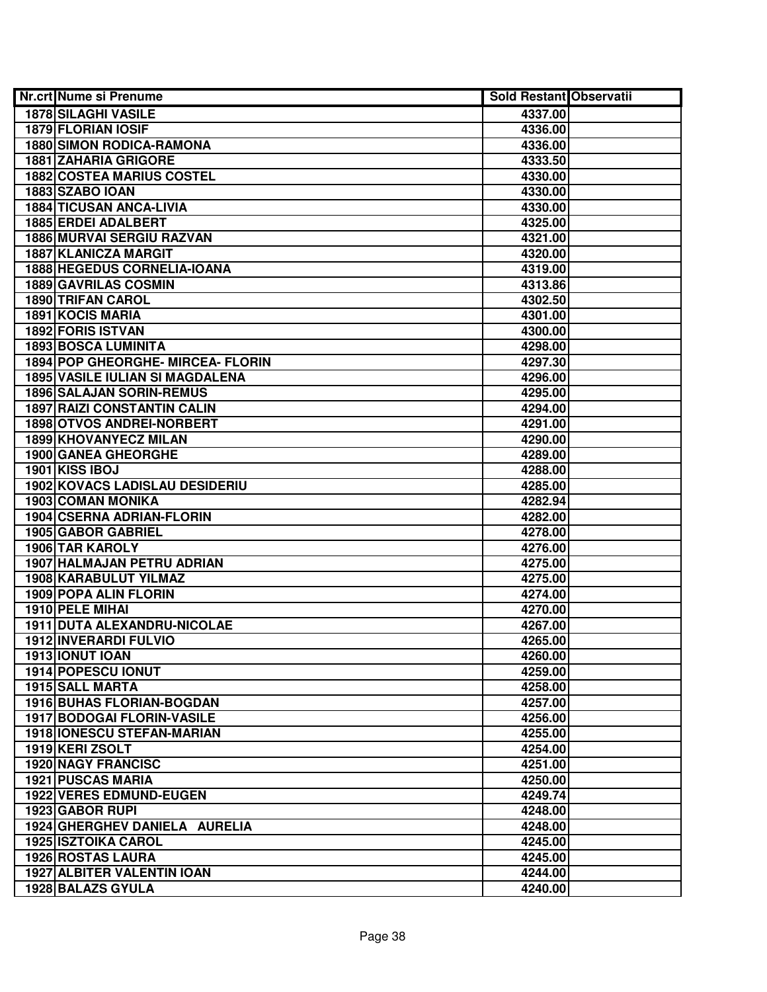| <b>Nr.crt Nume si Prenume</b>          | <b>Sold Restant Observatii</b> |  |
|----------------------------------------|--------------------------------|--|
| <b>1878 SILAGHI VASILE</b>             | 4337.00                        |  |
| <b>1879 FLORIAN IOSIF</b>              | 4336.00                        |  |
| <b>1880 SIMON RODICA-RAMONA</b>        | 4336.00                        |  |
| <b>1881 ZAHARIA GRIGORE</b>            | 4333.50                        |  |
| <b>1882 COSTEA MARIUS COSTEL</b>       | 4330.00                        |  |
| 1883 SZABO IOAN                        | 4330.00                        |  |
| <b>1884 TICUSAN ANCA-LIVIA</b>         | 4330.00                        |  |
| 1885 ERDEI ADALBERT                    | 4325.00                        |  |
| <b>1886 MURVAI SERGIU RAZVAN</b>       | 4321.00                        |  |
| <b>1887 KLANICZA MARGIT</b>            | 4320.00                        |  |
| 1888 HEGEDUS CORNELIA-IOANA            | 4319.00                        |  |
| <b>1889 GAVRILAS COSMIN</b>            | 4313.86                        |  |
| <b>1890 TRIFAN CAROL</b>               | 4302.50                        |  |
| <b>1891 KOCIS MARIA</b>                | 4301.00                        |  |
| 1892 FORIS ISTVAN                      | 4300.00                        |  |
| <b>1893 BOSCA LUMINITA</b>             | 4298.00                        |  |
| 1894 POP GHEORGHE- MIRCEA- FLORIN      | 4297.30                        |  |
| <b>1895 VASILE IULIAN SI MAGDALENA</b> | 4296.00                        |  |
| <b>1896 SALAJAN SORIN-REMUS</b>        | 4295.00                        |  |
| <b>1897 RAIZI CONSTANTIN CALIN</b>     | 4294.00                        |  |
| 1898 OTVOS ANDREI-NORBERT              | 4291.00                        |  |
| 1899 KHOVANYECZ MILAN                  | 4290.00                        |  |
| 1900 GANEA GHEORGHE                    | 4289.00                        |  |
| 1901 KISS IBOJ                         | 4288.00                        |  |
| 1902 KOVACS LADISLAU DESIDERIU         | 4285.00                        |  |
| 1903 COMAN MONIKA                      | 4282.94                        |  |
| 1904 CSERNA ADRIAN-FLORIN              | 4282.00                        |  |
| 1905 GABOR GABRIEL                     | 4278.00                        |  |
| 1906 TAR KAROLY                        | 4276.00                        |  |
| 1907 HALMAJAN PETRU ADRIAN             | 4275.00                        |  |
| 1908 KARABULUT YILMAZ                  | 4275.00                        |  |
| 1909 POPA ALIN FLORIN                  | 4274.00                        |  |
| 1910 PELE MIHAI                        | 4270.00                        |  |
| 1911 DUTA ALEXANDRU-NICOLAE            | 4267.00                        |  |
| <b>1912 INVERARDI FULVIO</b>           | 4265.00                        |  |
| 1913 IONUT IOAN                        | 4260.00                        |  |
| 1914 POPESCU IONUT                     | 4259.00                        |  |
| 1915 SALL MARTA                        | 4258.00                        |  |
| <b>1916 BUHAS FLORIAN-BOGDAN</b>       | 4257.00                        |  |
| 1917 BODOGAI FLORIN-VASILE             | 4256.00                        |  |
| 1918 IONESCU STEFAN-MARIAN             | 4255.00                        |  |
| 1919 KERI ZSOLT                        | 4254.00                        |  |
| <b>1920 NAGY FRANCISC</b>              | 4251.00                        |  |
| <b>1921 PUSCAS MARIA</b>               | 4250.00                        |  |
| <b>1922 VERES EDMUND-EUGEN</b>         | 4249.74                        |  |
| 1923 GABOR RUPI                        | 4248.00                        |  |
| 1924 GHERGHEV DANIELA AURELIA          | 4248.00                        |  |
| <b>1925 ISZTOIKA CAROL</b>             | 4245.00                        |  |
| 1926 ROSTAS LAURA                      | 4245.00                        |  |
| <b>1927 ALBITER VALENTIN IOAN</b>      | 4244.00                        |  |
| 1928 BALAZS GYULA                      | 4240.00                        |  |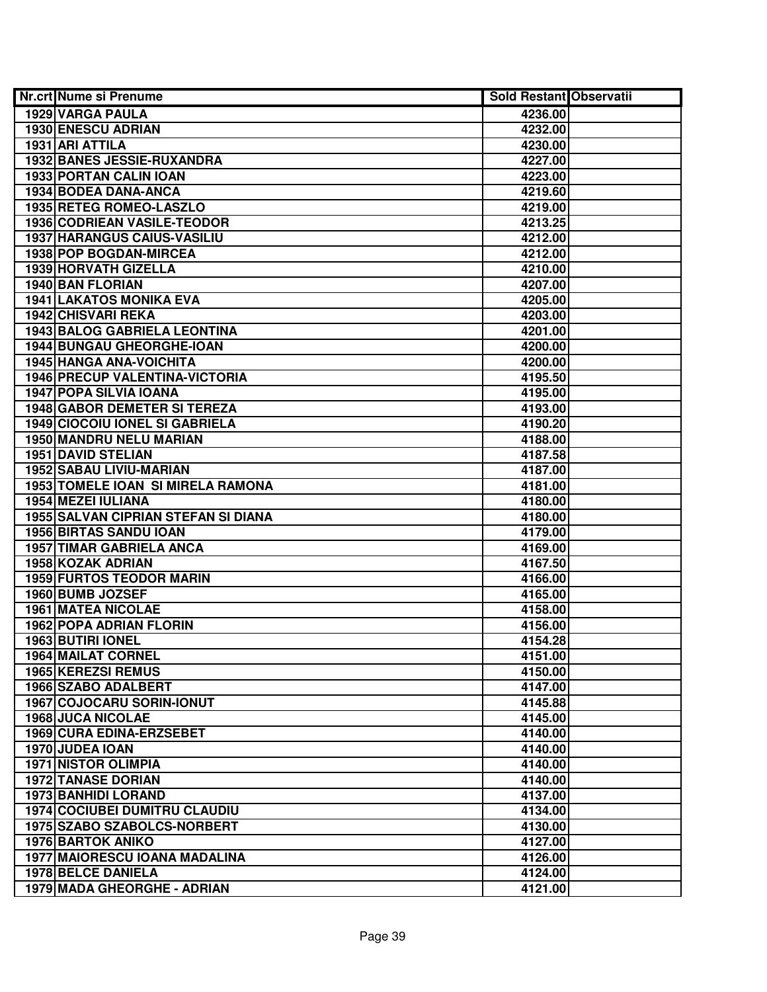| <b>Nr.crt Nume si Prenume</b>        | <b>Sold Restant Observatii</b> |  |
|--------------------------------------|--------------------------------|--|
| 1929 VARGA PAULA                     | 4236.00                        |  |
| 1930 ENESCU ADRIAN                   | 4232.00                        |  |
| 1931 ARI ATTILA                      | 4230.00                        |  |
| 1932 BANES JESSIE-RUXANDRA           | 4227.00                        |  |
| 1933 PORTAN CALIN IOAN               | 4223.00                        |  |
| 1934 BODEA DANA-ANCA                 | 4219.60                        |  |
| 1935 RETEG ROMEO-LASZLO              | 4219.00                        |  |
| <b>1936 CODRIEAN VASILE-TEODOR</b>   | 4213.25                        |  |
| <b>1937 HARANGUS CAIUS-VASILIU</b>   | 4212.00                        |  |
| 1938 POP BOGDAN-MIRCEA               | 4212.00                        |  |
| <b>1939 HORVATH GIZELLA</b>          | 4210.00                        |  |
| <b>1940 BAN FLORIAN</b>              | 4207.00                        |  |
| <b>1941 LAKATOS MONIKA EVA</b>       | 4205.00                        |  |
| 1942 CHISVARI REKA                   | 4203.00                        |  |
| 1943 BALOG GABRIELA LEONTINA         | 4201.00                        |  |
| 1944 BUNGAU GHEORGHE-IOAN            | 4200.00                        |  |
| <b>1945 HANGA ANA-VOICHITA</b>       | 4200.00                        |  |
| 1946 PRECUP VALENTINA-VICTORIA       | 4195.50                        |  |
| <b>1947 POPA SILVIA IOANA</b>        | 4195.00                        |  |
| 1948 GABOR DEMETER SI TEREZA         | 4193.00                        |  |
| 1949 CIOCOIU IONEL SI GABRIELA       | 4190.20                        |  |
| 1950 MANDRU NELU MARIAN              | 4188.00                        |  |
| <b>1951 DAVID STELIAN</b>            | 4187.58                        |  |
| 1952 SABAU LIVIU-MARIAN              | 4187.00                        |  |
| 1953 TOMELE IOAN SI MIRELA RAMONA    | 4181.00                        |  |
| 1954 MEZEI IULIANA                   | 4180.00                        |  |
| 1955 SALVAN CIPRIAN STEFAN SI DIANA  | 4180.00                        |  |
| 1956 BIRTAS SANDU IOAN               | 4179.00                        |  |
| 1957 TIMAR GABRIELA ANCA             | 4169.00                        |  |
| 1958 KOZAK ADRIAN                    | 4167.50                        |  |
| <b>1959 FURTOS TEODOR MARIN</b>      | 4166.00                        |  |
| 1960 BUMB JOZSEF                     | 4165.00                        |  |
| <b>1961 MATEA NICOLAE</b>            | 4158.00                        |  |
| <b>1962 POPA ADRIAN FLORIN</b>       | 4156.00                        |  |
| 1963 BUTIRI IONEL                    | 4154.28                        |  |
| <b>1964 MAILAT CORNEL</b>            | 4151.00                        |  |
| <b>1965 KEREZSI REMUS</b>            | 4150.00                        |  |
| <b>1966 SZABO ADALBERT</b>           | 4147.00                        |  |
| 1967 COJOCARU SORIN-IONUT            | 4145.88                        |  |
| <b>1968 JUCA NICOLAE</b>             | 4145.00                        |  |
| 1969 CURA EDINA-ERZSEBET             | 4140.00                        |  |
| 1970 JUDEA IOAN                      | 4140.00                        |  |
| <b>1971 NISTOR OLIMPIA</b>           | 4140.00                        |  |
| <b>1972 TANASE DORIAN</b>            | 4140.00                        |  |
| 1973 BANHIDI LORAND                  | 4137.00                        |  |
| <b>1974 COCIUBEI DUMITRU CLAUDIU</b> | 4134.00                        |  |
| 1975 SZABO SZABOLCS-NORBERT          | 4130.00                        |  |
| <b>1976 BARTOK ANIKO</b>             | 4127.00                        |  |
| 1977 MAIORESCU IOANA MADALINA        | 4126.00                        |  |
| 1978 BELCE DANIELA                   | 4124.00                        |  |
| 1979 MADA GHEORGHE - ADRIAN          | 4121.00                        |  |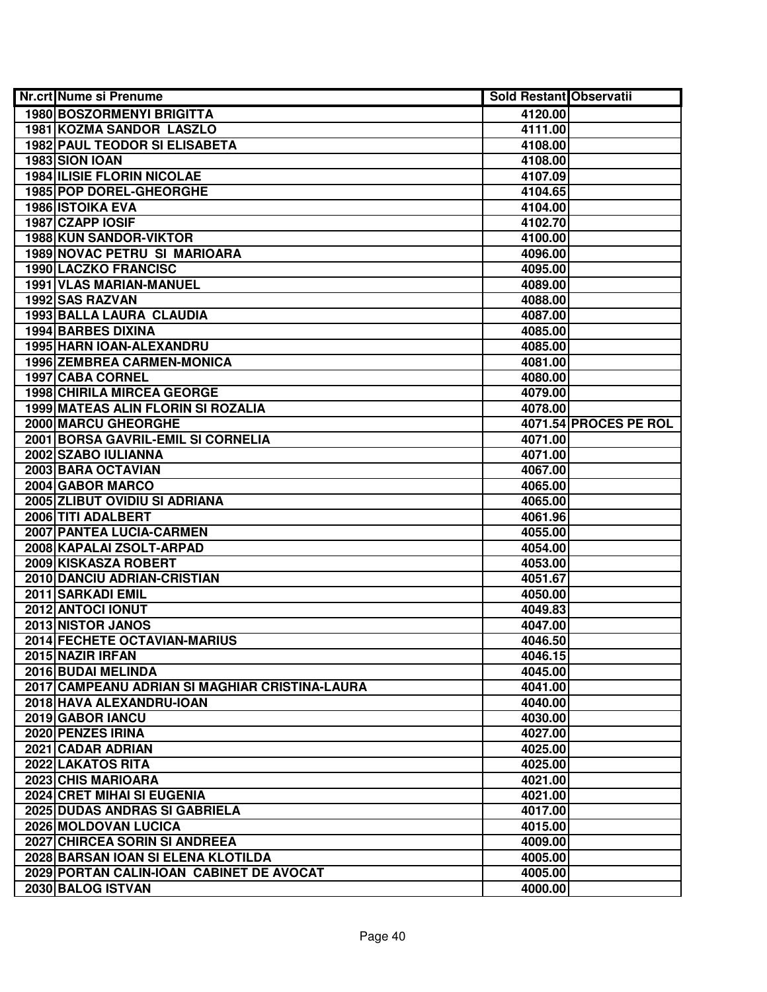| <b>Nr.crt Nume si Prenume</b>                  | <b>Sold Restant Observatii</b> |                       |
|------------------------------------------------|--------------------------------|-----------------------|
| <b>1980 BOSZORMENYI BRIGITTA</b>               | 4120.00                        |                       |
| <b>1981 KOZMA SANDOR LASZLO</b>                | 4111.00                        |                       |
| <b>1982 PAUL TEODOR SI ELISABETA</b>           | 4108.00                        |                       |
| 1983 SION IOAN                                 | 4108.00                        |                       |
| <b>1984 ILISIE FLORIN NICOLAE</b>              | 4107.09                        |                       |
| 1985 POP DOREL-GHEORGHE                        | 4104.65                        |                       |
| <b>1986 ISTOIKA EVA</b>                        | 4104.00                        |                       |
| 1987 CZAPP IOSIF                               | 4102.70                        |                       |
| <b>1988 KUN SANDOR-VIKTOR</b>                  | 4100.00                        |                       |
| <b>1989 NOVAC PETRU SI MARIOARA</b>            | 4096.00                        |                       |
| <b>1990 LACZKO FRANCISC</b>                    | 4095.00                        |                       |
| <b>1991 VLAS MARIAN-MANUEL</b>                 | 4089.00                        |                       |
| 1992 SAS RAZVAN                                | 4088.00                        |                       |
| 1993 BALLA LAURA CLAUDIA                       | 4087.00                        |                       |
| 1994 BARBES DIXINA                             | 4085.00                        |                       |
| 1995 HARN IOAN-ALEXANDRU                       | 4085.00                        |                       |
| 1996 ZEMBREA CARMEN-MONICA                     | 4081.00                        |                       |
| 1997 CABA CORNEL                               | 4080.00                        |                       |
| 1998 CHIRILA MIRCEA GEORGE                     | 4079.00                        |                       |
| 1999 MATEAS ALIN FLORIN SI ROZALIA             | 4078.00                        |                       |
| 2000 MARCU GHEORGHE                            |                                | 4071.54 PROCES PE ROL |
| 2001 BORSA GAVRIL-EMIL SI CORNELIA             | 4071.00                        |                       |
| 2002 SZABO IULIANNA                            | 4071.00                        |                       |
| 2003 BARA OCTAVIAN                             | 4067.00                        |                       |
| 2004 GABOR MARCO                               | 4065.00                        |                       |
| 2005 ZLIBUT OVIDIU SI ADRIANA                  | 4065.00                        |                       |
| 2006 TITI ADALBERT                             | 4061.96                        |                       |
| 2007 PANTEA LUCIA-CARMEN                       | 4055.00                        |                       |
| 2008 KAPALAI ZSOLT-ARPAD                       | 4054.00                        |                       |
| 2009 KISKASZA ROBERT                           | 4053.00                        |                       |
| 2010 DANCIU ADRIAN-CRISTIAN                    | 4051.67                        |                       |
| 2011 SARKADI EMIL                              | 4050.00                        |                       |
| 2012 ANTOCI IONUT                              | 4049.83                        |                       |
| 2013 NISTOR JANOS                              | 4047.00                        |                       |
| 2014 FECHETE OCTAVIAN-MARIUS                   | 4046.50                        |                       |
| 2015 NAZIR IRFAN                               | 4046.15                        |                       |
| 2016 BUDAI MELINDA                             | 4045.00                        |                       |
| 2017 CAMPEANU ADRIAN SI MAGHIAR CRISTINA-LAURA | 4041.00                        |                       |
| 2018 HAVA ALEXANDRU-IOAN                       | 4040.00                        |                       |
| 2019 GABOR IANCU                               | 4030.00                        |                       |
| 2020 PENZES IRINA                              | 4027.00                        |                       |
| 2021 CADAR ADRIAN                              | 4025.00                        |                       |
| 2022 LAKATOS RITA                              | 4025.00                        |                       |
| 2023 CHIS MARIOARA                             | 4021.00                        |                       |
| 2024 CRET MIHAI SI EUGENIA                     | 4021.00                        |                       |
| 2025 DUDAS ANDRAS SI GABRIELA                  | 4017.00                        |                       |
| 2026 MOLDOVAN LUCICA                           | 4015.00                        |                       |
| 2027 CHIRCEA SORIN SI ANDREEA                  | 4009.00                        |                       |
| 2028 BARSAN IOAN SI ELENA KLOTILDA             | 4005.00                        |                       |
| 2029 PORTAN CALIN-IOAN CABINET DE AVOCAT       | 4005.00                        |                       |
| 2030 BALOG ISTVAN                              | 4000.00                        |                       |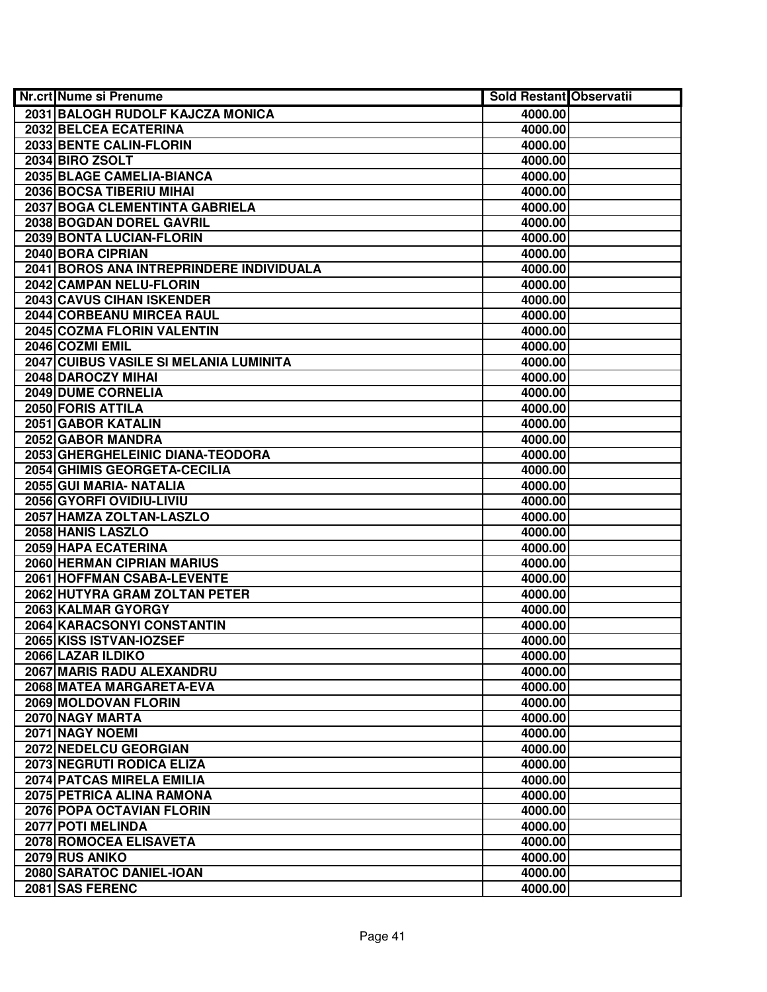| <b>Nr.crt Nume si Prenume</b>            | <b>Sold Restant Observatii</b> |  |
|------------------------------------------|--------------------------------|--|
| 2031 BALOGH RUDOLF KAJCZA MONICA         | 4000.00                        |  |
| 2032 BELCEA ECATERINA                    | 4000.00                        |  |
| 2033 BENTE CALIN-FLORIN                  | 4000.00                        |  |
| 2034 BIRO ZSOLT                          | 4000.00                        |  |
| 2035 BLAGE CAMELIA-BIANCA                | 4000.00                        |  |
| 2036 BOCSA TIBERIU MIHAI                 | 4000.00                        |  |
| 2037 BOGA CLEMENTINTA GABRIELA           | 4000.00                        |  |
| 2038 BOGDAN DOREL GAVRIL                 | 4000.00                        |  |
| 2039 BONTA LUCIAN-FLORIN                 | 4000.00                        |  |
| 2040 BORA CIPRIAN                        | 4000.00                        |  |
| 2041 BOROS ANA INTREPRINDERE INDIVIDUALA | 4000.00                        |  |
| 2042 CAMPAN NELU-FLORIN                  | 4000.00                        |  |
| 2043 CAVUS CIHAN ISKENDER                | 4000.00                        |  |
| 2044 CORBEANU MIRCEA RAUL                | 4000.00                        |  |
| 2045 COZMA FLORIN VALENTIN               | 4000.00                        |  |
| 2046 COZMI EMIL                          | 4000.00                        |  |
| 2047 CUIBUS VASILE SI MELANIA LUMINITA   | 4000.00                        |  |
| 2048 DAROCZY MIHAI                       | 4000.00                        |  |
| 2049 DUME CORNELIA                       | 4000.00                        |  |
| 2050 FORIS ATTILA                        | 4000.00                        |  |
| 2051 GABOR KATALIN                       | 4000.00                        |  |
| 2052 GABOR MANDRA                        | 4000.00                        |  |
| 2053 GHERGHELEINIC DIANA-TEODORA         | 4000.00                        |  |
| 2054 GHIMIS GEORGETA-CECILIA             | 4000.00                        |  |
| 2055 GUI MARIA- NATALIA                  | 4000.00                        |  |
| 2056 GYORFI OVIDIU-LIVIU                 | 4000.00                        |  |
| 2057 HAMZA ZOLTAN-LASZLO                 | 4000.00                        |  |
| 2058 HANIS LASZLO                        | 4000.00                        |  |
| 2059 HAPA ECATERINA                      | 4000.00                        |  |
| 2060 HERMAN CIPRIAN MARIUS               | 4000.00                        |  |
| 2061 HOFFMAN CSABA-LEVENTE               | 4000.00                        |  |
| 2062 HUTYRA GRAM ZOLTAN PETER            | 4000.00                        |  |
| 2063 KALMAR GYORGY                       | 4000.00                        |  |
| 2064 KARACSONYI CONSTANTIN               | 4000.00                        |  |
| 2065 KISS ISTVAN-IOZSEF                  | 4000.00                        |  |
| 2066 LAZAR ILDIKO                        | 4000.00                        |  |
| 2067 MARIS RADU ALEXANDRU                | 4000.00                        |  |
| 2068 MATEA MARGARETA-EVA                 | 4000.00                        |  |
| 2069 MOLDOVAN FLORIN                     | 4000.00                        |  |
| 2070 NAGY MARTA                          | 4000.00                        |  |
| 2071 NAGY NOEMI                          | 4000.00                        |  |
| 2072 NEDELCU GEORGIAN                    | 4000.00                        |  |
| 2073 NEGRUTI RODICA ELIZA                | 4000.00                        |  |
| 2074 PATCAS MIRELA EMILIA                | 4000.00                        |  |
| 2075 PETRICA ALINA RAMONA                | 4000.00                        |  |
| 2076 POPA OCTAVIAN FLORIN                | 4000.00                        |  |
| 2077 POTI MELINDA                        | 4000.00                        |  |
| 2078 ROMOCEA ELISAVETA                   | 4000.00                        |  |
| 2079 RUS ANIKO                           | 4000.00                        |  |
| 2080 SARATOC DANIEL-IOAN                 | 4000.00                        |  |
| 2081 SAS FERENC                          | 4000.00                        |  |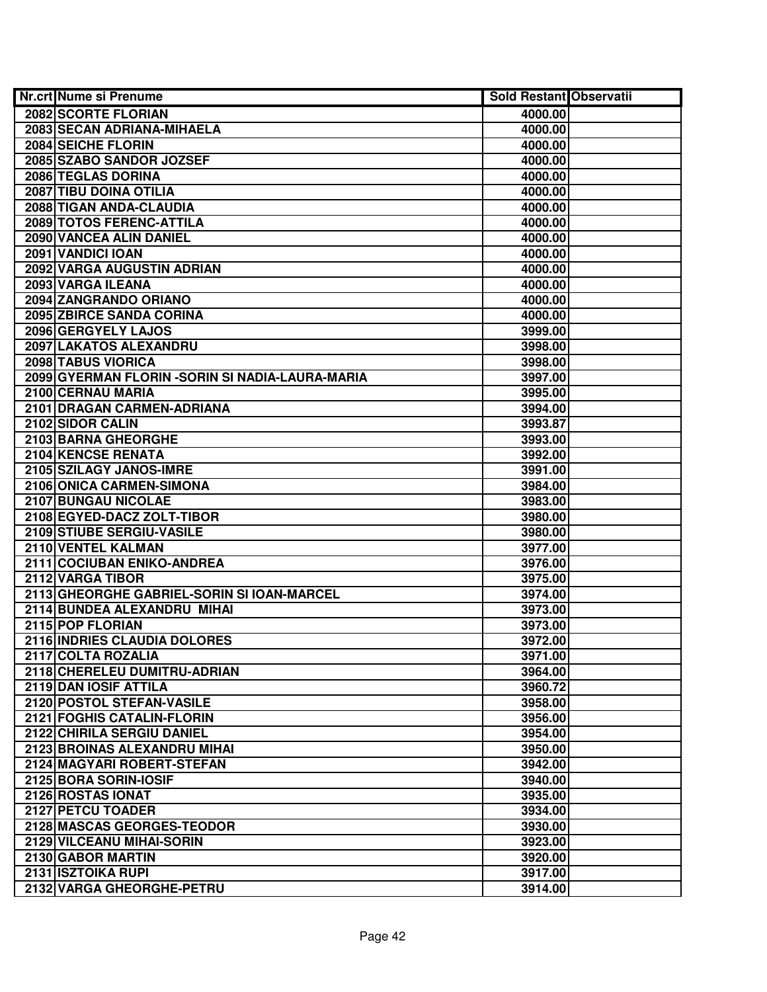| <b>Nr.crt Nume si Prenume</b>                    | <b>Sold Restant Observatii</b> |  |
|--------------------------------------------------|--------------------------------|--|
| 2082 SCORTE FLORIAN                              | 4000.00                        |  |
| 2083 SECAN ADRIANA-MIHAELA                       | 4000.00                        |  |
| 2084 SEICHE FLORIN                               | 4000.00                        |  |
| 2085 SZABO SANDOR JOZSEF                         | 4000.00                        |  |
| 2086 TEGLAS DORINA                               | 4000.00                        |  |
| 2087 TIBU DOINA OTILIA                           | 4000.00                        |  |
| 2088 TIGAN ANDA-CLAUDIA                          | 4000.00                        |  |
| 2089 TOTOS FERENC-ATTILA                         | 4000.00                        |  |
| 2090 VANCEA ALIN DANIEL                          | 4000.00                        |  |
| 2091 VANDICI IOAN                                | 4000.00                        |  |
| 2092 VARGA AUGUSTIN ADRIAN                       | 4000.00                        |  |
| 2093 VARGA ILEANA                                | 4000.00                        |  |
| 2094 ZANGRANDO ORIANO                            | 4000.00                        |  |
| 2095 ZBIRCE SANDA CORINA                         | 4000.00                        |  |
| 2096 GERGYELY LAJOS                              | 3999.00                        |  |
| 2097 LAKATOS ALEXANDRU                           | 3998.00                        |  |
| 2098 TABUS VIORICA                               | 3998.00                        |  |
| 2099 GYERMAN FLORIN - SORIN SI NADIA-LAURA-MARIA | 3997.00                        |  |
| 2100 CERNAU MARIA                                | 3995.00                        |  |
| 2101 DRAGAN CARMEN-ADRIANA                       | 3994.00                        |  |
| 2102 SIDOR CALIN                                 | 3993.87                        |  |
| 2103 BARNA GHEORGHE                              | 3993.00                        |  |
| 2104 KENCSE RENATA                               | 3992.00                        |  |
| 2105 SZILAGY JANOS-IMRE                          | 3991.00                        |  |
| 2106 ONICA CARMEN-SIMONA                         | 3984.00                        |  |
| 2107 BUNGAU NICOLAE                              | 3983.00                        |  |
| 2108 EGYED-DACZ ZOLT-TIBOR                       | 3980.00                        |  |
| 2109 STIUBE SERGIU-VASILE                        | 3980.00                        |  |
| 2110 VENTEL KALMAN                               | 3977.00                        |  |
| 2111 COCIUBAN ENIKO-ANDREA                       | 3976.00                        |  |
| 2112 VARGA TIBOR                                 | 3975.00                        |  |
| 2113 GHEORGHE GABRIEL-SORIN SI IOAN-MARCEL       | 3974.00                        |  |
| 2114 BUNDEA ALEXANDRU MIHAI                      | 3973.00                        |  |
| 2115 POP FLORIAN                                 | 3973.00                        |  |
| 2116 INDRIES CLAUDIA DOLORES                     | 3972.00                        |  |
| 2117 COLTA ROZALIA                               | 3971.00                        |  |
| 2118 CHERELEU DUMITRU-ADRIAN                     | 3964.00                        |  |
| 2119 DAN IOSIF ATTILA                            | 3960.72                        |  |
| 2120 POSTOL STEFAN-VASILE                        | 3958.00                        |  |
| 2121 FOGHIS CATALIN-FLORIN                       | 3956.00                        |  |
| 2122 CHIRILA SERGIU DANIEL                       | 3954.00                        |  |
| 2123 BROINAS ALEXANDRU MIHAI                     | 3950.00                        |  |
| 2124 MAGYARI ROBERT-STEFAN                       | 3942.00                        |  |
| 2125 BORA SORIN-IOSIF                            | 3940.00                        |  |
| 2126 ROSTAS IONAT                                | 3935.00                        |  |
| 2127 PETCU TOADER                                | 3934.00                        |  |
| 2128 MASCAS GEORGES-TEODOR                       | 3930.00                        |  |
| 2129 VILCEANU MIHAI-SORIN                        | 3923.00                        |  |
| 2130 GABOR MARTIN                                | 3920.00                        |  |
| 2131 ISZTOIKA RUPI                               | 3917.00                        |  |
| 2132 VARGA GHEORGHE-PETRU                        | 3914.00                        |  |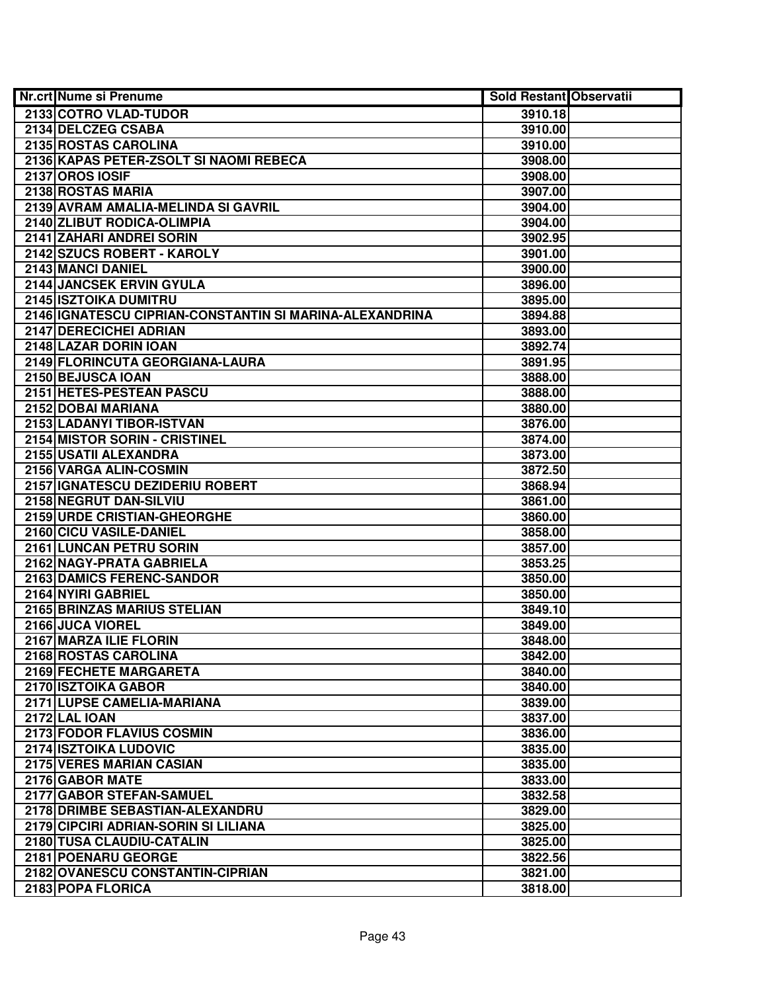| Nr.crt Nume si Prenume                                  | <b>Sold Restant Observatii</b> |  |
|---------------------------------------------------------|--------------------------------|--|
| 2133 COTRO VLAD-TUDOR                                   | 3910.18                        |  |
| 2134 DELCZEG CSABA                                      | 3910.00                        |  |
| 2135 ROSTAS CAROLINA                                    | 3910.00                        |  |
| 2136 KAPAS PETER-ZSOLT SI NAOMI REBECA                  | 3908.00                        |  |
| <b>2137 OROS IOSIF</b>                                  | 3908.00                        |  |
| 2138 ROSTAS MARIA                                       | 3907.00                        |  |
| 2139 AVRAM AMALIA-MELINDA SI GAVRIL                     | 3904.00                        |  |
| 2140 ZLIBUT RODICA-OLIMPIA                              | 3904.00                        |  |
| 2141 ZAHARI ANDREI SORIN                                | 3902.95                        |  |
| 2142 SZUCS ROBERT - KAROLY                              | 3901.00                        |  |
| 2143 MANCI DANIEL                                       | 3900.00                        |  |
| 2144 JANCSEK ERVIN GYULA                                | 3896.00                        |  |
| 2145 ISZTOIKA DUMITRU                                   | 3895.00                        |  |
| 2146 IGNATESCU CIPRIAN-CONSTANTIN SI MARINA-ALEXANDRINA | 3894.88                        |  |
| 2147 DERECICHEI ADRIAN                                  | 3893.00                        |  |
| 2148 LAZAR DORIN IOAN                                   | 3892.74                        |  |
| 2149 FLORINCUTA GEORGIANA-LAURA                         | 3891.95                        |  |
| 2150 BEJUSCA IOAN                                       | 3888.00                        |  |
| 2151 HETES-PESTEAN PASCU                                | 3888.00                        |  |
| 2152 DOBAI MARIANA                                      | 3880.00                        |  |
| 2153 LADANYI TIBOR-ISTVAN                               | 3876.00                        |  |
| 2154 MISTOR SORIN - CRISTINEL                           | 3874.00                        |  |
| 2155 USATII ALEXANDRA                                   | 3873.00                        |  |
| 2156 VARGA ALIN-COSMIN                                  | 3872.50                        |  |
| 2157 IGNATESCU DEZIDERIU ROBERT                         | 3868.94                        |  |
| 2158 NEGRUT DAN-SILVIU                                  | 3861.00                        |  |
| 2159 URDE CRISTIAN-GHEORGHE                             | 3860.00                        |  |
| 2160 CICU VASILE-DANIEL                                 | 3858.00                        |  |
| 2161 LUNCAN PETRU SORIN                                 | 3857.00                        |  |
| 2162 NAGY-PRATA GABRIELA                                | 3853.25                        |  |
| 2163 DAMICS FERENC-SANDOR                               | 3850.00                        |  |
| 2164 NYIRI GABRIEL                                      | 3850.00                        |  |
| 2165 BRINZAS MARIUS STELIAN                             | 3849.10                        |  |
| 2166 JUCA VIOREL                                        | 3849.00                        |  |
| 2167 MARZA ILIE FLORIN                                  | 3848.00                        |  |
| 2168 ROSTAS CAROLINA                                    | 3842.00                        |  |
| 2169 FECHETE MARGARETA                                  | 3840.00                        |  |
| 2170 ISZTOIKA GABOR                                     | 3840.00                        |  |
| 2171 LUPSE CAMELIA-MARIANA                              | 3839.00                        |  |
| <b>2172 LAL IOAN</b>                                    | 3837.00                        |  |
| 2173 FODOR FLAVIUS COSMIN                               | 3836.00                        |  |
| 2174 ISZTOIKA LUDOVIC                                   | 3835.00                        |  |
| <b>2175 VERES MARIAN CASIAN</b>                         | 3835.00                        |  |
| 2176 GABOR MATE                                         | 3833.00                        |  |
| 2177 GABOR STEFAN-SAMUEL                                | 3832.58                        |  |
| 2178 DRIMBE SEBASTIAN-ALEXANDRU                         | 3829.00                        |  |
| 2179 CIPCIRI ADRIAN-SORIN SI LILIANA                    | 3825.00                        |  |
| 2180 TUSA CLAUDIU-CATALIN                               | 3825.00                        |  |
| 2181 POENARU GEORGE                                     | 3822.56                        |  |
| 2182 OVANESCU CONSTANTIN-CIPRIAN                        | 3821.00                        |  |
| 2183 POPA FLORICA                                       | 3818.00                        |  |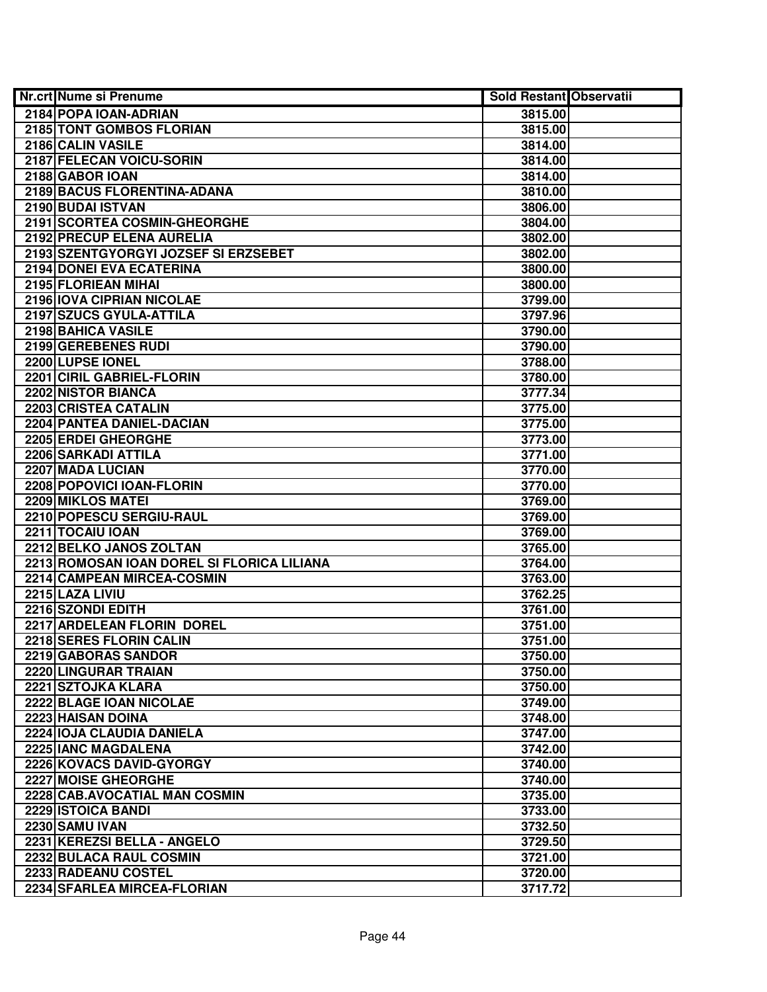| <b>Nr.crt Nume si Prenume</b>              | <b>Sold Restant Observatii</b> |  |
|--------------------------------------------|--------------------------------|--|
| 2184 POPA IOAN-ADRIAN                      | 3815.00                        |  |
| 2185 TONT GOMBOS FLORIAN                   | 3815.00                        |  |
| 2186 CALIN VASILE                          | 3814.00                        |  |
| 2187 FELECAN VOICU-SORIN                   | 3814.00                        |  |
| 2188 GABOR IOAN                            | 3814.00                        |  |
| 2189 BACUS FLORENTINA-ADANA                | 3810.00                        |  |
| 2190 BUDAI ISTVAN                          | 3806.00                        |  |
| 2191 SCORTEA COSMIN-GHEORGHE               | 3804.00                        |  |
| 2192 PRECUP ELENA AURELIA                  | 3802.00                        |  |
| 2193 SZENTGYORGYI JOZSEF SI ERZSEBET       | 3802.00                        |  |
| 2194 DONEI EVA ECATERINA                   | 3800.00                        |  |
| 2195 FLORIEAN MIHAI                        | 3800.00                        |  |
| 2196 IOVA CIPRIAN NICOLAE                  | 3799.00                        |  |
| 2197 SZUCS GYULA-ATTILA                    | 3797.96                        |  |
| 2198 BAHICA VASILE                         | 3790.00                        |  |
| 2199 GEREBENES RUDI                        | 3790.00                        |  |
| 2200 LUPSE IONEL                           | 3788.00                        |  |
| 2201 CIRIL GABRIEL-FLORIN                  | 3780.00                        |  |
| 2202 NISTOR BIANCA                         | 3777.34                        |  |
| 2203 CRISTEA CATALIN                       | 3775.00                        |  |
| 2204 PANTEA DANIEL-DACIAN                  | 3775.00                        |  |
| 2205 ERDEI GHEORGHE                        | 3773.00                        |  |
| 2206 SARKADI ATTILA                        | 3771.00                        |  |
| 2207 MADA LUCIAN                           | 3770.00                        |  |
| 2208 POPOVICI IOAN-FLORIN                  | 3770.00                        |  |
| 2209 MIKLOS MATEI                          | 3769.00                        |  |
| 2210 POPESCU SERGIU-RAUL                   | 3769.00                        |  |
| 2211 TOCAIU IOAN                           | 3769.00                        |  |
| 2212 BELKO JANOS ZOLTAN                    | 3765.00                        |  |
| 2213 ROMOSAN IOAN DOREL SI FLORICA LILIANA | 3764.00                        |  |
| 2214 CAMPEAN MIRCEA-COSMIN                 | 3763.00                        |  |
| 2215 LAZA LIVIU                            | 3762.25                        |  |
| 2216 SZONDI EDITH                          | 3761.00                        |  |
| 2217 ARDELEAN FLORIN DOREL                 | 3751.00                        |  |
| 2218 SERES FLORIN CALIN                    | 3751.00                        |  |
| 2219 GABORAS SANDOR                        | 3750.00                        |  |
| 2220 LINGURAR TRAIAN                       | 3750.00                        |  |
| 2221 SZTOJKA KLARA                         | 3750.00                        |  |
| 2222 BLAGE IOAN NICOLAE                    | 3749.00                        |  |
| 2223 HAISAN DOINA                          | 3748.00                        |  |
| 2224 IOJA CLAUDIA DANIELA                  | 3747.00                        |  |
| 2225 IANC MAGDALENA                        | 3742.00                        |  |
| 2226 KOVACS DAVID-GYORGY                   | 3740.00                        |  |
| 2227 MOISE GHEORGHE                        | 3740.00                        |  |
| 2228 CAB.AVOCATIAL MAN COSMIN              | 3735.00                        |  |
| 2229 ISTOICA BANDI                         | 3733.00                        |  |
| 2230 SAMU IVAN                             | 3732.50                        |  |
| 2231 KEREZSI BELLA - ANGELO                | 3729.50                        |  |
| 2232 BULACA RAUL COSMIN                    | 3721.00                        |  |
| 2233 RADEANU COSTEL                        | 3720.00                        |  |
| 2234 SFARLEA MIRCEA-FLORIAN                | 3717.72                        |  |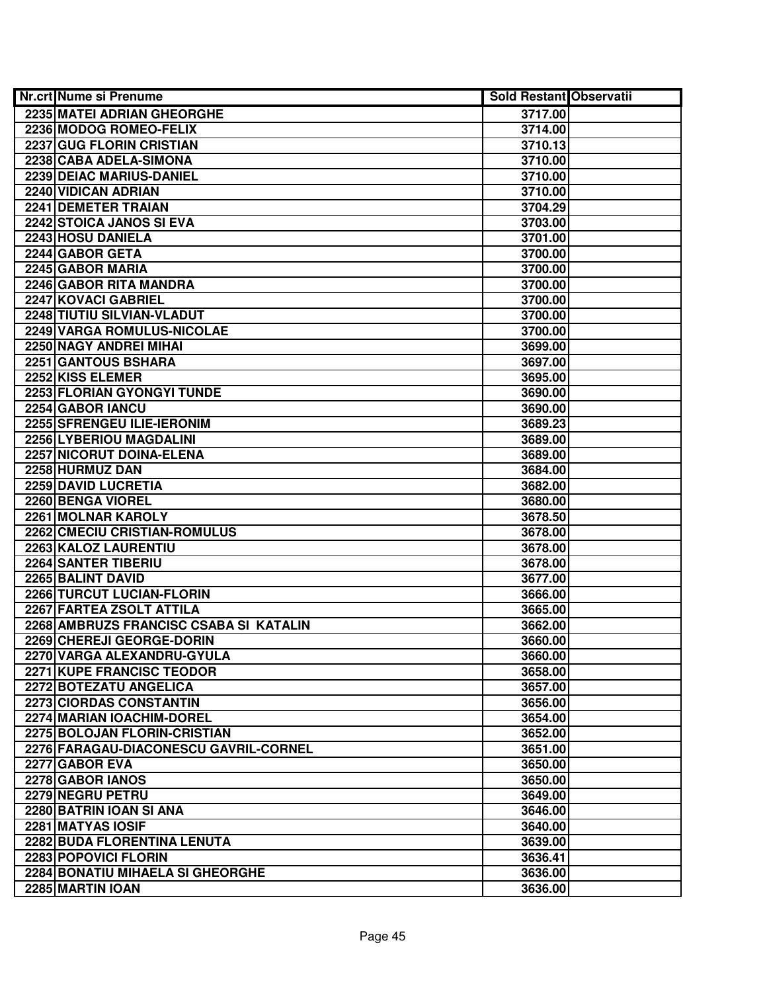| <b>Nr.crt Nume si Prenume</b>           | <b>Sold Restant Observatii</b> |  |
|-----------------------------------------|--------------------------------|--|
| 2235 MATEI ADRIAN GHEORGHE              | 3717.00                        |  |
| 2236 MODOG ROMEO-FELIX                  | 3714.00                        |  |
| 2237 GUG FLORIN CRISTIAN                | 3710.13                        |  |
| 2238 CABA ADELA-SIMONA                  | 3710.00                        |  |
| 2239 DEIAC MARIUS-DANIEL                | 3710.00                        |  |
| 2240 VIDICAN ADRIAN                     | 3710.00                        |  |
| 2241 DEMETER TRAIAN                     | 3704.29                        |  |
| 2242 STOICA JANOS SI EVA                | 3703.00                        |  |
| 2243 HOSU DANIELA                       | 3701.00                        |  |
| 2244 GABOR GETA                         | 3700.00                        |  |
| 2245 GABOR MARIA                        | 3700.00                        |  |
| 2246 GABOR RITA MANDRA                  | 3700.00                        |  |
| 2247 KOVACI GABRIEL                     | 3700.00                        |  |
| 2248 TIUTIU SILVIAN-VLADUT              | 3700.00                        |  |
| 2249 VARGA ROMULUS-NICOLAE              | 3700.00                        |  |
| 2250 NAGY ANDREI MIHAI                  | 3699.00                        |  |
| 2251 GANTOUS BSHARA                     | 3697.00                        |  |
| 2252 KISS ELEMER                        | 3695.00                        |  |
| 2253 FLORIAN GYONGYI TUNDE              | 3690.00                        |  |
| 2254 GABOR IANCU                        | 3690.00                        |  |
| 2255 SFRENGEU ILIE-IERONIM              | 3689.23                        |  |
| 2256 LYBERIOU MAGDALINI                 | 3689.00                        |  |
| 2257 NICORUT DOINA-ELENA                | 3689.00                        |  |
| 2258 HURMUZ DAN                         | 3684.00                        |  |
| 2259 DAVID LUCRETIA                     | 3682.00                        |  |
| 2260 BENGA VIOREL                       | 3680.00                        |  |
| 2261 MOLNAR KAROLY                      | 3678.50                        |  |
| 2262 CMECIU CRISTIAN-ROMULUS            | 3678.00                        |  |
| 2263 KALOZ LAURENTIU                    | 3678.00                        |  |
| 2264 SANTER TIBERIU                     | 3678.00                        |  |
| 2265 BALINT DAVID                       | 3677.00                        |  |
| 2266 TURCUT LUCIAN-FLORIN               | 3666.00                        |  |
| 2267 FARTEA ZSOLT ATTILA                | 3665.00                        |  |
| 2268 AMBRUZS FRANCISC CSABA SI KATALIN  | 3662.00                        |  |
| 2269 CHEREJI GEORGE-DORIN               | 3660.00                        |  |
| 2270 VARGA ALEXANDRU-GYULA              | 3660.00                        |  |
| 2271 KUPE FRANCISC TEODOR               | 3658.00                        |  |
| 2272 BOTEZATU ANGELICA                  | 3657.00                        |  |
| 2273 CIORDAS CONSTANTIN                 | 3656.00                        |  |
| 2274 MARIAN IOACHIM-DOREL               | 3654.00                        |  |
| 2275 BOLOJAN FLORIN-CRISTIAN            | 3652.00                        |  |
| 2276 FARAGAU-DIACONESCU GAVRIL-CORNEL   | 3651.00                        |  |
| 2277 GABOR EVA                          | 3650.00                        |  |
| 2278 GABOR IANOS                        | 3650.00                        |  |
| 2279 NEGRU PETRU                        | 3649.00                        |  |
| 2280 BATRIN IOAN SI ANA                 | 3646.00                        |  |
| 2281 MATYAS IOSIF                       | 3640.00                        |  |
| 2282 BUDA FLORENTINA LENUTA             | 3639.00                        |  |
| 2283 POPOVICI FLORIN                    | 3636.41                        |  |
| <b>2284 BONATIU MIHAELA SI GHEORGHE</b> | 3636.00                        |  |
| 2285 MARTIN IOAN                        | 3636.00                        |  |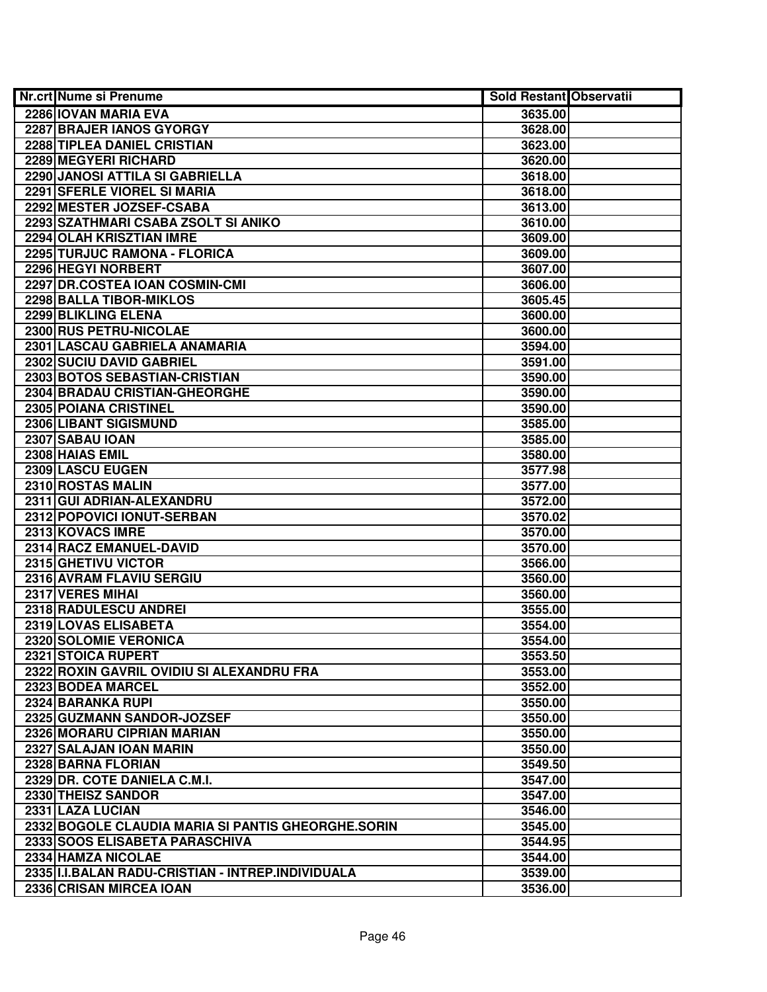| <b>Nr.crt Nume si Prenume</b>                      | <b>Sold Restant Observatii</b> |  |
|----------------------------------------------------|--------------------------------|--|
| 2286 IOVAN MARIA EVA                               | 3635.00                        |  |
| 2287 BRAJER IANOS GYORGY                           | 3628.00                        |  |
| 2288 TIPLEA DANIEL CRISTIAN                        | 3623.00                        |  |
| 2289 MEGYERI RICHARD                               | 3620.00                        |  |
| 2290 JANOSI ATTILA SI GABRIELLA                    | 3618.00                        |  |
| 2291 SFERLE VIOREL SI MARIA                        | 3618.00                        |  |
| 2292 MESTER JOZSEF-CSABA                           | 3613.00                        |  |
| 2293 SZATHMARI CSABA ZSOLT SI ANIKO                | 3610.00                        |  |
| 2294 OLAH KRISZTIAN IMRE                           | 3609.00                        |  |
| 2295 TURJUC RAMONA - FLORICA                       | 3609.00                        |  |
| 2296 HEGYI NORBERT                                 | 3607.00                        |  |
| 2297 DR.COSTEA IOAN COSMIN-CMI                     | 3606.00                        |  |
| 2298 BALLA TIBOR-MIKLOS                            | 3605.45                        |  |
| 2299 BLIKLING ELENA                                | 3600.00                        |  |
| 2300 RUS PETRU-NICOLAE                             | 3600.00                        |  |
| 2301 LASCAU GABRIELA ANAMARIA                      | 3594.00                        |  |
| 2302 SUCIU DAVID GABRIEL                           | 3591.00                        |  |
| 2303 BOTOS SEBASTIAN-CRISTIAN                      | 3590.00                        |  |
| 2304 BRADAU CRISTIAN-GHEORGHE                      | 3590.00                        |  |
| 2305 POIANA CRISTINEL                              | 3590.00                        |  |
| 2306 LIBANT SIGISMUND                              | 3585.00                        |  |
| 2307 SABAU IOAN                                    | 3585.00                        |  |
| 2308 HAIAS EMIL                                    | 3580.00                        |  |
| 2309 LASCU EUGEN                                   | 3577.98                        |  |
| 2310 ROSTAS MALIN                                  | 3577.00                        |  |
| 2311 GUI ADRIAN-ALEXANDRU                          | 3572.00                        |  |
| 2312 POPOVICI IONUT-SERBAN                         | 3570.02                        |  |
| 2313 KOVACS IMRE                                   | 3570.00                        |  |
| 2314 RACZ EMANUEL-DAVID                            | 3570.00                        |  |
| 2315 GHETIVU VICTOR                                | 3566.00                        |  |
| 2316 AVRAM FLAVIU SERGIU                           | 3560.00                        |  |
| 2317 VERES MIHAI                                   | 3560.00                        |  |
| 2318 RADULESCU ANDREI                              | 3555.00                        |  |
| 2319 LOVAS ELISABETA                               | 3554.00                        |  |
| 2320 SOLOMIE VERONICA                              | 3554.00                        |  |
| 2321 STOICA RUPERT                                 | 3553.50                        |  |
| 2322 ROXIN GAVRIL OVIDIU SI ALEXANDRU FRA          | 3553.00                        |  |
| 2323 BODEA MARCEL                                  | 3552.00                        |  |
| 2324 BARANKA RUPI                                  | 3550.00                        |  |
| 2325 GUZMANN SANDOR-JOZSEF                         | 3550.00                        |  |
| 2326 MORARU CIPRIAN MARIAN                         | 3550.00                        |  |
| 2327 SALAJAN IOAN MARIN                            | 3550.00                        |  |
| 2328 BARNA FLORIAN                                 | 3549.50                        |  |
| 2329 DR. COTE DANIELA C.M.I.                       | 3547.00                        |  |
| 2330 THEISZ SANDOR                                 | 3547.00                        |  |
| 2331 LAZA LUCIAN                                   | 3546.00                        |  |
| 2332 BOGOLE CLAUDIA MARIA SI PANTIS GHEORGHE.SORIN | 3545.00                        |  |
| 2333 SOOS ELISABETA PARASCHIVA                     | 3544.95                        |  |
| 2334 HAMZA NICOLAE                                 | 3544.00                        |  |
| 2335 II.I.BALAN RADU-CRISTIAN - INTREP.INDIVIDUALA | 3539.00                        |  |
| 2336 CRISAN MIRCEA IOAN                            | 3536.00                        |  |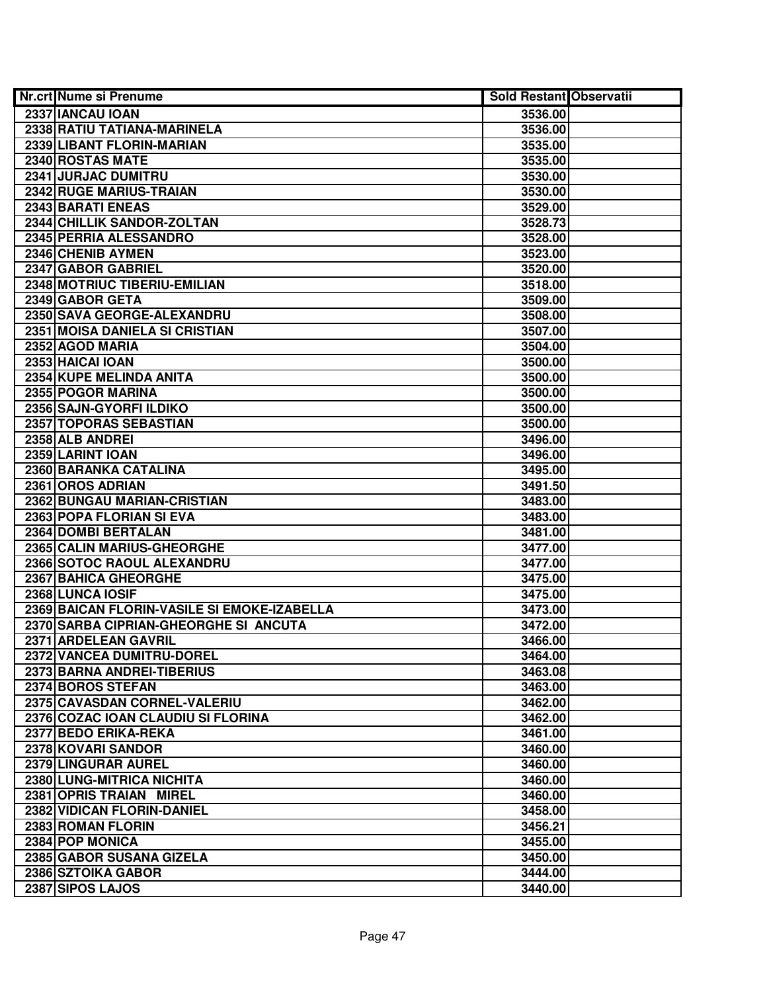| <b>Nr.crt Nume si Prenume</b>               | <b>Sold Restant Observatii</b> |  |
|---------------------------------------------|--------------------------------|--|
| 2337 IANCAU IOAN                            | 3536.00                        |  |
| 2338 RATIU TATIANA-MARINELA                 | 3536.00                        |  |
| 2339 LIBANT FLORIN-MARIAN                   | 3535.00                        |  |
| 2340 ROSTAS MATE                            | 3535.00                        |  |
| 2341 JURJAC DUMITRU                         | 3530.00                        |  |
| 2342 RUGE MARIUS-TRAIAN                     | 3530.00                        |  |
| 2343 BARATI ENEAS                           | 3529.00                        |  |
| 2344 CHILLIK SANDOR-ZOLTAN                  | 3528.73                        |  |
| 2345 PERRIA ALESSANDRO                      | 3528.00                        |  |
| 2346 CHENIB AYMEN                           | 3523.00                        |  |
| 2347 GABOR GABRIEL                          | 3520.00                        |  |
| 2348 MOTRIUC TIBERIU-EMILIAN                | 3518.00                        |  |
| 2349 GABOR GETA                             | 3509.00                        |  |
| 2350 SAVA GEORGE-ALEXANDRU                  | 3508.00                        |  |
| 2351 MOISA DANIELA SI CRISTIAN              | 3507.00                        |  |
| 2352 AGOD MARIA                             | 3504.00                        |  |
| 2353 HAICAI IOAN                            | 3500.00                        |  |
| 2354 KUPE MELINDA ANITA                     | 3500.00                        |  |
| 2355 POGOR MARINA                           | 3500.00                        |  |
| 2356 SAJN-GYORFI ILDIKO                     | 3500.00                        |  |
| 2357 TOPORAS SEBASTIAN                      | 3500.00                        |  |
| 2358 ALB ANDREI                             | 3496.00                        |  |
| 2359 LARINT IOAN                            | 3496.00                        |  |
| 2360 BARANKA CATALINA                       | 3495.00                        |  |
| 2361 OROS ADRIAN                            | 3491.50                        |  |
| 2362 BUNGAU MARIAN-CRISTIAN                 | 3483.00                        |  |
| 2363 POPA FLORIAN SI EVA                    | 3483.00                        |  |
| 2364 DOMBI BERTALAN                         | 3481.00                        |  |
| 2365 CALIN MARIUS-GHEORGHE                  | 3477.00                        |  |
| 2366 SOTOC RAOUL ALEXANDRU                  | 3477.00                        |  |
| 2367 BAHICA GHEORGHE                        | 3475.00                        |  |
| 2368 LUNCA IOSIF                            | 3475.00                        |  |
| 2369 BAICAN FLORIN-VASILE SI EMOKE-IZABELLA | 3473.00                        |  |
| 2370 SARBA CIPRIAN-GHEORGHE SI ANCUTA       | 3472.00                        |  |
| 2371 ARDELEAN GAVRIL                        | 3466.00                        |  |
| 2372 VANCEA DUMITRU-DOREL                   | 3464.00                        |  |
| 2373 BARNA ANDREI-TIBERIUS                  | 3463.08                        |  |
| 2374 BOROS STEFAN                           | 3463.00                        |  |
| 2375 CAVASDAN CORNEL-VALERIU                | 3462.00                        |  |
| 2376 COZAC IOAN CLAUDIU SI FLORINA          | 3462.00                        |  |
| 2377 BEDO ERIKA-REKA                        | 3461.00                        |  |
| 2378 KOVARI SANDOR                          | 3460.00                        |  |
| 2379 LINGURAR AUREL                         | 3460.00                        |  |
| 2380 LUNG-MITRICA NICHITA                   | 3460.00                        |  |
| 2381 OPRIS TRAIAN MIREL                     | 3460.00                        |  |
| 2382 VIDICAN FLORIN-DANIEL                  | 3458.00                        |  |
| 2383 ROMAN FLORIN                           | 3456.21                        |  |
| 2384 POP MONICA                             | 3455.00                        |  |
| 2385 GABOR SUSANA GIZELA                    | 3450.00                        |  |
| 2386 SZTOIKA GABOR                          | 3444.00                        |  |
| 2387 SIPOS LAJOS                            | 3440.00                        |  |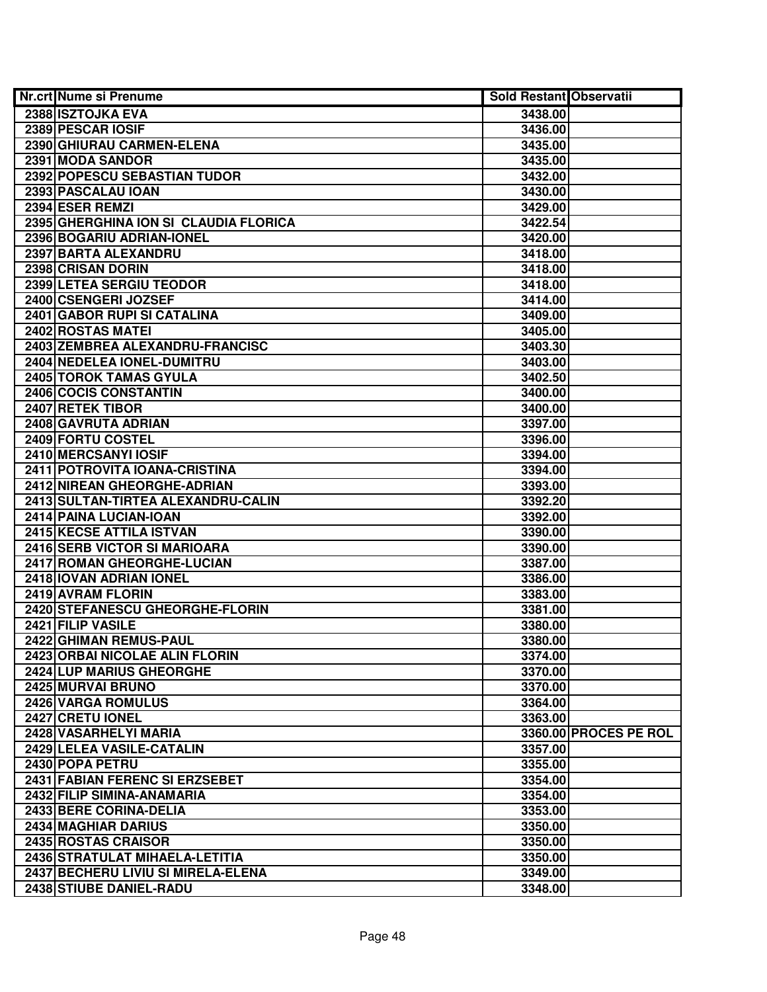| <b>Nr.crt Nume si Prenume</b>         | <b>Sold Restant Observatii</b> |                       |
|---------------------------------------|--------------------------------|-----------------------|
| 2388 ISZTOJKA EVA                     | 3438.00                        |                       |
| 2389 PESCAR IOSIF                     | 3436.00                        |                       |
| 2390 GHIURAU CARMEN-ELENA             | 3435.00                        |                       |
| 2391 MODA SANDOR                      | 3435.00                        |                       |
| 2392 POPESCU SEBASTIAN TUDOR          | 3432.00                        |                       |
| 2393 PASCALAU IOAN                    | 3430.00                        |                       |
| 2394 ESER REMZI                       | 3429.00                        |                       |
| 2395 GHERGHINA ION SI CLAUDIA FLORICA | 3422.54                        |                       |
| 2396 BOGARIU ADRIAN-IONEL             | 3420.00                        |                       |
| 2397 BARTA ALEXANDRU                  | 3418.00                        |                       |
| 2398 CRISAN DORIN                     | 3418.00                        |                       |
| 2399 LETEA SERGIU TEODOR              | 3418.00                        |                       |
| 2400 CSENGERI JOZSEF                  | 3414.00                        |                       |
| 2401 GABOR RUPI SI CATALINA           | 3409.00                        |                       |
| 2402 ROSTAS MATEI                     | 3405.00                        |                       |
| 2403 ZEMBREA ALEXANDRU-FRANCISC       | 3403.30                        |                       |
| 2404 NEDELEA IONEL-DUMITRU            | 3403.00                        |                       |
| 2405 TOROK TAMAS GYULA                | 3402.50                        |                       |
| 2406 COCIS CONSTANTIN                 | 3400.00                        |                       |
| 2407 RETEK TIBOR                      | 3400.00                        |                       |
| 2408 GAVRUTA ADRIAN                   | 3397.00                        |                       |
| 2409 FORTU COSTEL                     | 3396.00                        |                       |
| 2410 MERCSANYI IOSIF                  | 3394.00                        |                       |
| 2411 POTROVITA IOANA-CRISTINA         | 3394.00                        |                       |
| 2412 NIREAN GHEORGHE-ADRIAN           | 3393.00                        |                       |
| 2413 SULTAN-TIRTEA ALEXANDRU-CALIN    | 3392.20                        |                       |
| 2414 PAINA LUCIAN-IOAN                | 3392.00                        |                       |
| 2415 KECSE ATTILA ISTVAN              | 3390.00                        |                       |
| 2416 SERB VICTOR SI MARIOARA          | 3390.00                        |                       |
| 2417 ROMAN GHEORGHE-LUCIAN            | 3387.00                        |                       |
| 2418 IOVAN ADRIAN IONEL               | 3386.00                        |                       |
| 2419 AVRAM FLORIN                     | 3383.00                        |                       |
| 2420 STEFANESCU GHEORGHE-FLORIN       | 3381.00                        |                       |
| 2421 FILIP VASILE                     | 3380.00                        |                       |
| 2422 GHIMAN REMUS-PAUL                | 3380.00                        |                       |
| 2423 ORBAI NICOLAE ALIN FLORIN        | 3374.00                        |                       |
| <b>2424 LUP MARIUS GHEORGHE</b>       | 3370.00                        |                       |
| 2425 MURVAI BRUNO                     | 3370.00                        |                       |
| <b>2426 VARGA ROMULUS</b>             | 3364.00                        |                       |
| 2427 CRETU IONEL                      | 3363.00                        |                       |
| 2428 VASARHELYI MARIA                 |                                | 3360.00 PROCES PE ROL |
| 2429 LELEA VASILE-CATALIN             | 3357.00                        |                       |
| 2430 POPA PETRU                       | 3355.00                        |                       |
| 2431 FABIAN FERENC SI ERZSEBET        | 3354.00                        |                       |
| 2432 FILIP SIMINA-ANAMARIA            | 3354.00                        |                       |
| 2433 BERE CORINA-DELIA                | 3353.00                        |                       |
| 2434 MAGHIAR DARIUS                   | 3350.00                        |                       |
| 2435 ROSTAS CRAISOR                   | 3350.00                        |                       |
| 2436 STRATULAT MIHAELA-LETITIA        | 3350.00                        |                       |
| 2437 BECHERU LIVIU SI MIRELA-ELENA    | 3349.00                        |                       |
| 2438 STIUBE DANIEL-RADU               | 3348.00                        |                       |
|                                       |                                |                       |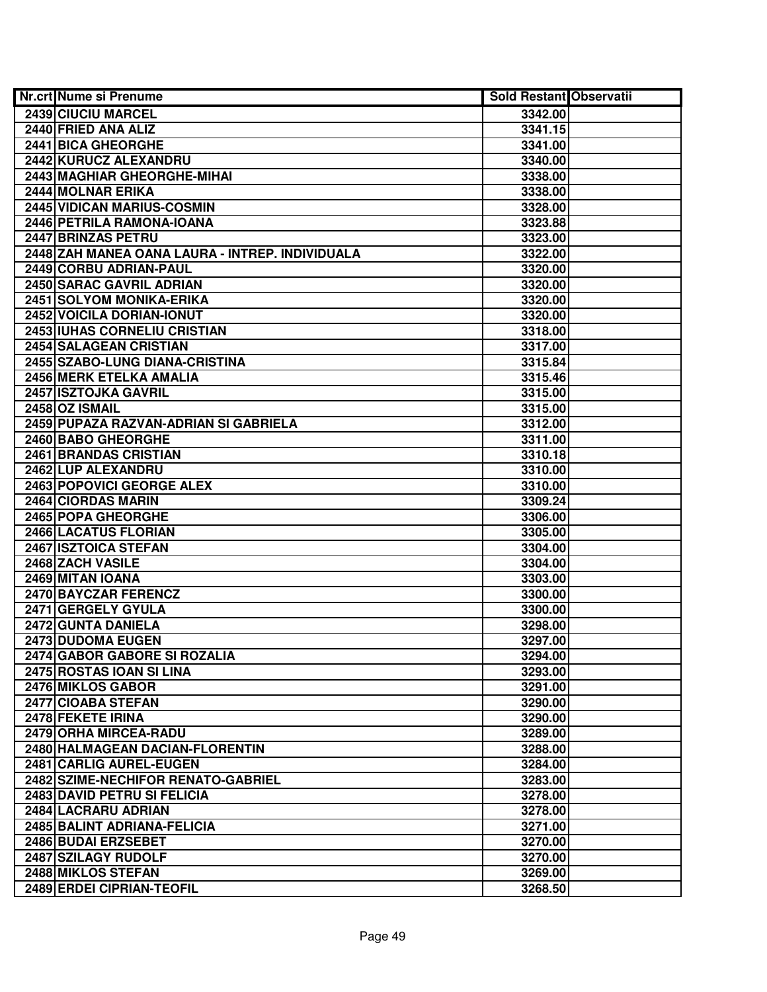| <b>Nr.crt Nume si Prenume</b>                   | <b>Sold Restant Observatii</b> |  |
|-------------------------------------------------|--------------------------------|--|
| 2439 CIUCIU MARCEL                              | 3342.00                        |  |
| 2440 FRIED ANA ALIZ                             | 3341.15                        |  |
| 2441 BICA GHEORGHE                              | 3341.00                        |  |
| 2442 KURUCZ ALEXANDRU                           | 3340.00                        |  |
| 2443 MAGHIAR GHEORGHE-MIHAI                     | 3338.00                        |  |
| 2444 MOLNAR ERIKA                               | 3338.00                        |  |
| 2445 VIDICAN MARIUS-COSMIN                      | 3328.00                        |  |
| 2446 PETRILA RAMONA-IOANA                       | 3323.88                        |  |
| 2447 BRINZAS PETRU                              | 3323.00                        |  |
| 2448 ZAH MANEA OANA LAURA - INTREP. INDIVIDUALA | 3322.00                        |  |
| 2449 CORBU ADRIAN-PAUL                          | 3320.00                        |  |
| 2450 SARAC GAVRIL ADRIAN                        | 3320.00                        |  |
| 2451 SOLYOM MONIKA-ERIKA                        | 3320.00                        |  |
| 2452 VOICILA DORIAN-IONUT                       | 3320.00                        |  |
| 2453 IUHAS CORNELIU CRISTIAN                    | 3318.00                        |  |
| 2454 SALAGEAN CRISTIAN                          | 3317.00                        |  |
| 2455 SZABO-LUNG DIANA-CRISTINA                  | 3315.84                        |  |
| 2456 MERK ETELKA AMALIA                         | 3315.46                        |  |
| 2457 ISZTOJKA GAVRIL                            | 3315.00                        |  |
| 2458 OZ ISMAIL                                  | 3315.00                        |  |
| 2459 PUPAZA RAZVAN-ADRIAN SI GABRIELA           | 3312.00                        |  |
| 2460 BABO GHEORGHE                              | 3311.00                        |  |
| 2461 BRANDAS CRISTIAN                           | 3310.18                        |  |
| 2462 LUP ALEXANDRU                              | 3310.00                        |  |
| 2463 POPOVICI GEORGE ALEX                       | 3310.00                        |  |
| 2464 CIORDAS MARIN                              | 3309.24                        |  |
| 2465 POPA GHEORGHE                              | 3306.00                        |  |
| 2466 LACATUS FLORIAN                            | 3305.00                        |  |
| 2467 ISZTOICA STEFAN                            | 3304.00                        |  |
| 2468 ZACH VASILE                                | 3304.00                        |  |
| 2469 MITAN IOANA                                | 3303.00                        |  |
| 2470 BAYCZAR FERENCZ                            | 3300.00                        |  |
| 2471 GERGELY GYULA                              | 3300.00                        |  |
| 2472 GUNTA DANIELA                              | 3298.00                        |  |
| 2473 DUDOMA EUGEN                               | 3297.00                        |  |
| 2474 GABOR GABORE SI ROZALIA                    | 3294.00                        |  |
| 2475 ROSTAS IOAN SI LINA                        | 3293.00                        |  |
| 2476 MIKLOS GABOR                               | 3291.00                        |  |
| 2477 CIOABA STEFAN                              | 3290.00                        |  |
| 2478 FEKETE IRINA                               | 3290.00                        |  |
| 2479 ORHA MIRCEA-RADU                           | 3289.00                        |  |
| 2480 HALMAGEAN DACIAN-FLORENTIN                 | 3288.00                        |  |
| 2481 CARLIG AUREL-EUGEN                         | 3284.00                        |  |
| 2482 SZIME-NECHIFOR RENATO-GABRIEL              | 3283.00                        |  |
| 2483 DAVID PETRU SI FELICIA                     | 3278.00                        |  |
| 2484 LACRARU ADRIAN                             | 3278.00                        |  |
| 2485 BALINT ADRIANA-FELICIA                     | 3271.00                        |  |
| 2486 BUDAI ERZSEBET                             | 3270.00                        |  |
| 2487 SZILAGY RUDOLF                             | 3270.00                        |  |
| 2488 MIKLOS STEFAN                              | 3269.00                        |  |
| 2489 ERDEI CIPRIAN-TEOFIL                       | 3268.50                        |  |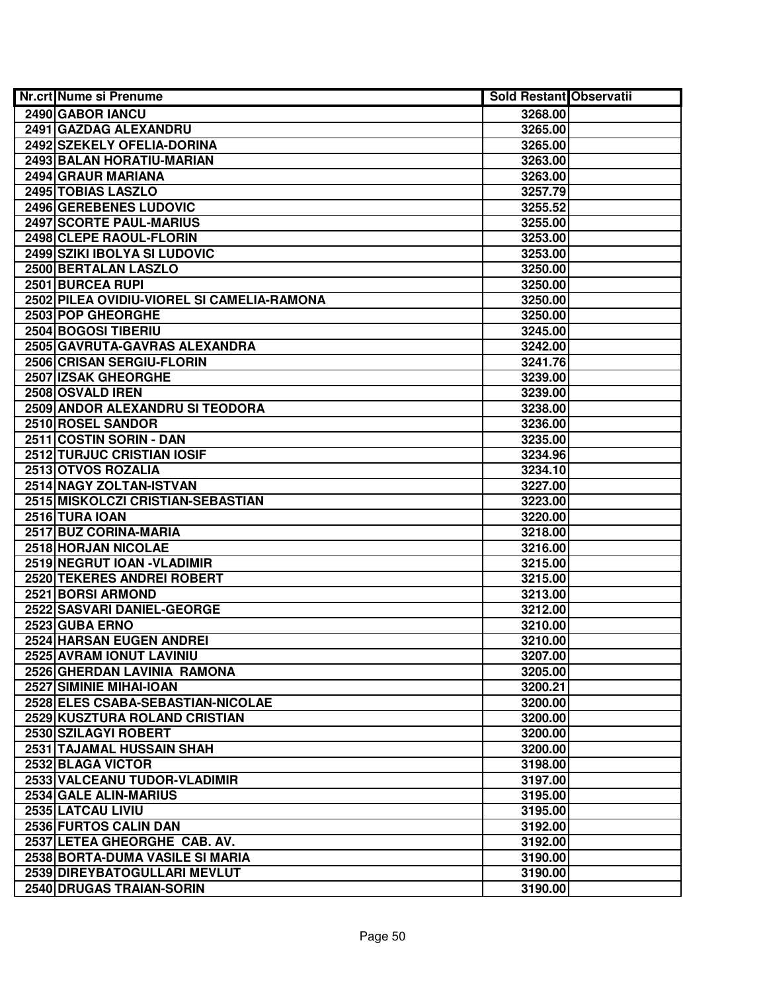| Nr.crt Nume si Prenume                     | <b>Sold Restant Observatii</b> |  |
|--------------------------------------------|--------------------------------|--|
| 2490 GABOR IANCU                           | 3268.00                        |  |
| 2491 GAZDAG ALEXANDRU                      | 3265.00                        |  |
| 2492 SZEKELY OFELIA-DORINA                 | 3265.00                        |  |
| 2493 BALAN HORATIU-MARIAN                  | 3263.00                        |  |
| 2494 GRAUR MARIANA                         | 3263.00                        |  |
| 2495 TOBIAS LASZLO                         | 3257.79                        |  |
| 2496 GEREBENES LUDOVIC                     | 3255.52                        |  |
| 2497 SCORTE PAUL-MARIUS                    | 3255.00                        |  |
| 2498 CLEPE RAOUL-FLORIN                    | 3253.00                        |  |
| 2499 SZIKI IBOLYA SI LUDOVIC               | 3253.00                        |  |
| 2500 BERTALAN LASZLO                       | 3250.00                        |  |
| 2501 BURCEA RUPI                           | 3250.00                        |  |
| 2502 PILEA OVIDIU-VIOREL SI CAMELIA-RAMONA | 3250.00                        |  |
| 2503 POP GHEORGHE                          | 3250.00                        |  |
| 2504 BOGOSI TIBERIU                        | 3245.00                        |  |
| 2505 GAVRUTA-GAVRAS ALEXANDRA              | 3242.00                        |  |
| 2506 CRISAN SERGIU-FLORIN                  | 3241.76                        |  |
| 2507 IZSAK GHEORGHE                        | 3239.00                        |  |
| 2508 OSVALD IREN                           | 3239.00                        |  |
| 2509 ANDOR ALEXANDRU SI TEODORA            | 3238.00                        |  |
| 2510 ROSEL SANDOR                          | 3236.00                        |  |
| 2511 COSTIN SORIN - DAN                    | 3235.00                        |  |
| <b>2512 TURJUC CRISTIAN IOSIF</b>          | 3234.96                        |  |
| 2513 OTVOS ROZALIA                         | 3234.10                        |  |
| 2514 NAGY ZOLTAN-ISTVAN                    | 3227.00                        |  |
| 2515 MISKOLCZI CRISTIAN-SEBASTIAN          | 3223.00                        |  |
| 2516 TURA IOAN                             | 3220.00                        |  |
| 2517 BUZ CORINA-MARIA                      | 3218.00                        |  |
| 2518 HORJAN NICOLAE                        | 3216.00                        |  |
| 2519 NEGRUT IOAN - VLADIMIR                | 3215.00                        |  |
| 2520 TEKERES ANDREI ROBERT                 | 3215.00                        |  |
| 2521 BORSI ARMOND                          | 3213.00                        |  |
| 2522 SASVARI DANIEL-GEORGE                 | 3212.00                        |  |
| 2523 GUBA ERNO                             | 3210.00                        |  |
| 2524 HARSAN EUGEN ANDREI                   | 3210.00                        |  |
| 2525 AVRAM IONUT LAVINIU                   | 3207.00                        |  |
| 2526 GHERDAN LAVINIA RAMONA                | 3205.00                        |  |
| 2527 SIMINIE MIHAI-IOAN                    | 3200.21                        |  |
| 2528 ELES CSABA-SEBASTIAN-NICOLAE          | 3200.00                        |  |
| 2529 KUSZTURA ROLAND CRISTIAN              | 3200.00                        |  |
| 2530 SZILAGYI ROBERT                       | 3200.00                        |  |
| 2531 TAJAMAL HUSSAIN SHAH                  | 3200.00                        |  |
| 2532 BLAGA VICTOR                          | 3198.00                        |  |
| 2533 VALCEANU TUDOR-VLADIMIR               | 3197.00                        |  |
| 2534 GALE ALIN-MARIUS                      | 3195.00                        |  |
| 2535 LATCAU LIVIU                          | 3195.00                        |  |
| 2536 FURTOS CALIN DAN                      | 3192.00                        |  |
| 2537 LETEA GHEORGHE CAB. AV.               | 3192.00                        |  |
| 2538 BORTA-DUMA VASILE SI MARIA            | 3190.00                        |  |
| 2539 DIREYBATOGULLARI MEVLUT               | 3190.00                        |  |
| 2540 DRUGAS TRAIAN-SORIN                   | 3190.00                        |  |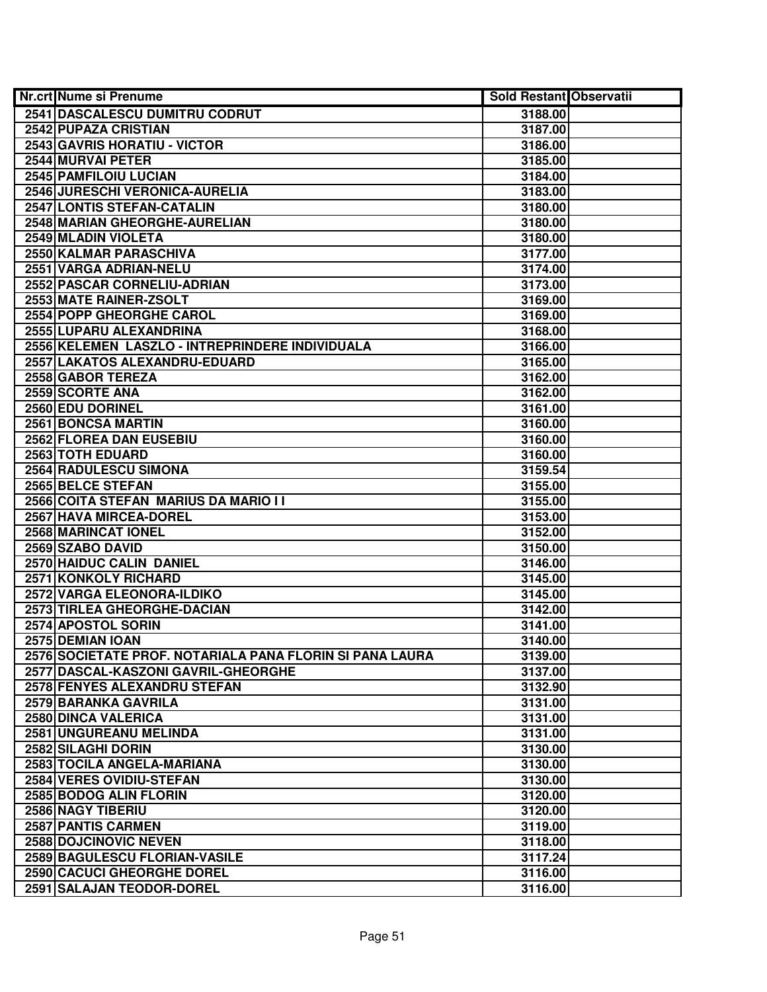| Nr.crt Nume si Prenume                                   | <b>Sold Restant Observatii</b> |  |
|----------------------------------------------------------|--------------------------------|--|
| 2541 DASCALESCU DUMITRU CODRUT                           | 3188.00                        |  |
| 2542 PUPAZA CRISTIAN                                     | 3187.00                        |  |
| 2543 GAVRIS HORATIU - VICTOR                             | 3186.00                        |  |
| 2544 MURVAI PETER                                        | 3185.00                        |  |
| 2545 PAMFILOIU LUCIAN                                    | 3184.00                        |  |
| 2546 JURESCHI VERONICA-AURELIA                           | 3183.00                        |  |
| 2547 LONTIS STEFAN-CATALIN                               | 3180.00                        |  |
| 2548 MARIAN GHEORGHE-AURELIAN                            | 3180.00                        |  |
| 2549 MLADIN VIOLETA                                      | 3180.00                        |  |
| 2550 KALMAR PARASCHIVA                                   | 3177.00                        |  |
| 2551 VARGA ADRIAN-NELU                                   | 3174.00                        |  |
| 2552 PASCAR CORNELIU-ADRIAN                              | 3173.00                        |  |
| 2553 MATE RAINER-ZSOLT                                   | 3169.00                        |  |
| 2554 POPP GHEORGHE CAROL                                 | 3169.00                        |  |
| 2555 LUPARU ALEXANDRINA                                  | 3168.00                        |  |
| 2556 KELEMEN LASZLO - INTREPRINDERE INDIVIDUALA          | 3166.00                        |  |
| 2557 LAKATOS ALEXANDRU-EDUARD                            | 3165.00                        |  |
| 2558 GABOR TEREZA                                        | 3162.00                        |  |
| 2559 SCORTE ANA                                          | 3162.00                        |  |
| 2560 EDU DORINEL                                         | 3161.00                        |  |
| 2561 BONCSA MARTIN                                       | 3160.00                        |  |
| 2562 FLOREA DAN EUSEBIU                                  | 3160.00                        |  |
| 2563 TOTH EDUARD                                         | 3160.00                        |  |
| 2564 RADULESCU SIMONA                                    | 3159.54                        |  |
| 2565 BELCE STEFAN                                        | 3155.00                        |  |
| 2566 COITA STEFAN MARIUS DA MARIO I I                    | 3155.00                        |  |
| 2567 HAVA MIRCEA-DOREL                                   | 3153.00                        |  |
| 2568 MARINCAT IONEL                                      | 3152.00                        |  |
| 2569 SZABO DAVID                                         | 3150.00                        |  |
| 2570 HAIDUC CALIN DANIEL                                 | 3146.00                        |  |
| 2571 KONKOLY RICHARD                                     | 3145.00                        |  |
| 2572 VARGA ELEONORA-ILDIKO                               | 3145.00                        |  |
| 2573 TIRLEA GHEORGHE-DACIAN                              | 3142.00                        |  |
| 2574 APOSTOL SORIN                                       | 3141.00                        |  |
| 2575 DEMIAN IOAN                                         | 3140.00                        |  |
| 2576 SOCIETATE PROF. NOTARIALA PANA FLORIN SI PANA LAURA | 3139.00                        |  |
| 2577 DASCAL-KASZONI GAVRIL-GHEORGHE                      | 3137.00                        |  |
| <b>2578 FENYES ALEXANDRU STEFAN</b>                      | 3132.90                        |  |
| 2579 BARANKA GAVRILA                                     | 3131.00                        |  |
| 2580 DINCA VALERICA                                      | 3131.00                        |  |
| 2581 UNGUREANU MELINDA                                   | 3131.00                        |  |
| 2582 SILAGHI DORIN                                       | 3130.00                        |  |
| 2583 TOCILA ANGELA-MARIANA                               | 3130.00                        |  |
| 2584 VERES OVIDIU-STEFAN                                 | 3130.00                        |  |
| 2585 BODOG ALIN FLORIN                                   | 3120.00                        |  |
| 2586 NAGY TIBERIU                                        | 3120.00                        |  |
| 2587 PANTIS CARMEN                                       | 3119.00                        |  |
| <b>2588 DOJCINOVIC NEVEN</b>                             | 3118.00                        |  |
| 2589 BAGULESCU FLORIAN-VASILE                            | 3117.24                        |  |
| 2590 CACUCI GHEORGHE DOREL                               | 3116.00                        |  |
| 2591 SALAJAN TEODOR-DOREL                                | 3116.00                        |  |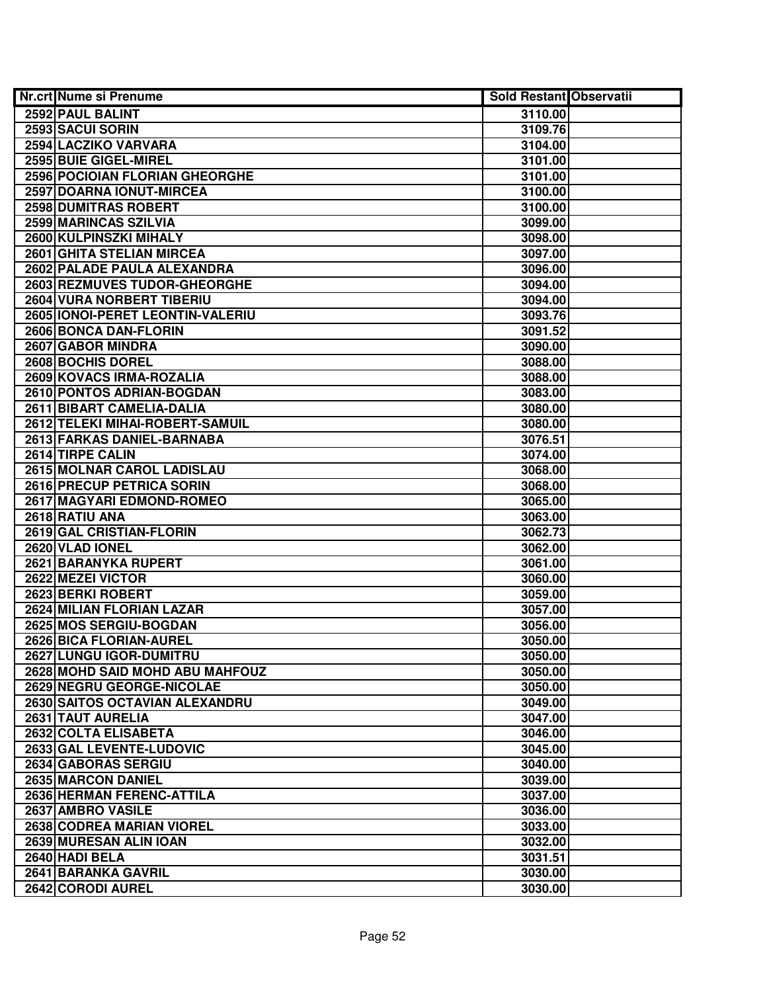| <b>Nr.crt Nume si Prenume</b>      | <b>Sold Restant Observatii</b> |  |
|------------------------------------|--------------------------------|--|
| 2592 PAUL BALINT                   | 3110.00                        |  |
| 2593 SACUI SORIN                   | 3109.76                        |  |
| 2594 LACZIKO VARVARA               | 3104.00                        |  |
| 2595 BUIE GIGEL-MIREL              | 3101.00                        |  |
| 2596 POCIOIAN FLORIAN GHEORGHE     | 3101.00                        |  |
| 2597 DOARNA IONUT-MIRCEA           | 3100.00                        |  |
| 2598 DUMITRAS ROBERT               | 3100.00                        |  |
| 2599 MARINCAS SZILVIA              | 3099.00                        |  |
| 2600 KULPINSZKI MIHALY             | 3098.00                        |  |
| 2601 GHITA STELIAN MIRCEA          | 3097.00                        |  |
| 2602 PALADE PAULA ALEXANDRA        | 3096.00                        |  |
| 2603 REZMUVES TUDOR-GHEORGHE       | 3094.00                        |  |
| <b>2604 VURA NORBERT TIBERIU</b>   | 3094.00                        |  |
| 2605   IONOI-PERET LEONTIN-VALERIU | 3093.76                        |  |
| 2606 BONCA DAN-FLORIN              | 3091.52                        |  |
| 2607 GABOR MINDRA                  | 3090.00                        |  |
| 2608 BOCHIS DOREL                  | 3088.00                        |  |
| 2609 KOVACS IRMA-ROZALIA           | 3088.00                        |  |
| 2610 PONTOS ADRIAN-BOGDAN          | 3083.00                        |  |
| 2611 BIBART CAMELIA-DALIA          | 3080.00                        |  |
| 2612 TELEKI MIHAI-ROBERT-SAMUIL    | 3080.00                        |  |
| 2613 FARKAS DANIEL-BARNABA         | 3076.51                        |  |
| 2614 TIRPE CALIN                   | 3074.00                        |  |
| 2615 MOLNAR CAROL LADISLAU         | 3068.00                        |  |
| 2616 PRECUP PETRICA SORIN          | 3068.00                        |  |
| 2617 MAGYARI EDMOND-ROMEO          | 3065.00                        |  |
| 2618 RATIU ANA                     | 3063.00                        |  |
| 2619 GAL CRISTIAN-FLORIN           | 3062.73                        |  |
| 2620 VLAD IONEL                    | 3062.00                        |  |
| 2621 BARANYKA RUPERT               | 3061.00                        |  |
| 2622 MEZEI VICTOR                  | 3060.00                        |  |
| 2623 BERKI ROBERT                  | 3059.00                        |  |
| 2624 MILIAN FLORIAN LAZAR          | 3057.00                        |  |
| 2625 MOS SERGIU-BOGDAN             | 3056.00                        |  |
| 2626 BICA FLORIAN-AUREL            | 3050.00                        |  |
| 2627 LUNGU IGOR-DUMITRU            | 3050.00                        |  |
| 2628 MOHD SAID MOHD ABU MAHFOUZ    | 3050.00                        |  |
| 2629 NEGRU GEORGE-NICOLAE          | 3050.00                        |  |
| 2630 SAITOS OCTAVIAN ALEXANDRU     | 3049.00                        |  |
| 2631 TAUT AURELIA                  | 3047.00                        |  |
| 2632 COLTA ELISABETA               | 3046.00                        |  |
| 2633 GAL LEVENTE-LUDOVIC           | 3045.00                        |  |
| 2634 GABORAS SERGIU                | 3040.00                        |  |
| 2635 MARCON DANIEL                 | 3039.00                        |  |
| 2636 HERMAN FERENC-ATTILA          | 3037.00                        |  |
| 2637 AMBRO VASILE                  | 3036.00                        |  |
| 2638 CODREA MARIAN VIOREL          | 3033.00                        |  |
| 2639 MURESAN ALIN IOAN             | 3032.00                        |  |
| 2640 HADI BELA                     | 3031.51                        |  |
| 2641 BARANKA GAVRIL                | 3030.00                        |  |
| 2642 CORODI AUREL                  | 3030.00                        |  |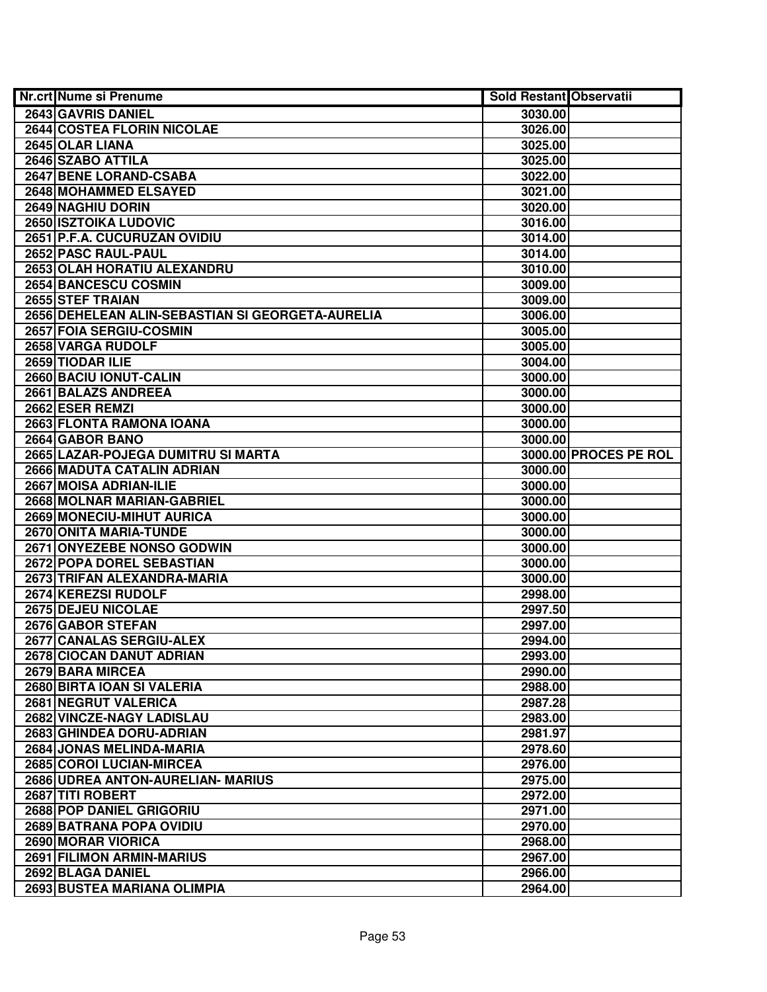| <b>Nr.crt Nume si Prenume</b>                    | <b>Sold Restant Observatii</b> |                       |
|--------------------------------------------------|--------------------------------|-----------------------|
| 2643 GAVRIS DANIEL                               | 3030.00                        |                       |
| <b>2644 COSTEA FLORIN NICOLAE</b>                | 3026.00                        |                       |
| 2645 OLAR LIANA                                  | 3025.00                        |                       |
| 2646 SZABO ATTILA                                | 3025.00                        |                       |
| 2647 BENE LORAND-CSABA                           | 3022.00                        |                       |
| 2648 MOHAMMED ELSAYED                            | 3021.00                        |                       |
| 2649 NAGHIU DORIN                                | 3020.00                        |                       |
| <b>2650 ISZTOIKA LUDOVIC</b>                     | 3016.00                        |                       |
| 2651 P.F.A. CUCURUZAN OVIDIU                     | 3014.00                        |                       |
| 2652 PASC RAUL-PAUL                              | 3014.00                        |                       |
| 2653 OLAH HORATIU ALEXANDRU                      | 3010.00                        |                       |
| 2654 BANCESCU COSMIN                             | 3009.00                        |                       |
| 2655 STEF TRAIAN                                 | 3009.00                        |                       |
| 2656 DEHELEAN ALIN-SEBASTIAN SI GEORGETA-AURELIA | 3006.00                        |                       |
| 2657 FOIA SERGIU-COSMIN                          | 3005.00                        |                       |
| 2658 VARGA RUDOLF                                | 3005.00                        |                       |
| 2659 TIODAR ILIE                                 | 3004.00                        |                       |
| 2660 BACIU IONUT-CALIN                           | 3000.00                        |                       |
| 2661 BALAZS ANDREEA                              | 3000.00                        |                       |
| 2662 ESER REMZI                                  | 3000.00                        |                       |
| 2663 FLONTA RAMONA IOANA                         | 3000.00                        |                       |
| 2664 GABOR BANO                                  | 3000.00                        |                       |
| 2665 LAZAR-POJEGA DUMITRU SI MARTA               |                                | 3000.00 PROCES PE ROL |
| 2666 MADUTA CATALIN ADRIAN                       | 3000.00                        |                       |
| 2667 MOISA ADRIAN-ILIE                           | 3000.00                        |                       |
| 2668 MOLNAR MARIAN-GABRIEL                       | 3000.00                        |                       |
| 2669 MONECIU-MIHUT AURICA                        | 3000.00                        |                       |
| 2670 ONITA MARIA-TUNDE                           | 3000.00                        |                       |
| 2671 ONYEZEBE NONSO GODWIN                       | 3000.00                        |                       |
| 2672 POPA DOREL SEBASTIAN                        | 3000.00                        |                       |
| 2673 TRIFAN ALEXANDRA-MARIA                      | 3000.00                        |                       |
| 2674 KEREZSI RUDOLF                              | 2998.00                        |                       |
| 2675 DEJEU NICOLAE                               | 2997.50                        |                       |
| <b>2676 GABOR STEFAN</b>                         | 2997.00                        |                       |
| 2677 CANALAS SERGIU-ALEX                         | 2994.00                        |                       |
| 2678 CIOCAN DANUT ADRIAN                         | 2993.00                        |                       |
| 2679 BARA MIRCEA                                 | 2990.00                        |                       |
| 2680 BIRTA IOAN SI VALERIA                       | 2988.00                        |                       |
| <b>2681 NEGRUT VALERICA</b>                      | 2987.28                        |                       |
| 2682 VINCZE-NAGY LADISLAU                        | 2983.00                        |                       |
| 2683 GHINDEA DORU-ADRIAN                         | 2981.97                        |                       |
| 2684 JONAS MELINDA-MARIA                         | 2978.60                        |                       |
| 2685 COROI LUCIAN-MIRCEA                         | 2976.00                        |                       |
| 2686 UDREA ANTON-AURELIAN- MARIUS                | 2975.00                        |                       |
| 2687 TITI ROBERT                                 | 2972.00                        |                       |
| 2688 POP DANIEL GRIGORIU                         | 2971.00                        |                       |
| 2689 BATRANA POPA OVIDIU                         | 2970.00                        |                       |
| 2690 MORAR VIORICA                               | 2968.00                        |                       |
| 2691 FILIMON ARMIN-MARIUS                        | 2967.00                        |                       |
| 2692 BLAGA DANIEL                                | 2966.00                        |                       |
| 2693 BUSTEA MARIANA OLIMPIA                      | 2964.00                        |                       |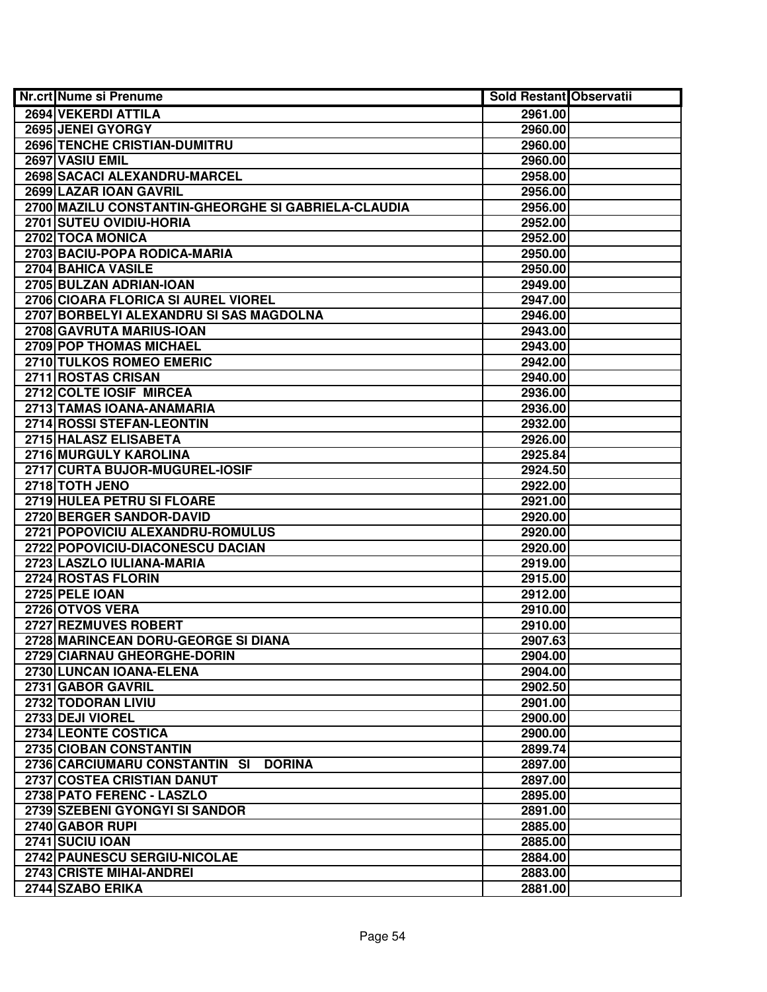| Nr.crt Nume si Prenume                              | Sold Restant Observatii |  |
|-----------------------------------------------------|-------------------------|--|
| 2694 VEKERDI ATTILA                                 | 2961.00                 |  |
| 2695 JENEI GYORGY                                   | 2960.00                 |  |
| 2696 TENCHE CRISTIAN-DUMITRU                        | 2960.00                 |  |
| 2697 VASIU EMIL                                     | 2960.00                 |  |
| 2698 SACACI ALEXANDRU-MARCEL                        | 2958.00                 |  |
| 2699 LAZAR IOAN GAVRIL                              | 2956.00                 |  |
| 2700 MAZILU CONSTANTIN-GHEORGHE SI GABRIELA-CLAUDIA | 2956.00                 |  |
| 2701 SUTEU OVIDIU-HORIA                             | 2952.00                 |  |
| 2702 TOCA MONICA                                    | 2952.00                 |  |
| 2703 BACIU-POPA RODICA-MARIA                        | 2950.00                 |  |
| <b>2704 BAHICA VASILE</b>                           | 2950.00                 |  |
| 2705 BULZAN ADRIAN-IOAN                             | 2949.00                 |  |
| 2706 CIOARA FLORICA SI AUREL VIOREL                 | 2947.00                 |  |
| 2707 BORBELYI ALEXANDRU SI SAS MAGDOLNA             | 2946.00                 |  |
| 2708 GAVRUTA MARIUS-IOAN                            | 2943.00                 |  |
| 2709 POP THOMAS MICHAEL                             | 2943.00                 |  |
| 2710 TULKOS ROMEO EMERIC                            | 2942.00                 |  |
| 2711 ROSTAS CRISAN                                  | 2940.00                 |  |
| 2712 COLTE IOSIF MIRCEA                             | 2936.00                 |  |
| 2713 TAMAS IOANA-ANAMARIA                           | 2936.00                 |  |
| 2714 ROSSI STEFAN-LEONTIN                           | 2932.00                 |  |
| 2715 HALASZ ELISABETA                               | 2926.00                 |  |
| 2716 MURGULY KAROLINA                               | 2925.84                 |  |
| 2717 CURTA BUJOR-MUGUREL-IOSIF                      | 2924.50                 |  |
| 2718 TOTH JENO                                      | 2922.00                 |  |
| 2719 HULEA PETRU SI FLOARE                          | 2921.00                 |  |
| 2720 BERGER SANDOR-DAVID                            | 2920.00                 |  |
| 2721 POPOVICIU ALEXANDRU-ROMULUS                    | 2920.00                 |  |
| 2722 POPOVICIU-DIACONESCU DACIAN                    | 2920.00                 |  |
| 2723 LASZLO IULIANA-MARIA                           | 2919.00                 |  |
| 2724 ROSTAS FLORIN                                  | 2915.00                 |  |
| <b>2725 PELE IOAN</b>                               | 2912.00                 |  |
| 2726 OTVOS VERA                                     | 2910.00                 |  |
| 2727 REZMUVES ROBERT                                | 2910.00                 |  |
| 2728 MARINCEAN DORU-GEORGE SI DIANA                 | 2907.63                 |  |
| 2729 CIARNAU GHEORGHE-DORIN                         | 2904.00                 |  |
| 2730 LUNCAN IOANA-ELENA                             | 2904.00                 |  |
| 2731 GABOR GAVRIL                                   | 2902.50                 |  |
| 2732 TODORAN LIVIU                                  | 2901.00                 |  |
| 2733 DEJI VIOREL                                    | 2900.00                 |  |
| 2734 LEONTE COSTICA                                 | 2900.00                 |  |
| 2735 CIOBAN CONSTANTIN                              | 2899.74                 |  |
| 2736 CARCIUMARU CONSTANTIN SI DORINA                | 2897.00                 |  |
| 2737 COSTEA CRISTIAN DANUT                          | 2897.00                 |  |
| 2738 PATO FERENC - LASZLO                           | 2895.00                 |  |
| 2739 SZEBENI GYONGYI SI SANDOR                      | 2891.00                 |  |
| 2740 GABOR RUPI                                     | 2885.00                 |  |
| 2741 SUCIU IOAN                                     | 2885.00                 |  |
| 2742 PAUNESCU SERGIU-NICOLAE                        | 2884.00                 |  |
| 2743 CRISTE MIHAI-ANDREI                            | 2883.00                 |  |
| 2744 SZABO ERIKA                                    | 2881.00                 |  |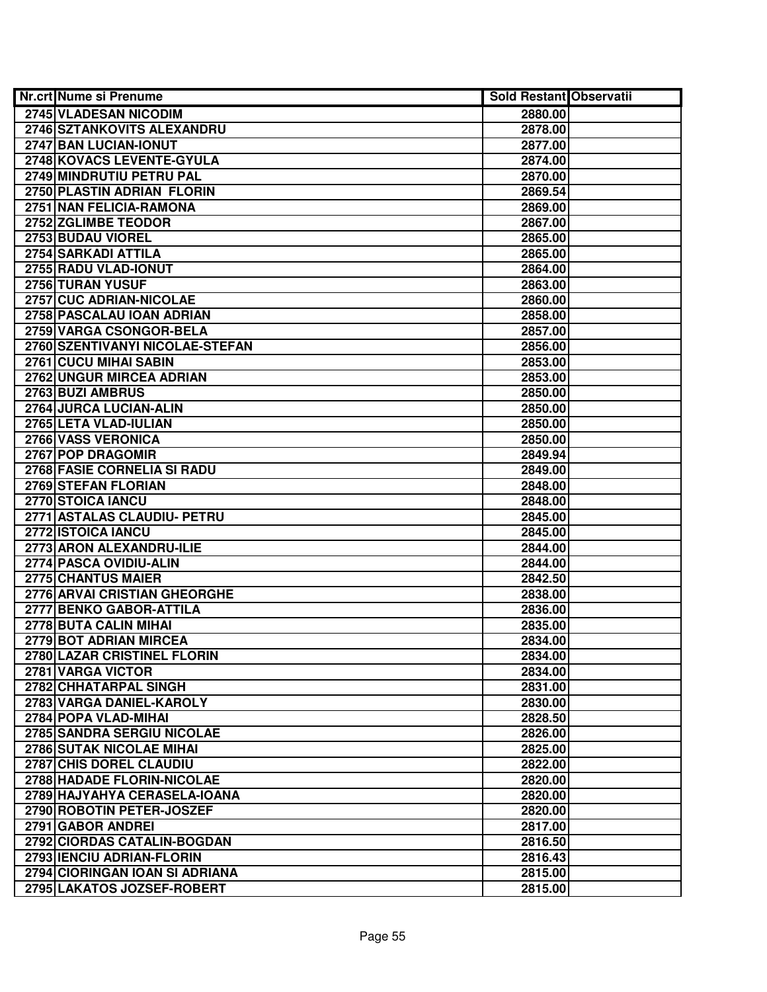| <b>Nr.crt Nume si Prenume</b>      | <b>Sold Restant Observatii</b> |  |
|------------------------------------|--------------------------------|--|
| 2745 VLADESAN NICODIM              | 2880.00                        |  |
| 2746 SZTANKOVITS ALEXANDRU         | 2878.00                        |  |
| 2747 BAN LUCIAN-IONUT              | 2877.00                        |  |
| 2748 KOVACS LEVENTE-GYULA          | 2874.00                        |  |
| 2749 MINDRUTIU PETRU PAL           | 2870.00                        |  |
| 2750 PLASTIN ADRIAN FLORIN         | 2869.54                        |  |
| 2751 NAN FELICIA-RAMONA            | 2869.00                        |  |
| 2752 ZGLIMBE TEODOR                | 2867.00                        |  |
| 2753 BUDAU VIOREL                  | 2865.00                        |  |
| 2754 SARKADI ATTILA                | 2865.00                        |  |
| 2755 RADU VLAD-IONUT               | 2864.00                        |  |
| 2756 TURAN YUSUF                   | 2863.00                        |  |
| 2757 CUC ADRIAN-NICOLAE            | 2860.00                        |  |
| 2758 PASCALAU IOAN ADRIAN          | 2858.00                        |  |
| 2759 VARGA CSONGOR-BELA            | 2857.00                        |  |
| 2760 SZENTIVANYI NICOLAE-STEFAN    | 2856.00                        |  |
| 2761 CUCU MIHAI SABIN              | 2853.00                        |  |
| 2762 UNGUR MIRCEA ADRIAN           | 2853.00                        |  |
| 2763 BUZI AMBRUS                   | 2850.00                        |  |
| 2764 JURCA LUCIAN-ALIN             | 2850.00                        |  |
| 2765 LETA VLAD-IULIAN              | 2850.00                        |  |
| 2766 VASS VERONICA                 | 2850.00                        |  |
| 2767 POP DRAGOMIR                  | 2849.94                        |  |
| 2768 FASIE CORNELIA SI RADU        | 2849.00                        |  |
| 2769 STEFAN FLORIAN                | 2848.00                        |  |
| 2770 STOICA IANCU                  | 2848.00                        |  |
| 2771 ASTALAS CLAUDIU- PETRU        | 2845.00                        |  |
| 2772 ISTOICA IANCU                 | 2845.00                        |  |
| 2773 ARON ALEXANDRU-ILIE           | 2844.00                        |  |
| 2774 PASCA OVIDIU-ALIN             | 2844.00                        |  |
| 2775 CHANTUS MAIER                 | 2842.50                        |  |
| 2776 ARVAI CRISTIAN GHEORGHE       | 2838.00                        |  |
| 2777 BENKO GABOR-ATTILA            | 2836.00                        |  |
| 2778 BUTA CALIN MIHAI              | 2835.00                        |  |
| 2779 BOT ADRIAN MIRCEA             | 2834.00                        |  |
| <b>2780 LAZAR CRISTINEL FLORIN</b> | 2834.00                        |  |
| 2781 VARGA VICTOR                  | 2834.00                        |  |
| 2782 CHHATARPAL SINGH              | 2831.00                        |  |
| 2783 VARGA DANIEL-KAROLY           | 2830.00                        |  |
| 2784 POPA VLAD-MIHAI               | 2828.50                        |  |
| 2785 SANDRA SERGIU NICOLAE         | 2826.00                        |  |
| 2786 SUTAK NICOLAE MIHAI           | 2825.00                        |  |
| 2787 CHIS DOREL CLAUDIU            | 2822.00                        |  |
| 2788 HADADE FLORIN-NICOLAE         | 2820.00                        |  |
| 2789 HAJYAHYA CERASELA-IOANA       | 2820.00                        |  |
| 2790 ROBOTIN PETER-JOSZEF          | 2820.00                        |  |
| 2791 GABOR ANDREI                  | 2817.00                        |  |
| 2792 CIORDAS CATALIN-BOGDAN        | 2816.50                        |  |
| 2793 IENCIU ADRIAN-FLORIN          | 2816.43                        |  |
| 2794 CIORINGAN IOAN SI ADRIANA     | 2815.00                        |  |
| 2795 LAKATOS JOZSEF-ROBERT         | 2815.00                        |  |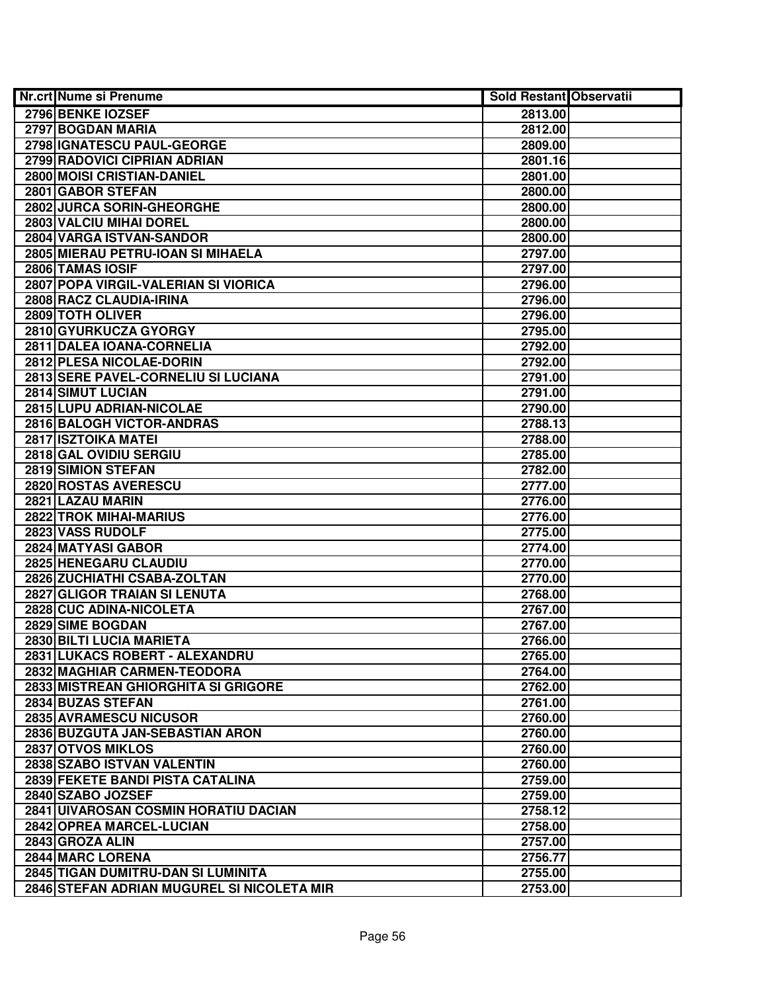| <b>Nr.crt Nume si Prenume</b>              | <b>Sold Restant Observatii</b> |  |
|--------------------------------------------|--------------------------------|--|
| 2796 BENKE IOZSEF                          | 2813.00                        |  |
| 2797 BOGDAN MARIA                          | 2812.00                        |  |
| 2798 IGNATESCU PAUL-GEORGE                 | 2809.00                        |  |
| 2799 RADOVICI CIPRIAN ADRIAN               | 2801.16                        |  |
| 2800 MOISI CRISTIAN-DANIEL                 | 2801.00                        |  |
| 2801 GABOR STEFAN                          | 2800.00                        |  |
| 2802 JURCA SORIN-GHEORGHE                  | 2800.00                        |  |
| 2803 VALCIU MIHAI DOREL                    | 2800.00                        |  |
| 2804 VARGA ISTVAN-SANDOR                   | 2800.00                        |  |
| 2805 MIERAU PETRU-IOAN SI MIHAELA          | 2797.00                        |  |
| 2806 TAMAS IOSIF                           | 2797.00                        |  |
| 2807 POPA VIRGIL-VALERIAN SI VIORICA       | 2796.00                        |  |
| 2808 RACZ CLAUDIA-IRINA                    | 2796.00                        |  |
| 2809 TOTH OLIVER                           | 2796.00                        |  |
| 2810 GYURKUCZA GYORGY                      | 2795.00                        |  |
| 2811 DALEA IOANA-CORNELIA                  | 2792.00                        |  |
| 2812 PLESA NICOLAE-DORIN                   | 2792.00                        |  |
| 2813 SERE PAVEL-CORNELIU SI LUCIANA        | 2791.00                        |  |
| 2814 SIMUT LUCIAN                          | 2791.00                        |  |
| 2815 LUPU ADRIAN-NICOLAE                   | 2790.00                        |  |
| 2816 BALOGH VICTOR-ANDRAS                  | 2788.13                        |  |
| 2817 ISZTOIKA MATEI                        | 2788.00                        |  |
| 2818 GAL OVIDIU SERGIU                     | 2785.00                        |  |
| 2819 SIMION STEFAN                         | 2782.00                        |  |
| 2820 ROSTAS AVERESCU                       | 2777.00                        |  |
| 2821 LAZAU MARIN                           | 2776.00                        |  |
| 2822 TROK MIHAI-MARIUS                     | 2776.00                        |  |
| 2823 VASS RUDOLF                           | 2775.00                        |  |
| 2824 MATYASI GABOR                         | 2774.00                        |  |
| 2825 HENEGARU CLAUDIU                      | 2770.00                        |  |
| 2826 ZUCHIATHI CSABA-ZOLTAN                | 2770.00                        |  |
| 2827 GLIGOR TRAIAN SI LENUTA               | 2768.00                        |  |
| 2828 CUC ADINA-NICOLETA                    | 2767.00                        |  |
| 2829 SIME BOGDAN                           | 2767.00                        |  |
| 2830 BILTI LUCIA MARIETA                   | 2766.00                        |  |
| 2831 LUKACS ROBERT - ALEXANDRU             | 2765.00                        |  |
| 2832 MAGHIAR CARMEN-TEODORA                | 2764.00                        |  |
| 2833 MISTREAN GHIORGHITA SI GRIGORE        | 2762.00                        |  |
| 2834 BUZAS STEFAN                          | 2761.00                        |  |
| 2835 AVRAMESCU NICUSOR                     | 2760.00                        |  |
| 2836 BUZGUTA JAN-SEBASTIAN ARON            | 2760.00                        |  |
| 2837 OTVOS MIKLOS                          | 2760.00                        |  |
| 2838 SZABO ISTVAN VALENTIN                 | 2760.00                        |  |
| 2839 FEKETE BANDI PISTA CATALINA           | 2759.00                        |  |
| 2840 SZABO JOZSEF                          | 2759.00                        |  |
| 2841 UIVAROSAN COSMIN HORATIU DACIAN       | 2758.12                        |  |
| 2842 OPREA MARCEL-LUCIAN                   | 2758.00                        |  |
| 2843 GROZA ALIN                            | 2757.00                        |  |
| 2844 MARC LORENA                           | 2756.77                        |  |
| 2845 TIGAN DUMITRU-DAN SI LUMINITA         | 2755.00                        |  |
| 2846 STEFAN ADRIAN MUGUREL SI NICOLETA MIR | 2753.00                        |  |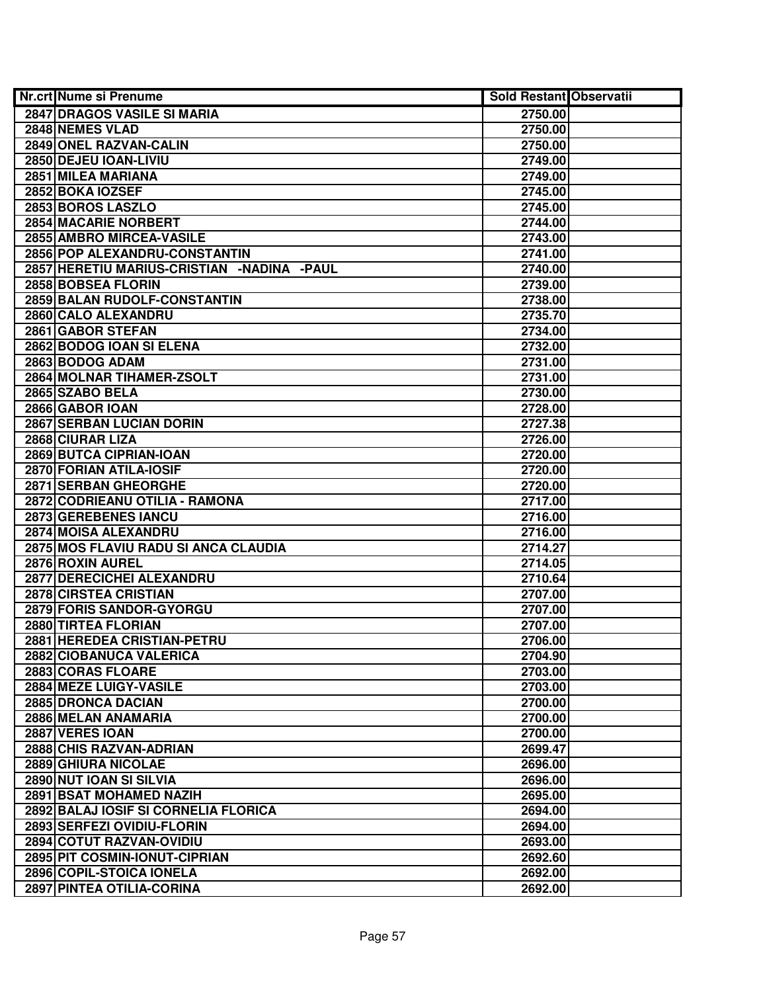| <b>Nr.crt Nume si Prenume</b>                | <b>Sold Restant Observatii</b> |  |
|----------------------------------------------|--------------------------------|--|
| 2847 DRAGOS VASILE SI MARIA                  | 2750.00                        |  |
| 2848 NEMES VLAD                              | 2750.00                        |  |
| 2849 ONEL RAZVAN-CALIN                       | 2750.00                        |  |
| 2850 DEJEU IOAN-LIVIU                        | 2749.00                        |  |
| 2851 MILEA MARIANA                           | 2749.00                        |  |
| 2852 BOKA IOZSEF                             | 2745.00                        |  |
| 2853 BOROS LASZLO                            | 2745.00                        |  |
| <b>2854 MACARIE NORBERT</b>                  | 2744.00                        |  |
| 2855 AMBRO MIRCEA-VASILE                     | 2743.00                        |  |
| 2856 POP ALEXANDRU-CONSTANTIN                | 2741.00                        |  |
| 2857 HERETIU MARIUS-CRISTIAN - NADINA - PAUL | 2740.00                        |  |
| 2858 BOBSEA FLORIN                           | 2739.00                        |  |
| 2859 BALAN RUDOLF-CONSTANTIN                 | 2738.00                        |  |
| 2860 CALO ALEXANDRU                          | 2735.70                        |  |
| 2861 GABOR STEFAN                            | 2734.00                        |  |
| 2862 BODOG IOAN SI ELENA                     | 2732.00                        |  |
| 2863 BODOG ADAM                              | 2731.00                        |  |
| 2864 MOLNAR TIHAMER-ZSOLT                    | 2731.00                        |  |
| 2865 SZABO BELA                              | 2730.00                        |  |
| 2866 GABOR IOAN                              | 2728.00                        |  |
| 2867 SERBAN LUCIAN DORIN                     | 2727.38                        |  |
| 2868 CIURAR LIZA                             | 2726.00                        |  |
| 2869 BUTCA CIPRIAN-IOAN                      | 2720.00                        |  |
| 2870 FORIAN ATILA-IOSIF                      | 2720.00                        |  |
| 2871 SERBAN GHEORGHE                         | 2720.00                        |  |
| 2872 CODRIEANU OTILIA - RAMONA               | 2717.00                        |  |
| <b>2873 GEREBENES IANCU</b>                  | 2716.00                        |  |
| 2874 MOISA ALEXANDRU                         | 2716.00                        |  |
| 2875 MOS FLAVIU RADU SI ANCA CLAUDIA         | 2714.27                        |  |
| 2876 ROXIN AUREL                             | 2714.05                        |  |
| 2877 DERECICHEI ALEXANDRU                    | 2710.64                        |  |
| 2878 CIRSTEA CRISTIAN                        | 2707.00                        |  |
| 2879 FORIS SANDOR-GYORGU                     | 2707.00                        |  |
| 2880 TIRTEA FLORIAN                          | 2707.00                        |  |
| 2881 HEREDEA CRISTIAN-PETRU                  | 2706.00                        |  |
| 2882 CIOBANUCA VALERICA                      | 2704.90                        |  |
| 2883 CORAS FLOARE                            | 2703.00                        |  |
| 2884 MEZE LUIGY-VASILE                       | 2703.00                        |  |
| 2885 DRONCA DACIAN                           | 2700.00                        |  |
| 2886 MELAN ANAMARIA                          | 2700.00                        |  |
| 2887 VERES IOAN                              | 2700.00                        |  |
| 2888 CHIS RAZVAN-ADRIAN                      | 2699.47                        |  |
| 2889 GHIURA NICOLAE                          | 2696.00                        |  |
| 2890 NUT IOAN SI SILVIA                      | 2696.00                        |  |
| 2891 BSAT MOHAMED NAZIH                      | 2695.00                        |  |
| 2892 BALAJ IOSIF SI CORNELIA FLORICA         | 2694.00                        |  |
| 2893 SERFEZI OVIDIU-FLORIN                   | 2694.00                        |  |
| 2894 COTUT RAZVAN-OVIDIU                     | 2693.00                        |  |
| 2895 PIT COSMIN-IONUT-CIPRIAN                | 2692.60                        |  |
| 2896 COPIL-STOICA IONELA                     | 2692.00                        |  |
| 2897 PINTEA OTILIA-CORINA                    | 2692.00                        |  |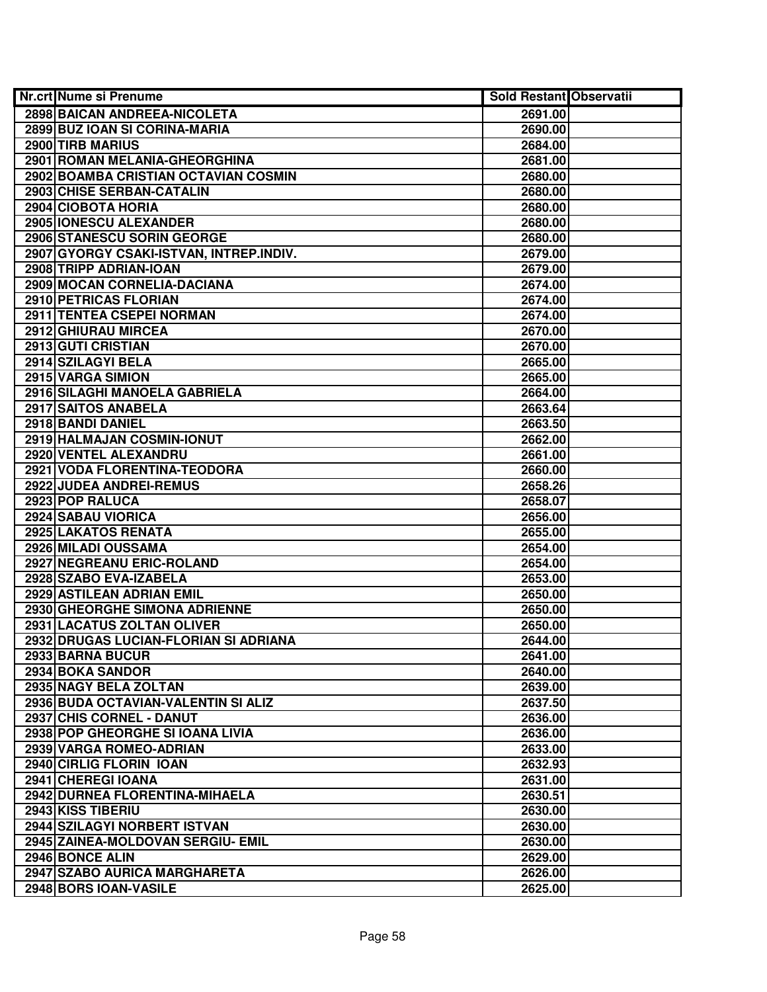| <b>Nr.crt Nume si Prenume</b>           | <b>Sold Restant Observatii</b> |  |
|-----------------------------------------|--------------------------------|--|
| 2898 BAICAN ANDREEA-NICOLETA            | 2691.00                        |  |
| 2899 BUZ IOAN SI CORINA-MARIA           | 2690.00                        |  |
| 2900 TIRB MARIUS                        | 2684.00                        |  |
| 2901 ROMAN MELANIA-GHEORGHINA           | 2681.00                        |  |
| 2902 BOAMBA CRISTIAN OCTAVIAN COSMIN    | 2680.00                        |  |
| 2903 CHISE SERBAN-CATALIN               | 2680.00                        |  |
| 2904 CIOBOTA HORIA                      | 2680.00                        |  |
| 2905 IONESCU ALEXANDER                  | 2680.00                        |  |
| <b>2906 STANESCU SORIN GEORGE</b>       | 2680.00                        |  |
| 2907 GYORGY CSAKI-ISTVAN, INTREP.INDIV. | 2679.00                        |  |
| 2908 TRIPP ADRIAN-IOAN                  | 2679.00                        |  |
| 2909 MOCAN CORNELIA-DACIANA             | 2674.00                        |  |
| 2910 PETRICAS FLORIAN                   | 2674.00                        |  |
| <b>2911 TENTEA CSEPEI NORMAN</b>        | 2674.00                        |  |
| 2912 GHIURAU MIRCEA                     | 2670.00                        |  |
| 2913 GUTI CRISTIAN                      | 2670.00                        |  |
| 2914 SZILAGYI BELA                      | 2665.00                        |  |
| 2915 VARGA SIMION                       | 2665.00                        |  |
| 2916 SILAGHI MANOELA GABRIELA           | 2664.00                        |  |
| 2917 SAITOS ANABELA                     | 2663.64                        |  |
| 2918 BANDI DANIEL                       | 2663.50                        |  |
| 2919 HALMAJAN COSMIN-IONUT              | 2662.00                        |  |
| 2920 VENTEL ALEXANDRU                   | 2661.00                        |  |
| 2921 VODA FLORENTINA-TEODORA            | 2660.00                        |  |
| 2922 JUDEA ANDREI-REMUS                 | 2658.26                        |  |
| 2923 POP RALUCA                         | 2658.07                        |  |
| 2924 SABAU VIORICA                      | 2656.00                        |  |
| 2925 LAKATOS RENATA                     | 2655.00                        |  |
| 2926 MILADI OUSSAMA                     | 2654.00                        |  |
| 2927 NEGREANU ERIC-ROLAND               | 2654.00                        |  |
| 2928 SZABO EVA-IZABELA                  | 2653.00                        |  |
| 2929 ASTILEAN ADRIAN EMIL               | 2650.00                        |  |
| 2930 GHEORGHE SIMONA ADRIENNE           | 2650.00                        |  |
| 2931 LACATUS ZOLTAN OLIVER              | 2650.00                        |  |
| 2932 DRUGAS LUCIAN-FLORIAN SI ADRIANA   | 2644.00                        |  |
| 2933 BARNA BUCUR                        | 2641.00                        |  |
| 2934 BOKA SANDOR                        | 2640.00                        |  |
| 2935 NAGY BELA ZOLTAN                   | 2639.00                        |  |
| 2936 BUDA OCTAVIAN-VALENTIN SI ALIZ     | 2637.50                        |  |
| 2937 CHIS CORNEL - DANUT                | 2636.00                        |  |
| 2938 POP GHEORGHE SI IOANA LIVIA        | 2636.00                        |  |
| 2939 VARGA ROMEO-ADRIAN                 | 2633.00                        |  |
| 2940 CIRLIG FLORIN IOAN                 | 2632.93                        |  |
| 2941 CHEREGI IOANA                      | 2631.00                        |  |
| 2942 DURNEA FLORENTINA-MIHAELA          | 2630.51                        |  |
| 2943 KISS TIBERIU                       | 2630.00                        |  |
| 2944 SZILAGYI NORBERT ISTVAN            | 2630.00                        |  |
| 2945 ZAINEA-MOLDOVAN SERGIU- EMIL       | 2630.00                        |  |
| 2946 BONCE ALIN                         | 2629.00                        |  |
| 2947 SZABO AURICA MARGHARETA            | 2626.00                        |  |
| 2948 BORS IOAN-VASILE                   | 2625.00                        |  |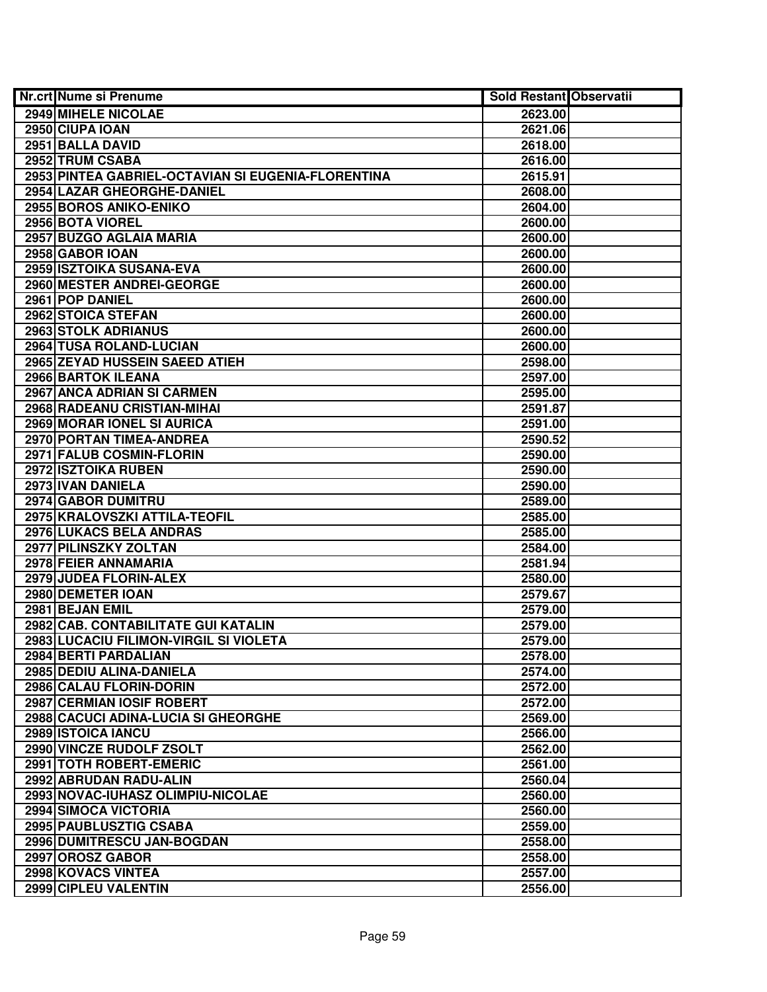| <b>Nr.crt Nume si Prenume</b>                      | <b>Sold Restant Observatii</b> |  |
|----------------------------------------------------|--------------------------------|--|
| 2949 MIHELE NICOLAE                                | 2623.00                        |  |
| 2950 CIUPA IOAN                                    | 2621.06                        |  |
| 2951 BALLA DAVID                                   | 2618.00                        |  |
| 2952 TRUM CSABA                                    | 2616.00                        |  |
| 2953 PINTEA GABRIEL-OCTAVIAN SI EUGENIA-FLORENTINA | 2615.91                        |  |
| 2954 LAZAR GHEORGHE-DANIEL                         | 2608.00                        |  |
| 2955 BOROS ANIKO-ENIKO                             | 2604.00                        |  |
| 2956 BOTA VIOREL                                   | 2600.00                        |  |
| 2957 BUZGO AGLAIA MARIA                            | 2600.00                        |  |
| 2958 GABOR IOAN                                    | 2600.00                        |  |
| 2959 ISZTOIKA SUSANA-EVA                           | 2600.00                        |  |
| 2960 MESTER ANDREI-GEORGE                          | 2600.00                        |  |
| 2961 POP DANIEL                                    | 2600.00                        |  |
| 2962 STOICA STEFAN                                 | 2600.00                        |  |
| 2963 STOLK ADRIANUS                                | 2600.00                        |  |
| 2964 TUSA ROLAND-LUCIAN                            | 2600.00                        |  |
| 2965 ZEYAD HUSSEIN SAEED ATIEH                     | 2598.00                        |  |
| 2966 BARTOK ILEANA                                 | 2597.00                        |  |
| 2967 ANCA ADRIAN SI CARMEN                         | 2595.00                        |  |
| 2968 RADEANU CRISTIAN-MIHAI                        | 2591.87                        |  |
| 2969 MORAR IONEL SI AURICA                         | 2591.00                        |  |
| 2970 PORTAN TIMEA-ANDREA                           | 2590.52                        |  |
| 2971 FALUB COSMIN-FLORIN                           | 2590.00                        |  |
| 2972 ISZTOIKA RUBEN                                | 2590.00                        |  |
| 2973 IVAN DANIELA                                  | 2590.00                        |  |
| 2974 GABOR DUMITRU                                 | 2589.00                        |  |
| 2975 KRALOVSZKI ATTILA-TEOFIL                      | 2585.00                        |  |
| 2976 LUKACS BELA ANDRAS                            | 2585.00                        |  |
| 2977 PILINSZKY ZOLTAN                              | 2584.00                        |  |
| 2978 FEIER ANNAMARIA                               | 2581.94                        |  |
| 2979 JUDEA FLORIN-ALEX                             | 2580.00                        |  |
| 2980 DEMETER IOAN                                  | 2579.67                        |  |
| 2981 BEJAN EMIL                                    | 2579.00                        |  |
| 2982 CAB. CONTABILITATE GUI KATALIN                | 2579.00                        |  |
| 2983 LUCACIU FILIMON-VIRGIL SI VIOLETA             | 2579.00                        |  |
| 2984 BERTI PARDALIAN                               | 2578.00                        |  |
| 2985 DEDIU ALINA-DANIELA                           | 2574.00                        |  |
| 2986 CALAU FLORIN-DORIN                            | 2572.00                        |  |
| 2987 CERMIAN IOSIF ROBERT                          | 2572.00                        |  |
| 2988 CACUCI ADINA-LUCIA SI GHEORGHE                | 2569.00                        |  |
| 2989 ISTOICA IANCU                                 | 2566.00                        |  |
| 2990 VINCZE RUDOLF ZSOLT                           | 2562.00                        |  |
| 2991 TOTH ROBERT-EMERIC                            | 2561.00                        |  |
| 2992 ABRUDAN RADU-ALIN                             | 2560.04                        |  |
| 2993 NOVAC-IUHASZ OLIMPIU-NICOLAE                  | 2560.00                        |  |
| 2994 SIMOCA VICTORIA                               | 2560.00                        |  |
| 2995 PAUBLUSZTIG CSABA                             | 2559.00                        |  |
| 2996 DUMITRESCU JAN-BOGDAN                         | 2558.00                        |  |
| 2997 OROSZ GABOR                                   | 2558.00                        |  |
| 2998 KOVACS VINTEA                                 | 2557.00                        |  |
| 2999 CIPLEU VALENTIN                               | 2556.00                        |  |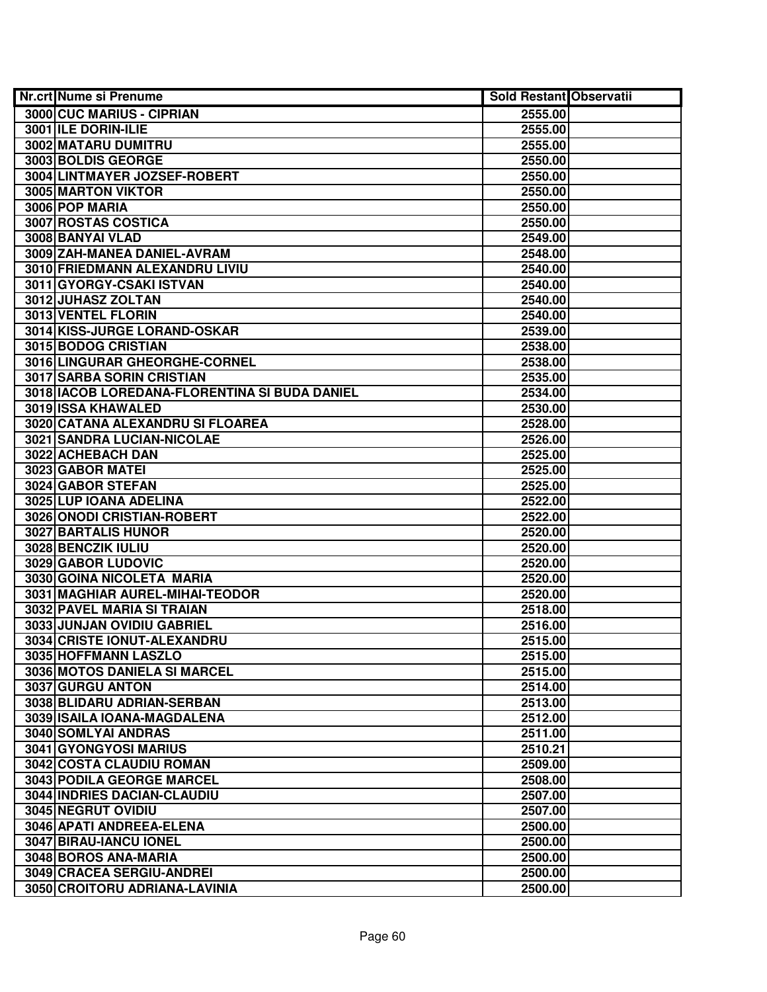| <b>Nr.crt Nume si Prenume</b>                   | <b>Sold Restant Observatii</b> |  |
|-------------------------------------------------|--------------------------------|--|
| 3000 CUC MARIUS - CIPRIAN                       | 2555.00                        |  |
| 3001 ILE DORIN-ILIE                             | 2555.00                        |  |
| 3002 MATARU DUMITRU                             | 2555.00                        |  |
| 3003 BOLDIS GEORGE                              | 2550.00                        |  |
| 3004 LINTMAYER JOZSEF-ROBERT                    | 2550.00                        |  |
| 3005 MARTON VIKTOR                              | 2550.00                        |  |
| 3006 POP MARIA                                  | 2550.00                        |  |
| <b>3007 ROSTAS COSTICA</b>                      | 2550.00                        |  |
| 3008 BANYAI VLAD                                | 2549.00                        |  |
| 3009 ZAH-MANEA DANIEL-AVRAM                     | 2548.00                        |  |
| 3010 FRIEDMANN ALEXANDRU LIVIU                  | 2540.00                        |  |
| 3011 GYORGY-CSAKI ISTVAN                        | 2540.00                        |  |
| 3012 JUHASZ ZOLTAN                              | 2540.00                        |  |
| 3013 VENTEL FLORIN                              | 2540.00                        |  |
| 3014 KISS-JURGE LORAND-OSKAR                    | 2539.00                        |  |
| 3015 BODOG CRISTIAN                             | 2538.00                        |  |
| 3016 LINGURAR GHEORGHE-CORNEL                   | 2538.00                        |  |
| 3017 SARBA SORIN CRISTIAN                       | 2535.00                        |  |
| 3018   IACOB LOREDANA-FLORENTINA SI BUDA DANIEL | 2534.00                        |  |
| 3019 ISSA KHAWALED                              | 2530.00                        |  |
| 3020 CATANA ALEXANDRU SI FLOAREA                | 2528.00                        |  |
| 3021 SANDRA LUCIAN-NICOLAE                      | 2526.00                        |  |
| 3022 ACHEBACH DAN                               | 2525.00                        |  |
| 3023 GABOR MATEI                                | 2525.00                        |  |
| 3024 GABOR STEFAN                               | 2525.00                        |  |
| 3025 LUP IOANA ADELINA                          | 2522.00                        |  |
| 3026 ONODI CRISTIAN-ROBERT                      | 2522.00                        |  |
| 3027 BARTALIS HUNOR                             | 2520.00                        |  |
| 3028 BENCZIK IULIU                              | 2520.00                        |  |
| 3029 GABOR LUDOVIC                              | 2520.00                        |  |
| 3030 GOINA NICOLETA MARIA                       | 2520.00                        |  |
| 3031 MAGHIAR AUREL-MIHAI-TEODOR                 | 2520.00                        |  |
| 3032 PAVEL MARIA SI TRAIAN                      | 2518.00                        |  |
| 3033 JUNJAN OVIDIU GABRIEL                      | 2516.00                        |  |
| 3034 CRISTE IONUT-ALEXANDRU                     | 2515.00                        |  |
| 3035 HOFFMANN LASZLO                            | 2515.00                        |  |
| 3036 MOTOS DANIELA SI MARCEL                    | 2515.00                        |  |
| 3037 GURGU ANTON                                | 2514.00                        |  |
| 3038 BLIDARU ADRIAN-SERBAN                      | 2513.00                        |  |
| 3039 ISAILA IOANA-MAGDALENA                     | 2512.00                        |  |
| <b>3040 SOMLYAI ANDRAS</b>                      | 2511.00                        |  |
| <b>3041 GYONGYOSI MARIUS</b>                    | 2510.21                        |  |
| <b>3042 COSTA CLAUDIU ROMAN</b>                 | 2509.00                        |  |
| 3043 PODILA GEORGE MARCEL                       | 2508.00                        |  |
| <b>3044 INDRIES DACIAN-CLAUDIU</b>              | 2507.00                        |  |
| 3045 NEGRUT OVIDIU                              | 2507.00                        |  |
| 3046 APATI ANDREEA-ELENA                        | 2500.00                        |  |
| 3047 BIRAU-IANCU IONEL                          | 2500.00                        |  |
| 3048 BOROS ANA-MARIA                            | 2500.00                        |  |
| 3049 CRACEA SERGIU-ANDREI                       | 2500.00                        |  |
| 3050 CROITORU ADRIANA-LAVINIA                   | 2500.00                        |  |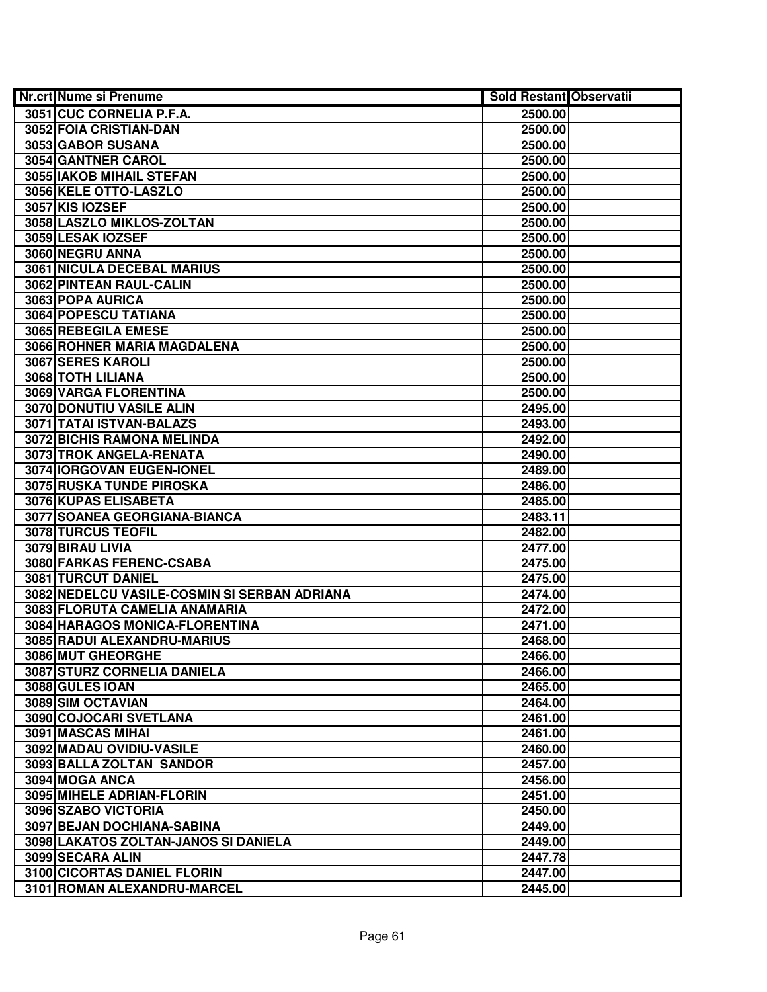| <b>Nr.crt Nume si Prenume</b>                | <b>Sold Restant Observatii</b> |  |
|----------------------------------------------|--------------------------------|--|
| 3051 CUC CORNELIA P.F.A.                     | 2500.00                        |  |
| 3052 FOIA CRISTIAN-DAN                       | 2500.00                        |  |
| 3053 GABOR SUSANA                            | 2500.00                        |  |
| 3054 GANTNER CAROL                           | 2500.00                        |  |
| 3055 IAKOB MIHAIL STEFAN                     | 2500.00                        |  |
| 3056 KELE OTTO-LASZLO                        | 2500.00                        |  |
| 3057 KIS IOZSEF                              | 2500.00                        |  |
| 3058 LASZLO MIKLOS-ZOLTAN                    | 2500.00                        |  |
| 3059 LESAK IOZSEF                            | 2500.00                        |  |
| 3060 NEGRU ANNA                              | 2500.00                        |  |
| <b>3061 NICULA DECEBAL MARIUS</b>            | 2500.00                        |  |
| 3062 PINTEAN RAUL-CALIN                      | 2500.00                        |  |
| 3063 POPA AURICA                             | 2500.00                        |  |
| 3064 POPESCU TATIANA                         | 2500.00                        |  |
| 3065 REBEGILA EMESE                          | 2500.00                        |  |
| 3066 ROHNER MARIA MAGDALENA                  | 2500.00                        |  |
| 3067 SERES KAROLI                            | 2500.00                        |  |
| 3068 TOTH LILIANA                            | 2500.00                        |  |
| 3069 VARGA FLORENTINA                        | 2500.00                        |  |
| 3070 DONUTIU VASILE ALIN                     | 2495.00                        |  |
| 3071 TATAI ISTVAN-BALAZS                     | 2493.00                        |  |
| 3072 BICHIS RAMONA MELINDA                   | 2492.00                        |  |
| 3073 TROK ANGELA-RENATA                      | 2490.00                        |  |
| 3074 IORGOVAN EUGEN-IONEL                    | 2489.00                        |  |
| 3075 RUSKA TUNDE PIROSKA                     | 2486.00                        |  |
| 3076 KUPAS ELISABETA                         | 2485.00                        |  |
| 3077 SOANEA GEORGIANA-BIANCA                 | 2483.11                        |  |
| 3078 TURCUS TEOFIL                           | 2482.00                        |  |
| 3079 BIRAU LIVIA                             | 2477.00                        |  |
| 3080 FARKAS FERENC-CSABA                     | 2475.00                        |  |
| 3081 TURCUT DANIEL                           | 2475.00                        |  |
| 3082 NEDELCU VASILE-COSMIN SI SERBAN ADRIANA | 2474.00                        |  |
| 3083 FLORUTA CAMELIA ANAMARIA                | 2472.00                        |  |
| 3084 HARAGOS MONICA-FLORENTINA               | 2471.00                        |  |
| 3085 RADUI ALEXANDRU-MARIUS                  | 2468.00                        |  |
| 3086 MUT GHEORGHE                            | 2466.00                        |  |
| 3087 STURZ CORNELIA DANIELA                  | 2466.00                        |  |
| 3088 GULES IOAN                              | 2465.00                        |  |
| 3089 SIM OCTAVIAN                            | 2464.00                        |  |
| 3090 COJOCARI SVETLANA                       | 2461.00                        |  |
| 3091 MASCAS MIHAI                            | 2461.00                        |  |
| 3092 MADAU OVIDIU-VASILE                     | 2460.00                        |  |
| 3093 BALLA ZOLTAN SANDOR                     | 2457.00                        |  |
| 3094 MOGA ANCA                               | 2456.00                        |  |
| 3095 MIHELE ADRIAN-FLORIN                    | 2451.00                        |  |
| 3096 SZABO VICTORIA                          | 2450.00                        |  |
| 3097 BEJAN DOCHIANA-SABINA                   | 2449.00                        |  |
| 3098 LAKATOS ZOLTAN-JANOS SI DANIELA         | 2449.00                        |  |
| 3099 SECARA ALIN                             | 2447.78                        |  |
| 3100 CICORTAS DANIEL FLORIN                  | 2447.00                        |  |
| 3101 ROMAN ALEXANDRU-MARCEL                  | 2445.00                        |  |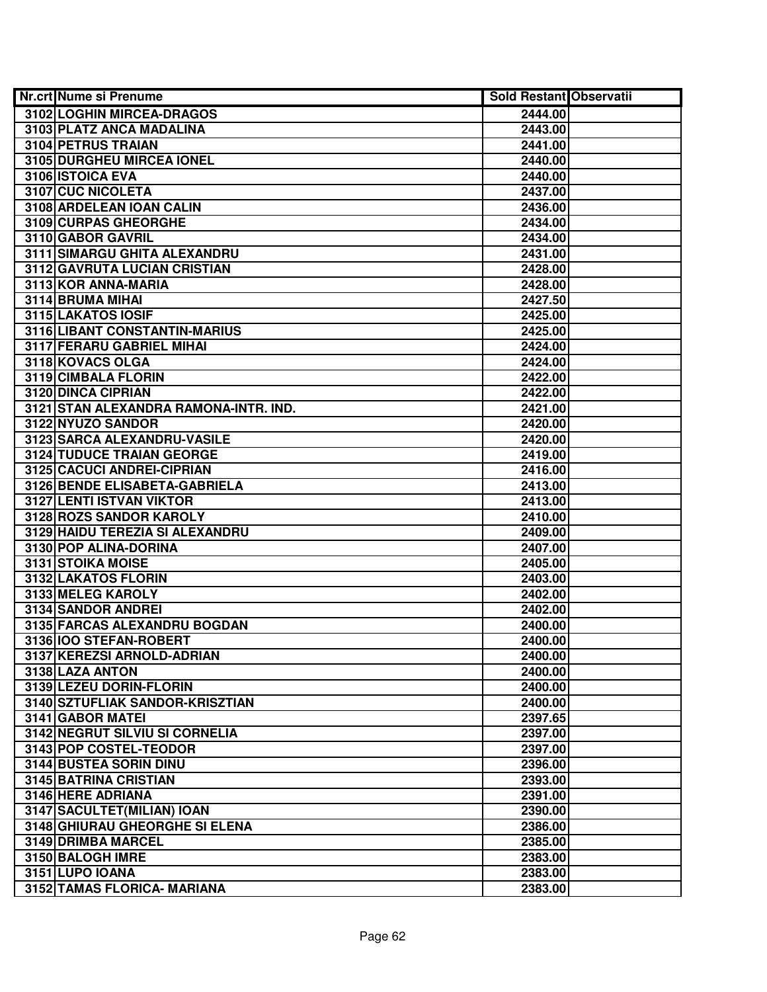| <b>Nr.crt Nume si Prenume</b>         | <b>Sold Restant Observatii</b> |  |
|---------------------------------------|--------------------------------|--|
| 3102 LOGHIN MIRCEA-DRAGOS             | 2444.00                        |  |
| 3103 PLATZ ANCA MADALINA              | 2443.00                        |  |
| 3104 PETRUS TRAIAN                    | 2441.00                        |  |
| 3105 DURGHEU MIRCEA IONEL             | 2440.00                        |  |
| 3106 ISTOICA EVA                      | 2440.00                        |  |
| <b>3107 CUC NICOLETA</b>              | 2437.00                        |  |
| 3108 ARDELEAN IOAN CALIN              | 2436.00                        |  |
| 3109 CURPAS GHEORGHE                  | 2434.00                        |  |
| 3110 GABOR GAVRIL                     | 2434.00                        |  |
| 3111 SIMARGU GHITA ALEXANDRU          | 2431.00                        |  |
| 3112 GAVRUTA LUCIAN CRISTIAN          | 2428.00                        |  |
| 3113 KOR ANNA-MARIA                   | 2428.00                        |  |
| 3114 BRUMA MIHAI                      | 2427.50                        |  |
| 3115 LAKATOS IOSIF                    | 2425.00                        |  |
| 3116 LIBANT CONSTANTIN-MARIUS         | 2425.00                        |  |
| 3117 FERARU GABRIEL MIHAI             | 2424.00                        |  |
| 3118 KOVACS OLGA                      | 2424.00                        |  |
| 3119 CIMBALA FLORIN                   | 2422.00                        |  |
| 3120 DINCA CIPRIAN                    | 2422.00                        |  |
| 3121 STAN ALEXANDRA RAMONA-INTR. IND. | 2421.00                        |  |
| 3122 NYUZO SANDOR                     | 2420.00                        |  |
| 3123 SARCA ALEXANDRU-VASILE           | 2420.00                        |  |
| <b>3124 TUDUCE TRAIAN GEORGE</b>      | 2419.00                        |  |
| 3125 CACUCI ANDREI-CIPRIAN            | 2416.00                        |  |
| 3126 BENDE ELISABETA-GABRIELA         | 2413.00                        |  |
| 3127 LENTI ISTVAN VIKTOR              | 2413.00                        |  |
| 3128 ROZS SANDOR KAROLY               | 2410.00                        |  |
| 3129 HAIDU TEREZIA SI ALEXANDRU       | 2409.00                        |  |
| 3130 POP ALINA-DORINA                 | 2407.00                        |  |
| 3131 STOIKA MOISE                     | 2405.00                        |  |
| 3132 LAKATOS FLORIN                   | 2403.00                        |  |
| 3133 MELEG KAROLY                     | 2402.00                        |  |
| 3134 SANDOR ANDREI                    | 2402.00                        |  |
| 3135 FARCAS ALEXANDRU BOGDAN          | 2400.00                        |  |
| 3136 100 STEFAN-ROBERT                | 2400.00                        |  |
| 3137 KEREZSI ARNOLD-ADRIAN            | 2400.00                        |  |
| 3138 LAZA ANTON                       | 2400.00                        |  |
| 3139 LEZEU DORIN-FLORIN               | 2400.00                        |  |
| 3140 SZTUFLIAK SANDOR-KRISZTIAN       | 2400.00                        |  |
| 3141 GABOR MATEI                      | 2397.65                        |  |
| 3142 NEGRUT SILVIU SI CORNELIA        | 2397.00                        |  |
| 3143 POP COSTEL-TEODOR                | 2397.00                        |  |
| 3144 BUSTEA SORIN DINU                | 2396.00                        |  |
| 3145 BATRINA CRISTIAN                 | 2393.00                        |  |
| 3146 HERE ADRIANA                     | 2391.00                        |  |
| 3147 SACULTET (MILIAN) IOAN           | 2390.00                        |  |
| 3148 GHIURAU GHEORGHE SI ELENA        | 2386.00                        |  |
| 3149 DRIMBA MARCEL                    | 2385.00                        |  |
| 3150 BALOGH IMRE                      | 2383.00                        |  |
| 3151 LUPO IOANA                       | 2383.00                        |  |
| 3152 TAMAS FLORICA- MARIANA           | 2383.00                        |  |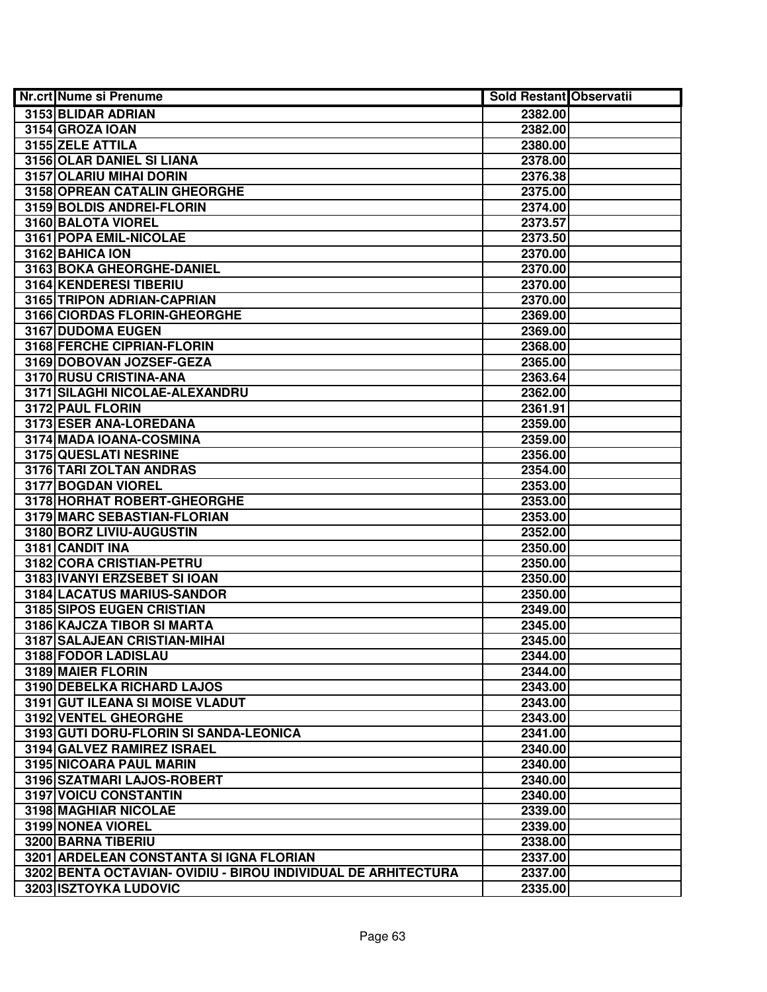| <b>Nr.crt Nume si Prenume</b>                                 | <b>Sold Restant Observatii</b> |  |
|---------------------------------------------------------------|--------------------------------|--|
| 3153 BLIDAR ADRIAN                                            | 2382.00                        |  |
| 3154 GROZA IOAN                                               | 2382.00                        |  |
| 3155 ZELE ATTILA                                              | 2380.00                        |  |
| 3156 OLAR DANIEL SI LIANA                                     | 2378.00                        |  |
| 3157 OLARIU MIHAI DORIN                                       | 2376.38                        |  |
| 3158 OPREAN CATALIN GHEORGHE                                  | 2375.00                        |  |
| 3159 BOLDIS ANDREI-FLORIN                                     | 2374.00                        |  |
| 3160 BALOTA VIOREL                                            | 2373.57                        |  |
| 3161 POPA EMIL-NICOLAE                                        | 2373.50                        |  |
| 3162 BAHICA ION                                               | 2370.00                        |  |
| 3163 BOKA GHEORGHE-DANIEL                                     | 2370.00                        |  |
| 3164 KENDERESI TIBERIU                                        | 2370.00                        |  |
| 3165 TRIPON ADRIAN-CAPRIAN                                    | 2370.00                        |  |
| 3166 CIORDAS FLORIN-GHEORGHE                                  | 2369.00                        |  |
| 3167 DUDOMA EUGEN                                             | 2369.00                        |  |
| 3168 FERCHE CIPRIAN-FLORIN                                    | 2368.00                        |  |
| 3169 DOBOVAN JOZSEF-GEZA                                      | 2365.00                        |  |
| 3170 RUSU CRISTINA-ANA                                        | 2363.64                        |  |
| 3171 SILAGHI NICOLAE-ALEXANDRU                                | 2362.00                        |  |
| 3172 PAUL FLORIN                                              | 2361.91                        |  |
| 3173 ESER ANA-LOREDANA                                        | 2359.00                        |  |
| 3174 MADA IOANA-COSMINA                                       | 2359.00                        |  |
| 3175 QUESLATI NESRINE                                         | 2356.00                        |  |
| 3176 TARI ZOLTAN ANDRAS                                       | 2354.00                        |  |
| 3177 BOGDAN VIOREL                                            | 2353.00                        |  |
| 3178 HORHAT ROBERT-GHEORGHE                                   | 2353.00                        |  |
| 3179 MARC SEBASTIAN-FLORIAN                                   | 2353.00                        |  |
| 3180 BORZ LIVIU-AUGUSTIN                                      | 2352.00                        |  |
| 3181 CANDIT INA                                               | 2350.00                        |  |
| 3182 CORA CRISTIAN-PETRU                                      | 2350.00                        |  |
| 3183 IVANYI ERZSEBET SI IOAN                                  | 2350.00                        |  |
| 3184 LACATUS MARIUS-SANDOR                                    | 2350.00                        |  |
| 3185 SIPOS EUGEN CRISTIAN                                     | 2349.00                        |  |
| 3186 KAJCZA TIBOR SI MARTA                                    | 2345.00                        |  |
| 3187 SALAJEAN CRISTIAN-MIHAI                                  | 2345.00                        |  |
| 3188 FODOR LADISLAU                                           | 2344.00                        |  |
| 3189 MAIER FLORIN                                             | 2344.00                        |  |
| <b>3190 DEBELKA RICHARD LAJOS</b>                             | 2343.00                        |  |
| 3191 GUT ILEANA SI MOISE VLADUT                               | 2343.00                        |  |
| <b>3192 VENTEL GHEORGHE</b>                                   | 2343.00                        |  |
| 3193 GUTI DORU-FLORIN SI SANDA-LEONICA                        | 2341.00                        |  |
| 3194 GALVEZ RAMIREZ ISRAEL                                    | 2340.00                        |  |
| 3195 NICOARA PAUL MARIN                                       | 2340.00                        |  |
| 3196 SZATMARI LAJOS-ROBERT                                    | 2340.00                        |  |
| 3197 VOICU CONSTANTIN                                         | 2340.00                        |  |
| 3198 MAGHIAR NICOLAE                                          | 2339.00                        |  |
| 3199 NONEA VIOREL                                             | 2339.00                        |  |
| 3200 BARNA TIBERIU                                            | 2338.00                        |  |
| 3201 ARDELEAN CONSTANTA SI IGNA FLORIAN                       | 2337.00                        |  |
| 3202 BENTA OCTAVIAN- OVIDIU - BIROU INDIVIDUAL DE ARHITECTURA | 2337.00                        |  |
| 3203 ISZTOYKA LUDOVIC                                         | 2335.00                        |  |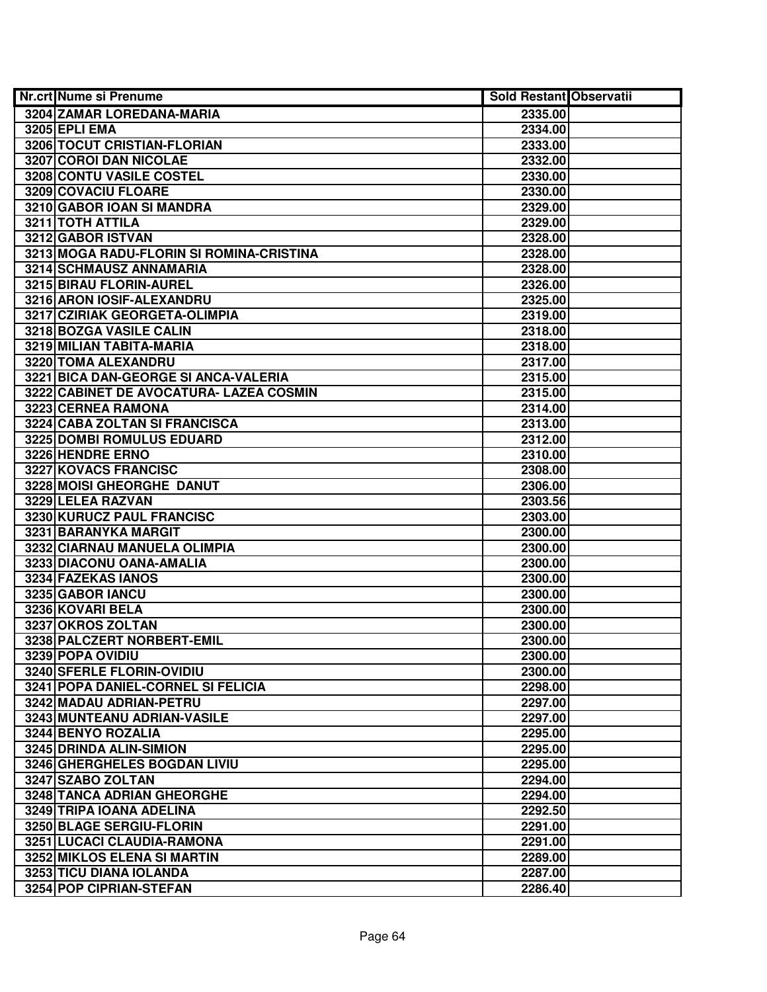| <b>Nr.crt Nume si Prenume</b>            | <b>Sold Restant Observatii</b> |  |
|------------------------------------------|--------------------------------|--|
| 3204 ZAMAR LOREDANA-MARIA                | 2335.00                        |  |
| 3205 EPLI EMA                            | 2334.00                        |  |
| 3206 TOCUT CRISTIAN-FLORIAN              | 2333.00                        |  |
| 3207 COROI DAN NICOLAE                   | 2332.00                        |  |
| <b>3208 CONTU VASILE COSTEL</b>          | 2330.00                        |  |
| 3209 COVACIU FLOARE                      | 2330.00                        |  |
| 3210 GABOR IOAN SI MANDRA                | 2329.00                        |  |
| 3211 TOTH ATTILA                         | 2329.00                        |  |
| 3212 GABOR ISTVAN                        | 2328.00                        |  |
| 3213 MOGA RADU-FLORIN SI ROMINA-CRISTINA | 2328.00                        |  |
| 3214 SCHMAUSZ ANNAMARIA                  | 2328.00                        |  |
| 3215 BIRAU FLORIN-AUREL                  | 2326.00                        |  |
| 3216 ARON IOSIF-ALEXANDRU                | 2325.00                        |  |
| 3217 CZIRIAK GEORGETA-OLIMPIA            | 2319.00                        |  |
| 3218 BOZGA VASILE CALIN                  | 2318.00                        |  |
| 3219 MILIAN TABITA-MARIA                 | 2318.00                        |  |
| 3220 TOMA ALEXANDRU                      | 2317.00                        |  |
| 3221 BICA DAN-GEORGE SI ANCA-VALERIA     | 2315.00                        |  |
| 3222 CABINET DE AVOCATURA- LAZEA COSMIN  | 2315.00                        |  |
| 3223 CERNEA RAMONA                       | 2314.00                        |  |
| 3224 CABA ZOLTAN SI FRANCISCA            | 2313.00                        |  |
| 3225 DOMBI ROMULUS EDUARD                | 2312.00                        |  |
| 3226 HENDRE ERNO                         | 2310.00                        |  |
| 3227 KOVACS FRANCISC                     | 2308.00                        |  |
| 3228 MOISI GHEORGHE DANUT                | 2306.00                        |  |
| 3229 LELEA RAZVAN                        | 2303.56                        |  |
| 3230 KURUCZ PAUL FRANCISC                | 2303.00                        |  |
| 3231 BARANYKA MARGIT                     | 2300.00                        |  |
| 3232 CIARNAU MANUELA OLIMPIA             | 2300.00                        |  |
| 3233 DIACONU OANA-AMALIA                 | 2300.00                        |  |
| 3234 FAZEKAS IANOS                       | 2300.00                        |  |
| 3235 GABOR IANCU                         | 2300.00                        |  |
| 3236 KOVARI BELA                         | 2300.00                        |  |
| 3237 OKROS ZOLTAN                        | 2300.00                        |  |
| 3238 PALCZERT NORBERT-EMIL               | 2300.00                        |  |
| 3239 POPA OVIDIU                         | 2300.00                        |  |
| 3240 SFERLE FLORIN-OVIDIU                | 2300.00                        |  |
| 3241 POPA DANIEL-CORNEL SI FELICIA       | 2298.00                        |  |
| 3242 MADAU ADRIAN-PETRU                  | 2297.00                        |  |
| 3243 MUNTEANU ADRIAN-VASILE              | 2297.00                        |  |
| 3244 BENYO ROZALIA                       | 2295.00                        |  |
| 3245 DRINDA ALIN-SIMION                  | 2295.00                        |  |
| 3246 GHERGHELES BOGDAN LIVIU             | 2295.00                        |  |
| 3247 SZABO ZOLTAN                        | 2294.00                        |  |
| 3248 TANCA ADRIAN GHEORGHE               | 2294.00                        |  |
| 3249 TRIPA JOANA ADELINA                 | 2292.50                        |  |
| 3250 BLAGE SERGIU-FLORIN                 | 2291.00                        |  |
| 3251 LUCACI CLAUDIA-RAMONA               | 2291.00                        |  |
| 3252 MIKLOS ELENA SI MARTIN              | 2289.00                        |  |
| 3253 TICU DIANA IOLANDA                  | 2287.00                        |  |
| 3254 POP CIPRIAN-STEFAN                  | 2286.40                        |  |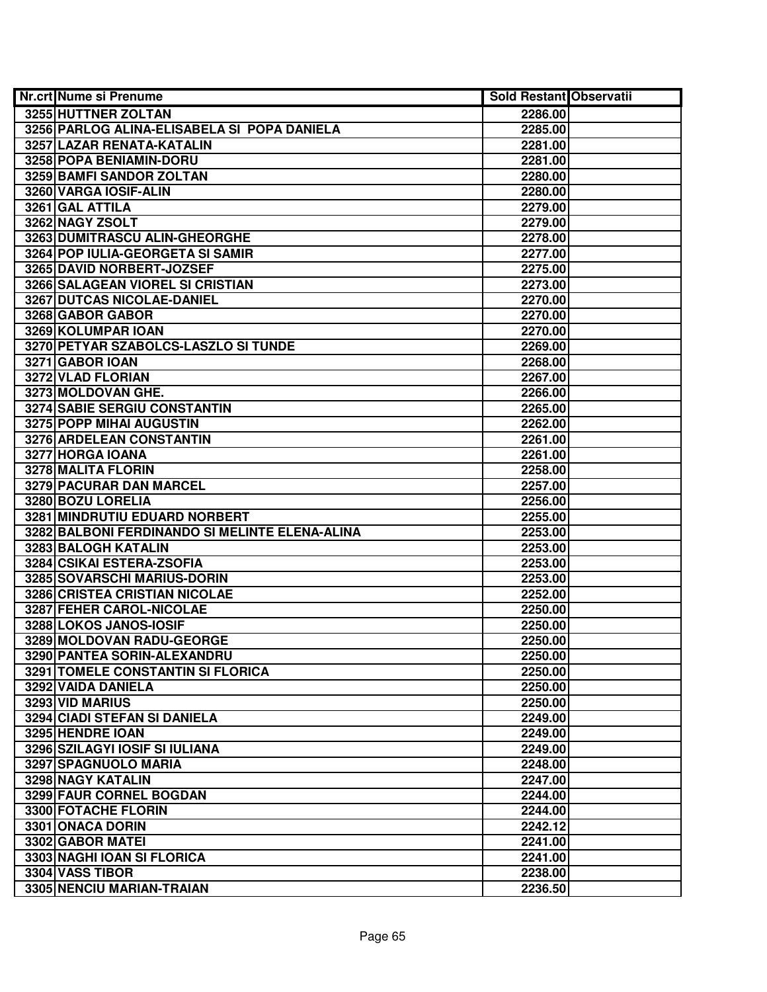| <b>Nr.crt Nume si Prenume</b>                  | <b>Sold Restant Observatii</b> |  |
|------------------------------------------------|--------------------------------|--|
| 3255 HUTTNER ZOLTAN                            | 2286.00                        |  |
| 3256 PARLOG ALINA-ELISABELA SI POPA DANIELA    | 2285.00                        |  |
| 3257 LAZAR RENATA-KATALIN                      | 2281.00                        |  |
| 3258 POPA BENIAMIN-DORU                        | 2281.00                        |  |
| 3259 BAMFI SANDOR ZOLTAN                       | 2280.00                        |  |
| 3260 VARGA IOSIF-ALIN                          | 2280.00                        |  |
| 3261 GAL ATTILA                                | 2279.00                        |  |
| 3262 NAGY ZSOLT                                | 2279.00                        |  |
| 3263 DUMITRASCU ALIN-GHEORGHE                  | 2278.00                        |  |
| 3264 POP IULIA-GEORGETA SI SAMIR               | 2277.00                        |  |
| 3265 DAVID NORBERT-JOZSEF                      | 2275.00                        |  |
| 3266 SALAGEAN VIOREL SI CRISTIAN               | 2273.00                        |  |
| 3267 DUTCAS NICOLAE-DANIEL                     | 2270.00                        |  |
| 3268 GABOR GABOR                               | 2270.00                        |  |
| 3269 KOLUMPAR IOAN                             | 2270.00                        |  |
| 3270 PETYAR SZABOLCS-LASZLO SI TUNDE           | 2269.00                        |  |
| 3271 GABOR IOAN                                | 2268.00                        |  |
| 3272 VLAD FLORIAN                              | 2267.00                        |  |
| 3273 MOLDOVAN GHE.                             | 2266.00                        |  |
| 3274 SABIE SERGIU CONSTANTIN                   | 2265.00                        |  |
| 3275 POPP MIHAI AUGUSTIN                       | 2262.00                        |  |
| 3276 ARDELEAN CONSTANTIN                       | 2261.00                        |  |
| 3277 HORGA IOANA                               | 2261.00                        |  |
| 3278 MALITA FLORIN                             | 2258.00                        |  |
| 3279 PACURAR DAN MARCEL                        | 2257.00                        |  |
| 3280 BOZU LORELIA                              | 2256.00                        |  |
| 3281 MINDRUTIU EDUARD NORBERT                  | 2255.00                        |  |
| 3282 BALBONI FERDINANDO SI MELINTE ELENA-ALINA | 2253.00                        |  |
| 3283 BALOGH KATALIN                            | 2253.00                        |  |
| 3284 CSIKAI ESTERA-ZSOFIA                      | 2253.00                        |  |
| 3285 SOVARSCHI MARIUS-DORIN                    | 2253.00                        |  |
| 3286 CRISTEA CRISTIAN NICOLAE                  | 2252.00                        |  |
| 3287 FEHER CAROL-NICOLAE                       | 2250.00                        |  |
| 3288 LOKOS JANOS-IOSIF                         | 2250.00                        |  |
| 3289 MOLDOVAN RADU-GEORGE                      | 2250.00                        |  |
| 3290 PANTEA SORIN-ALEXANDRU                    | 2250.00                        |  |
| 3291 TOMELE CONSTANTIN SI FLORICA              | 2250.00                        |  |
| 3292 VAIDA DANIELA                             | 2250.00                        |  |
| 3293 VID MARIUS                                | 2250.00                        |  |
| 3294 CIADI STEFAN SI DANIELA                   | 2249.00                        |  |
| 3295 HENDRE IOAN                               | 2249.00                        |  |
| 3296 SZILAGYI IOSIF SI IULIANA                 | 2249.00                        |  |
| 3297 SPAGNUOLO MARIA                           | 2248.00                        |  |
| <b>3298 NAGY KATALIN</b>                       | 2247.00                        |  |
| 3299 FAUR CORNEL BOGDAN                        | 2244.00                        |  |
| 3300 FOTACHE FLORIN                            | 2244.00                        |  |
| 3301 ONACA DORIN                               | 2242.12                        |  |
| 3302 GABOR MATEI                               | 2241.00                        |  |
| 3303 NAGHI IOAN SI FLORICA                     | 2241.00                        |  |
| 3304 VASS TIBOR                                | 2238.00                        |  |
| 3305 NENCIU MARIAN-TRAIAN                      | 2236.50                        |  |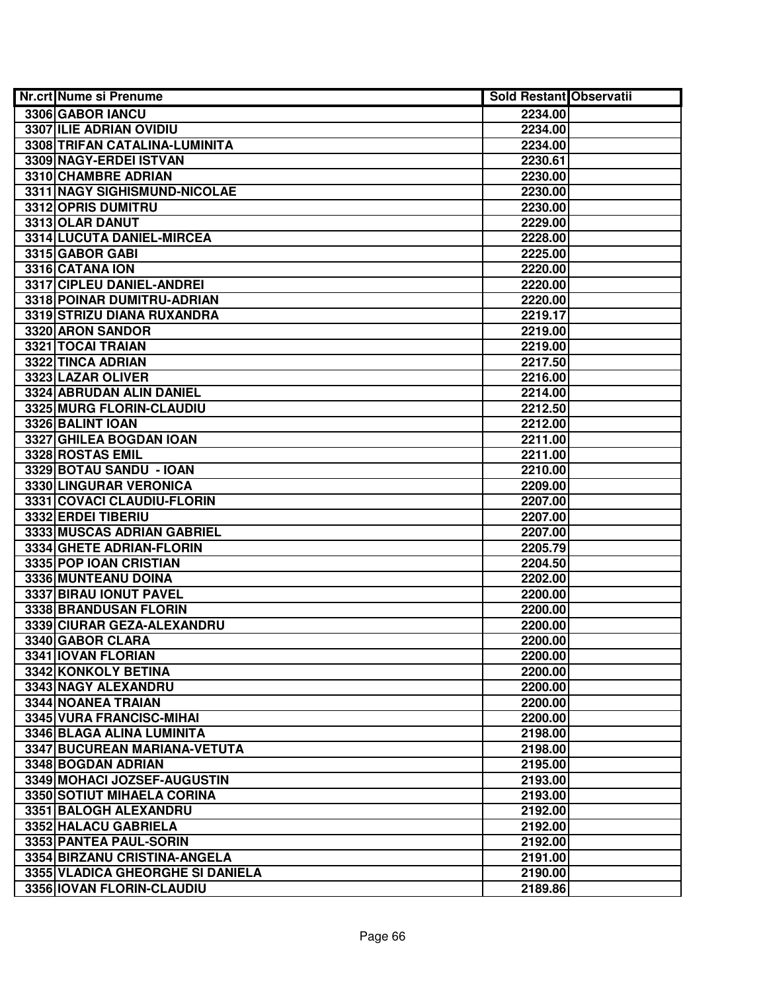| <b>Nr.crt Nume si Prenume</b>    | Sold Restant Observatii |  |
|----------------------------------|-------------------------|--|
| 3306 GABOR IANCU                 | 2234.00                 |  |
| 3307 ILIE ADRIAN OVIDIU          | 2234.00                 |  |
| 3308 TRIFAN CATALINA-LUMINITA    | 2234.00                 |  |
| 3309 NAGY-ERDEI ISTVAN           | 2230.61                 |  |
| 3310 CHAMBRE ADRIAN              | 2230.00                 |  |
| 3311 NAGY SIGHISMUND-NICOLAE     | 2230.00                 |  |
| 3312 OPRIS DUMITRU               | 2230.00                 |  |
| 3313 OLAR DANUT                  | 2229.00                 |  |
| 3314 LUCUTA DANIEL-MIRCEA        | 2228.00                 |  |
| 3315 GABOR GABI                  | 2225.00                 |  |
| 3316 CATANA ION                  | 2220.00                 |  |
| 3317 CIPLEU DANIEL-ANDREI        | 2220.00                 |  |
| 3318 POINAR DUMITRU-ADRIAN       | 2220.00                 |  |
| 3319 STRIZU DIANA RUXANDRA       | 2219.17                 |  |
| 3320 ARON SANDOR                 | 2219.00                 |  |
| 3321 TOCAI TRAIAN                | 2219.00                 |  |
| 3322 TINCA ADRIAN                | 2217.50                 |  |
| 3323 LAZAR OLIVER                | 2216.00                 |  |
| 3324 ABRUDAN ALIN DANIEL         | 2214.00                 |  |
| 3325 MURG FLORIN-CLAUDIU         | 2212.50                 |  |
| 3326 BALINT IOAN                 | 2212.00                 |  |
| 3327 GHILEA BOGDAN IOAN          | 2211.00                 |  |
| 3328 ROSTAS EMIL                 | 2211.00                 |  |
| 3329 BOTAU SANDU - IOAN          | 2210.00                 |  |
| 3330 LINGURAR VERONICA           | 2209.00                 |  |
| 3331 COVACI CLAUDIU-FLORIN       | 2207.00                 |  |
| 3332 ERDEI TIBERIU               | 2207.00                 |  |
| 3333 MUSCAS ADRIAN GABRIEL       | 2207.00                 |  |
| 3334 GHETE ADRIAN-FLORIN         | 2205.79                 |  |
| 3335 POP IOAN CRISTIAN           | 2204.50                 |  |
| 3336 MUNTEANU DOINA              | 2202.00                 |  |
| 3337 BIRAU IONUT PAVEL           | 2200.00                 |  |
| 3338 BRANDUSAN FLORIN            | 2200.00                 |  |
| 3339 CIURAR GEZA-ALEXANDRU       | 2200.00                 |  |
| 3340 GABOR CLARA                 | 2200.00                 |  |
| 3341 IOVAN FLORIAN               | 2200.00                 |  |
| 3342 KONKOLY BETINA              | 2200.00                 |  |
| 3343 NAGY ALEXANDRU              | 2200.00                 |  |
| 3344 NOANEA TRAIAN               | 2200.00                 |  |
| 3345 VURA FRANCISC-MIHAI         | 2200.00                 |  |
| 3346 BLAGA ALINA LUMINITA        | 2198.00                 |  |
| 3347 BUCUREAN MARIANA-VETUTA     | 2198.00                 |  |
| 3348 BOGDAN ADRIAN               | 2195.00                 |  |
| 3349 MOHACI JOZSEF-AUGUSTIN      | 2193.00                 |  |
| 3350 SOTIUT MIHAELA CORINA       | 2193.00                 |  |
| 3351 BALOGH ALEXANDRU            | 2192.00                 |  |
| 3352 HALACU GABRIELA             | 2192.00                 |  |
| 3353 PANTEA PAUL-SORIN           | 2192.00                 |  |
| 3354 BIRZANU CRISTINA-ANGELA     | 2191.00                 |  |
| 3355 VLADICA GHEORGHE SI DANIELA | 2190.00                 |  |
| 3356 IOVAN FLORIN-CLAUDIU        | 2189.86                 |  |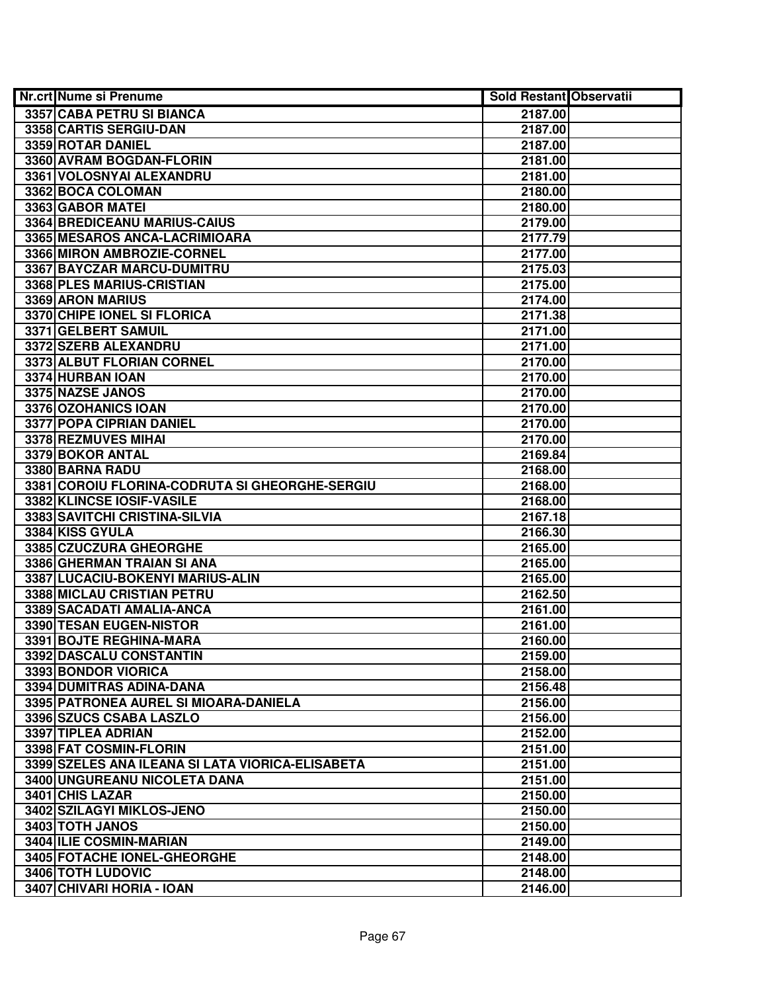| <b>Nr.crt Nume si Prenume</b>                    | <b>Sold Restant Observatii</b> |  |
|--------------------------------------------------|--------------------------------|--|
| 3357 CABA PETRU SI BIANCA                        | 2187.00                        |  |
| 3358 CARTIS SERGIU-DAN                           | 2187.00                        |  |
| 3359 ROTAR DANIEL                                | 2187.00                        |  |
| 3360 AVRAM BOGDAN-FLORIN                         | 2181.00                        |  |
| 3361 VOLOSNYAI ALEXANDRU                         | 2181.00                        |  |
| 3362 BOCA COLOMAN                                | 2180.00                        |  |
| 3363 GABOR MATEI                                 | 2180.00                        |  |
| 3364 BREDICEANU MARIUS-CAIUS                     | 2179.00                        |  |
| 3365 MESAROS ANCA-LACRIMIOARA                    | 2177.79                        |  |
| 3366 MIRON AMBROZIE-CORNEL                       | 2177.00                        |  |
| 3367 BAYCZAR MARCU-DUMITRU                       | 2175.03                        |  |
| 3368 PLES MARIUS-CRISTIAN                        | 2175.00                        |  |
| 3369 ARON MARIUS                                 | 2174.00                        |  |
| 3370 CHIPE IONEL SI FLORICA                      | 2171.38                        |  |
| 3371 GELBERT SAMUIL                              | 2171.00                        |  |
| 3372 SZERB ALEXANDRU                             | 2171.00                        |  |
| 3373 ALBUT FLORIAN CORNEL                        | 2170.00                        |  |
| 3374 HURBAN IOAN                                 | 2170.00                        |  |
| 3375 NAZSE JANOS                                 | 2170.00                        |  |
| 3376 OZOHANICS IOAN                              | 2170.00                        |  |
| 3377 POPA CIPRIAN DANIEL                         | 2170.00                        |  |
| 3378 REZMUVES MIHAI                              | 2170.00                        |  |
| 3379 BOKOR ANTAL                                 | 2169.84                        |  |
| 3380 BARNA RADU                                  | 2168.00                        |  |
| 3381 COROIU FLORINA-CODRUTA SI GHEORGHE-SERGIU   | 2168.00                        |  |
| 3382 KLINCSE IOSIF-VASILE                        | 2168.00                        |  |
| 3383 SAVITCHI CRISTINA-SILVIA                    | 2167.18                        |  |
| 3384 KISS GYULA                                  | 2166.30                        |  |
| 3385 CZUCZURA GHEORGHE                           | 2165.00                        |  |
| 3386 GHERMAN TRAIAN SI ANA                       | 2165.00                        |  |
| 3387 LUCACIU-BOKENYI MARIUS-ALIN                 | 2165.00                        |  |
| 3388 MICLAU CRISTIAN PETRU                       | 2162.50                        |  |
| 3389 SACADATI AMALIA-ANCA                        | 2161.00                        |  |
| 3390 TESAN EUGEN-NISTOR                          | 2161.00                        |  |
| 3391 BOJTE REGHINA-MARA                          | 2160.00                        |  |
| 3392 DASCALU CONSTANTIN                          | 2159.00                        |  |
| 3393 BONDOR VIORICA                              | 2158.00                        |  |
| 3394 DUMITRAS ADINA-DANA                         | 2156.48                        |  |
| 3395 PATRONEA AUREL SI MIOARA-DANIELA            | 2156.00                        |  |
| 3396 SZUCS CSABA LASZLO                          | 2156.00                        |  |
| 3397 TIPLEA ADRIAN                               | 2152.00                        |  |
| 3398 FAT COSMIN-FLORIN                           | 2151.00                        |  |
| 3399 SZELES ANA ILEANA SI LATA VIORICA-ELISABETA | 2151.00                        |  |
| 3400 UNGUREANU NICOLETA DANA                     | 2151.00                        |  |
| 3401 CHIS LAZAR                                  | 2150.00                        |  |
| 3402 SZILAGYI MIKLOS-JENO                        | 2150.00                        |  |
| 3403 TOTH JANOS                                  | 2150.00                        |  |
| 3404 ILIE COSMIN-MARIAN                          | 2149.00                        |  |
| 3405 FOTACHE IONEL-GHEORGHE                      | 2148.00                        |  |
| 3406 TOTH LUDOVIC                                | 2148.00                        |  |
| 3407 CHIVARI HORIA - IOAN                        | 2146.00                        |  |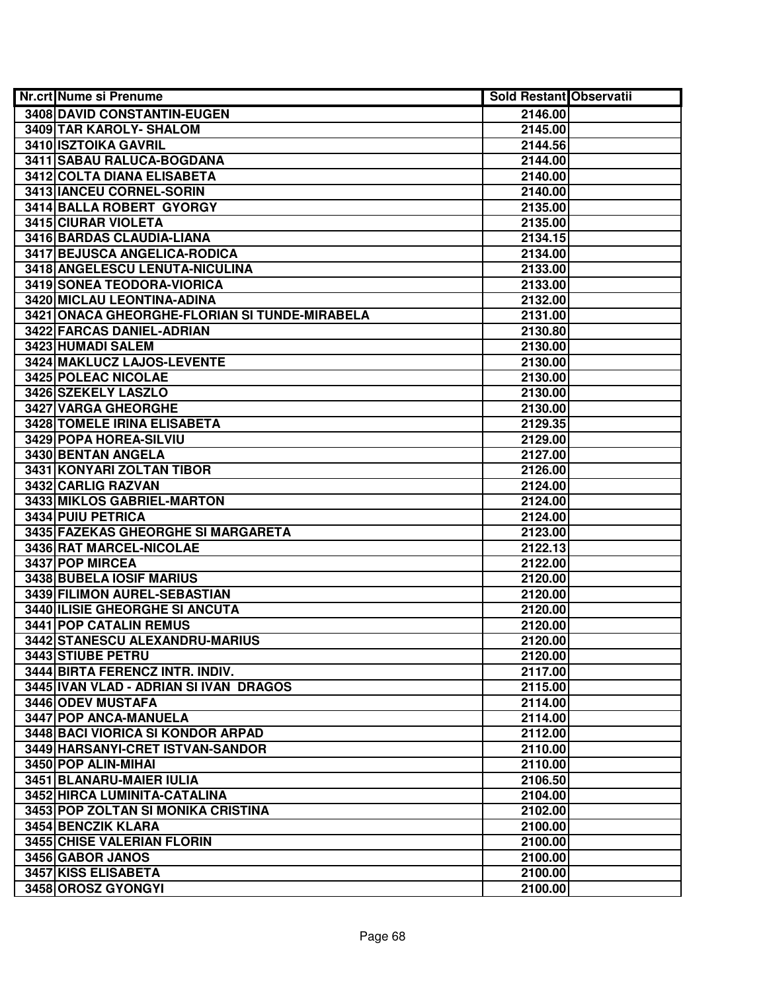| <b>Nr.crt Nume si Prenume</b>                 | <b>Sold Restant Observatii</b> |  |
|-----------------------------------------------|--------------------------------|--|
| 3408 DAVID CONSTANTIN-EUGEN                   | 2146.00                        |  |
| 3409 TAR KAROLY- SHALOM                       | 2145.00                        |  |
| 3410 ISZTOIKA GAVRIL                          | 2144.56                        |  |
| 3411 SABAU RALUCA-BOGDANA                     | 2144.00                        |  |
| 3412 COLTA DIANA ELISABETA                    | 2140.00                        |  |
| 3413 IANCEU CORNEL-SORIN                      | 2140.00                        |  |
| 3414 BALLA ROBERT GYORGY                      | 2135.00                        |  |
| 3415 CIURAR VIOLETA                           | 2135.00                        |  |
| 3416 BARDAS CLAUDIA-LIANA                     | 2134.15                        |  |
| 3417 BEJUSCA ANGELICA-RODICA                  | 2134.00                        |  |
| 3418 ANGELESCU LENUTA-NICULINA                | 2133.00                        |  |
| 3419 SONEA TEODORA-VIORICA                    | 2133.00                        |  |
| 3420 MICLAU LEONTINA-ADINA                    | 2132.00                        |  |
| 3421 ONACA GHEORGHE-FLORIAN SI TUNDE-MIRABELA | 2131.00                        |  |
| 3422 FARCAS DANIEL-ADRIAN                     | 2130.80                        |  |
| 3423 HUMADI SALEM                             | 2130.00                        |  |
| 3424 MAKLUCZ LAJOS-LEVENTE                    | 2130.00                        |  |
| 3425 POLEAC NICOLAE                           | 2130.00                        |  |
| 3426 SZEKELY LASZLO                           | 2130.00                        |  |
| 3427 VARGA GHEORGHE                           | 2130.00                        |  |
| 3428 TOMELE IRINA ELISABETA                   | 2129.35                        |  |
| 3429 POPA HOREA-SILVIU                        | 2129.00                        |  |
| 3430 BENTAN ANGELA                            | 2127.00                        |  |
| 3431 KONYARI ZOLTAN TIBOR                     | 2126.00                        |  |
| 3432 CARLIG RAZVAN                            | 2124.00                        |  |
| 3433 MIKLOS GABRIEL-MARTON                    | 2124.00                        |  |
| 3434 PUIU PETRICA                             | 2124.00                        |  |
| 3435 FAZEKAS GHEORGHE SI MARGARETA            | 2123.00                        |  |
| 3436 RAT MARCEL-NICOLAE                       | 2122.13                        |  |
| 3437 POP MIRCEA                               | 2122.00                        |  |
| 3438 BUBELA IOSIF MARIUS                      | 2120.00                        |  |
| 3439 FILIMON AUREL-SEBASTIAN                  | 2120.00                        |  |
| 3440 ILISIE GHEORGHE SI ANCUTA                | 2120.00                        |  |
| <b>3441 POP CATALIN REMUS</b>                 | 2120.00                        |  |
| 3442 STANESCU ALEXANDRU-MARIUS                | 2120.00                        |  |
| 3443 STIUBE PETRU                             | 2120.00                        |  |
| 3444 BIRTA FERENCZ INTR. INDIV.               | 2117.00                        |  |
| 3445 IVAN VLAD - ADRIAN SI IVAN DRAGOS        | 2115.00                        |  |
| 3446 ODEV MUSTAFA                             | 2114.00                        |  |
| 3447 POP ANCA-MANUELA                         | 2114.00                        |  |
| 3448 BACI VIORICA SI KONDOR ARPAD             | 2112.00                        |  |
| 3449 HARSANYI-CRET ISTVAN-SANDOR              | 2110.00                        |  |
| 3450 POP ALIN-MIHAL                           | 2110.00                        |  |
| 3451 BLANARU-MAIER IULIA                      | 2106.50                        |  |
| 3452 HIRCA LUMINITA-CATALINA                  | 2104.00                        |  |
| 3453 POP ZOLTAN SI MONIKA CRISTINA            | 2102.00                        |  |
| 3454 BENCZIK KLARA                            | 2100.00                        |  |
| 3455 CHISE VALERIAN FLORIN                    | 2100.00                        |  |
| 3456 GABOR JANOS                              | 2100.00                        |  |
| 3457 KISS ELISABETA                           | 2100.00                        |  |
| 3458 OROSZ GYONGYI                            | 2100.00                        |  |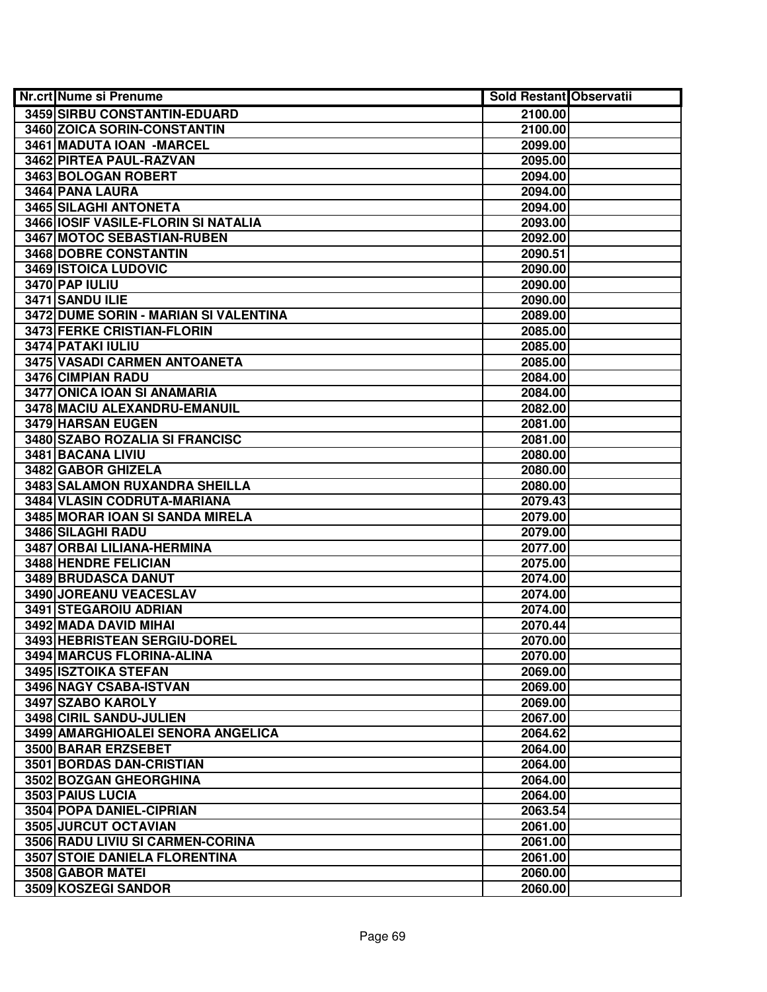| Nr.crt Nume si Prenume                      | Sold Restant Observatii |  |
|---------------------------------------------|-------------------------|--|
| 3459 SIRBU CONSTANTIN-EDUARD                | 2100.00                 |  |
| 3460 ZOICA SORIN-CONSTANTIN                 | 2100.00                 |  |
| 3461 MADUTA IOAN - MARCEL                   | 2099.00                 |  |
| 3462 PIRTEA PAUL-RAZVAN                     | 2095.00                 |  |
| 3463 BOLOGAN ROBERT                         | 2094.00                 |  |
| 3464 PANA LAURA                             | 2094.00                 |  |
| 3465 SILAGHI ANTONETA                       | 2094.00                 |  |
| 3466 IOSIF VASILE-FLORIN SI NATALIA         | 2093.00                 |  |
| 3467 MOTOC SEBASTIAN-RUBEN                  | 2092.00                 |  |
| <b>3468 DOBRE CONSTANTIN</b>                | 2090.51                 |  |
| <b>3469 ISTOICA LUDOVIC</b>                 | 2090.00                 |  |
| 3470 PAP IULIU                              | 2090.00                 |  |
| 3471 SANDU ILIE                             | 2090.00                 |  |
| 3472 DUME SORIN - MARIAN SI VALENTINA       | 2089.00                 |  |
| 3473 FERKE CRISTIAN-FLORIN                  | 2085.00                 |  |
| 3474 PATAKI IULIU                           | 2085.00                 |  |
| 3475 VASADI CARMEN ANTOANETA                | 2085.00                 |  |
| 3476 CIMPIAN RADU                           | 2084.00                 |  |
| 3477 ONICA IOAN SI ANAMARIA                 | 2084.00                 |  |
| 3478 MACIU ALEXANDRU-EMANUIL                | 2082.00                 |  |
| 3479 HARSAN EUGEN                           | 2081.00                 |  |
| 3480 SZABO ROZALIA SI FRANCISC              | 2081.00                 |  |
| 3481 BACANA LIVIU                           | 2080.00                 |  |
| 3482 GABOR GHIZELA                          | 2080.00                 |  |
| 3483 SALAMON RUXANDRA SHEILLA               | 2080.00                 |  |
| 3484 VLASIN CODRUTA-MARIANA                 | 2079.43                 |  |
| 3485 MORAR IOAN SI SANDA MIRELA             | 2079.00                 |  |
| 3486 SILAGHI RADU                           | 2079.00                 |  |
| 3487 ORBAI LILIANA-HERMINA                  | 2077.00                 |  |
| 3488 HENDRE FELICIAN                        | 2075.00                 |  |
| 3489 BRUDASCA DANUT                         | 2074.00                 |  |
| 3490 JOREANU VEACESLAV                      | 2074.00                 |  |
| 3491 STEGAROIU ADRIAN                       | 2074.00                 |  |
| 3492 MADA DAVID MIHAI                       | 2070.44                 |  |
| 3493 HEBRISTEAN SERGIU-DOREL                | 2070.00                 |  |
| 3494 MARCUS FLORINA-ALINA                   | 2070.00                 |  |
| 3495 ISZTOIKA STEFAN                        | 2069.00                 |  |
| 3496 NAGY CSABA-ISTVAN<br>3497 SZABO KAROLY | 2069.00<br>2069.00      |  |
| 3498 CIRIL SANDU-JULIEN                     | 2067.00                 |  |
| 3499 AMARGHIOALEI SENORA ANGELICA           | 2064.62                 |  |
| 3500 BARAR ERZSEBET                         | 2064.00                 |  |
| 3501 BORDAS DAN-CRISTIAN                    | 2064.00                 |  |
| 3502 BOZGAN GHEORGHINA                      | 2064.00                 |  |
| 3503 PAIUS LUCIA                            | 2064.00                 |  |
| 3504 POPA DANIEL-CIPRIAN                    | 2063.54                 |  |
| 3505 JURCUT OCTAVIAN                        | 2061.00                 |  |
| 3506 RADU LIVIU SI CARMEN-CORINA            | 2061.00                 |  |
| <b>3507 STOIE DANIELA FLORENTINA</b>        | 2061.00                 |  |
| 3508 GABOR MATEI                            | 2060.00                 |  |
| 3509 KOSZEGI SANDOR                         | 2060.00                 |  |
|                                             |                         |  |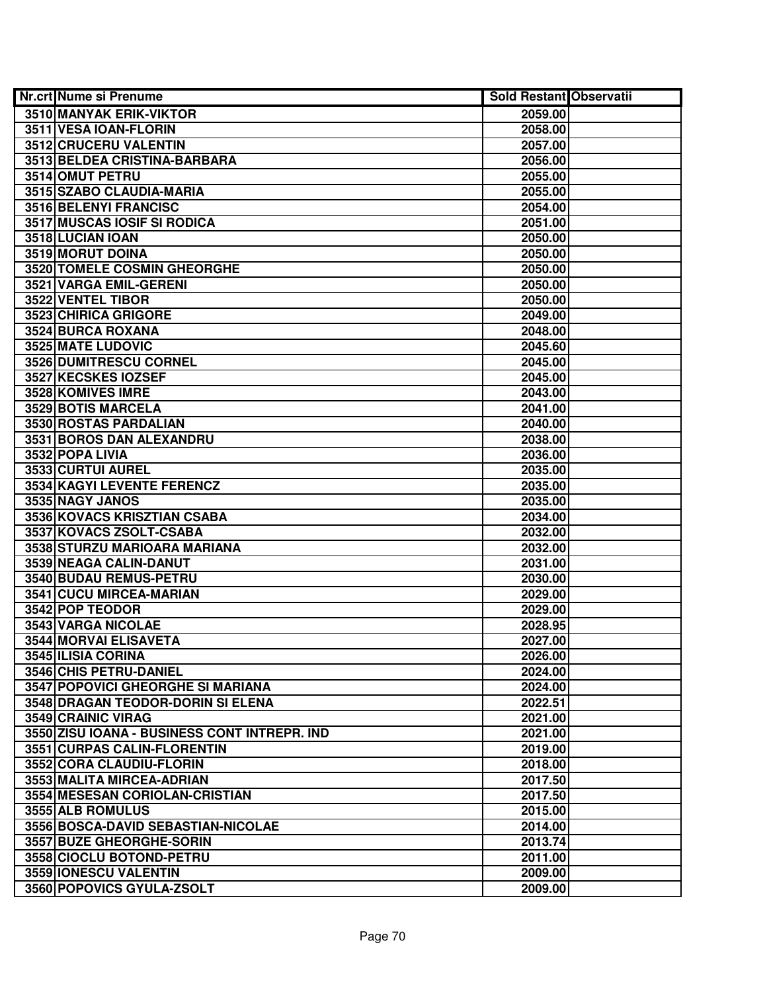| <b>Nr.crt Nume si Prenume</b>                | <b>Sold Restant Observatii</b> |  |
|----------------------------------------------|--------------------------------|--|
| <b>3510 MANYAK ERIK-VIKTOR</b>               | 2059.00                        |  |
| 3511 VESA IOAN-FLORIN                        | 2058.00                        |  |
| 3512 CRUCERU VALENTIN                        | 2057.00                        |  |
| 3513 BELDEA CRISTINA-BARBARA                 | 2056.00                        |  |
| 3514 OMUT PETRU                              | 2055.00                        |  |
| 3515 SZABO CLAUDIA-MARIA                     | 2055.00                        |  |
| 3516 BELENYI FRANCISC                        | 2054.00                        |  |
| <b>3517 MUSCAS IOSIF SI RODICA</b>           | 2051.00                        |  |
| 3518 LUCIAN IOAN                             | 2050.00                        |  |
| 3519 MORUT DOINA                             | 2050.00                        |  |
| 3520 TOMELE COSMIN GHEORGHE                  | 2050.00                        |  |
| 3521 VARGA EMIL-GERENI                       | 2050.00                        |  |
| 3522 VENTEL TIBOR                            | 2050.00                        |  |
| 3523 CHIRICA GRIGORE                         | 2049.00                        |  |
| 3524 BURCA ROXANA                            | 2048.00                        |  |
| 3525 MATE LUDOVIC                            | 2045.60                        |  |
| 3526 DUMITRESCU CORNEL                       | 2045.00                        |  |
| 3527 KECSKES IOZSEF                          | 2045.00                        |  |
| 3528 KOMIVES IMRE                            | 2043.00                        |  |
| <b>3529 BOTIS MARCELA</b>                    | 2041.00                        |  |
| 3530 ROSTAS PARDALIAN                        | 2040.00                        |  |
| 3531 BOROS DAN ALEXANDRU                     | 2038.00                        |  |
| 3532 POPA LIVIA                              | 2036.00                        |  |
| 3533 CURTUI AUREL                            | 2035.00                        |  |
| 3534 KAGYI LEVENTE FERENCZ                   | 2035.00                        |  |
| 3535 NAGY JANOS                              | 2035.00                        |  |
| 3536 KOVACS KRISZTIAN CSABA                  | 2034.00                        |  |
| 3537 KOVACS ZSOLT-CSABA                      | 2032.00                        |  |
| 3538 STURZU MARIOARA MARIANA                 | 2032.00                        |  |
| 3539 NEAGA CALIN-DANUT                       | 2031.00                        |  |
| 3540 BUDAU REMUS-PETRU                       | 2030.00                        |  |
| 3541 CUCU MIRCEA-MARIAN                      | 2029.00                        |  |
| 3542 POP TEODOR                              | 2029.00                        |  |
| 3543 VARGA NICOLAE                           | 2028.95                        |  |
| <b>3544 MORVAI ELISAVETA</b>                 | 2027.00                        |  |
| 3545 ILISIA CORINA                           | 2026.00                        |  |
| 3546 CHIS PETRU-DANIEL                       | 2024.00                        |  |
| <b>3547 POPOVICI GHEORGHE SI MARIANA</b>     | 2024.00                        |  |
| <b>3548 DRAGAN TEODOR-DORIN SI ELENA</b>     | 2022.51                        |  |
| 3549 CRAINIC VIRAG                           | 2021.00                        |  |
| 3550 ZISU IOANA - BUSINESS CONT INTREPR. IND | 2021.00                        |  |
| 3551 CURPAS CALIN-FLORENTIN                  | 2019.00                        |  |
| 3552 CORA CLAUDIU-FLORIN                     | 2018.00                        |  |
| 3553 MALITA MIRCEA-ADRIAN                    | 2017.50                        |  |
| 3554 MESESAN CORIOLAN-CRISTIAN               | 2017.50                        |  |
| 3555 ALB ROMULUS                             | 2015.00                        |  |
| 3556 BOSCA-DAVID SEBASTIAN-NICOLAE           | 2014.00                        |  |
| 3557 BUZE GHEORGHE-SORIN                     | 2013.74                        |  |
| 3558 CIOCLU BOTOND-PETRU                     | 2011.00                        |  |
| 3559 IONESCU VALENTIN                        | 2009.00                        |  |
| 3560 POPOVICS GYULA-ZSOLT                    | 2009.00                        |  |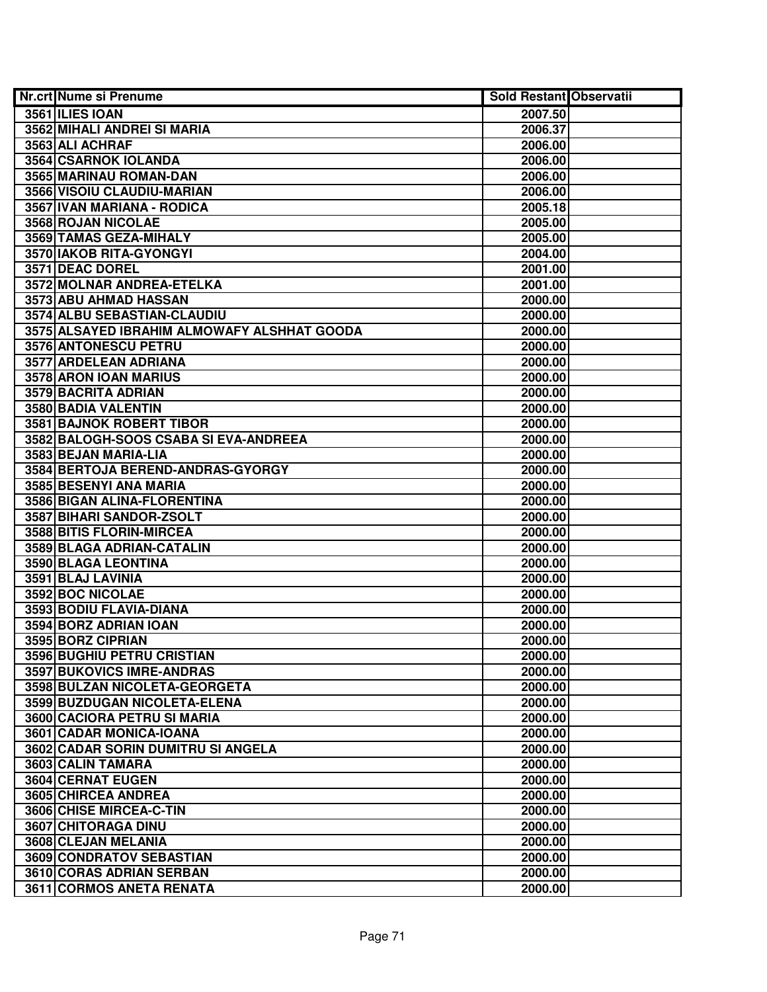| <b>Nr.crt Nume si Prenume</b>               | <b>Sold Restant Observatii</b> |  |
|---------------------------------------------|--------------------------------|--|
| 3561 ILIES IOAN                             | 2007.50                        |  |
| 3562 MIHALI ANDREI SI MARIA                 | 2006.37                        |  |
| 3563 ALI ACHRAF                             | 2006.00                        |  |
| 3564 CSARNOK IOLANDA                        | 2006.00                        |  |
| 3565 MARINAU ROMAN-DAN                      | 2006.00                        |  |
| 3566 VISOIU CLAUDIU-MARIAN                  | 2006.00                        |  |
| 3567 IVAN MARIANA - RODICA                  | 2005.18                        |  |
| 3568 ROJAN NICOLAE                          | 2005.00                        |  |
| 3569 TAMAS GEZA-MIHALY                      | 2005.00                        |  |
| 3570 IAKOB RITA-GYONGYI                     | 2004.00                        |  |
| 3571 DEAC DOREL                             | 2001.00                        |  |
| 3572 MOLNAR ANDREA-ETELKA                   | 2001.00                        |  |
| 3573 ABU AHMAD HASSAN                       | 2000.00                        |  |
| 3574 ALBU SEBASTIAN-CLAUDIU                 | 2000.00                        |  |
| 3575 ALSAYED IBRAHIM ALMOWAFY ALSHHAT GOODA | 2000.00                        |  |
| 3576 ANTONESCU PETRU                        | 2000.00                        |  |
| 3577 ARDELEAN ADRIANA                       | 2000.00                        |  |
| 3578 ARON IOAN MARIUS                       | 2000.00                        |  |
| 3579 BACRITA ADRIAN                         | 2000.00                        |  |
| 3580 BADIA VALENTIN                         | 2000.00                        |  |
| 3581 BAJNOK ROBERT TIBOR                    | 2000.00                        |  |
| 3582 BALOGH-SOOS CSABA SI EVA-ANDREEA       | 2000.00                        |  |
| 3583 BEJAN MARIA-LIA                        | 2000.00                        |  |
| 3584 BERTOJA BEREND-ANDRAS-GYORGY           | 2000.00                        |  |
| 3585 BESENYI ANA MARIA                      | 2000.00                        |  |
| 3586 BIGAN ALINA-FLORENTINA                 | 2000.00                        |  |
| 3587 BIHARI SANDOR-ZSOLT                    | 2000.00                        |  |
| 3588 BITIS FLORIN-MIRCEA                    | 2000.00                        |  |
| 3589 BLAGA ADRIAN-CATALIN                   | 2000.00                        |  |
| 3590 BLAGA LEONTINA                         | 2000.00                        |  |
| 3591 BLAJ LAVINIA                           | 2000.00                        |  |
| 3592 BOC NICOLAE                            | 2000.00                        |  |
| 3593 BODIU FLAVIA-DIANA                     | 2000.00                        |  |
| 3594 BORZ ADRIAN IOAN                       | 2000.00                        |  |
| 3595 BORZ CIPRIAN                           | 2000.00                        |  |
| 3596 BUGHIU PETRU CRISTIAN                  | 2000.00                        |  |
| <b>3597 BUKOVICS IMRE-ANDRAS</b>            | 2000.00                        |  |
| 3598 BULZAN NICOLETA-GEORGETA               | 2000.00                        |  |
| 3599 BUZDUGAN NICOLETA-ELENA                | 2000.00                        |  |
| 3600 CACIORA PETRU SI MARIA                 | 2000.00                        |  |
| 3601 CADAR MONICA-IOANA                     | 2000.00                        |  |
| 3602 CADAR SORIN DUMITRU SI ANGELA          | 2000.00                        |  |
| 3603 CALIN TAMARA                           | 2000.00                        |  |
| <b>3604 CERNAT EUGEN</b>                    | 2000.00                        |  |
| 3605 CHIRCEA ANDREA                         | 2000.00                        |  |
| 3606 CHISE MIRCEA-C-TIN                     | 2000.00                        |  |
| 3607 CHITORAGA DINU                         | 2000.00                        |  |
| 3608 CLEJAN MELANIA                         | 2000.00                        |  |
| 3609 CONDRATOV SEBASTIAN                    | 2000.00                        |  |
| 3610 CORAS ADRIAN SERBAN                    | 2000.00                        |  |
| 3611 CORMOS ANETA RENATA                    | 2000.00                        |  |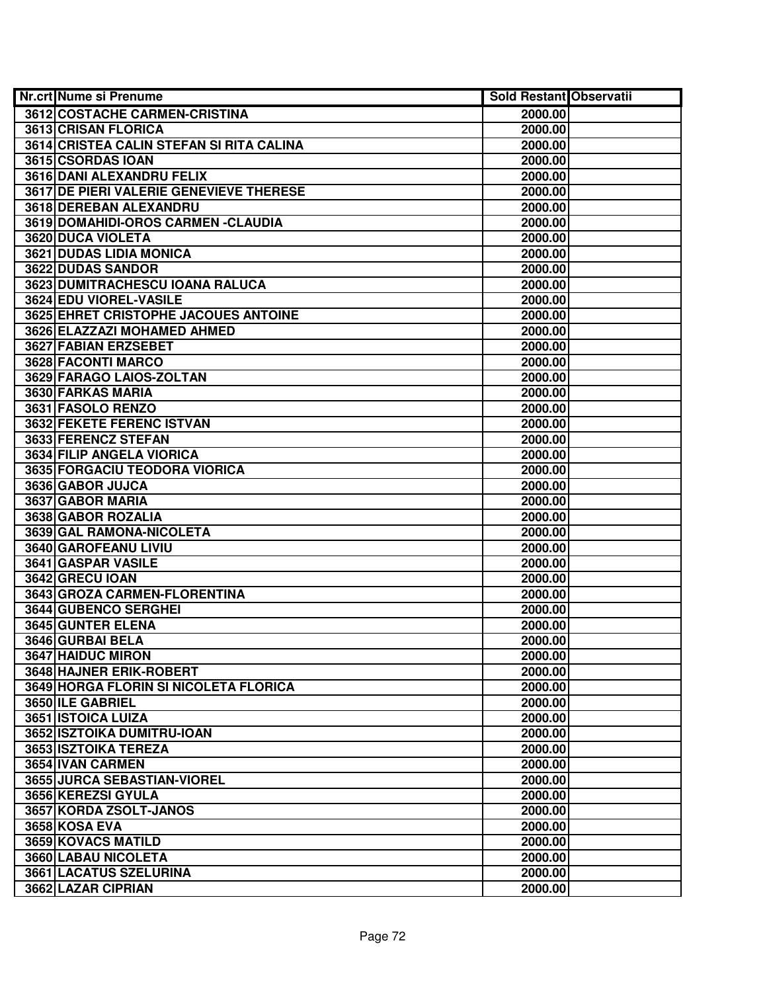| <b>Nr.crt Nume si Prenume</b>                | <b>Sold Restant Observatii</b> |  |
|----------------------------------------------|--------------------------------|--|
| 3612 COSTACHE CARMEN-CRISTINA                | 2000.00                        |  |
| 3613 CRISAN FLORICA                          | 2000.00                        |  |
| 3614 CRISTEA CALIN STEFAN SI RITA CALINA     | 2000.00                        |  |
| 3615 CSORDAS IOAN                            | 2000.00                        |  |
| 3616 DANI ALEXANDRU FELIX                    | 2000.00                        |  |
| 3617 DE PIERI VALERIE GENEVIEVE THERESE      | 2000.00                        |  |
| 3618 DEREBAN ALEXANDRU                       | 2000.00                        |  |
| 3619 DOMAHIDI-OROS CARMEN - CLAUDIA          | 2000.00                        |  |
| <b>3620 DUCA VIOLETA</b>                     | 2000.00                        |  |
| <b>3621 DUDAS LIDIA MONICA</b>               | 2000.00                        |  |
| 3622 DUDAS SANDOR                            | 2000.00                        |  |
| 3623 DUMITRACHESCU IOANA RALUCA              | 2000.00                        |  |
| 3624 EDU VIOREL-VASILE                       | 2000.00                        |  |
| 3625 EHRET CRISTOPHE JACOUES ANTOINE         | 2000.00                        |  |
| 3626 ELAZZAZI MOHAMED AHMED                  | 2000.00                        |  |
| 3627 FABIAN ERZSEBET                         | 2000.00                        |  |
| 3628 FACONTI MARCO                           | 2000.00                        |  |
| 3629 FARAGO LAIOS-ZOLTAN                     | 2000.00                        |  |
| 3630 FARKAS MARIA                            | 2000.00                        |  |
| 3631 FASOLO RENZO                            | 2000.00                        |  |
| 3632 FEKETE FERENC ISTVAN                    | 2000.00                        |  |
| 3633 FERENCZ STEFAN                          | 2000.00                        |  |
| 3634 FILIP ANGELA VIORICA                    | 2000.00                        |  |
| 3635 FORGACIU TEODORA VIORICA                | 2000.00                        |  |
| 3636 GABOR JUJCA                             | 2000.00                        |  |
| 3637 GABOR MARIA                             | 2000.00                        |  |
| 3638 GABOR ROZALIA                           | 2000.00                        |  |
| 3639 GAL RAMONA-NICOLETA                     | 2000.00                        |  |
| 3640 GAROFEANU LIVIU                         | 2000.00                        |  |
| 3641 GASPAR VASILE                           | 2000.00                        |  |
| 3642 GRECU IOAN                              | 2000.00                        |  |
| 3643 GROZA CARMEN-FLORENTINA                 | 2000.00                        |  |
| 3644 GUBENCO SERGHEI                         | 2000.00                        |  |
| 3645 GUNTER ELENA                            | 2000.00                        |  |
| 3646 GURBAI BELA                             | 2000.00                        |  |
| 3647 HAIDUC MIRON                            | 2000.00                        |  |
| 3648 HAJNER ERIK-ROBERT                      | 2000.00                        |  |
| <b>3649 HORGA FLORIN SI NICOLETA FLORICA</b> | 2000.00                        |  |
| 3650 ILE GABRIEL                             | 2000.00                        |  |
| 3651 ISTOICA LUIZA                           | 2000.00                        |  |
| 3652 ISZTOIKA DUMITRU-IOAN                   | 2000.00                        |  |
| 3653 ISZTOIKA TEREZA                         | 2000.00                        |  |
| 3654 IVAN CARMEN                             | 2000.00                        |  |
| 3655 JURCA SEBASTIAN-VIOREL                  | 2000.00                        |  |
| 3656 KEREZSI GYULA                           | 2000.00                        |  |
| 3657 KORDA ZSOLT-JANOS                       | 2000.00                        |  |
| 3658 KOSA EVA                                | 2000.00                        |  |
| 3659 KOVACS MATILD                           | 2000.00                        |  |
| 3660 LABAU NICOLETA                          | 2000.00                        |  |
| 3661 LACATUS SZELURINA                       | 2000.00                        |  |
| 3662 LAZAR CIPRIAN                           | 2000.00                        |  |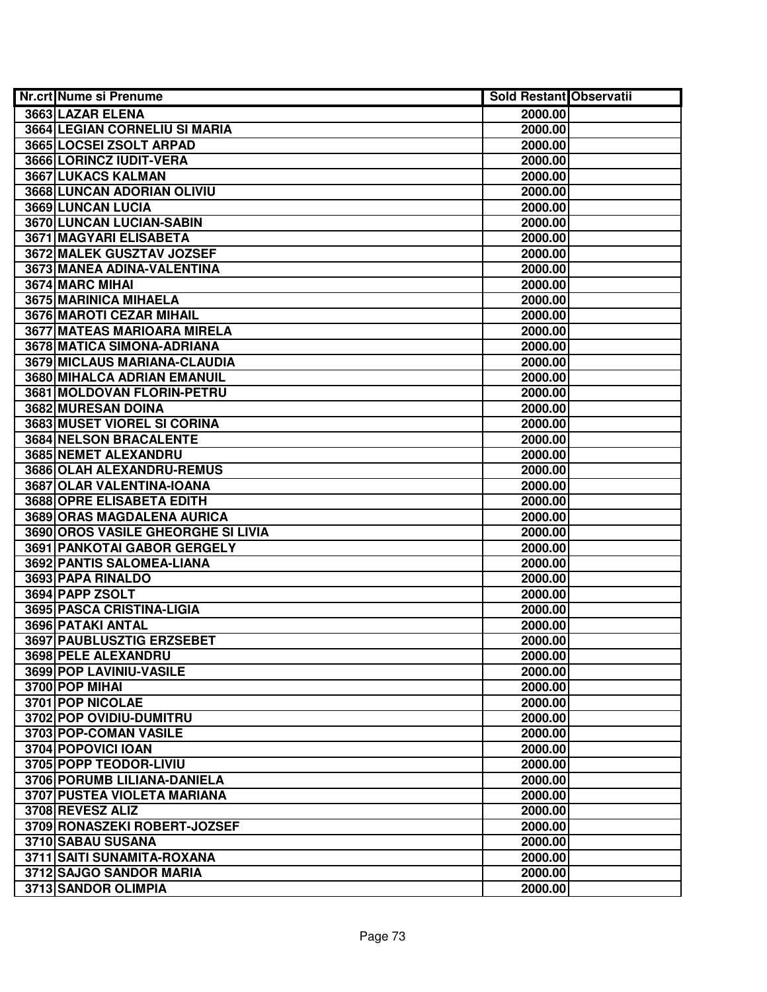| <b>Nr.crt Nume si Prenume</b>      | <b>Sold Restant Observatii</b> |  |
|------------------------------------|--------------------------------|--|
| 3663 LAZAR ELENA                   | 2000.00                        |  |
| 3664 LEGIAN CORNELIU SI MARIA      | 2000.00                        |  |
| 3665 LOCSEI ZSOLT ARPAD            | 2000.00                        |  |
| 3666 LORINCZ IUDIT-VERA            | 2000.00                        |  |
| 3667 LUKACS KALMAN                 | 2000.00                        |  |
| 3668 LUNCAN ADORIAN OLIVIU         | 2000.00                        |  |
| 3669 LUNCAN LUCIA                  | 2000.00                        |  |
| 3670 LUNCAN LUCIAN-SABIN           | 2000.00                        |  |
| <b>3671 MAGYARI ELISABETA</b>      | 2000.00                        |  |
| 3672 MALEK GUSZTAV JOZSEF          | 2000.00                        |  |
| 3673 MANEA ADINA-VALENTINA         | 2000.00                        |  |
| 3674 MARC MIHAI                    | 2000.00                        |  |
| 3675 MARINICA MIHAELA              | 2000.00                        |  |
| 3676 MAROTI CEZAR MIHAIL           | 2000.00                        |  |
| 3677 MATEAS MARIOARA MIRELA        | 2000.00                        |  |
| 3678 MATICA SIMONA-ADRIANA         | 2000.00                        |  |
| 3679 MICLAUS MARIANA-CLAUDIA       | 2000.00                        |  |
| 3680 MIHALCA ADRIAN EMANUIL        | 2000.00                        |  |
| 3681 MOLDOVAN FLORIN-PETRU         | 2000.00                        |  |
| 3682 MURESAN DOINA                 | 2000.00                        |  |
| <b>3683 MUSET VIOREL SI CORINA</b> | 2000.00                        |  |
| 3684 NELSON BRACALENTE             | 2000.00                        |  |
| 3685 NEMET ALEXANDRU               | 2000.00                        |  |
| 3686 OLAH ALEXANDRU-REMUS          | 2000.00                        |  |
| 3687 OLAR VALENTINA-IOANA          | 2000.00                        |  |
| 3688 OPRE ELISABETA EDITH          | 2000.00                        |  |
| 3689 ORAS MAGDALENA AURICA         | 2000.00                        |  |
| 3690 OROS VASILE GHEORGHE SI LIVIA | 2000.00                        |  |
| 3691 PANKOTAI GABOR GERGELY        | 2000.00                        |  |
| 3692 PANTIS SALOMEA-LIANA          | 2000.00                        |  |
| 3693 PAPA RINALDO                  | 2000.00                        |  |
| 3694 PAPP ZSOLT                    | 2000.00                        |  |
| 3695 PASCA CRISTINA-LIGIA          | 2000.00                        |  |
| <b>3696 PATAKI ANTAL</b>           | 2000.00                        |  |
| <b>3697 PAUBLUSZTIG ERZSEBET</b>   | 2000.00                        |  |
| 3698 PELE ALEXANDRU                | 2000.00                        |  |
| 3699 POP LAVINIU-VASILE            | 2000.00                        |  |
| 3700 POP MIHAI                     | 2000.00                        |  |
| 3701 POP NICOLAE                   | 2000.00                        |  |
| 3702 POP OVIDIU-DUMITRU            | 2000.00                        |  |
| 3703 POP-COMAN VASILE              | 2000.00                        |  |
| 3704 POPOVICI IOAN                 | 2000.00                        |  |
| 3705 POPP TEODOR-LIVIU             | 2000.00                        |  |
| 3706 PORUMB LILIANA-DANIELA        | 2000.00                        |  |
| 3707 PUSTEA VIOLETA MARIANA        | 2000.00                        |  |
| 3708 REVESZ ALIZ                   | 2000.00                        |  |
| 3709 RONASZEKI ROBERT-JOZSEF       | 2000.00                        |  |
| 3710 SABAU SUSANA                  | 2000.00                        |  |
| 3711 SAITI SUNAMITA-ROXANA         | 2000.00                        |  |
| 3712 SAJGO SANDOR MARIA            | 2000.00                        |  |
| 3713 SANDOR OLIMPIA                | 2000.00                        |  |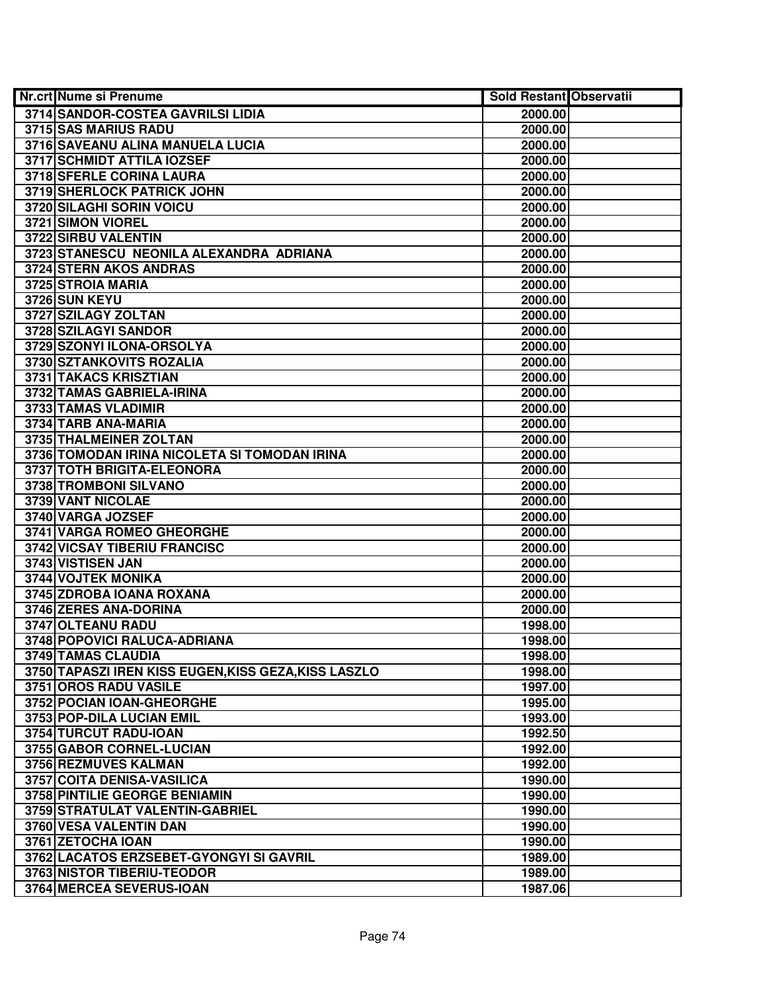| <b>Nr.crt Nume si Prenume</b>                               | <b>Sold Restant Observatii</b> |  |
|-------------------------------------------------------------|--------------------------------|--|
| 3714 SANDOR-COSTEA GAVRILSI LIDIA                           | 2000.00                        |  |
| 3715 SAS MARIUS RADU                                        | 2000.00                        |  |
| 3716 SAVEANU ALINA MANUELA LUCIA                            | 2000.00                        |  |
| 3717 SCHMIDT ATTILA IOZSEF                                  | 2000.00                        |  |
| <b>3718 SFERLE CORINA LAURA</b>                             | 2000.00                        |  |
| 3719 SHERLOCK PATRICK JOHN                                  | 2000.00                        |  |
| 3720 SILAGHI SORIN VOICU                                    | 2000.00                        |  |
| 3721 SIMON VIOREL                                           | 2000.00                        |  |
| 3722 SIRBU VALENTIN                                         | 2000.00                        |  |
| 3723 STANESCU NEONILA ALEXANDRA ADRIANA                     | 2000.00                        |  |
| 3724 STERN AKOS ANDRAS                                      | 2000.00                        |  |
| 3725 STROIA MARIA                                           | 2000.00                        |  |
| 3726 SUN KEYU                                               | 2000.00                        |  |
| 3727 SZILAGY ZOLTAN                                         | 2000.00                        |  |
| 3728 SZILAGYI SANDOR                                        | 2000.00                        |  |
| 3729 SZONYI ILONA-ORSOLYA                                   | 2000.00                        |  |
| 3730 SZTANKOVITS ROZALIA                                    | 2000.00                        |  |
| 3731 TAKACS KRISZTIAN                                       | 2000.00                        |  |
| 3732 TAMAS GABRIELA-IRINA                                   | 2000.00                        |  |
| 3733 TAMAS VLADIMIR                                         | 2000.00                        |  |
| 3734 TARB ANA-MARIA                                         | 2000.00                        |  |
| 3735 THALMEINER ZOLTAN                                      | 2000.00                        |  |
| 3736 TOMODAN IRINA NICOLETA SI TOMODAN IRINA                | 2000.00                        |  |
| 3737 TOTH BRIGITA-ELEONORA                                  | 2000.00                        |  |
| 3738 TROMBONI SILVANO                                       | 2000.00                        |  |
| 3739 VANT NICOLAE                                           | 2000.00                        |  |
| 3740 VARGA JOZSEF                                           | 2000.00                        |  |
| 3741 VARGA ROMEO GHEORGHE                                   | 2000.00                        |  |
| 3742 VICSAY TIBERIU FRANCISC                                | 2000.00                        |  |
| 3743 VISTISEN JAN                                           | 2000.00                        |  |
| 3744 VOJTEK MONIKA                                          | 2000.00                        |  |
| 3745 ZDROBA IOANA ROXANA                                    | 2000.00                        |  |
| 3746 ZERES ANA-DORINA                                       | 2000.00                        |  |
| 3747 OLTEANU RADU                                           | 1998.00                        |  |
| 3748 POPOVICI RALUCA-ADRIANA                                | 1998.00                        |  |
| 3749 TAMAS CLAUDIA                                          | 1998.00                        |  |
| 3750 TAPASZI IREN KISS EUGEN, KISS GEZA, KISS LASZLO        | 1998.00                        |  |
| 3751 OROS RADU VASILE                                       | 1997.00                        |  |
| 3752 POCIAN IOAN-GHEORGHE<br>3753 POP-DILA LUCIAN EMIL      | 1995.00                        |  |
|                                                             | 1993.00                        |  |
| 3754 TURCUT RADU-IOAN<br>3755 GABOR CORNEL-LUCIAN           | 1992.50                        |  |
| 3756 REZMUVES KALMAN                                        | 1992.00<br>1992.00             |  |
|                                                             |                                |  |
| 3757 COITA DENISA-VASILICA<br>3758 PINTILIE GEORGE BENIAMIN | 1990.00<br>1990.00             |  |
| 3759 STRATULAT VALENTIN-GABRIEL                             | 1990.00                        |  |
| 3760 VESA VALENTIN DAN                                      | 1990.00                        |  |
| 3761 ZETOCHA IOAN                                           | 1990.00                        |  |
| 3762 LACATOS ERZSEBET-GYONGYI SI GAVRIL                     | 1989.00                        |  |
| 3763 NISTOR TIBERIU-TEODOR                                  | 1989.00                        |  |
| 3764 MERCEA SEVERUS-IOAN                                    | 1987.06                        |  |
|                                                             |                                |  |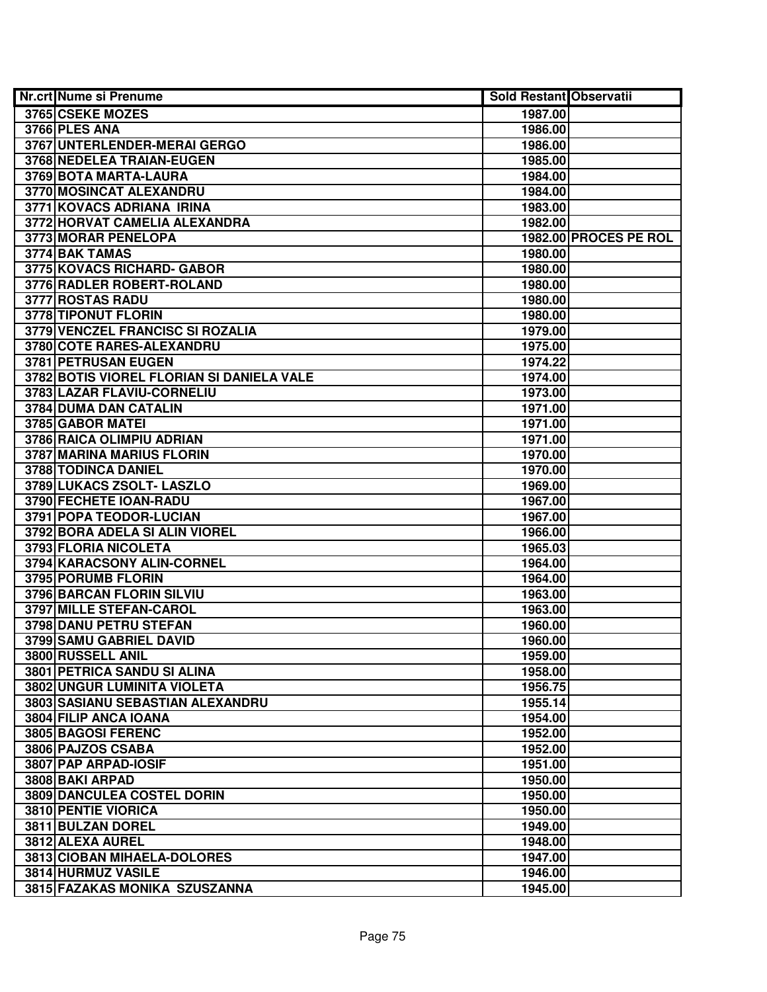| <b>Nr.crt Nume si Prenume</b>             | <b>Sold Restant Observatii</b> |                       |
|-------------------------------------------|--------------------------------|-----------------------|
| 3765 CSEKE MOZES                          | 1987.00                        |                       |
| 3766 PLES ANA                             | 1986.00                        |                       |
| 3767 UNTERLENDER-MERAI GERGO              | 1986.00                        |                       |
| 3768 NEDELEA TRAIAN-EUGEN                 | 1985.00                        |                       |
| 3769 BOTA MARTA-LAURA                     | 1984.00                        |                       |
| 3770 MOSINCAT ALEXANDRU                   | 1984.00                        |                       |
| 3771 KOVACS ADRIANA IRINA                 | 1983.00                        |                       |
| 3772 HORVAT CAMELIA ALEXANDRA             | 1982.00                        |                       |
| 3773 MORAR PENELOPA                       |                                | 1982.00 PROCES PE ROL |
| 3774 BAK TAMAS                            | 1980.00                        |                       |
| 3775 KOVACS RICHARD- GABOR                | 1980.00                        |                       |
| 3776 RADLER ROBERT-ROLAND                 | 1980.00                        |                       |
| 3777 ROSTAS RADU                          | 1980.00                        |                       |
| 3778 TIPONUT FLORIN                       | 1980.00                        |                       |
| 3779 VENCZEL FRANCISC SI ROZALIA          | 1979.00                        |                       |
| 3780 COTE RARES-ALEXANDRU                 | 1975.00                        |                       |
| 3781 PETRUSAN EUGEN                       | 1974.22                        |                       |
| 3782 BOTIS VIOREL FLORIAN SI DANIELA VALE | 1974.00                        |                       |
| 3783 LAZAR FLAVIU-CORNELIU                | 1973.00                        |                       |
| 3784 DUMA DAN CATALIN                     | 1971.00                        |                       |
| 3785 GABOR MATEL                          | 1971.00                        |                       |
| 3786 RAICA OLIMPIU ADRIAN                 | 1971.00                        |                       |
| 3787 MARINA MARIUS FLORIN                 | 1970.00                        |                       |
| 3788 TODINCA DANIEL                       | 1970.00                        |                       |
| 3789 LUKACS ZSOLT- LASZLO                 | 1969.00                        |                       |
| 3790 FECHETE IOAN-RADU                    | 1967.00                        |                       |
| 3791 POPA TEODOR-LUCIAN                   | 1967.00                        |                       |
| 3792 BORA ADELA SI ALIN VIOREL            | 1966.00                        |                       |
| 3793 FLORIA NICOLETA                      | 1965.03                        |                       |
| 3794 KARACSONY ALIN-CORNEL                | 1964.00                        |                       |
| 3795 PORUMB FLORIN                        | 1964.00                        |                       |
| 3796 BARCAN FLORIN SILVIU                 | 1963.00                        |                       |
| 3797 MILLE STEFAN-CAROL                   | 1963.00                        |                       |
| 3798 DANU PETRU STEFAN                    | 1960.00                        |                       |
| 3799 SAMU GABRIEL DAVID                   | 1960.00                        |                       |
| 3800 RUSSELL ANIL                         | 1959.00                        |                       |
| 3801 PETRICA SANDU SI ALINA               | 1958.00                        |                       |
| <b>3802 UNGUR LUMINITA VIOLETA</b>        | 1956.75                        |                       |
| 3803 SASIANU SEBASTIAN ALEXANDRU          | 1955.14                        |                       |
| 3804 FILIP ANCA IOANA                     | 1954.00                        |                       |
| 3805 BAGOSI FERENC                        | 1952.00                        |                       |
| 3806 PAJZOS CSABA                         | 1952.00                        |                       |
| 3807 PAP ARPAD-IOSIF                      | 1951.00                        |                       |
| 3808 BAKI ARPAD                           | 1950.00                        |                       |
| 3809 DANCULEA COSTEL DORIN                | 1950.00                        |                       |
| 3810 PENTIE VIORICA                       | 1950.00                        |                       |
| 3811 BULZAN DOREL                         | 1949.00                        |                       |
| 3812 ALEXA AUREL                          | 1948.00                        |                       |
| 3813 CIOBAN MIHAELA-DOLORES               | 1947.00                        |                       |
| 3814 HURMUZ VASILE                        | 1946.00                        |                       |
| 3815 FAZAKAS MONIKA SZUSZANNA             | 1945.00                        |                       |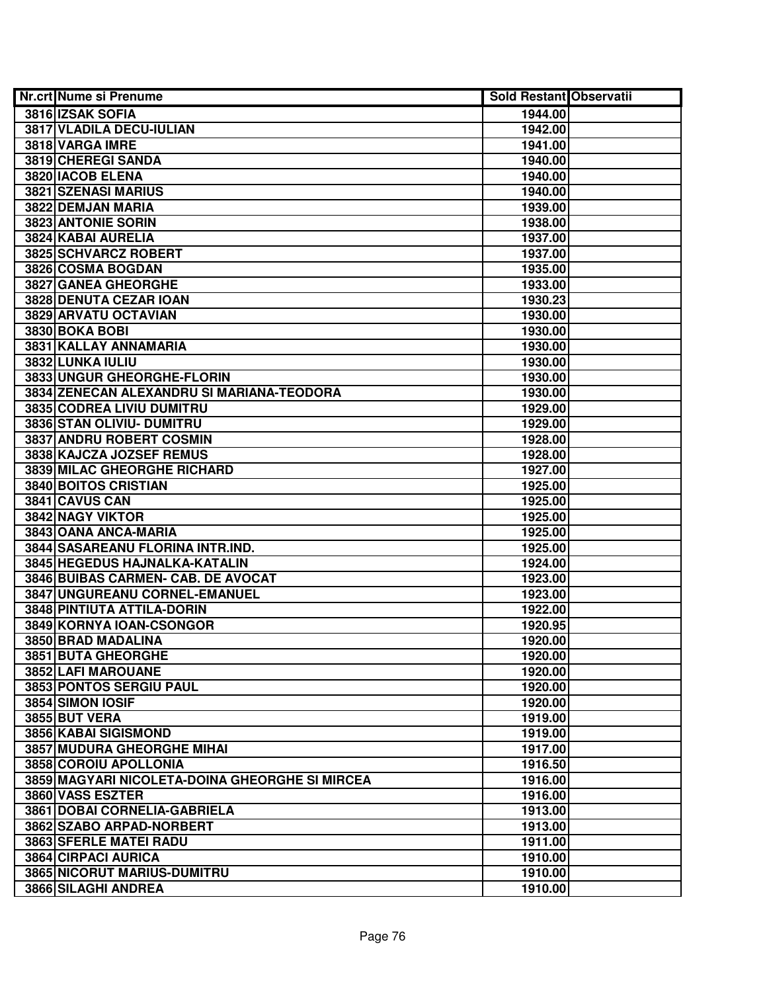| <b>Nr.crt Nume si Prenume</b>                  | Sold Restant Observatii |  |
|------------------------------------------------|-------------------------|--|
| 3816 IZSAK SOFIA                               | 1944.00                 |  |
| 3817 VLADILA DECU-IULIAN                       | 1942.00                 |  |
| 3818 VARGA IMRE                                | 1941.00                 |  |
| 3819 CHEREGI SANDA                             | 1940.00                 |  |
| 3820 IACOB ELENA                               | 1940.00                 |  |
| 3821 SZENASI MARIUS                            | 1940.00                 |  |
| 3822 DEMJAN MARIA                              | 1939.00                 |  |
| 3823 ANTONIE SORIN                             | 1938.00                 |  |
| 3824 KABAI AURELIA                             | 1937.00                 |  |
| 3825 SCHVARCZ ROBERT                           | 1937.00                 |  |
| 3826 COSMA BOGDAN                              | 1935.00                 |  |
| 3827 GANEA GHEORGHE                            | 1933.00                 |  |
| 3828 DENUTA CEZAR IOAN                         | 1930.23                 |  |
| 3829 ARVATU OCTAVIAN                           | 1930.00                 |  |
| <b>3830 BOKA BOBI</b>                          | 1930.00                 |  |
| 3831 KALLAY ANNAMARIA                          | 1930.00                 |  |
| 3832 LUNKA IULIU                               | 1930.00                 |  |
| 3833 UNGUR GHEORGHE-FLORIN                     | 1930.00                 |  |
| 3834 ZENECAN ALEXANDRU SI MARIANA-TEODORA      | 1930.00                 |  |
| 3835 CODREA LIVIU DUMITRU                      | 1929.00                 |  |
| 3836 STAN OLIVIU- DUMITRU                      | 1929.00                 |  |
| 3837 ANDRU ROBERT COSMIN                       | 1928.00                 |  |
| 3838 KAJCZA JOZSEF REMUS                       | 1928.00                 |  |
| 3839 MILAC GHEORGHE RICHARD                    | 1927.00                 |  |
| 3840 BOITOS CRISTIAN                           | 1925.00                 |  |
| 3841 CAVUS CAN                                 | 1925.00                 |  |
| 3842 NAGY VIKTOR                               | 1925.00                 |  |
| 3843 OANA ANCA-MARIA                           | 1925.00                 |  |
| 3844 SASAREANU FLORINA INTR.IND.               | 1925.00                 |  |
| 3845 HEGEDUS HAJNALKA-KATALIN                  | 1924.00                 |  |
| 3846 BUIBAS CARMEN- CAB. DE AVOCAT             | 1923.00                 |  |
| 3847 UNGUREANU CORNEL-EMANUEL                  | 1923.00                 |  |
| 3848 PINTIUTA ATTILA-DORIN                     | 1922.00                 |  |
| 3849 KORNYA IOAN-CSONGOR                       | 1920.95                 |  |
| 3850 BRAD MADALINA                             | 1920.00                 |  |
| 3851 BUTA GHEORGHE                             | 1920.00                 |  |
| 3852 LAFI MAROUANE                             | 1920.00                 |  |
| 3853 PONTOS SERGIU PAUL                        | 1920.00                 |  |
| 3854 SIMON IOSIF                               | 1920.00                 |  |
| <b>3855 BUT VERA</b>                           | 1919.00                 |  |
| 3856 KABAI SIGISMOND                           | 1919.00                 |  |
| 3857 MUDURA GHEORGHE MIHAI                     | 1917.00                 |  |
| 3858 COROIU APOLLONIA                          | 1916.50                 |  |
| 3859 MAGYARI NICOLETA-DOINA GHEORGHE SI MIRCEA | 1916.00                 |  |
| 3860 VASS ESZTER                               | 1916.00                 |  |
| 3861 DOBAI CORNELIA-GABRIELA                   | 1913.00                 |  |
| 3862 SZABO ARPAD-NORBERT                       | 1913.00                 |  |
| 3863 SFERLE MATEI RADU                         | 1911.00                 |  |
| 3864 CIRPACI AURICA                            | 1910.00                 |  |
| 3865 NICORUT MARIUS-DUMITRU                    | 1910.00                 |  |
| 3866 SILAGHI ANDREA                            | 1910.00                 |  |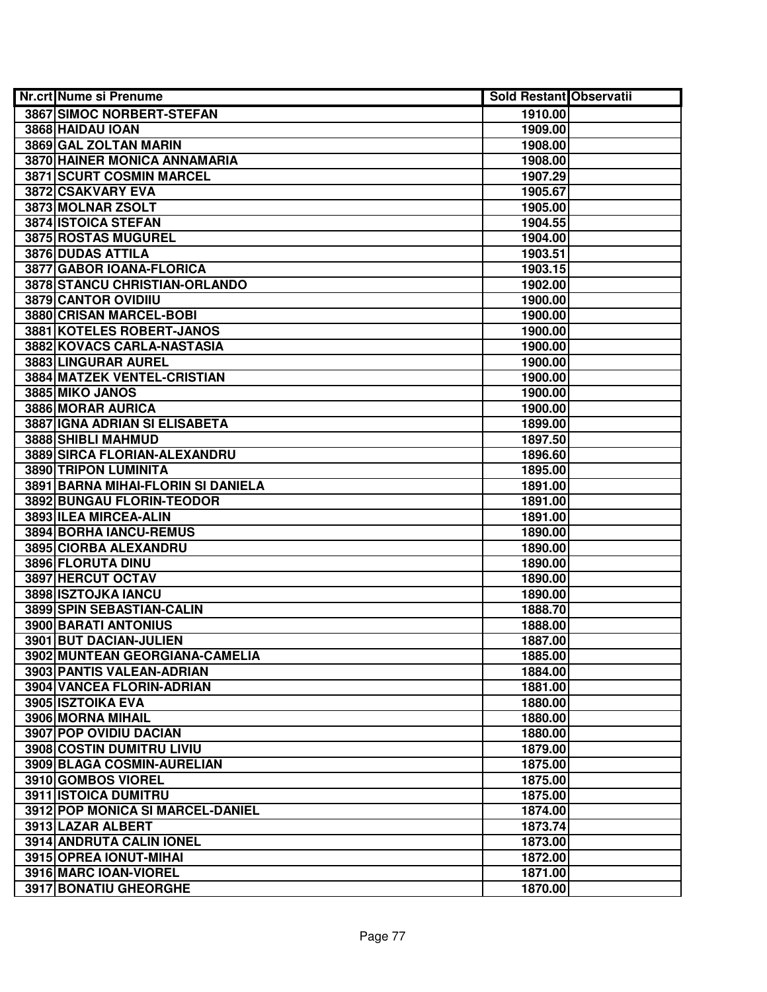| <b>Nr.crt Nume si Prenume</b>      | <b>Sold Restant Observatii</b> |  |
|------------------------------------|--------------------------------|--|
| <b>3867 SIMOC NORBERT-STEFAN</b>   | 1910.00                        |  |
| 3868 HAIDAU IOAN                   | 1909.00                        |  |
| 3869 GAL ZOLTAN MARIN              | 1908.00                        |  |
| 3870 HAINER MONICA ANNAMARIA       | 1908.00                        |  |
| 3871 SCURT COSMIN MARCEL           | 1907.29                        |  |
| 3872 CSAKVARY EVA                  | 1905.67                        |  |
| 3873 MOLNAR ZSOLT                  | 1905.00                        |  |
| 3874 ISTOICA STEFAN                | 1904.55                        |  |
| 3875 ROSTAS MUGUREL                | 1904.00                        |  |
| <b>3876 DUDAS ATTILA</b>           | 1903.51                        |  |
| 3877 GABOR IOANA-FLORICA           | 1903.15                        |  |
| 3878 STANCU CHRISTIAN-ORLANDO      | 1902.00                        |  |
| 3879 CANTOR OVIDIIU                | 1900.00                        |  |
| 3880 CRISAN MARCEL-BOBI            | 1900.00                        |  |
| 3881 KOTELES ROBERT-JANOS          | 1900.00                        |  |
| 3882 KOVACS CARLA-NASTASIA         | 1900.00                        |  |
| 3883 LINGURAR AUREL                | 1900.00                        |  |
| 3884 MATZEK VENTEL-CRISTIAN        | 1900.00                        |  |
| 3885 MIKO JANOS                    | 1900.00                        |  |
| 3886 MORAR AURICA                  | 1900.00                        |  |
| 3887 IGNA ADRIAN SI ELISABETA      | 1899.00                        |  |
| 3888 SHIBLI MAHMUD                 | 1897.50                        |  |
| 3889 SIRCA FLORIAN-ALEXANDRU       | 1896.60                        |  |
| 3890 TRIPON LUMINITA               | 1895.00                        |  |
| 3891 BARNA MIHAI-FLORIN SI DANIELA | 1891.00                        |  |
| 3892 BUNGAU FLORIN-TEODOR          | 1891.00                        |  |
| 3893 ILEA MIRCEA-ALIN              | 1891.00                        |  |
| 3894 BORHA IANCU-REMUS             | 1890.00                        |  |
| 3895 CIORBA ALEXANDRU              | 1890.00                        |  |
| 3896 FLORUTA DINU                  | 1890.00                        |  |
| 3897 HERCUT OCTAV                  | 1890.00                        |  |
| 3898 ISZTOJKA IANCU                | 1890.00                        |  |
| 3899 SPIN SEBASTIAN-CALIN          | 1888.70                        |  |
| <b>3900 BARATI ANTONIUS</b>        | 1888.00                        |  |
| 3901 BUT DACIAN-JULIEN             | 1887.00                        |  |
| 3902 MUNTEAN GEORGIANA-CAMELIA     | 1885.00                        |  |
| 3903 PANTIS VALEAN-ADRIAN          | 1884.00                        |  |
| 3904 VANCEA FLORIN-ADRIAN          | 1881.00                        |  |
| 3905 ISZTOIKA EVA                  | 1880.00                        |  |
| 3906 MORNA MIHAIL                  | 1880.00                        |  |
| 3907 POP OVIDIU DACIAN             | 1880.00                        |  |
| 3908 COSTIN DUMITRU LIVIU          | 1879.00                        |  |
| 3909 BLAGA COSMIN-AURELIAN         | 1875.00                        |  |
| 3910 GOMBOS VIOREL                 | 1875.00                        |  |
| <b>3911 ISTOICA DUMITRU</b>        | 1875.00                        |  |
| 3912 POP MONICA SI MARCEL-DANIEL   | 1874.00                        |  |
| 3913 LAZAR ALBERT                  | 1873.74                        |  |
| 3914 ANDRUTA CALIN IONEL           | 1873.00                        |  |
| 3915 OPREA IONUT-MIHAI             | 1872.00                        |  |
| 3916 MARC IOAN-VIOREL              | 1871.00                        |  |
| 3917 BONATIU GHEORGHE              | 1870.00                        |  |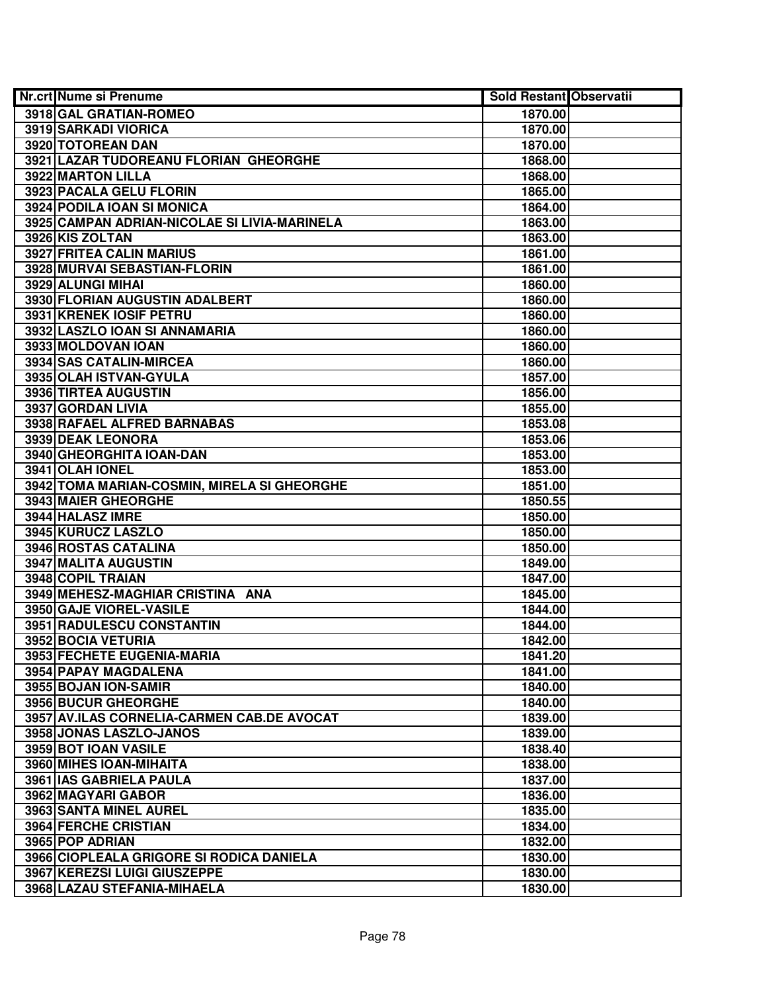| <b>Nr.crt Nume si Prenume</b>                | <b>Sold Restant Observatii</b> |  |
|----------------------------------------------|--------------------------------|--|
| 3918 GAL GRATIAN-ROMEO                       | 1870.00                        |  |
| 3919 SARKADI VIORICA                         | 1870.00                        |  |
| 3920 TOTOREAN DAN                            | 1870.00                        |  |
| 3921 LAZAR TUDOREANU FLORIAN GHEORGHE        | 1868.00                        |  |
| 3922 MARTON LILLA                            | 1868.00                        |  |
| 3923 PACALA GELU FLORIN                      | 1865.00                        |  |
| 3924 PODILA IOAN SI MONICA                   | 1864.00                        |  |
| 3925 CAMPAN ADRIAN-NICOLAE SI LIVIA-MARINELA | 1863.00                        |  |
| 3926 KIS ZOLTAN                              | 1863.00                        |  |
| <b>3927 FRITEA CALIN MARIUS</b>              | 1861.00                        |  |
| 3928 MURVAI SEBASTIAN-FLORIN                 | 1861.00                        |  |
| 3929 ALUNGI MIHAI                            | 1860.00                        |  |
| 3930 FLORIAN AUGUSTIN ADALBERT               | 1860.00                        |  |
| 3931 KRENEK IOSIF PETRU                      | 1860.00                        |  |
| 3932 LASZLO IOAN SI ANNAMARIA                | 1860.00                        |  |
| 3933 MOLDOVAN IOAN                           | 1860.00                        |  |
| 3934 SAS CATALIN-MIRCEA                      | 1860.00                        |  |
| 3935 OLAH ISTVAN-GYULA                       | 1857.00                        |  |
| 3936 TIRTEA AUGUSTIN                         | 1856.00                        |  |
| 3937 GORDAN LIVIA                            | 1855.00                        |  |
| 3938 RAFAEL ALFRED BARNABAS                  | 1853.08                        |  |
| 3939 DEAK LEONORA                            | 1853.06                        |  |
| 3940 GHEORGHITA IOAN-DAN                     | 1853.00                        |  |
| 3941 OLAH IONEL                              | 1853.00                        |  |
| 3942 TOMA MARIAN-COSMIN, MIRELA SI GHEORGHE  | 1851.00                        |  |
| 3943 MAIER GHEORGHE                          | 1850.55                        |  |
| 3944 HALASZ IMRE                             | 1850.00                        |  |
| 3945 KURUCZ LASZLO                           | 1850.00                        |  |
| 3946 ROSTAS CATALINA                         | 1850.00                        |  |
| 3947 MALITA AUGUSTIN                         | 1849.00                        |  |
| 3948 COPIL TRAIAN                            | 1847.00                        |  |
| 3949 MEHESZ-MAGHIAR CRISTINA ANA             | 1845.00                        |  |
| 3950 GAJE VIOREL-VASILE                      | 1844.00                        |  |
| 3951 RADULESCU CONSTANTIN                    | 1844.00                        |  |
| 3952 BOCIA VETURIA                           | 1842.00                        |  |
| 3953 FECHETE EUGENIA-MARIA                   | 1841.20                        |  |
| <b>3954 PAPAY MAGDALENA</b>                  | 1841.00                        |  |
| 3955 BOJAN ION-SAMIR                         | 1840.00                        |  |
| <b>3956 BUCUR GHEORGHE</b>                   | 1840.00                        |  |
| 3957 AV.ILAS CORNELIA-CARMEN CAB.DE AVOCAT   | 1839.00                        |  |
| 3958 JONAS LASZLO-JANOS                      | 1839.00                        |  |
| 3959 BOT IOAN VASILE                         | 1838.40                        |  |
| 3960 MIHES IOAN-MIHAITA                      | 1838.00                        |  |
| 3961 IAS GABRIELA PAULA                      | 1837.00                        |  |
| 3962 MAGYARI GABOR                           | 1836.00                        |  |
| 3963 SANTA MINEL AUREL                       | 1835.00                        |  |
| 3964 FERCHE CRISTIAN                         | 1834.00                        |  |
| 3965 POP ADRIAN                              | 1832.00                        |  |
| 3966 CIOPLEALA GRIGORE SI RODICA DANIELA     | 1830.00                        |  |
| 3967 KEREZSI LUIGI GIUSZEPPE                 | 1830.00                        |  |
| 3968 LAZAU STEFANIA-MIHAELA                  | 1830.00                        |  |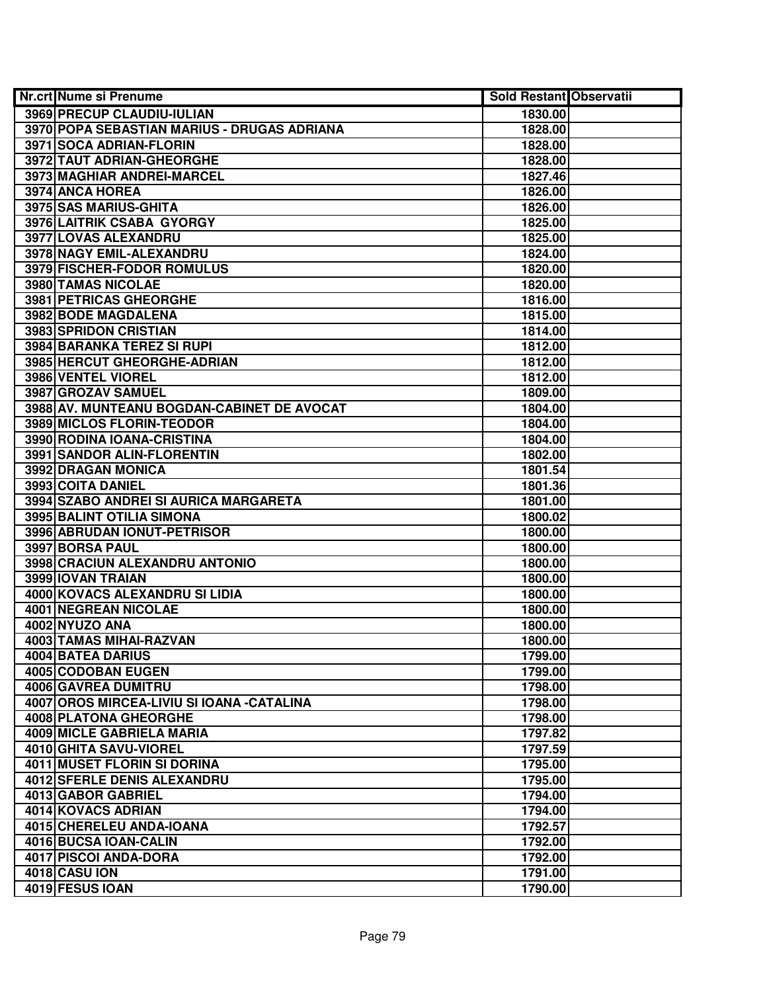| Nr.crt Nume si Prenume                      | <b>Sold Restant Observatii</b> |  |
|---------------------------------------------|--------------------------------|--|
| 3969 PRECUP CLAUDIU-IULIAN                  | 1830.00                        |  |
| 3970 POPA SEBASTIAN MARIUS - DRUGAS ADRIANA | 1828.00                        |  |
| 3971 SOCA ADRIAN-FLORIN                     | 1828.00                        |  |
| 3972 TAUT ADRIAN-GHEORGHE                   | 1828.00                        |  |
| 3973 MAGHIAR ANDREI-MARCEL                  | 1827.46                        |  |
| 3974 ANCA HOREA                             | 1826.00                        |  |
| 3975 SAS MARIUS-GHITA                       | 1826.00                        |  |
| 3976 LAITRIK CSABA GYORGY                   | 1825.00                        |  |
| 3977 LOVAS ALEXANDRU                        | 1825.00                        |  |
| 3978 NAGY EMIL-ALEXANDRU                    | 1824.00                        |  |
| <b>3979 FISCHER-FODOR ROMULUS</b>           | 1820.00                        |  |
| 3980 TAMAS NICOLAE                          | 1820.00                        |  |
| 3981 PETRICAS GHEORGHE                      | 1816.00                        |  |
| 3982 BODE MAGDALENA                         | 1815.00                        |  |
| 3983 SPRIDON CRISTIAN                       | 1814.00                        |  |
| 3984 BARANKA TEREZ SI RUPI                  | 1812.00                        |  |
| 3985 HERCUT GHEORGHE-ADRIAN                 | 1812.00                        |  |
| 3986 VENTEL VIOREL                          | 1812.00                        |  |
| 3987 GROZAV SAMUEL                          | 1809.00                        |  |
| 3988 AV. MUNTEANU BOGDAN-CABINET DE AVOCAT  | 1804.00                        |  |
| 3989 MICLOS FLORIN-TEODOR                   | 1804.00                        |  |
| 3990 RODINA IOANA-CRISTINA                  | 1804.00                        |  |
| 3991 SANDOR ALIN-FLORENTIN                  | 1802.00                        |  |
| 3992 DRAGAN MONICA                          | 1801.54                        |  |
| 3993 COITA DANIEL                           | 1801.36                        |  |
| 3994 SZABO ANDREI SI AURICA MARGARETA       | 1801.00                        |  |
| 3995 BALINT OTILIA SIMONA                   | 1800.02                        |  |
| 3996 ABRUDAN IONUT-PETRISOR                 | 1800.00                        |  |
| 3997 BORSA PAUL                             | 1800.00                        |  |
| 3998 CRACIUN ALEXANDRU ANTONIO              | 1800.00                        |  |
| 3999 IOVAN TRAIAN                           | 1800.00                        |  |
| 4000 KOVACS ALEXANDRU SI LIDIA              | 1800.00                        |  |
| 4001 NEGREAN NICOLAE                        | 1800.00                        |  |
| 4002 NYUZO ANA                              | 1800.00                        |  |
| 4003 TAMAS MIHAI-RAZVAN                     | 1800.00                        |  |
| 4004 BATEA DARIUS                           | 1799.00                        |  |
| 4005 CODOBAN EUGEN                          | 1799.00                        |  |
| 4006 GAVREA DUMITRU                         | 1798.00                        |  |
| 4007 OROS MIRCEA-LIVIU SI IOANA - CATALINA  | 1798.00                        |  |
| 4008 PLATONA GHEORGHE                       | 1798.00                        |  |
| 4009 MICLE GABRIELA MARIA                   | 1797.82                        |  |
| 4010 GHITA SAVU-VIOREL                      | 1797.59                        |  |
| 4011 MUSET FLORIN SI DORINA                 | 1795.00                        |  |
| 4012 SFERLE DENIS ALEXANDRU                 | 1795.00                        |  |
| 4013 GABOR GABRIEL                          | 1794.00                        |  |
| 4014 KOVACS ADRIAN                          | 1794.00                        |  |
| 4015 CHERELEU ANDA-IOANA                    | 1792.57                        |  |
| 4016 BUCSA IOAN-CALIN                       | 1792.00                        |  |
| 4017 PISCOI ANDA-DORA                       | 1792.00                        |  |
| 4018 CASU ION                               | 1791.00                        |  |
| 4019 FESUS IOAN                             | 1790.00                        |  |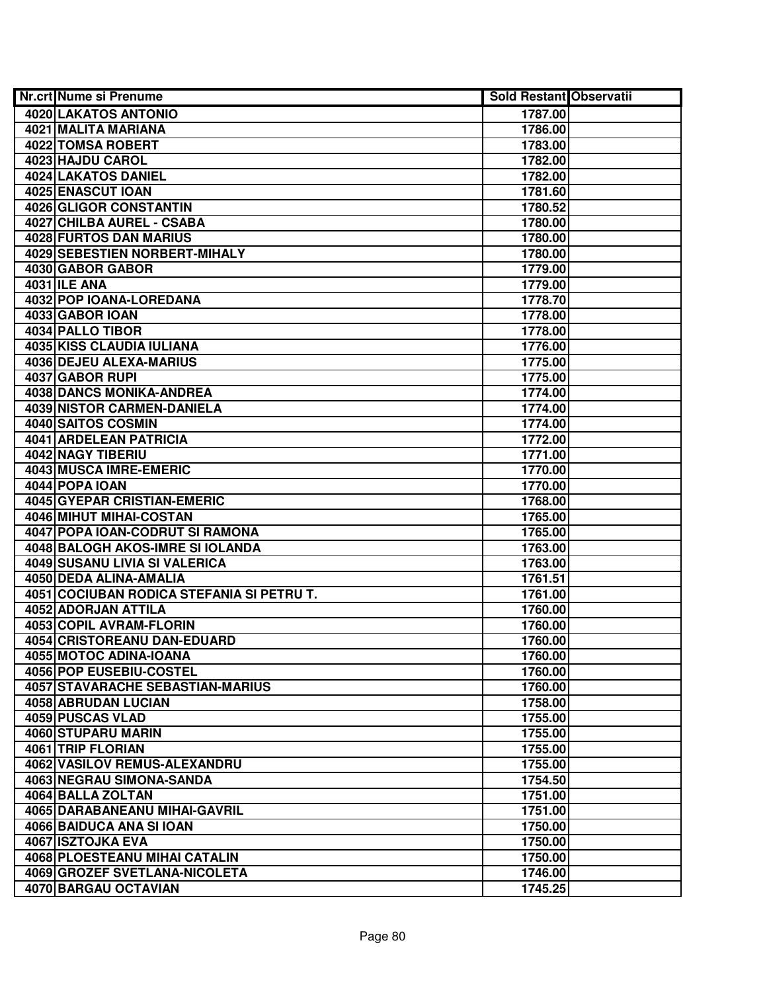| <b>Nr.crt Nume si Prenume</b>             | <b>Sold Restant Observatii</b> |  |
|-------------------------------------------|--------------------------------|--|
| 4020 LAKATOS ANTONIO                      | 1787.00                        |  |
| 4021 MALITA MARIANA                       | 1786.00                        |  |
| 4022 TOMSA ROBERT                         | 1783.00                        |  |
| 4023 HAJDU CAROL                          | 1782.00                        |  |
| 4024 LAKATOS DANIEL                       | 1782.00                        |  |
| 4025 ENASCUT IOAN                         | 1781.60                        |  |
| 4026 GLIGOR CONSTANTIN                    | 1780.52                        |  |
| 4027 CHILBA AUREL - CSABA                 | 1780.00                        |  |
| 4028 FURTOS DAN MARIUS                    | 1780.00                        |  |
| <b>4029 SEBESTIEN NORBERT-MIHALY</b>      | 1780.00                        |  |
| 4030 GABOR GABOR                          | 1779.00                        |  |
| <b>4031 ILE ANA</b>                       | 1779.00                        |  |
| 4032 POP IOANA-LOREDANA                   | 1778.70                        |  |
| 4033 GABOR IOAN                           | 1778.00                        |  |
| 4034 PALLO TIBOR                          | 1778.00                        |  |
| 4035 KISS CLAUDIA IULIANA                 | 1776.00                        |  |
| 4036 DEJEU ALEXA-MARIUS                   | 1775.00                        |  |
| 4037 GABOR RUPI                           | 1775.00                        |  |
| 4038 DANCS MONIKA-ANDREA                  | 1774.00                        |  |
| 4039 NISTOR CARMEN-DANIELA                | 1774.00                        |  |
| 4040 SAITOS COSMIN                        | 1774.00                        |  |
| <b>4041 ARDELEAN PATRICIA</b>             | 1772.00                        |  |
| 4042 NAGY TIBERIU                         | 1771.00                        |  |
| 4043 MUSCA IMRE-EMERIC                    | 1770.00                        |  |
| 4044 POPA IOAN                            | 1770.00                        |  |
| 4045 GYEPAR CRISTIAN-EMERIC               | 1768.00                        |  |
| 4046 MIHUT MIHAI-COSTAN                   | 1765.00                        |  |
| 4047 POPA IOAN-CODRUT SI RAMONA           | 1765.00                        |  |
| 4048 BALOGH AKOS-IMRE SI IOLANDA          | 1763.00                        |  |
| 4049 SUSANU LIVIA SI VALERICA             | 1763.00                        |  |
| 4050 DEDA ALINA-AMALIA                    | 1761.51                        |  |
| 4051 COCIUBAN RODICA STEFANIA SI PETRU T. | 1761.00                        |  |
| 4052 ADORJAN ATTILA                       | 1760.00                        |  |
| 4053 COPIL AVRAM-FLORIN                   | 1760.00                        |  |
| 4054 CRISTOREANU DAN-EDUARD               | 1760.00                        |  |
| 4055 MOTOC ADINA-IOANA                    | 1760.00                        |  |
| 4056 POP EUSEBIU-COSTEL                   | 1760.00                        |  |
| <b>4057 STAVARACHE SEBASTIAN-MARIUS</b>   | 1760.00                        |  |
| 4058 ABRUDAN LUCIAN                       | 1758.00                        |  |
| 4059 PUSCAS VLAD                          | 1755.00                        |  |
| 4060 STUPARU MARIN                        | 1755.00                        |  |
| 4061 TRIP FLORIAN                         | 1755.00                        |  |
| 4062 VASILOV REMUS-ALEXANDRU              | 1755.00                        |  |
| 4063 NEGRAU SIMONA-SANDA                  | 1754.50                        |  |
| 4064 BALLA ZOLTAN                         | 1751.00                        |  |
| 4065 DARABANEANU MIHAI-GAVRIL             | 1751.00                        |  |
| 4066 BAIDUCA ANA SI IOAN                  | 1750.00                        |  |
| 4067 ISZTOJKA EVA                         | 1750.00                        |  |
| 4068 PLOESTEANU MIHAI CATALIN             | 1750.00                        |  |
| 4069 GROZEF SVETLANA-NICOLETA             | 1746.00                        |  |
| 4070 BARGAU OCTAVIAN                      | 1745.25                        |  |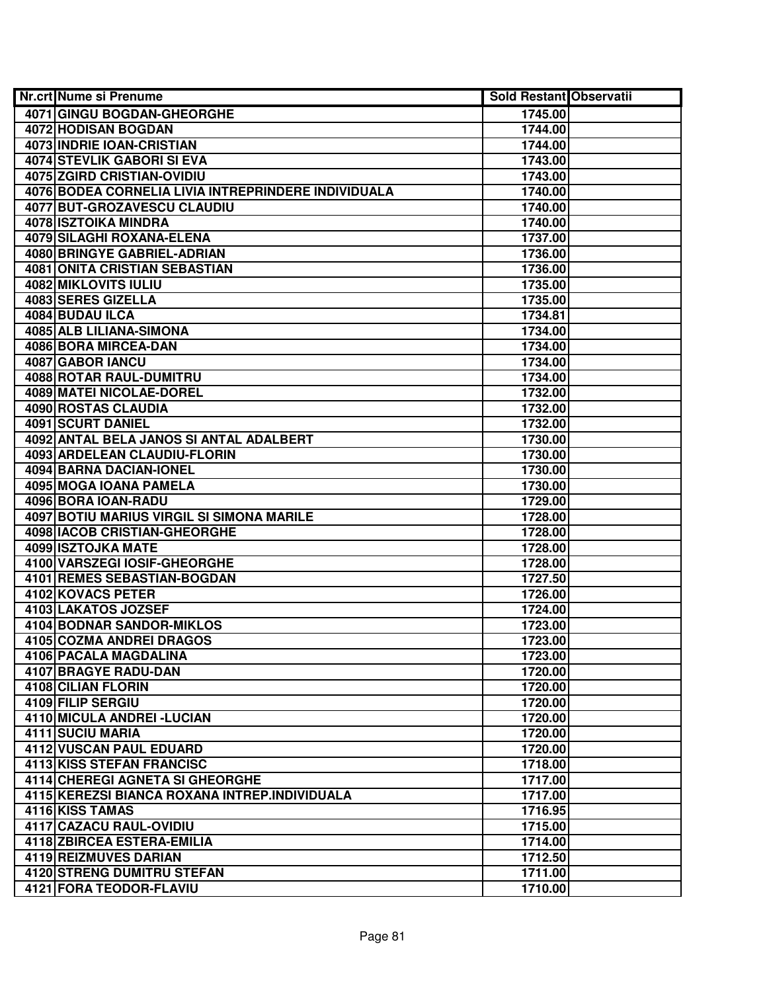| <b>Nr.crt Nume si Prenume</b>                       | <b>Sold Restant Observatii</b> |  |
|-----------------------------------------------------|--------------------------------|--|
| 4071 GINGU BOGDAN-GHEORGHE                          | 1745.00                        |  |
| 4072 HODISAN BOGDAN                                 | 1744.00                        |  |
| 4073 INDRIE IOAN-CRISTIAN                           | 1744.00                        |  |
| 4074 STEVLIK GABORI SI EVA                          | 1743.00                        |  |
| 4075 ZGIRD CRISTIAN-OVIDIU                          | 1743.00                        |  |
| 4076 BODEA CORNELIA LIVIA INTREPRINDERE INDIVIDUALA | 1740.00                        |  |
| 4077 BUT-GROZAVESCU CLAUDIU                         | 1740.00                        |  |
| 4078 ISZTOIKA MINDRA                                | 1740.00                        |  |
| <b>4079 SILAGHI ROXANA-ELENA</b>                    | 1737.00                        |  |
| <b>4080 BRINGYE GABRIEL-ADRIAN</b>                  | 1736.00                        |  |
| <b>4081 ONITA CRISTIAN SEBASTIAN</b>                | 1736.00                        |  |
| <b>4082 MIKLOVITS IULIU</b>                         | 1735.00                        |  |
| 4083 SERES GIZELLA                                  | 1735.00                        |  |
| 4084 BUDAU ILCA                                     | 1734.81                        |  |
| 4085 ALB LILIANA-SIMONA                             | 1734.00                        |  |
| 4086 BORA MIRCEA-DAN                                | 1734.00                        |  |
| 4087 GABOR IANCU                                    | 1734.00                        |  |
| 4088 ROTAR RAUL-DUMITRU                             | 1734.00                        |  |
| 4089 MATEI NICOLAE-DOREL                            | 1732.00                        |  |
| 4090 ROSTAS CLAUDIA                                 | 1732.00                        |  |
| 4091 SCURT DANIEL                                   | 1732.00                        |  |
| 4092 ANTAL BELA JANOS SI ANTAL ADALBERT             | 1730.00                        |  |
| 4093 ARDELEAN CLAUDIU-FLORIN                        | 1730.00                        |  |
| 4094 BARNA DACIAN-IONEL                             | 1730.00                        |  |
| 4095 MOGA IOANA PAMELA                              | 1730.00                        |  |
| 4096 BORA IOAN-RADU                                 | 1729.00                        |  |
| 4097 BOTIU MARIUS VIRGIL SI SIMONA MARILE           | 1728.00                        |  |
| 4098 IACOB CRISTIAN-GHEORGHE                        | 1728.00                        |  |
| 4099 ISZTOJKA MATE                                  | 1728.00                        |  |
| 4100 VARSZEGI IOSIF-GHEORGHE                        | 1728.00                        |  |
| 4101 REMES SEBASTIAN-BOGDAN                         | 1727.50                        |  |
| 4102 KOVACS PETER                                   | 1726.00                        |  |
| 4103 LAKATOS JOZSEF                                 | 1724.00                        |  |
| <b>4104 BODNAR SANDOR-MIKLOS</b>                    | 1723.00                        |  |
| <b>4105 COZMA ANDREI DRAGOS</b>                     | 1723.00                        |  |
| 4106 PACALA MAGDALINA                               | 1723.00                        |  |
| 4107 BRAGYE RADU-DAN                                | 1720.00                        |  |
| 4108 CILIAN FLORIN                                  | 1720.00                        |  |
| 4109 FILIP SERGIU                                   | 1720.00                        |  |
| 4110 MICULA ANDREI - LUCIAN                         | 1720.00                        |  |
| 4111 SUCIU MARIA                                    | 1720.00                        |  |
| 4112 VUSCAN PAUL EDUARD                             | 1720.00                        |  |
| <b>4113 KISS STEFAN FRANCISC</b>                    | 1718.00                        |  |
| 4114 CHEREGI AGNETA SI GHEORGHE                     | 1717.00                        |  |
| 4115 KEREZSI BIANCA ROXANA INTREP.INDIVIDUALA       | 1717.00                        |  |
| 4116 KISS TAMAS                                     | 1716.95                        |  |
| 4117 CAZACU RAUL-OVIDIU                             | 1715.00                        |  |
| 4118 ZBIRCEA ESTERA-EMILIA                          | 1714.00                        |  |
| 4119 REIZMUVES DARIAN                               | 1712.50                        |  |
| 4120 STRENG DUMITRU STEFAN                          | 1711.00                        |  |
| 4121 FORA TEODOR-FLAVIU                             | 1710.00                        |  |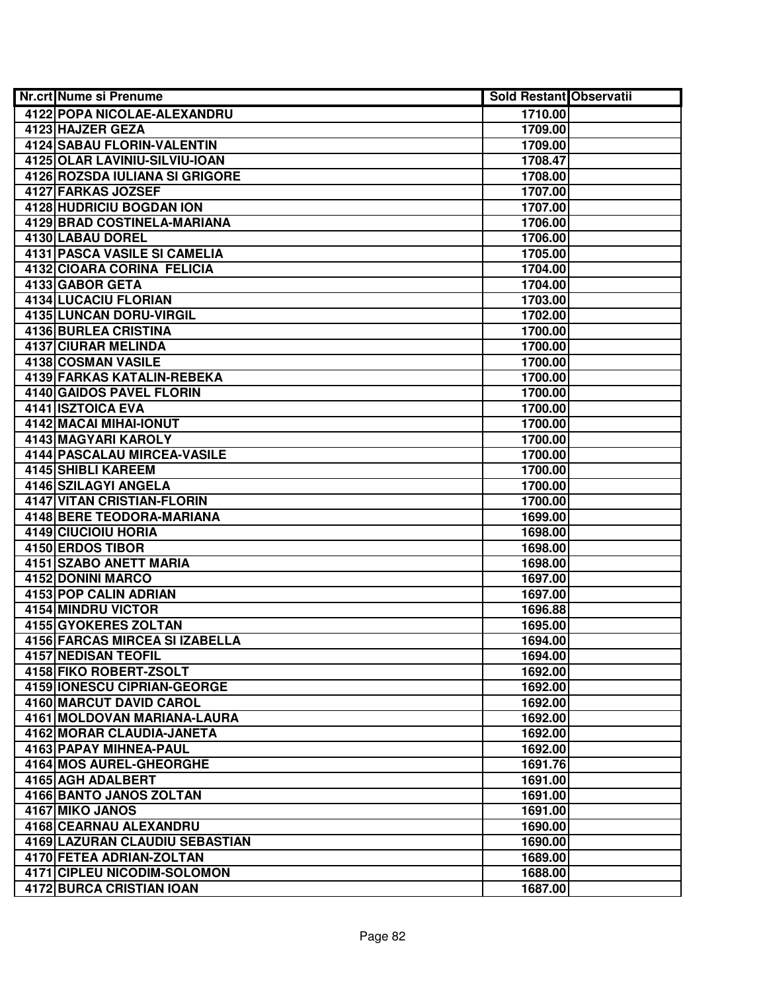| <b>Nr.crt Nume si Prenume</b>       | <b>Sold Restant Observatii</b> |  |
|-------------------------------------|--------------------------------|--|
| 4122 POPA NICOLAE-ALEXANDRU         | 1710.00                        |  |
| 4123 HAJZER GEZA                    | 1709.00                        |  |
| 4124 SABAU FLORIN-VALENTIN          | 1709.00                        |  |
| 4125 OLAR LAVINIU-SILVIU-IOAN       | 1708.47                        |  |
| 4126 ROZSDA IULIANA SI GRIGORE      | 1708.00                        |  |
| 4127 FARKAS JOZSEF                  | 1707.00                        |  |
| 4128 HUDRICIU BOGDAN ION            | 1707.00                        |  |
| 4129 BRAD COSTINELA-MARIANA         | 1706.00                        |  |
| 4130 LABAU DOREL                    | 1706.00                        |  |
| <b>4131 PASCA VASILE SI CAMELIA</b> | 1705.00                        |  |
| 4132 CIOARA CORINA FELICIA          | 1704.00                        |  |
| 4133 GABOR GETA                     | 1704.00                        |  |
| 4134 LUCACIU FLORIAN                | 1703.00                        |  |
| 4135 LUNCAN DORU-VIRGIL             | 1702.00                        |  |
| 4136 BURLEA CRISTINA                | 1700.00                        |  |
| 4137 CIURAR MELINDA                 | 1700.00                        |  |
| 4138 COSMAN VASILE                  | 1700.00                        |  |
| <b>4139 FARKAS KATALIN-REBEKA</b>   | 1700.00                        |  |
| <b>4140 GAIDOS PAVEL FLORIN</b>     | 1700.00                        |  |
| 4141 ISZTOICA EVA                   | 1700.00                        |  |
| 4142 MACAI MIHAI-IONUT              | 1700.00                        |  |
| 4143 MAGYARI KAROLY                 | 1700.00                        |  |
| 4144 PASCALAU MIRCEA-VASILE         | 1700.00                        |  |
| 4145 SHIBLI KAREEM                  | 1700.00                        |  |
| 4146 SZILAGYI ANGELA                | 1700.00                        |  |
| 4147 VITAN CRISTIAN-FLORIN          | 1700.00                        |  |
| 4148 BERE TEODORA-MARIANA           | 1699.00                        |  |
| 4149 CIUCIOIU HORIA                 | 1698.00                        |  |
| 4150 ERDOS TIBOR                    | 1698.00                        |  |
| 4151 SZABO ANETT MARIA              | 1698.00                        |  |
| 4152 DONINI MARCO                   | 1697.00                        |  |
| 4153 POP CALIN ADRIAN               | 1697.00                        |  |
| 4154 MINDRU VICTOR                  | 1696.88                        |  |
| 4155 GYOKERES ZOLTAN                | 1695.00                        |  |
| 4156 FARCAS MIRCEA SI IZABELLA      | 1694.00                        |  |
| <b>4157 NEDISAN TEOFIL</b>          | 1694.00                        |  |
| 4158 FIKO ROBERT-ZSOLT              | 1692.00                        |  |
| <b>4159 IONESCU CIPRIAN-GEORGE</b>  | 1692.00                        |  |
| <b>4160 MARCUT DAVID CAROL</b>      | 1692.00                        |  |
| 4161 MOLDOVAN MARIANA-LAURA         | 1692.00                        |  |
| 4162 MORAR CLAUDIA-JANETA           | 1692.00                        |  |
| 4163 PAPAY MIHNEA-PAUL              | 1692.00                        |  |
| 4164 MOS AUREL-GHEORGHE             | 1691.76                        |  |
| 4165 AGH ADALBERT                   | 1691.00                        |  |
| 4166 BANTO JANOS ZOLTAN             | 1691.00                        |  |
| 4167 MIKO JANOS                     | 1691.00                        |  |
| 4168 CEARNAU ALEXANDRU              | 1690.00                        |  |
| 4169 LAZURAN CLAUDIU SEBASTIAN      | 1690.00                        |  |
| 4170 FETEA ADRIAN-ZOLTAN            | 1689.00                        |  |
| 4171 CIPLEU NICODIM-SOLOMON         | 1688.00                        |  |
| 4172 BURCA CRISTIAN IOAN            | 1687.00                        |  |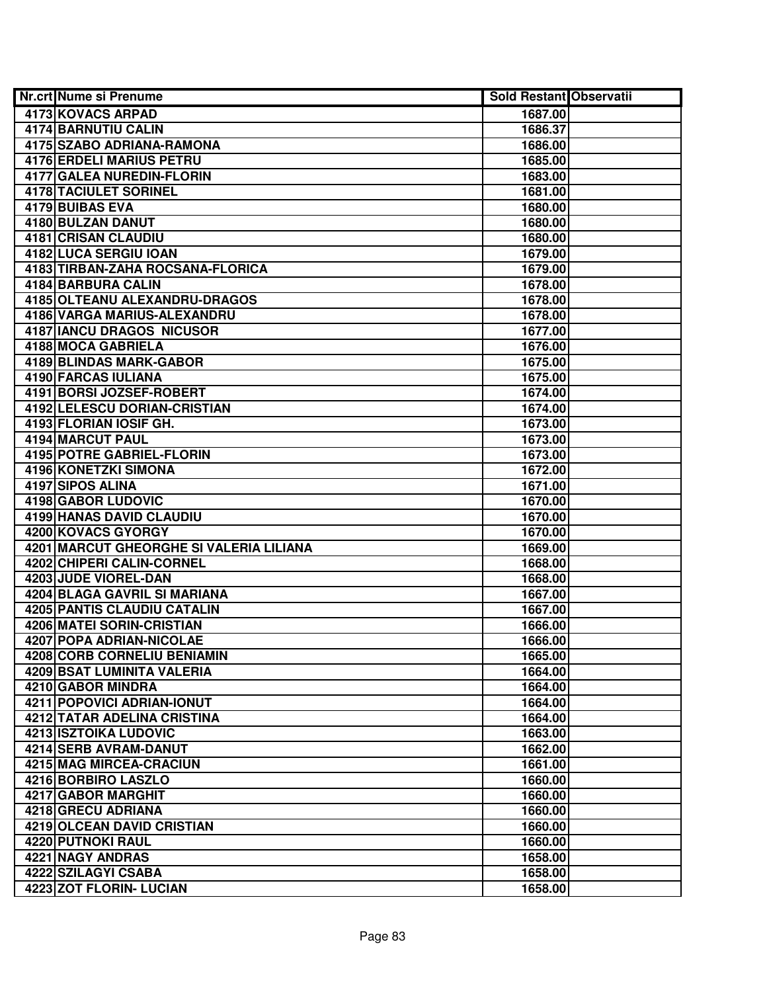| <b>Nr.crt Nume si Prenume</b>           | <b>Sold Restant Observatii</b> |  |
|-----------------------------------------|--------------------------------|--|
| 4173 KOVACS ARPAD                       | 1687.00                        |  |
| <b>4174 BARNUTIU CALIN</b>              | 1686.37                        |  |
| 4175 SZABO ADRIANA-RAMONA               | 1686.00                        |  |
| <b>4176 ERDELI MARIUS PETRU</b>         | 1685.00                        |  |
| 4177 GALEA NUREDIN-FLORIN               | 1683.00                        |  |
| <b>4178 TACIULET SORINEL</b>            | 1681.00                        |  |
| 4179 BUIBAS EVA                         | 1680.00                        |  |
| 4180 BULZAN DANUT                       | 1680.00                        |  |
| <b>4181 CRISAN CLAUDIU</b>              | 1680.00                        |  |
| 4182 LUCA SERGIU IOAN                   | 1679.00                        |  |
| 4183 TIRBAN-ZAHA ROCSANA-FLORICA        | 1679.00                        |  |
| <b>4184 BARBURA CALIN</b>               | 1678.00                        |  |
| 4185 OLTEANU ALEXANDRU-DRAGOS           | 1678.00                        |  |
| <b>4186 VARGA MARIUS-ALEXANDRU</b>      | 1678.00                        |  |
| 4187 IANCU DRAGOS NICUSOR               | 1677.00                        |  |
| 4188 MOCA GABRIELA                      | 1676.00                        |  |
| 4189 BLINDAS MARK-GABOR                 | 1675.00                        |  |
| <b>4190 FARCAS IULIANA</b>              | 1675.00                        |  |
| 4191 BORSI JOZSEF-ROBERT                | 1674.00                        |  |
| 4192 LELESCU DORIAN-CRISTIAN            | 1674.00                        |  |
| 4193 FLORIAN IOSIF GH.                  | 1673.00                        |  |
| <b>4194 MARCUT PAUL</b>                 | 1673.00                        |  |
| <b>4195 POTRE GABRIEL-FLORIN</b>        | 1673.00                        |  |
| 4196 KONETZKI SIMONA                    | 1672.00                        |  |
| 4197 SIPOS ALINA                        | 1671.00                        |  |
| 4198 GABOR LUDOVIC                      | 1670.00                        |  |
| 4199 HANAS DAVID CLAUDIU                | 1670.00                        |  |
| 4200 KOVACS GYORGY                      | 1670.00                        |  |
| 4201 MARCUT GHEORGHE SI VALERIA LILIANA | 1669.00                        |  |
| 4202 CHIPERI CALIN-CORNEL               | 1668.00                        |  |
| 4203 JUDE VIOREL-DAN                    | 1668.00                        |  |
| 4204 BLAGA GAVRIL SI MARIANA            | 1667.00                        |  |
| 4205 PANTIS CLAUDIU CATALIN             | 1667.00                        |  |
| 4206 MATEI SORIN-CRISTIAN               | 1666.00                        |  |
| 4207 POPA ADRIAN-NICOLAE                | 1666.00                        |  |
| 4208 CORB CORNELIU BENIAMIN             | 1665.00                        |  |
| 4209 BSAT LUMINITA VALERIA              | 1664.00                        |  |
| 4210 GABOR MINDRA                       | 1664.00                        |  |
| 4211 POPOVICI ADRIAN-IONUT              | 1664.00                        |  |
| 4212 TATAR ADELINA CRISTINA             | 1664.00                        |  |
| <b>4213 ISZTOIKA LUDOVIC</b>            | 1663.00                        |  |
| 4214 SERB AVRAM-DANUT                   | 1662.00                        |  |
| 4215 MAG MIRCEA-CRACIUN                 | 1661.00                        |  |
| 4216 BORBIRO LASZLO                     | 1660.00                        |  |
| 4217 GABOR MARGHIT                      | 1660.00                        |  |
| 4218 GRECU ADRIANA                      | 1660.00                        |  |
| 4219 OLCEAN DAVID CRISTIAN              | 1660.00                        |  |
| 4220 PUTNOKI RAUL                       | 1660.00                        |  |
| 4221 NAGY ANDRAS                        | 1658.00                        |  |
| 4222 SZILAGYI CSABA                     | 1658.00                        |  |
| 4223 ZOT FLORIN- LUCIAN                 | 1658.00                        |  |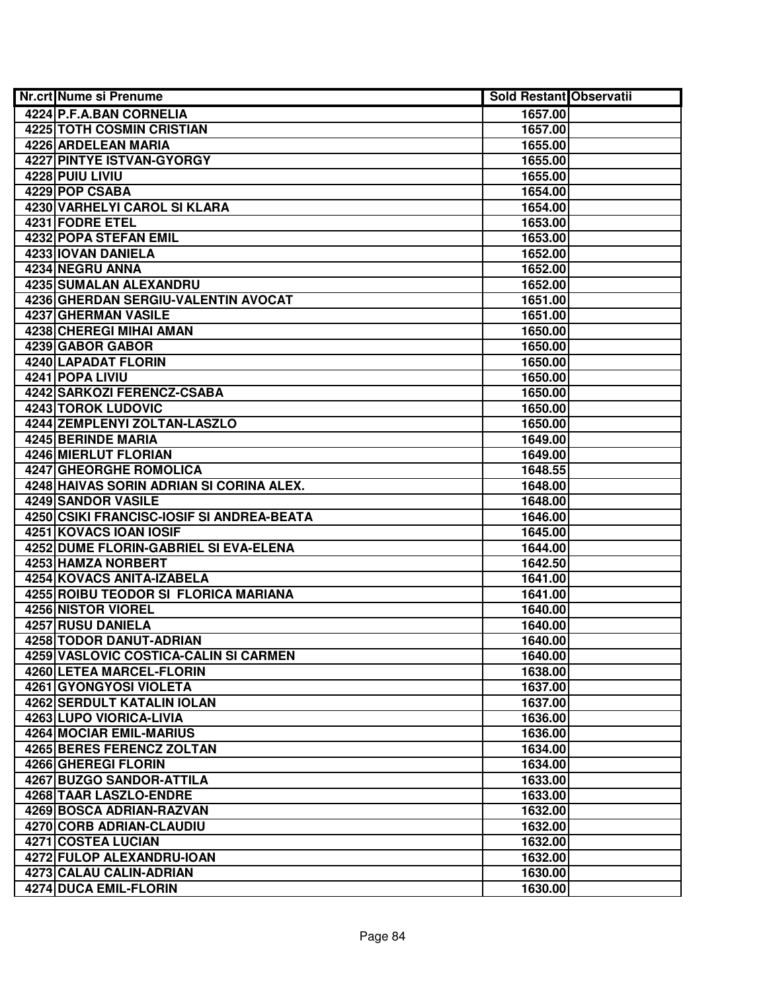| <b>Nr.crt Nume si Prenume</b>             | <b>Sold Restant Observatii</b> |  |
|-------------------------------------------|--------------------------------|--|
| 4224 P.F.A.BAN CORNELIA                   | 1657.00                        |  |
| <b>4225 TOTH COSMIN CRISTIAN</b>          | 1657.00                        |  |
| 4226 ARDELEAN MARIA                       | 1655.00                        |  |
| <b>4227 PINTYE ISTVAN-GYORGY</b>          | 1655.00                        |  |
| 4228 PUIU LIVIU                           | 1655.00                        |  |
| 4229 POP CSABA                            | 1654.00                        |  |
| 4230 VARHELYI CAROL SI KLARA              | 1654.00                        |  |
| 4231 FODRE ETEL                           | 1653.00                        |  |
| <b>4232 POPA STEFAN EMIL</b>              | 1653.00                        |  |
| 4233 IOVAN DANIELA                        | 1652.00                        |  |
| 4234 NEGRU ANNA                           | 1652.00                        |  |
| 4235 SUMALAN ALEXANDRU                    | 1652.00                        |  |
| 4236 GHERDAN SERGIU-VALENTIN AVOCAT       | 1651.00                        |  |
| 4237 GHERMAN VASILE                       | 1651.00                        |  |
| 4238 CHEREGI MIHAI AMAN                   | 1650.00                        |  |
| 4239 GABOR GABOR                          | 1650.00                        |  |
| 4240 LAPADAT FLORIN                       | 1650.00                        |  |
| 4241 POPA LIVIU                           | 1650.00                        |  |
| 4242 SARKOZI FERENCZ-CSABA                | 1650.00                        |  |
| 4243 TOROK LUDOVIC                        | 1650.00                        |  |
| 4244 ZEMPLENYI ZOLTAN-LASZLO              | 1650.00                        |  |
| 4245 BERINDE MARIA                        | 1649.00                        |  |
| 4246 MIERLUT FLORIAN                      | 1649.00                        |  |
| 4247 GHEORGHE ROMOLICA                    | 1648.55                        |  |
| 4248 HAIVAS SORIN ADRIAN SI CORINA ALEX.  | 1648.00                        |  |
| 4249 SANDOR VASILE                        | 1648.00                        |  |
| 4250 CSIKI FRANCISC-IOSIF SI ANDREA-BEATA | 1646.00                        |  |
| 4251 KOVACS IOAN IOSIF                    | 1645.00                        |  |
| 4252 DUME FLORIN-GABRIEL SI EVA-ELENA     | 1644.00                        |  |
| 4253 HAMZA NORBERT                        | 1642.50                        |  |
| 4254 KOVACS ANITA-IZABELA                 | 1641.00                        |  |
| 4255 ROIBU TEODOR SI FLORICA MARIANA      | 1641.00                        |  |
| 4256 NISTOR VIOREL                        | 1640.00                        |  |
| <b>4257 RUSU DANIELA</b>                  | 1640.00                        |  |
| <b>4258 TODOR DANUT-ADRIAN</b>            | 1640.00                        |  |
| 4259 VASLOVIC COSTICA-CALIN SI CARMEN     | 1640.00                        |  |
| 4260 LETEA MARCEL-FLORIN                  | 1638.00                        |  |
| 4261 GYONGYOSI VIOLETA                    | 1637.00                        |  |
| 4262 SERDULT KATALIN IOLAN                | 1637.00                        |  |
| 4263 LUPO VIORICA-LIVIA                   | 1636.00                        |  |
| 4264 MOCIAR EMIL-MARIUS                   | 1636.00                        |  |
| <b>4265 BERES FERENCZ ZOLTAN</b>          | 1634.00                        |  |
| 4266 GHEREGI FLORIN                       | 1634.00                        |  |
| 4267 BUZGO SANDOR-ATTILA                  | 1633.00                        |  |
| 4268 TAAR LASZLO-ENDRE                    | 1633.00                        |  |
| 4269 BOSCA ADRIAN-RAZVAN                  | 1632.00                        |  |
| 4270 CORB ADRIAN-CLAUDIU                  | 1632.00                        |  |
| 4271 COSTEA LUCIAN                        | 1632.00                        |  |
| 4272 FULOP ALEXANDRU-IOAN                 | 1632.00                        |  |
| 4273 CALAU CALIN-ADRIAN                   | 1630.00                        |  |
| 4274 DUCA EMIL-FLORIN                     | 1630.00                        |  |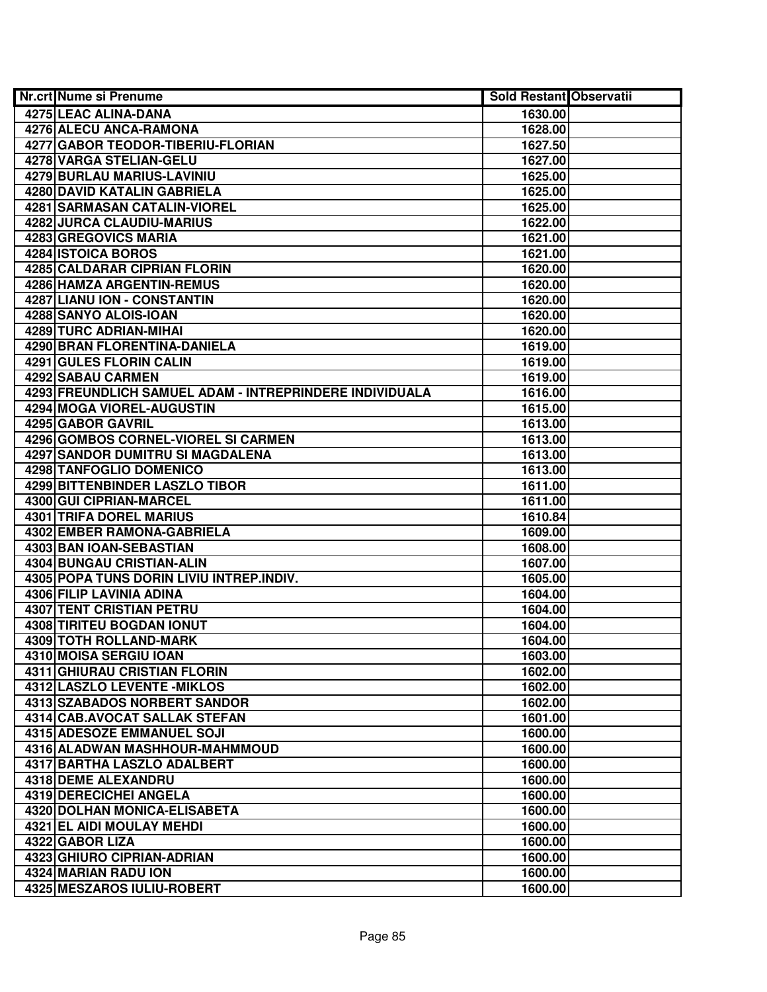| <b>Nr.crt Nume si Prenume</b>                           | <b>Sold Restant Observatii</b> |  |
|---------------------------------------------------------|--------------------------------|--|
| 4275 LEAC ALINA-DANA                                    | 1630.00                        |  |
| 4276 ALECU ANCA-RAMONA                                  | 1628.00                        |  |
| 4277 GABOR TEODOR-TIBERIU-FLORIAN                       | 1627.50                        |  |
| 4278 VARGA STELIAN-GELU                                 | 1627.00                        |  |
| 4279 BURLAU MARIUS-LAVINIU                              | 1625.00                        |  |
| 4280 DAVID KATALIN GABRIELA                             | 1625.00                        |  |
| 4281 SARMASAN CATALIN-VIOREL                            | 1625.00                        |  |
| 4282 JURCA CLAUDIU-MARIUS                               | 1622.00                        |  |
| <b>4283 GREGOVICS MARIA</b>                             | 1621.00                        |  |
| 4284 ISTOICA BOROS                                      | 1621.00                        |  |
| 4285 CALDARAR CIPRIAN FLORIN                            | 1620.00                        |  |
| 4286 HAMZA ARGENTIN-REMUS                               | 1620.00                        |  |
| 4287 LIANU ION - CONSTANTIN                             | 1620.00                        |  |
| 4288 SANYO ALOIS-IOAN                                   | 1620.00                        |  |
| 4289 TURC ADRIAN-MIHAI                                  | 1620.00                        |  |
| 4290 BRAN FLORENTINA-DANIELA                            | 1619.00                        |  |
| 4291 GULES FLORIN CALIN                                 | 1619.00                        |  |
| 4292 SABAU CARMEN                                       | 1619.00                        |  |
| 4293 FREUNDLICH SAMUEL ADAM - INTREPRINDERE INDIVIDUALA | 1616.00                        |  |
| 4294 MOGA VIOREL-AUGUSTIN                               | 1615.00                        |  |
| 4295 GABOR GAVRIL                                       | 1613.00                        |  |
| 4296 GOMBOS CORNEL-VIOREL SI CARMEN                     | 1613.00                        |  |
| <b>4297 SANDOR DUMITRU SI MAGDALENA</b>                 | 1613.00                        |  |
| 4298 TANFOGLIO DOMENICO                                 | 1613.00                        |  |
| 4299 BITTENBINDER LASZLO TIBOR                          | 1611.00                        |  |
| 4300 GUI CIPRIAN-MARCEL                                 | 1611.00                        |  |
| 4301 TRIFA DOREL MARIUS                                 | 1610.84                        |  |
| 4302 EMBER RAMONA-GABRIELA                              | 1609.00                        |  |
| 4303 BAN IOAN-SEBASTIAN                                 | 1608.00                        |  |
| 4304 BUNGAU CRISTIAN-ALIN                               | 1607.00                        |  |
| 4305 POPA TUNS DORIN LIVIU INTREP.INDIV.                | 1605.00                        |  |
| 4306 FILIP LAVINIA ADINA                                | 1604.00                        |  |
| 4307 TENT CRISTIAN PETRU                                | 1604.00                        |  |
| 4308 TIRITEU BOGDAN IONUT                               | 1604.00                        |  |
| 4309 TOTH ROLLAND-MARK                                  | 1604.00                        |  |
| 4310 MOISA SERGIU IOAN                                  | 1603.00                        |  |
| <b>4311 GHIURAU CRISTIAN FLORIN</b>                     | 1602.00                        |  |
| <b>4312 LASZLO LEVENTE - MIKLOS</b>                     | 1602.00                        |  |
| 4313 SZABADOS NORBERT SANDOR                            | 1602.00                        |  |
| 4314 CAB.AVOCAT SALLAK STEFAN                           | 1601.00                        |  |
| 4315 ADESOZE EMMANUEL SOJI                              | 1600.00                        |  |
| 4316 ALADWAN MASHHOUR-MAHMMOUD                          | 1600.00                        |  |
| 4317 BARTHA LASZLO ADALBERT                             | 1600.00                        |  |
| 4318 DEME ALEXANDRU                                     | 1600.00                        |  |
| 4319 DERECICHEI ANGELA                                  | 1600.00                        |  |
| 4320 DOLHAN MONICA-ELISABETA                            | 1600.00                        |  |
| 4321 EL AIDI MOULAY MEHDI                               | 1600.00                        |  |
| 4322 GABOR LIZA                                         | 1600.00                        |  |
| 4323 GHIURO CIPRIAN-ADRIAN                              | 1600.00                        |  |
| 4324 MARIAN RADU ION                                    | 1600.00                        |  |
| 4325 MESZAROS IULIU-ROBERT                              | 1600.00                        |  |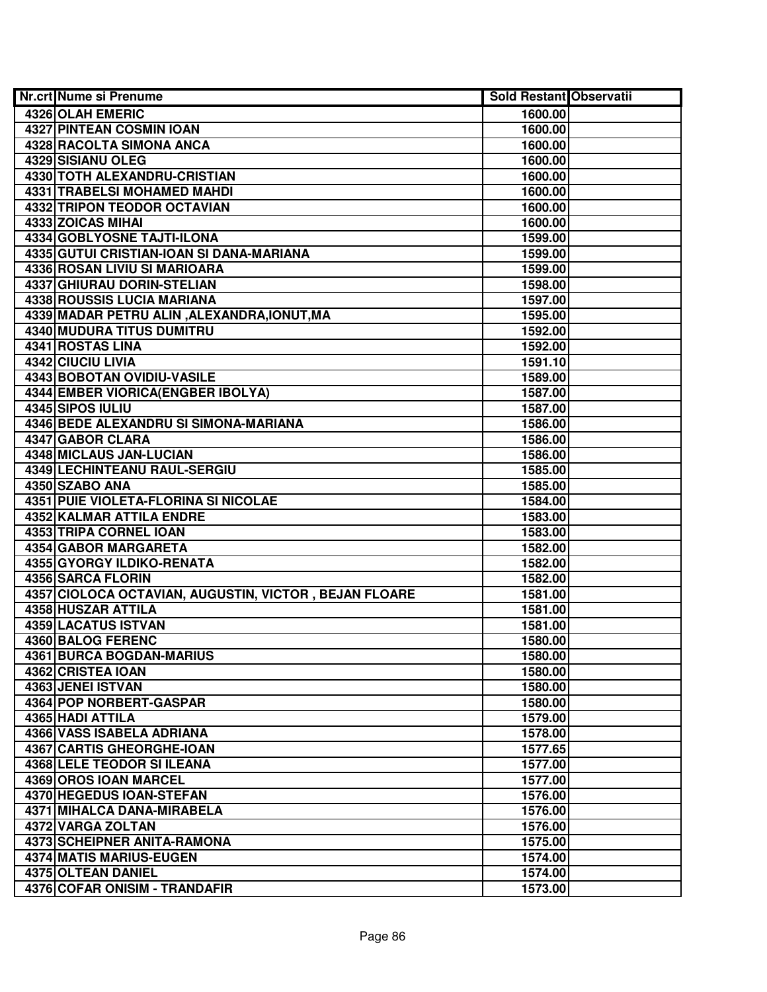| <b>Nr.crt Nume si Prenume</b>                         | <b>Sold Restant Observatii</b> |  |
|-------------------------------------------------------|--------------------------------|--|
| 4326 OLAH EMERIC                                      | 1600.00                        |  |
| <b>4327 PINTEAN COSMIN IOAN</b>                       | 1600.00                        |  |
| <b>4328 RACOLTA SIMONA ANCA</b>                       | 1600.00                        |  |
| 4329 SISIANU OLEG                                     | 1600.00                        |  |
| 4330 TOTH ALEXANDRU-CRISTIAN                          | 1600.00                        |  |
| 4331 TRABELSI MOHAMED MAHDI                           | 1600.00                        |  |
| 4332 TRIPON TEODOR OCTAVIAN                           | 1600.00                        |  |
| 4333 ZOICAS MIHAI                                     | 1600.00                        |  |
| <b>4334 GOBLYOSNE TAJTI-ILONA</b>                     | 1599.00                        |  |
| 4335 GUTUI CRISTIAN-IOAN SI DANA-MARIANA              | 1599.00                        |  |
| <b>4336 ROSAN LIVIU SI MARIOARA</b>                   | 1599.00                        |  |
| <b>4337 GHIURAU DORIN-STELIAN</b>                     | 1598.00                        |  |
| <b>4338 ROUSSIS LUCIA MARIANA</b>                     | 1597.00                        |  |
| 4339 MADAR PETRU ALIN, ALEXANDRA, IONUT, MA           | 1595.00                        |  |
| 4340 MUDURA TITUS DUMITRU                             | 1592.00                        |  |
| 4341 ROSTAS LINA                                      | 1592.00                        |  |
| 4342 CIUCIU LIVIA                                     | 1591.10                        |  |
| 4343 BOBOTAN OVIDIU-VASILE                            | 1589.00                        |  |
| 4344 EMBER VIORICA (ENGBER IBOLYA)                    | 1587.00                        |  |
| 4345 SIPOS IULIU                                      | 1587.00                        |  |
| 4346 BEDE ALEXANDRU SI SIMONA-MARIANA                 | 1586.00                        |  |
| 4347 GABOR CLARA                                      | 1586.00                        |  |
| 4348 MICLAUS JAN-LUCIAN                               | 1586.00                        |  |
| 4349 LECHINTEANU RAUL-SERGIU                          | 1585.00                        |  |
| 4350 SZABO ANA                                        | 1585.00                        |  |
| 4351 PUIE VIOLETA-FLORINA SI NICOLAE                  | 1584.00                        |  |
| 4352 KALMAR ATTILA ENDRE                              | 1583.00                        |  |
| 4353 TRIPA CORNEL IOAN                                | 1583.00                        |  |
| 4354 GABOR MARGARETA                                  | 1582.00                        |  |
| 4355 GYORGY ILDIKO-RENATA                             | 1582.00                        |  |
| 4356 SARCA FLORIN                                     | 1582.00                        |  |
| 4357 CIOLOCA OCTAVIAN, AUGUSTIN, VICTOR, BEJAN FLOARE | 1581.00                        |  |
| 4358 HUSZAR ATTILA                                    | 1581.00                        |  |
| 4359 LACATUS ISTVAN                                   | 1581.00                        |  |
| <b>4360 BALOG FERENC</b>                              | 1580.00                        |  |
| 4361 BURCA BOGDAN-MARIUS                              | 1580.00                        |  |
| 4362 CRISTEA IOAN                                     | 1580.00                        |  |
| 4363 JENEI ISTVAN                                     | 1580.00                        |  |
| 4364 POP NORBERT-GASPAR                               | 1580.00                        |  |
| 4365 HADI ATTILA                                      | 1579.00                        |  |
| 4366 VASS ISABELA ADRIANA                             | 1578.00                        |  |
| 4367 CARTIS GHEORGHE-IOAN                             | 1577.65                        |  |
| 4368 LELE TEODOR SI ILEANA                            | 1577.00                        |  |
| 4369 OROS IOAN MARCEL                                 | 1577.00                        |  |
| 4370 HEGEDUS IOAN-STEFAN                              | 1576.00                        |  |
| 4371 MIHALCA DANA-MIRABELA                            | 1576.00                        |  |
| 4372 VARGA ZOLTAN                                     | 1576.00                        |  |
| 4373 SCHEIPNER ANITA-RAMONA                           | 1575.00                        |  |
| 4374 MATIS MARIUS-EUGEN                               | 1574.00                        |  |
| 4375 OLTEAN DANIEL                                    | 1574.00                        |  |
| 4376 COFAR ONISIM - TRANDAFIR                         | 1573.00                        |  |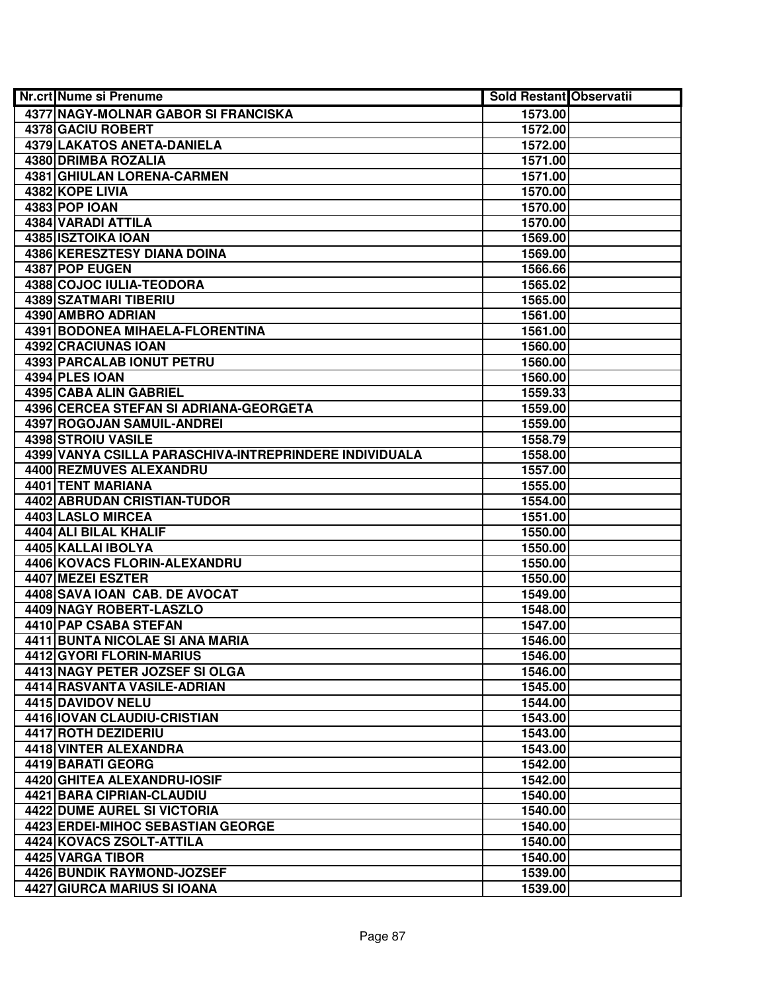| <b>Nr.crt Nume si Prenume</b>                          | <b>Sold Restant Observatii</b> |  |
|--------------------------------------------------------|--------------------------------|--|
| 4377 NAGY-MOLNAR GABOR SI FRANCISKA                    | 1573.00                        |  |
| <b>4378 GACIU ROBERT</b>                               | 1572.00                        |  |
| 4379 LAKATOS ANETA-DANIELA                             | 1572.00                        |  |
| 4380 DRIMBA ROZALIA                                    | 1571.00                        |  |
| <b>4381 GHIULAN LORENA-CARMEN</b>                      | 1571.00                        |  |
| 4382 KOPE LIVIA                                        | 1570.00                        |  |
| 4383 POP IOAN                                          | 1570.00                        |  |
| 4384 VARADI ATTILA                                     | 1570.00                        |  |
| 4385 ISZTOIKA IOAN                                     | 1569.00                        |  |
| <b>4386 KERESZTESY DIANA DOINA</b>                     | 1569.00                        |  |
| 4387 POP EUGEN                                         | 1566.66                        |  |
| 4388 COJOC IULIA-TEODORA                               | 1565.02                        |  |
| <b>4389 SZATMARI TIBERIU</b>                           | 1565.00                        |  |
| 4390 AMBRO ADRIAN                                      | 1561.00                        |  |
| 4391 BODONEA MIHAELA-FLORENTINA                        | 1561.00                        |  |
| 4392 CRACIUNAS IOAN                                    | 1560.00                        |  |
| <b>4393 PARCALAB IONUT PETRU</b>                       | 1560.00                        |  |
| 4394 PLES IOAN                                         | 1560.00                        |  |
| 4395 CABA ALIN GABRIEL                                 | 1559.33                        |  |
| 4396 CERCEA STEFAN SI ADRIANA-GEORGETA                 | 1559.00                        |  |
| 4397 ROGOJAN SAMUIL-ANDREI                             | 1559.00                        |  |
| 4398 STROIU VASILE                                     | 1558.79                        |  |
| 4399 VANYA CSILLA PARASCHIVA-INTREPRINDERE INDIVIDUALA | 1558.00                        |  |
| 4400 REZMUVES ALEXANDRU                                | 1557.00                        |  |
| 4401 TENT MARIANA                                      | 1555.00                        |  |
| 4402 ABRUDAN CRISTIAN-TUDOR                            | 1554.00                        |  |
| 4403 LASLO MIRCEA                                      | 1551.00                        |  |
| 4404 ALI BILAL KHALIF                                  | 1550.00                        |  |
| 4405 KALLAI IBOLYA                                     | 1550.00                        |  |
| 4406 KOVACS FLORIN-ALEXANDRU                           | 1550.00                        |  |
| 4407 MEZEI ESZTER                                      | 1550.00                        |  |
| 4408 SAVA IOAN CAB. DE AVOCAT                          | 1549.00                        |  |
| 4409 NAGY ROBERT-LASZLO                                | 1548.00                        |  |
| 4410 PAP CSABA STEFAN                                  | 1547.00                        |  |
| 4411 BUNTA NICOLAE SI ANA MARIA                        | 1546.00                        |  |
| <b>4412 GYORI FLORIN-MARIUS</b>                        | 1546.00                        |  |
| 4413 NAGY PETER JOZSEF SI OLGA                         | 1546.00                        |  |
| 4414 RASVANTA VASILE-ADRIAN                            | 1545.00                        |  |
| 4415 DAVIDOV NELU                                      | 1544.00                        |  |
| 4416 IOVAN CLAUDIU-CRISTIAN                            | 1543.00                        |  |
| 4417 ROTH DEZIDERIU                                    | 1543.00                        |  |
| 4418 VINTER ALEXANDRA                                  | 1543.00                        |  |
| 4419 BARATI GEORG                                      | 1542.00                        |  |
| 4420 GHITEA ALEXANDRU-IOSIF                            | 1542.00                        |  |
| 4421 BARA CIPRIAN-CLAUDIU                              | 1540.00                        |  |
| 4422 DUME AUREL SI VICTORIA                            | 1540.00                        |  |
| 4423 ERDEI-MIHOC SEBASTIAN GEORGE                      | 1540.00                        |  |
| 4424 KOVACS ZSOLT-ATTILA                               | 1540.00                        |  |
| 4425 VARGA TIBOR                                       | 1540.00                        |  |
| 4426 BUNDIK RAYMOND-JOZSEF                             | 1539.00                        |  |
| 4427 GIURCA MARIUS SI IOANA                            | 1539.00                        |  |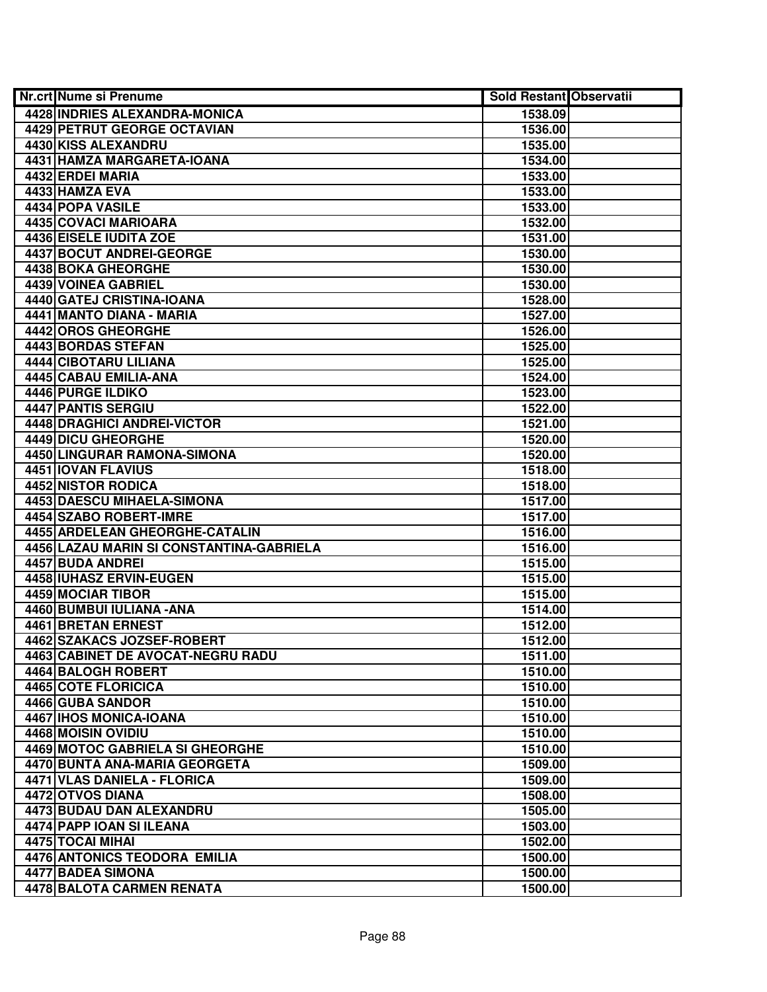| <b>Nr.crt Nume si Prenume</b>            | <b>Sold Restant Observatii</b> |  |
|------------------------------------------|--------------------------------|--|
| 4428 INDRIES ALEXANDRA-MONICA            | 1538.09                        |  |
| 4429 PETRUT GEORGE OCTAVIAN              | 1536.00                        |  |
| 4430 KISS ALEXANDRU                      | 1535.00                        |  |
| 4431 HAMZA MARGARETA-IOANA               | 1534.00                        |  |
| 4432 ERDEI MARIA                         | 1533.00                        |  |
| 4433 HAMZA EVA                           | 1533.00                        |  |
| 4434 POPA VASILE                         | 1533.00                        |  |
| 4435 COVACI MARIOARA                     | 1532.00                        |  |
| <b>4436 EISELE IUDITA ZOE</b>            | 1531.00                        |  |
| <b>4437 BOCUT ANDREI-GEORGE</b>          | 1530.00                        |  |
| <b>4438 BOKA GHEORGHE</b>                | 1530.00                        |  |
| 4439 VOINEA GABRIEL                      | 1530.00                        |  |
| 4440 GATEJ CRISTINA-IOANA                | 1528.00                        |  |
| 4441 MANTO DIANA - MARIA                 | 1527.00                        |  |
| 4442 OROS GHEORGHE                       | 1526.00                        |  |
| 4443 BORDAS STEFAN                       | 1525.00                        |  |
| 4444 CIBOTARU LILIANA                    | 1525.00                        |  |
| 4445 CABAU EMILIA-ANA                    | 1524.00                        |  |
| <b>4446 PURGE ILDIKO</b>                 | 1523.00                        |  |
| 4447 PANTIS SERGIU                       | 1522.00                        |  |
| 4448 DRAGHICI ANDREI-VICTOR              | 1521.00                        |  |
| 4449 DICU GHEORGHE                       | 1520.00                        |  |
| 4450 LINGURAR RAMONA-SIMONA              | 1520.00                        |  |
| 4451 IOVAN FLAVIUS                       | 1518.00                        |  |
| 4452 NISTOR RODICA                       | 1518.00                        |  |
| 4453 DAESCU MIHAELA-SIMONA               | 1517.00                        |  |
| 4454 SZABO ROBERT-IMRE                   | 1517.00                        |  |
| 4455 ARDELEAN GHEORGHE-CATALIN           | 1516.00                        |  |
| 4456 LAZAU MARIN SI CONSTANTINA-GABRIELA | 1516.00                        |  |
| 4457 BUDA ANDREI                         | 1515.00                        |  |
| 4458 IUHASZ ERVIN-EUGEN                  | 1515.00                        |  |
| 4459 MOCIAR TIBOR                        | 1515.00                        |  |
| 4460 BUMBUI IULIANA - ANA                | 1514.00                        |  |
| 4461 BRETAN ERNEST                       | 1512.00                        |  |
| 4462 SZAKACS JOZSEF-ROBERT               | 1512.00                        |  |
| 4463 CABINET DE AVOCAT-NEGRU RADU        | 1511.00                        |  |
| 4464 BALOGH ROBERT                       | 1510.00                        |  |
| <b>4465 COTE FLORICICA</b>               | 1510.00                        |  |
| 4466 GUBA SANDOR                         | 1510.00                        |  |
| 4467 IHOS MONICA-IOANA                   | 1510.00                        |  |
| 4468 MOISIN OVIDIU                       | 1510.00                        |  |
| <b>4469 MOTOC GABRIELA SI GHEORGHE</b>   | 1510.00                        |  |
| 4470 BUNTA ANA-MARIA GEORGETA            | 1509.00                        |  |
| 4471 VLAS DANIELA - FLORICA              | 1509.00                        |  |
| 4472 OTVOS DIANA                         | 1508.00                        |  |
| 4473 BUDAU DAN ALEXANDRU                 | 1505.00                        |  |
| 4474 PAPP IOAN SI ILEANA                 | 1503.00                        |  |
| 4475 TOCAI MIHAI                         | 1502.00                        |  |
| 4476 ANTONICS TEODORA EMILIA             | 1500.00                        |  |
| 4477 BADEA SIMONA                        | 1500.00                        |  |
| 4478 BALOTA CARMEN RENATA                | 1500.00                        |  |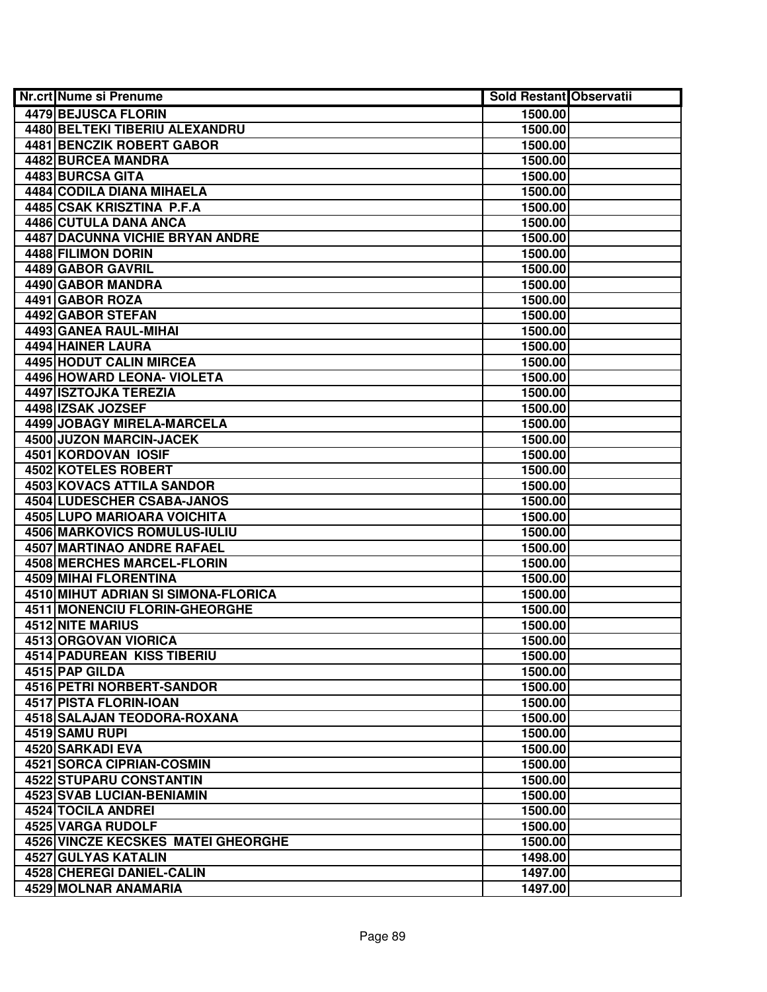| <b>Nr.crt Nume si Prenume</b>          | <b>Sold Restant Observatii</b> |  |
|----------------------------------------|--------------------------------|--|
| 4479 BEJUSCA FLORIN                    | 1500.00                        |  |
| 4480 BELTEKI TIBERIU ALEXANDRU         | 1500.00                        |  |
| 4481 BENCZIK ROBERT GABOR              | 1500.00                        |  |
| 4482 BURCEA MANDRA                     | 1500.00                        |  |
| 4483 BURCSA GITA                       | 1500.00                        |  |
| 4484 CODILA DIANA MIHAELA              | 1500.00                        |  |
| 4485 CSAK KRISZTINA P.F.A              | 1500.00                        |  |
| 4486 CUTULA DANA ANCA                  | 1500.00                        |  |
| <b>4487 DACUNNA VICHIE BRYAN ANDRE</b> | 1500.00                        |  |
| 4488 FILIMON DORIN                     | 1500.00                        |  |
| 4489 GABOR GAVRIL                      | 1500.00                        |  |
| 4490 GABOR MANDRA                      | 1500.00                        |  |
| 4491 GABOR ROZA                        | 1500.00                        |  |
| 4492 GABOR STEFAN                      | 1500.00                        |  |
| 4493 GANEA RAUL-MIHAI                  | 1500.00                        |  |
| 4494 HAINER LAURA                      | 1500.00                        |  |
| <b>4495 HODUT CALIN MIRCEA</b>         | 1500.00                        |  |
| 4496 HOWARD LEONA- VIOLETA             | 1500.00                        |  |
| 4497 ISZTOJKA TEREZIA                  | 1500.00                        |  |
| 4498 IZSAK JOZSEF                      | 1500.00                        |  |
| 4499 JOBAGY MIRELA-MARCELA             | 1500.00                        |  |
| 4500 JUZON MARCIN-JACEK                | 1500.00                        |  |
| 4501 KORDOVAN IOSIF                    | 1500.00                        |  |
| 4502 KOTELES ROBERT                    | 1500.00                        |  |
| 4503 KOVACS ATTILA SANDOR              | 1500.00                        |  |
| 4504 LUDESCHER CSABA-JANOS             | 1500.00                        |  |
| 4505 LUPO MARIOARA VOICHITA            | 1500.00                        |  |
| 4506 MARKOVICS ROMULUS-IULIU           | 1500.00                        |  |
| 4507 MARTINAO ANDRE RAFAEL             | 1500.00                        |  |
| 4508 MERCHES MARCEL-FLORIN             | 1500.00                        |  |
| 4509 MIHAI FLORENTINA                  | 1500.00                        |  |
| 4510 MIHUT ADRIAN SI SIMONA-FLORICA    | 1500.00                        |  |
| 4511 MONENCIU FLORIN-GHEORGHE          | 1500.00                        |  |
| <b>4512 NITE MARIUS</b>                | 1500.00                        |  |
| 4513 ORGOVAN VIORICA                   | 1500.00                        |  |
| <b>4514 PADUREAN KISS TIBERIU</b>      | 1500.00                        |  |
| 4515 PAP GILDA                         | 1500.00                        |  |
| <b>4516 PETRI NORBERT-SANDOR</b>       | 1500.00                        |  |
| 4517 PISTA FLORIN-IOAN                 | 1500.00                        |  |
| <b>4518 SALAJAN TEODORA-ROXANA</b>     | 1500.00                        |  |
| 4519 SAMU RUPI                         | 1500.00                        |  |
| 4520 SARKADI EVA                       | 1500.00                        |  |
| 4521 SORCA CIPRIAN-COSMIN              | 1500.00                        |  |
| 4522 STUPARU CONSTANTIN                | 1500.00                        |  |
| 4523 SVAB LUCIAN-BENIAMIN              | 1500.00                        |  |
| 4524 TOCILA ANDREI                     | 1500.00                        |  |
| 4525 VARGA RUDOLF                      | 1500.00                        |  |
| 4526 VINCZE KECSKES MATEI GHEORGHE     | 1500.00                        |  |
| 4527 GULYAS KATALIN                    | 1498.00                        |  |
| 4528 CHEREGI DANIEL-CALIN              | 1497.00                        |  |
| 4529 MOLNAR ANAMARIA                   | 1497.00                        |  |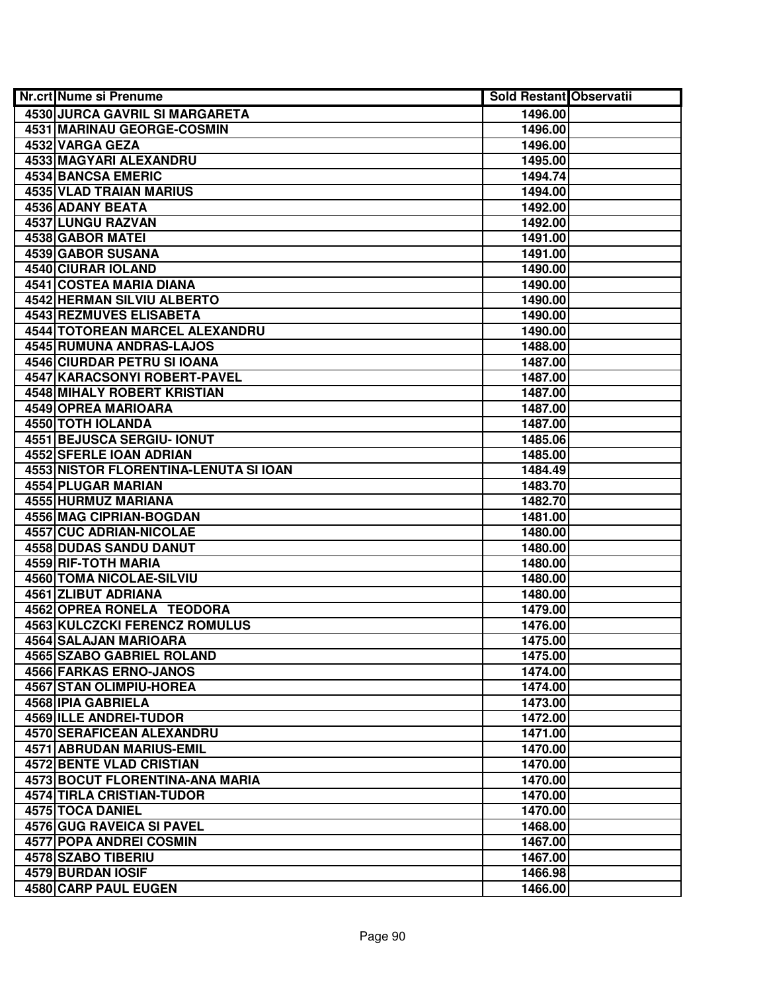| <b>Nr.crt Nume si Prenume</b>                | <b>Sold Restant Observatii</b> |  |
|----------------------------------------------|--------------------------------|--|
| 4530 JURCA GAVRIL SI MARGARETA               | 1496.00                        |  |
| <b>4531 MARINAU GEORGE-COSMIN</b>            | 1496.00                        |  |
| 4532 VARGA GEZA                              | 1496.00                        |  |
| 4533 MAGYARI ALEXANDRU                       | 1495.00                        |  |
| 4534 BANCSA EMERIC                           | 1494.74                        |  |
| 4535 VLAD TRAIAN MARIUS                      | 1494.00                        |  |
| 4536 ADANY BEATA                             | 1492.00                        |  |
| 4537 LUNGU RAZVAN                            | 1492.00                        |  |
| 4538 GABOR MATEI                             | 1491.00                        |  |
| 4539 GABOR SUSANA                            | 1491.00                        |  |
| 4540 CIURAR IOLAND                           | 1490.00                        |  |
| 4541 COSTEA MARIA DIANA                      | 1490.00                        |  |
| <b>4542 HERMAN SILVIU ALBERTO</b>            | 1490.00                        |  |
| <b>4543 REZMUVES ELISABETA</b>               | 1490.00                        |  |
| 4544 TOTOREAN MARCEL ALEXANDRU               | 1490.00                        |  |
| 4545 RUMUNA ANDRAS-LAJOS                     | 1488.00                        |  |
| 4546 CIURDAR PETRU SI IOANA                  | 1487.00                        |  |
| 4547 KARACSONYI ROBERT-PAVEL                 | 1487.00                        |  |
| 4548 MIHALY ROBERT KRISTIAN                  | 1487.00                        |  |
| 4549 OPREA MARIOARA                          | 1487.00                        |  |
| 4550 TOTH IOLANDA                            | 1487.00                        |  |
| 4551 BEJUSCA SERGIU- IONUT                   | 1485.06                        |  |
| 4552 SFERLE IOAN ADRIAN                      | 1485.00                        |  |
| <b>4553 NISTOR FLORENTINA-LENUTA SI IOAN</b> | 1484.49                        |  |
| 4554 PLUGAR MARIAN                           | 1483.70                        |  |
| 4555 HURMUZ MARIANA                          | 1482.70                        |  |
| 4556 MAG CIPRIAN-BOGDAN                      | 1481.00                        |  |
| 4557 CUC ADRIAN-NICOLAE                      | 1480.00                        |  |
| 4558 DUDAS SANDU DANUT                       | 1480.00                        |  |
| 4559 RIF-TOTH MARIA                          | 1480.00                        |  |
| 4560 TOMA NICOLAE-SILVIU                     | 1480.00                        |  |
| 4561 ZLIBUT ADRIANA                          | 1480.00                        |  |
| 4562 OPREA RONELA TEODORA                    | 1479.00                        |  |
| <b>4563 KULCZCKI FERENCZ ROMULUS</b>         | 1476.00                        |  |
| <b>4564 SALAJAN MARIOARA</b>                 | 1475.00                        |  |
| <b>4565 SZABO GABRIEL ROLAND</b>             | 1475.00                        |  |
| 4566 FARKAS ERNO-JANOS                       | 1474.00                        |  |
| <b>4567 STAN OLIMPIU-HOREA</b>               | 1474.00                        |  |
| 4568 IPIA GABRIELA                           | 1473.00                        |  |
| 4569 ILLE ANDREI-TUDOR                       | 1472.00                        |  |
| <b>4570 SERAFICEAN ALEXANDRU</b>             | 1471.00                        |  |
| 4571 ABRUDAN MARIUS-EMIL                     | 1470.00                        |  |
| 4572 BENTE VLAD CRISTIAN                     | 1470.00                        |  |
| 4573 BOCUT FLORENTINA-ANA MARIA              | 1470.00                        |  |
| 4574 TIRLA CRISTIAN-TUDOR                    | 1470.00                        |  |
| 4575 TOCA DANIEL                             | 1470.00                        |  |
| 4576 GUG RAVEICA SI PAVEL                    | 1468.00                        |  |
| 4577 POPA ANDREI COSMIN                      | 1467.00                        |  |
| 4578 SZABO TIBERIU                           | 1467.00                        |  |
| 4579 BURDAN IOSIF                            | 1466.98                        |  |
| 4580 CARP PAUL EUGEN                         | 1466.00                        |  |
|                                              |                                |  |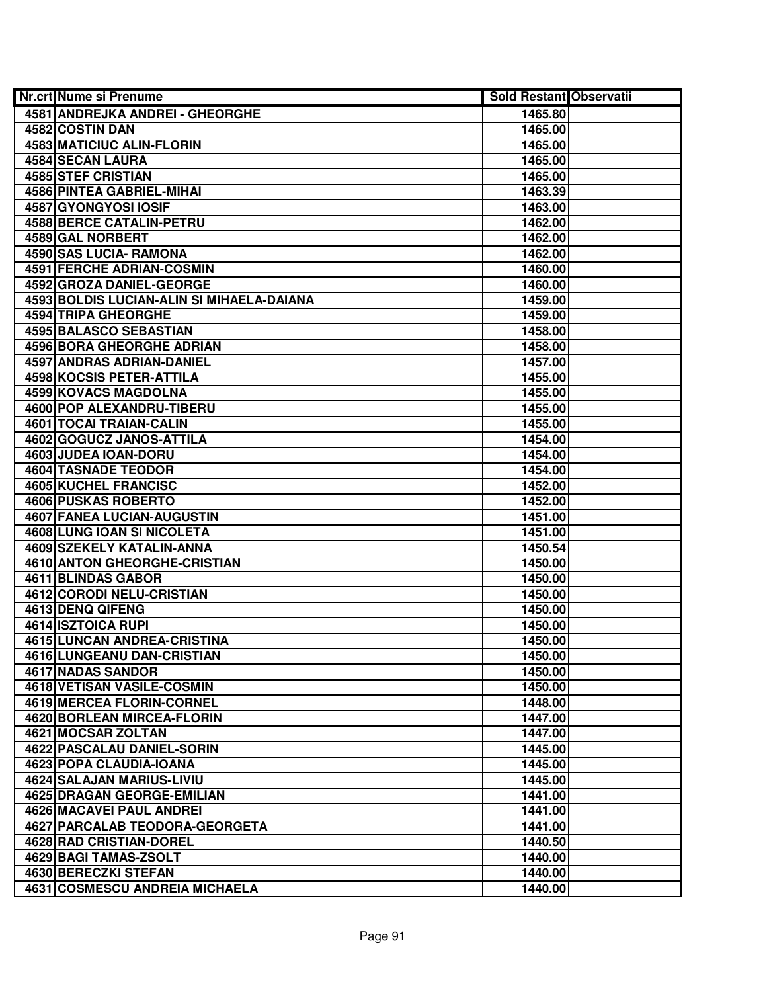| <b>Nr.crt Nume si Prenume</b>             | <b>Sold Restant Observatii</b> |  |
|-------------------------------------------|--------------------------------|--|
| 4581 ANDREJKA ANDREI - GHEORGHE           | 1465.80                        |  |
| 4582 COSTIN DAN                           | 1465.00                        |  |
| 4583 MATICIUC ALIN-FLORIN                 | 1465.00                        |  |
| 4584 SECAN LAURA                          | 1465.00                        |  |
| <b>4585 STEF CRISTIAN</b>                 | 1465.00                        |  |
| 4586 PINTEA GABRIEL-MIHAI                 | 1463.39                        |  |
| 4587 GYONGYOSI IOSIF                      | 1463.00                        |  |
| <b>4588 BERCE CATALIN-PETRU</b>           | 1462.00                        |  |
| <b>4589 GAL NORBERT</b>                   | 1462.00                        |  |
| 4590 SAS LUCIA- RAMONA                    | 1462.00                        |  |
| <b>4591 FERCHE ADRIAN-COSMIN</b>          | 1460.00                        |  |
| 4592 GROZA DANIEL-GEORGE                  | 1460.00                        |  |
| 4593 BOLDIS LUCIAN-ALIN SI MIHAELA-DAIANA | 1459.00                        |  |
| 4594 TRIPA GHEORGHE                       | 1459.00                        |  |
| 4595 BALASCO SEBASTIAN                    | 1458.00                        |  |
| <b>4596 BORA GHEORGHE ADRIAN</b>          | 1458.00                        |  |
| 4597 ANDRAS ADRIAN-DANIEL                 | 1457.00                        |  |
| 4598 KOCSIS PETER-ATTILA                  | 1455.00                        |  |
| 4599 KOVACS MAGDOLNA                      | 1455.00                        |  |
| 4600 POP ALEXANDRU-TIBERU                 | 1455.00                        |  |
| 4601 TOCAI TRAIAN-CALIN                   | 1455.00                        |  |
| 4602 GOGUCZ JANOS-ATTILA                  | 1454.00                        |  |
| 4603 JUDEA IOAN-DORU                      | 1454.00                        |  |
| 4604 TASNADE TEODOR                       | 1454.00                        |  |
| 4605 KUCHEL FRANCISC                      | 1452.00                        |  |
| <b>4606 PUSKAS ROBERTO</b>                | 1452.00                        |  |
| 4607 FANEA LUCIAN-AUGUSTIN                | 1451.00                        |  |
| 4608 LUNG IOAN SI NICOLETA                | 1451.00                        |  |
| 4609 SZEKELY KATALIN-ANNA                 | 1450.54                        |  |
| 4610 ANTON GHEORGHE-CRISTIAN              | 1450.00                        |  |
| 4611 BLINDAS GABOR                        | 1450.00                        |  |
| <b>4612 CORODI NELU-CRISTIAN</b>          | 1450.00                        |  |
| 4613 DENQ QIFENG                          | 1450.00                        |  |
| <b>4614 ISZTOICA RUPI</b>                 | 1450.00                        |  |
| 4615 LUNCAN ANDREA-CRISTINA               | 1450.00                        |  |
| <b>4616 LUNGEANU DAN-CRISTIAN</b>         | 1450.00                        |  |
| 4617 NADAS SANDOR                         | 1450.00                        |  |
| <b>4618 VETISAN VASILE-COSMIN</b>         | 1450.00                        |  |
| 4619 MERCEA FLORIN-CORNEL                 | 1448.00                        |  |
| 4620 BORLEAN MIRCEA-FLORIN                | 1447.00                        |  |
| 4621 MOCSAR ZOLTAN                        | 1447.00                        |  |
| 4622 PASCALAU DANIEL-SORIN                | 1445.00                        |  |
| 4623 POPA CLAUDIA-IOANA                   | 1445.00                        |  |
| 4624 SALAJAN MARIUS-LIVIU                 | 1445.00                        |  |
| <b>4625 DRAGAN GEORGE-EMILIAN</b>         | 1441.00                        |  |
| 4626 MACAVEI PAUL ANDREI                  | 1441.00                        |  |
| 4627 PARCALAB TEODORA-GEORGETA            | 1441.00                        |  |
| 4628 RAD CRISTIAN-DOREL                   | 1440.50                        |  |
| 4629 BAGI TAMAS-ZSOLT                     | 1440.00                        |  |
| 4630 BERECZKI STEFAN                      | 1440.00                        |  |
| 4631 COSMESCU ANDREIA MICHAELA            | 1440.00                        |  |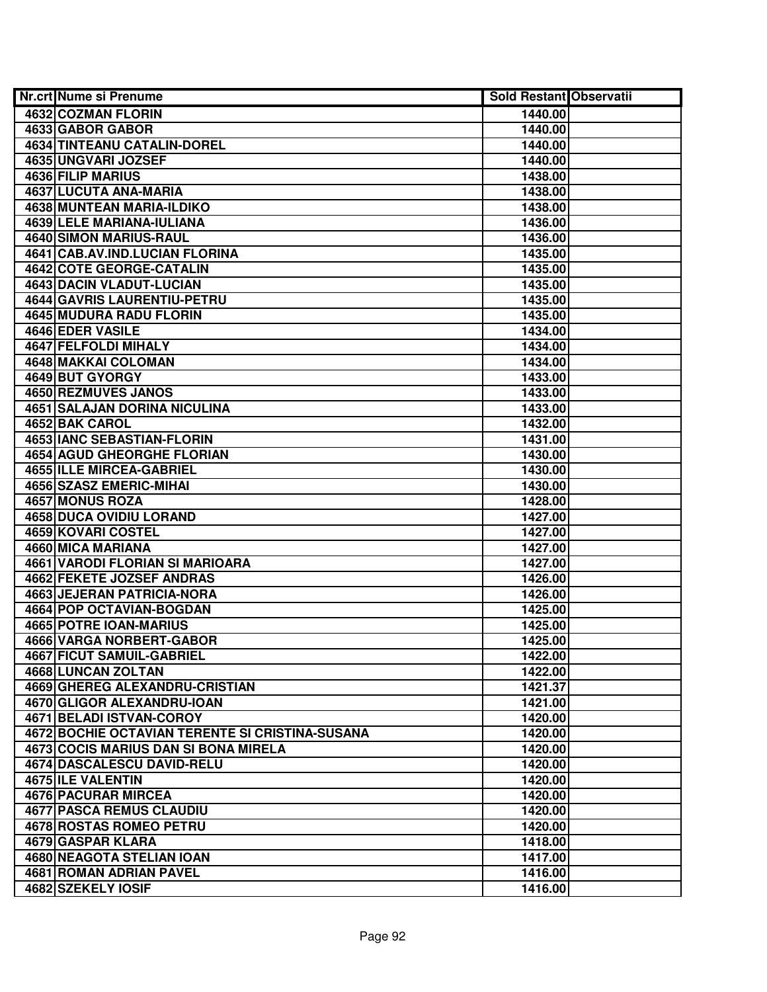| <b>Nr.crt Nume si Prenume</b>                   | <b>Sold Restant Observatii</b> |  |
|-------------------------------------------------|--------------------------------|--|
| 4632 COZMAN FLORIN                              | 1440.00                        |  |
| 4633 GABOR GABOR                                | 1440.00                        |  |
| 4634 TINTEANU CATALIN-DOREL                     | 1440.00                        |  |
| 4635 UNGVARI JOZSEF                             | 1440.00                        |  |
| 4636 FILIP MARIUS                               | 1438.00                        |  |
| 4637 LUCUTA ANA-MARIA                           | 1438.00                        |  |
| 4638 MUNTEAN MARIA-ILDIKO                       | 1438.00                        |  |
| 4639 LELE MARIANA-IULIANA                       | 1436.00                        |  |
| <b>4640 SIMON MARIUS-RAUL</b>                   | 1436.00                        |  |
| 4641 CAB.AV.IND.LUCIAN FLORINA                  | 1435.00                        |  |
| 4642 COTE GEORGE-CATALIN                        | 1435.00                        |  |
| <b>4643 DACIN VLADUT-LUCIAN</b>                 | 1435.00                        |  |
| <b>4644 GAVRIS LAURENTIU-PETRU</b>              | 1435.00                        |  |
| 4645 MUDURA RADU FLORIN                         | 1435.00                        |  |
| 4646 EDER VASILE                                | 1434.00                        |  |
| 4647 FELFOLDI MIHALY                            | 1434.00                        |  |
| 4648 MAKKAI COLOMAN                             | 1434.00                        |  |
| 4649 BUT GYORGY                                 | 1433.00                        |  |
| <b>4650 REZMUVES JANOS</b>                      | 1433.00                        |  |
| 4651 SALAJAN DORINA NICULINA                    | 1433.00                        |  |
| 4652 BAK CAROL                                  | 1432.00                        |  |
| 4653 IANC SEBASTIAN-FLORIN                      | 1431.00                        |  |
| 4654 AGUD GHEORGHE FLORIAN                      | 1430.00                        |  |
| 4655 ILLE MIRCEA-GABRIEL                        | 1430.00                        |  |
| 4656 SZASZ EMERIC-MIHAI                         | 1430.00                        |  |
| 4657 MONUS ROZA                                 | 1428.00                        |  |
| 4658 DUCA OVIDIU LORAND                         | 1427.00                        |  |
| 4659 KOVARI COSTEL                              | 1427.00                        |  |
| 4660 MICA MARIANA                               | 1427.00                        |  |
| 4661 VARODI FLORIAN SI MARIOARA                 | 1427.00                        |  |
| 4662 FEKETE JOZSEF ANDRAS                       | 1426.00                        |  |
| <b>4663 JEJERAN PATRICIA-NORA</b>               | 1426.00                        |  |
| <b>4664 POP OCTAVIAN-BOGDAN</b>                 | 1425.00                        |  |
| <b>4665 POTRE IOAN-MARIUS</b>                   | 1425.00                        |  |
| <b>4666 VARGA NORBERT-GABOR</b>                 | 1425.00                        |  |
| 4667 FICUT SAMUIL-GABRIEL                       | 1422.00                        |  |
| 4668 LUNCAN ZOLTAN                              | 1422.00                        |  |
| 4669 GHEREG ALEXANDRU-CRISTIAN                  | 1421.37                        |  |
| 4670 GLIGOR ALEXANDRU-IOAN                      | 1421.00                        |  |
| 4671 BELADI ISTVAN-COROY                        | 1420.00                        |  |
| 4672 BOCHIE OCTAVIAN TERENTE SI CRISTINA-SUSANA | 1420.00                        |  |
| 4673 COCIS MARIUS DAN SI BONA MIRELA            | 1420.00                        |  |
| <b>4674 DASCALESCU DAVID-RELU</b>               | 1420.00                        |  |
| 4675 ILE VALENTIN                               | 1420.00                        |  |
| 4676 PACURAR MIRCEA                             | 1420.00                        |  |
| 4677 PASCA REMUS CLAUDIU                        | 1420.00                        |  |
| 4678 ROSTAS ROMEO PETRU                         | 1420.00                        |  |
| 4679 GASPAR KLARA                               | 1418.00                        |  |
| 4680 NEAGOTA STELIAN IOAN                       | 1417.00                        |  |
| 4681 ROMAN ADRIAN PAVEL                         | 1416.00                        |  |
| 4682 SZEKELY IOSIF                              | 1416.00                        |  |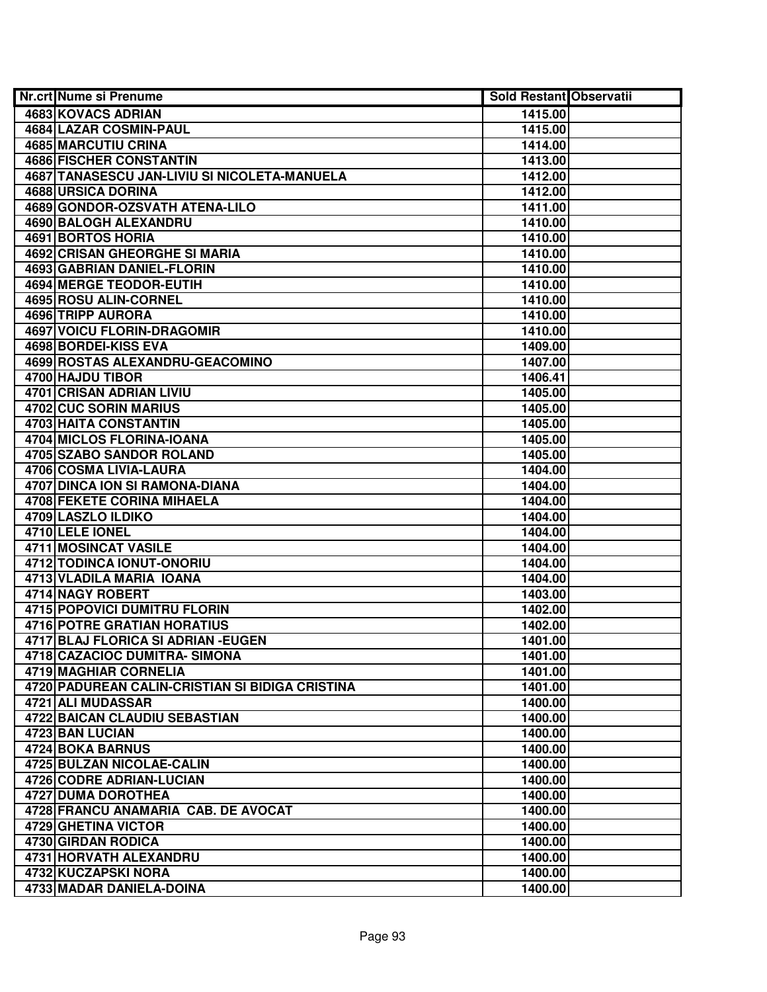|                                                            | <b>Sold Restant Observatii</b> |
|------------------------------------------------------------|--------------------------------|
| 4683 KOVACS ADRIAN<br>1415.00                              |                                |
| 4684 LAZAR COSMIN-PAUL<br>1415.00                          |                                |
| <b>4685 MARCUTIU CRINA</b><br>1414.00                      |                                |
| <b>4686 FISCHER CONSTANTIN</b><br>1413.00                  |                                |
| 4687 TANASESCU JAN-LIVIU SI NICOLETA-MANUELA<br>1412.00    |                                |
| 4688 URSICA DORINA<br>1412.00                              |                                |
| 4689 GONDOR-OZSVATH ATENA-LILO<br>1411.00                  |                                |
| 4690 BALOGH ALEXANDRU<br>1410.00                           |                                |
| <b>4691 BORTOS HORIA</b><br>1410.00                        |                                |
| 4692 CRISAN GHEORGHE SI MARIA<br>1410.00                   |                                |
| <b>4693 GABRIAN DANIEL-FLORIN</b><br>1410.00               |                                |
| 4694 MERGE TEODOR-EUTIH<br>1410.00                         |                                |
| 4695 ROSU ALIN-CORNEL<br>1410.00                           |                                |
| 4696 TRIPP AURORA<br>1410.00                               |                                |
| 4697 VOICU FLORIN-DRAGOMIR<br>1410.00                      |                                |
| 4698 BORDEI-KISS EVA<br>1409.00                            |                                |
| 4699 ROSTAS ALEXANDRU-GEACOMINO<br>1407.00                 |                                |
| 4700 HAJDU TIBOR<br>1406.41                                |                                |
| 4701 CRISAN ADRIAN LIVIU<br>1405.00                        |                                |
| 4702 CUC SORIN MARIUS<br>1405.00                           |                                |
| 4703 HAITA CONSTANTIN<br>1405.00                           |                                |
| <b>4704 MICLOS FLORINA-IOANA</b><br>1405.00                |                                |
| 4705 SZABO SANDOR ROLAND<br>1405.00                        |                                |
| 4706 COSMA LIVIA-LAURA<br>1404.00                          |                                |
| 4707 DINCA ION SI RAMONA-DIANA<br>1404.00                  |                                |
| 4708 FEKETE CORINA MIHAELA<br>1404.00                      |                                |
| 4709 LASZLO ILDIKO<br>1404.00                              |                                |
| 4710 LELE IONEL<br>1404.00                                 |                                |
| 4711 MOSINCAT VASILE<br>1404.00                            |                                |
| 4712 TODINCA IONUT-ONORIU<br>1404.00                       |                                |
| 4713 VLADILA MARIA IOANA<br>1404.00                        |                                |
| 4714 NAGY ROBERT<br>1403.00                                |                                |
| <b>4715 POPOVICI DUMITRU FLORIN</b><br>1402.00             |                                |
| <b>4716 POTRE GRATIAN HORATIUS</b><br>1402.00              |                                |
| 4717 BLAJ FLORICA SI ADRIAN - EUGEN<br>1401.00             |                                |
| 4718 CAZACIOC DUMITRA- SIMONA<br>1401.00                   |                                |
| <b>4719 MAGHIAR CORNELIA</b><br>1401.00                    |                                |
| 4720 PADUREAN CALIN-CRISTIAN SI BIDIGA CRISTINA<br>1401.00 |                                |
| 4721 ALI MUDASSAR<br>1400.00                               |                                |
| 4722 BAICAN CLAUDIU SEBASTIAN<br>1400.00                   |                                |
| 4723 BAN LUCIAN<br>1400.00                                 |                                |
| 4724 BOKA BARNUS<br>1400.00                                |                                |
| 4725 BULZAN NICOLAE-CALIN<br>1400.00                       |                                |
| 4726 CODRE ADRIAN-LUCIAN<br>1400.00                        |                                |
| 4727 DUMA DOROTHEA<br>1400.00                              |                                |
| 4728 FRANCU ANAMARIA CAB. DE AVOCAT<br>1400.00             |                                |
| 4729 GHETINA VICTOR<br>1400.00                             |                                |
| 4730 GIRDAN RODICA<br>1400.00                              |                                |
| 4731 HORVATH ALEXANDRU<br>1400.00                          |                                |
| 4732 KUCZAPSKI NORA<br>1400.00                             |                                |
| 4733 MADAR DANIELA-DOINA<br>1400.00                        |                                |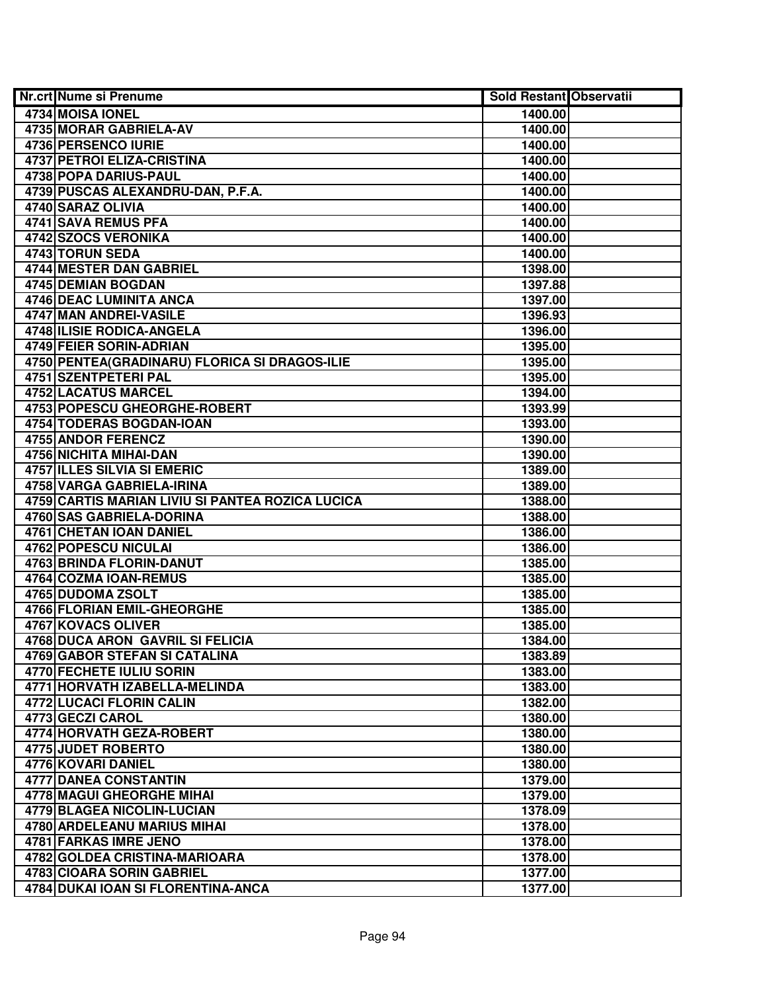| <b>Nr.crt Nume si Prenume</b>                    | <b>Sold Restant Observatii</b> |  |
|--------------------------------------------------|--------------------------------|--|
| 4734 MOISA IONEL                                 | 1400.00                        |  |
| 4735 MORAR GABRIELA-AV                           | 1400.00                        |  |
| 4736 PERSENCO IURIE                              | 1400.00                        |  |
| <b>4737 PETROI ELIZA-CRISTINA</b>                | 1400.00                        |  |
| 4738 POPA DARIUS-PAUL                            | 1400.00                        |  |
| 4739 PUSCAS ALEXANDRU-DAN, P.F.A.                | 1400.00                        |  |
| 4740 SARAZ OLIVIA                                | 1400.00                        |  |
| 4741 SAVA REMUS PFA                              | 1400.00                        |  |
| <b>4742 SZOCS VERONIKA</b>                       | 1400.00                        |  |
| 4743 TORUN SEDA                                  | 1400.00                        |  |
| 4744 MESTER DAN GABRIEL                          | 1398.00                        |  |
| 4745 DEMIAN BOGDAN                               | 1397.88                        |  |
| 4746 DEAC LUMINITA ANCA                          | 1397.00                        |  |
| 4747 MAN ANDREI-VASILE                           | 1396.93                        |  |
| 4748 ILISIE RODICA-ANGELA                        | 1396.00                        |  |
| 4749 FEIER SORIN-ADRIAN                          | 1395.00                        |  |
| 4750 PENTEA (GRADINARU) FLORICA SI DRAGOS-ILIE   | 1395.00                        |  |
| 4751 SZENTPETERI PAL                             | 1395.00                        |  |
| 4752 LACATUS MARCEL                              | 1394.00                        |  |
| 4753 POPESCU GHEORGHE-ROBERT                     | 1393.99                        |  |
| 4754 TODERAS BOGDAN-IOAN                         | 1393.00                        |  |
| 4755 ANDOR FERENCZ                               | 1390.00                        |  |
| 4756 NICHITA MIHAI-DAN                           | 1390.00                        |  |
| 4757 ILLES SILVIA SI EMERIC                      | 1389.00                        |  |
| 4758 VARGA GABRIELA-IRINA                        | 1389.00                        |  |
| 4759 CARTIS MARIAN LIVIU SI PANTEA ROZICA LUCICA | 1388.00                        |  |
| 4760 SAS GABRIELA-DORINA                         | 1388.00                        |  |
| 4761 CHETAN IOAN DANIEL                          | 1386.00                        |  |
| 4762 POPESCU NICULAI                             | 1386.00                        |  |
| 4763 BRINDA FLORIN-DANUT                         | 1385.00                        |  |
| 4764 COZMA IOAN-REMUS                            | 1385.00                        |  |
| 4765 DUDOMA ZSOLT                                | 1385.00                        |  |
| 4766 FLORIAN EMIL-GHEORGHE                       | 1385.00                        |  |
| 4767 KOVACS OLIVER                               | 1385.00                        |  |
| <b>4768 DUCA ARON GAVRIL SI FELICIA</b>          | 1384.00                        |  |
| 4769 GABOR STEFAN SI CATALINA                    | 1383.89                        |  |
| 4770 FECHETE IULIU SORIN                         | 1383.00                        |  |
| 4771 HORVATH IZABELLA-MELINDA                    | 1383.00                        |  |
| <b>4772 LUCACI FLORIN CALIN</b>                  | 1382.00                        |  |
| 4773 GECZI CAROL                                 | 1380.00                        |  |
| 4774 HORVATH GEZA-ROBERT                         | 1380.00                        |  |
| 4775 JUDET ROBERTO                               | 1380.00                        |  |
| 4776 KOVARI DANIEL                               | 1380.00                        |  |
| 4777 DANEA CONSTANTIN                            | 1379.00                        |  |
| 4778 MAGUI GHEORGHE MIHAI                        | 1379.00                        |  |
| 4779 BLAGEA NICOLIN-LUCIAN                       | 1378.09                        |  |
| 4780 ARDELEANU MARIUS MIHAI                      | 1378.00                        |  |
| 4781 FARKAS IMRE JENO                            | 1378.00                        |  |
| 4782 GOLDEA CRISTINA-MARIOARA                    | 1378.00                        |  |
| 4783 CIOARA SORIN GABRIEL                        | 1377.00                        |  |
| 4784 DUKAI IOAN SI FLORENTINA-ANCA               | 1377.00                        |  |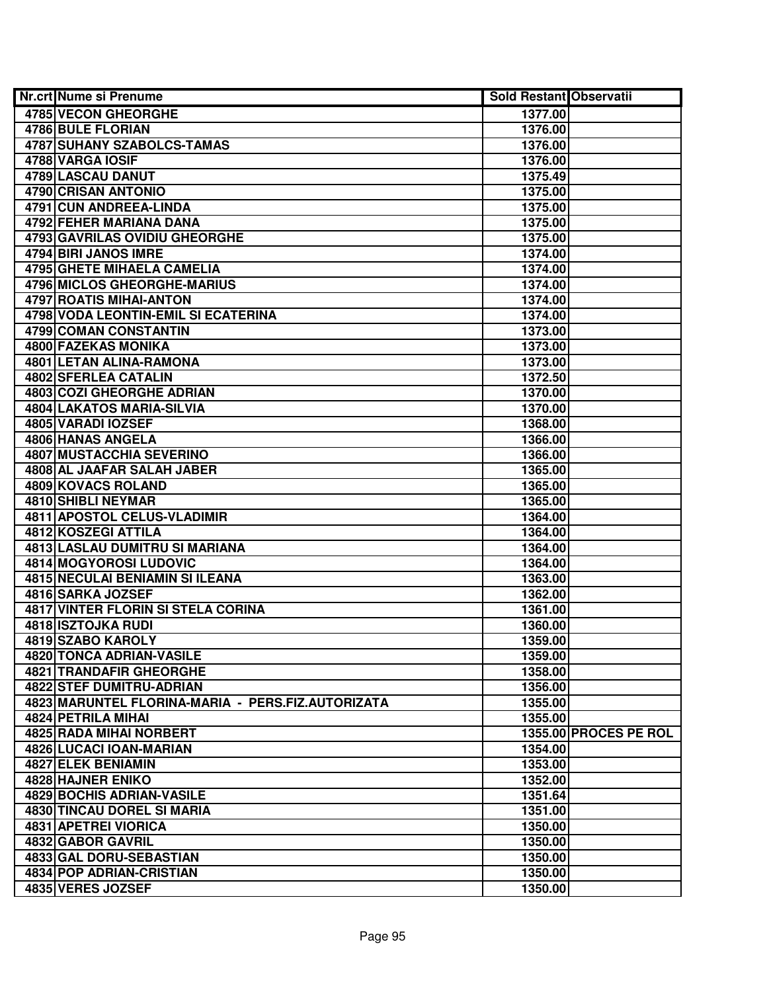| <b>4785 VECON GHEORGHE</b><br>1377.00<br><b>4786 BULE FLORIAN</b><br>1376.00<br>4787 SUHANY SZABOLCS-TAMAS<br>1376.00<br>4788 VARGA IOSIF<br>1376.00<br>4789 LASCAU DANUT<br>1375.49<br>4790 CRISAN ANTONIO<br>1375.00<br>4791 CUN ANDREEA-LINDA<br>1375.00<br>4792 FEHER MARIANA DANA<br>1375.00<br>4793 GAVRILAS OVIDIU GHEORGHE<br>1375.00<br>4794 BIRI JANOS IMRE<br>1374.00<br><b>4795 GHETE MIHAELA CAMELIA</b><br>1374.00<br><b>4796 MICLOS GHEORGHE-MARIUS</b><br>1374.00<br>4797 ROATIS MIHAI-ANTON<br>1374.00<br>4798 VODA LEONTIN-EMIL SI ECATERINA<br>1374.00<br>4799 COMAN CONSTANTIN<br>1373.00<br>4800 FAZEKAS MONIKA<br>1373.00<br>4801 LETAN ALINA-RAMONA<br>1373.00<br><b>4802 SFERLEA CATALIN</b><br>1372.50<br><b>4803 COZI GHEORGHE ADRIAN</b><br>1370.00<br>4804 LAKATOS MARIA-SILVIA<br>1370.00<br>4805 VARADI IOZSEF<br>1368.00<br>4806 HANAS ANGELA<br>1366.00<br>4807 MUSTACCHIA SEVERINO<br>1366.00<br>4808 AL JAAFAR SALAH JABER<br>1365.00<br>4809 KOVACS ROLAND<br>1365.00<br>4810 SHIBLI NEYMAR<br>1365.00<br>4811 APOSTOL CELUS-VLADIMIR<br>1364.00<br>4812 KOSZEGI ATTILA<br>1364.00<br>4813 LASLAU DUMITRU SI MARIANA<br>1364.00<br>4814 MOGYOROSI LUDOVIC<br>1364.00<br>4815 NECULAI BENIAMIN SI ILEANA<br>1363.00<br>4816 SARKA JOZSEF<br>1362.00<br>4817 VINTER FLORIN SI STELA CORINA<br>1361.00<br>4818 ISZTOJKA RUDI<br>1360.00 |
|-------------------------------------------------------------------------------------------------------------------------------------------------------------------------------------------------------------------------------------------------------------------------------------------------------------------------------------------------------------------------------------------------------------------------------------------------------------------------------------------------------------------------------------------------------------------------------------------------------------------------------------------------------------------------------------------------------------------------------------------------------------------------------------------------------------------------------------------------------------------------------------------------------------------------------------------------------------------------------------------------------------------------------------------------------------------------------------------------------------------------------------------------------------------------------------------------------------------------------------------------------------------------------------------------------------------------------------------------------------------------|
|                                                                                                                                                                                                                                                                                                                                                                                                                                                                                                                                                                                                                                                                                                                                                                                                                                                                                                                                                                                                                                                                                                                                                                                                                                                                                                                                                                         |
|                                                                                                                                                                                                                                                                                                                                                                                                                                                                                                                                                                                                                                                                                                                                                                                                                                                                                                                                                                                                                                                                                                                                                                                                                                                                                                                                                                         |
|                                                                                                                                                                                                                                                                                                                                                                                                                                                                                                                                                                                                                                                                                                                                                                                                                                                                                                                                                                                                                                                                                                                                                                                                                                                                                                                                                                         |
|                                                                                                                                                                                                                                                                                                                                                                                                                                                                                                                                                                                                                                                                                                                                                                                                                                                                                                                                                                                                                                                                                                                                                                                                                                                                                                                                                                         |
|                                                                                                                                                                                                                                                                                                                                                                                                                                                                                                                                                                                                                                                                                                                                                                                                                                                                                                                                                                                                                                                                                                                                                                                                                                                                                                                                                                         |
|                                                                                                                                                                                                                                                                                                                                                                                                                                                                                                                                                                                                                                                                                                                                                                                                                                                                                                                                                                                                                                                                                                                                                                                                                                                                                                                                                                         |
|                                                                                                                                                                                                                                                                                                                                                                                                                                                                                                                                                                                                                                                                                                                                                                                                                                                                                                                                                                                                                                                                                                                                                                                                                                                                                                                                                                         |
|                                                                                                                                                                                                                                                                                                                                                                                                                                                                                                                                                                                                                                                                                                                                                                                                                                                                                                                                                                                                                                                                                                                                                                                                                                                                                                                                                                         |
|                                                                                                                                                                                                                                                                                                                                                                                                                                                                                                                                                                                                                                                                                                                                                                                                                                                                                                                                                                                                                                                                                                                                                                                                                                                                                                                                                                         |
|                                                                                                                                                                                                                                                                                                                                                                                                                                                                                                                                                                                                                                                                                                                                                                                                                                                                                                                                                                                                                                                                                                                                                                                                                                                                                                                                                                         |
|                                                                                                                                                                                                                                                                                                                                                                                                                                                                                                                                                                                                                                                                                                                                                                                                                                                                                                                                                                                                                                                                                                                                                                                                                                                                                                                                                                         |
|                                                                                                                                                                                                                                                                                                                                                                                                                                                                                                                                                                                                                                                                                                                                                                                                                                                                                                                                                                                                                                                                                                                                                                                                                                                                                                                                                                         |
|                                                                                                                                                                                                                                                                                                                                                                                                                                                                                                                                                                                                                                                                                                                                                                                                                                                                                                                                                                                                                                                                                                                                                                                                                                                                                                                                                                         |
|                                                                                                                                                                                                                                                                                                                                                                                                                                                                                                                                                                                                                                                                                                                                                                                                                                                                                                                                                                                                                                                                                                                                                                                                                                                                                                                                                                         |
|                                                                                                                                                                                                                                                                                                                                                                                                                                                                                                                                                                                                                                                                                                                                                                                                                                                                                                                                                                                                                                                                                                                                                                                                                                                                                                                                                                         |
|                                                                                                                                                                                                                                                                                                                                                                                                                                                                                                                                                                                                                                                                                                                                                                                                                                                                                                                                                                                                                                                                                                                                                                                                                                                                                                                                                                         |
|                                                                                                                                                                                                                                                                                                                                                                                                                                                                                                                                                                                                                                                                                                                                                                                                                                                                                                                                                                                                                                                                                                                                                                                                                                                                                                                                                                         |
|                                                                                                                                                                                                                                                                                                                                                                                                                                                                                                                                                                                                                                                                                                                                                                                                                                                                                                                                                                                                                                                                                                                                                                                                                                                                                                                                                                         |
|                                                                                                                                                                                                                                                                                                                                                                                                                                                                                                                                                                                                                                                                                                                                                                                                                                                                                                                                                                                                                                                                                                                                                                                                                                                                                                                                                                         |
|                                                                                                                                                                                                                                                                                                                                                                                                                                                                                                                                                                                                                                                                                                                                                                                                                                                                                                                                                                                                                                                                                                                                                                                                                                                                                                                                                                         |
|                                                                                                                                                                                                                                                                                                                                                                                                                                                                                                                                                                                                                                                                                                                                                                                                                                                                                                                                                                                                                                                                                                                                                                                                                                                                                                                                                                         |
|                                                                                                                                                                                                                                                                                                                                                                                                                                                                                                                                                                                                                                                                                                                                                                                                                                                                                                                                                                                                                                                                                                                                                                                                                                                                                                                                                                         |
|                                                                                                                                                                                                                                                                                                                                                                                                                                                                                                                                                                                                                                                                                                                                                                                                                                                                                                                                                                                                                                                                                                                                                                                                                                                                                                                                                                         |
|                                                                                                                                                                                                                                                                                                                                                                                                                                                                                                                                                                                                                                                                                                                                                                                                                                                                                                                                                                                                                                                                                                                                                                                                                                                                                                                                                                         |
|                                                                                                                                                                                                                                                                                                                                                                                                                                                                                                                                                                                                                                                                                                                                                                                                                                                                                                                                                                                                                                                                                                                                                                                                                                                                                                                                                                         |
|                                                                                                                                                                                                                                                                                                                                                                                                                                                                                                                                                                                                                                                                                                                                                                                                                                                                                                                                                                                                                                                                                                                                                                                                                                                                                                                                                                         |
|                                                                                                                                                                                                                                                                                                                                                                                                                                                                                                                                                                                                                                                                                                                                                                                                                                                                                                                                                                                                                                                                                                                                                                                                                                                                                                                                                                         |
|                                                                                                                                                                                                                                                                                                                                                                                                                                                                                                                                                                                                                                                                                                                                                                                                                                                                                                                                                                                                                                                                                                                                                                                                                                                                                                                                                                         |
|                                                                                                                                                                                                                                                                                                                                                                                                                                                                                                                                                                                                                                                                                                                                                                                                                                                                                                                                                                                                                                                                                                                                                                                                                                                                                                                                                                         |
|                                                                                                                                                                                                                                                                                                                                                                                                                                                                                                                                                                                                                                                                                                                                                                                                                                                                                                                                                                                                                                                                                                                                                                                                                                                                                                                                                                         |
|                                                                                                                                                                                                                                                                                                                                                                                                                                                                                                                                                                                                                                                                                                                                                                                                                                                                                                                                                                                                                                                                                                                                                                                                                                                                                                                                                                         |
|                                                                                                                                                                                                                                                                                                                                                                                                                                                                                                                                                                                                                                                                                                                                                                                                                                                                                                                                                                                                                                                                                                                                                                                                                                                                                                                                                                         |
|                                                                                                                                                                                                                                                                                                                                                                                                                                                                                                                                                                                                                                                                                                                                                                                                                                                                                                                                                                                                                                                                                                                                                                                                                                                                                                                                                                         |
|                                                                                                                                                                                                                                                                                                                                                                                                                                                                                                                                                                                                                                                                                                                                                                                                                                                                                                                                                                                                                                                                                                                                                                                                                                                                                                                                                                         |
| 4819 SZABO KAROLY<br>1359.00                                                                                                                                                                                                                                                                                                                                                                                                                                                                                                                                                                                                                                                                                                                                                                                                                                                                                                                                                                                                                                                                                                                                                                                                                                                                                                                                            |
| <b>4820 TONCA ADRIAN-VASILE</b><br>1359.00                                                                                                                                                                                                                                                                                                                                                                                                                                                                                                                                                                                                                                                                                                                                                                                                                                                                                                                                                                                                                                                                                                                                                                                                                                                                                                                              |
| <b>4821 TRANDAFIR GHEORGHE</b><br>1358.00                                                                                                                                                                                                                                                                                                                                                                                                                                                                                                                                                                                                                                                                                                                                                                                                                                                                                                                                                                                                                                                                                                                                                                                                                                                                                                                               |
| <b>4822 STEF DUMITRU-ADRIAN</b><br>1356.00                                                                                                                                                                                                                                                                                                                                                                                                                                                                                                                                                                                                                                                                                                                                                                                                                                                                                                                                                                                                                                                                                                                                                                                                                                                                                                                              |
| 4823 MARUNTEL FLORINA-MARIA - PERS.FIZ.AUTORIZATA<br>1355.00                                                                                                                                                                                                                                                                                                                                                                                                                                                                                                                                                                                                                                                                                                                                                                                                                                                                                                                                                                                                                                                                                                                                                                                                                                                                                                            |
| 4824 PETRILA MIHAI<br>1355.00                                                                                                                                                                                                                                                                                                                                                                                                                                                                                                                                                                                                                                                                                                                                                                                                                                                                                                                                                                                                                                                                                                                                                                                                                                                                                                                                           |
| 4825 RADA MIHAI NORBERT<br>1355.00 PROCES PE ROL                                                                                                                                                                                                                                                                                                                                                                                                                                                                                                                                                                                                                                                                                                                                                                                                                                                                                                                                                                                                                                                                                                                                                                                                                                                                                                                        |
| 4826 LUCACI IOAN-MARIAN<br>1354.00                                                                                                                                                                                                                                                                                                                                                                                                                                                                                                                                                                                                                                                                                                                                                                                                                                                                                                                                                                                                                                                                                                                                                                                                                                                                                                                                      |
| <b>4827 ELEK BENIAMIN</b><br>1353.00                                                                                                                                                                                                                                                                                                                                                                                                                                                                                                                                                                                                                                                                                                                                                                                                                                                                                                                                                                                                                                                                                                                                                                                                                                                                                                                                    |
| 4828 HAJNER ENIKO<br>1352.00                                                                                                                                                                                                                                                                                                                                                                                                                                                                                                                                                                                                                                                                                                                                                                                                                                                                                                                                                                                                                                                                                                                                                                                                                                                                                                                                            |
| 4829 BOCHIS ADRIAN-VASILE<br>1351.64                                                                                                                                                                                                                                                                                                                                                                                                                                                                                                                                                                                                                                                                                                                                                                                                                                                                                                                                                                                                                                                                                                                                                                                                                                                                                                                                    |
| 4830 TINCAU DOREL SI MARIA<br>1351.00                                                                                                                                                                                                                                                                                                                                                                                                                                                                                                                                                                                                                                                                                                                                                                                                                                                                                                                                                                                                                                                                                                                                                                                                                                                                                                                                   |
| 4831 APETREI VIORICA<br>1350.00                                                                                                                                                                                                                                                                                                                                                                                                                                                                                                                                                                                                                                                                                                                                                                                                                                                                                                                                                                                                                                                                                                                                                                                                                                                                                                                                         |
| 4832 GABOR GAVRIL<br>1350.00                                                                                                                                                                                                                                                                                                                                                                                                                                                                                                                                                                                                                                                                                                                                                                                                                                                                                                                                                                                                                                                                                                                                                                                                                                                                                                                                            |
| 4833 GAL DORU-SEBASTIAN<br>1350.00                                                                                                                                                                                                                                                                                                                                                                                                                                                                                                                                                                                                                                                                                                                                                                                                                                                                                                                                                                                                                                                                                                                                                                                                                                                                                                                                      |
| 4834 POP ADRIAN-CRISTIAN<br>1350.00                                                                                                                                                                                                                                                                                                                                                                                                                                                                                                                                                                                                                                                                                                                                                                                                                                                                                                                                                                                                                                                                                                                                                                                                                                                                                                                                     |
| 4835 VERES JOZSEF<br>1350.00                                                                                                                                                                                                                                                                                                                                                                                                                                                                                                                                                                                                                                                                                                                                                                                                                                                                                                                                                                                                                                                                                                                                                                                                                                                                                                                                            |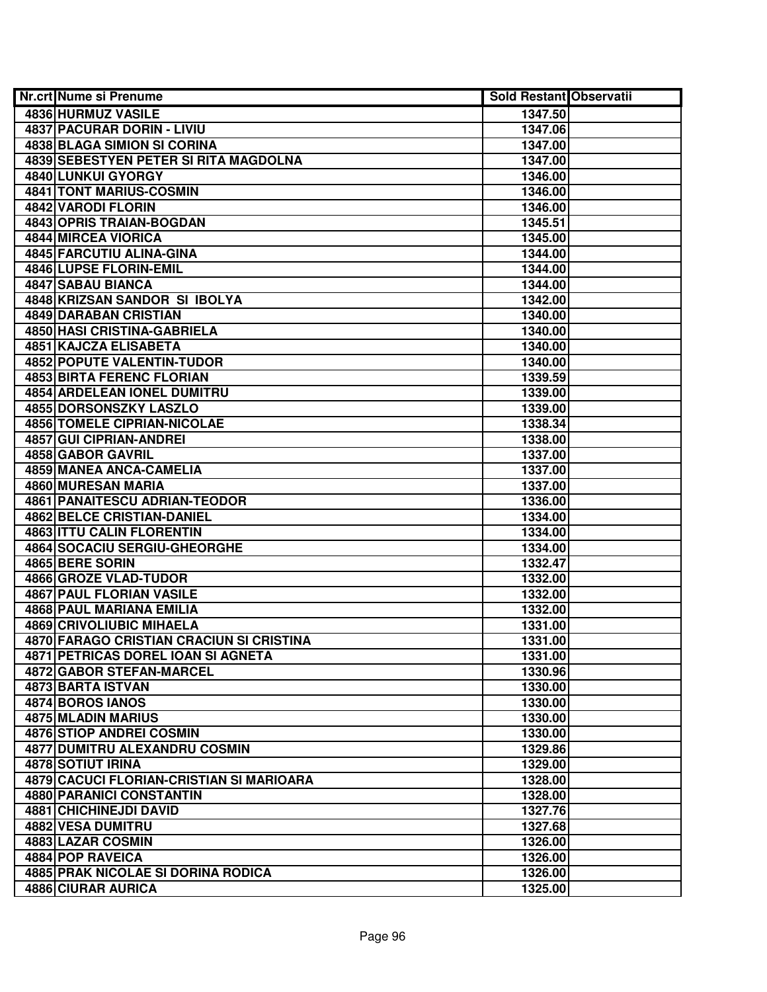| <b>Nr.crt Nume si Prenume</b>             | <b>Sold Restant Observatii</b> |  |
|-------------------------------------------|--------------------------------|--|
| 4836 HURMUZ VASILE                        | 1347.50                        |  |
| <b>4837 PACURAR DORIN - LIVIU</b>         | 1347.06                        |  |
| <b>4838 BLAGA SIMION SI CORINA</b>        | 1347.00                        |  |
| 4839 SEBESTYEN PETER SI RITA MAGDOLNA     | 1347.00                        |  |
| 4840 LUNKUI GYORGY                        | 1346.00                        |  |
| 4841 TONT MARIUS-COSMIN                   | 1346.00                        |  |
| 4842 VARODI FLORIN                        | 1346.00                        |  |
| 4843 OPRIS TRAIAN-BOGDAN                  | 1345.51                        |  |
| 4844 MIRCEA VIORICA                       | 1345.00                        |  |
| 4845 FARCUTIU ALINA-GINA                  | 1344.00                        |  |
| 4846 LUPSE FLORIN-EMIL                    | 1344.00                        |  |
| 4847 SABAU BIANCA                         | 1344.00                        |  |
| 4848 KRIZSAN SANDOR SI IBOLYA             | 1342.00                        |  |
| 4849 DARABAN CRISTIAN                     | 1340.00                        |  |
| 4850 HASI CRISTINA-GABRIELA               | 1340.00                        |  |
| 4851 KAJCZA ELISABETA                     | 1340.00                        |  |
| <b>4852 POPUTE VALENTIN-TUDOR</b>         | 1340.00                        |  |
| <b>4853 BIRTA FERENC FLORIAN</b>          | 1339.59                        |  |
| 4854 ARDELEAN IONEL DUMITRU               | 1339.00                        |  |
| <b>4855 DORSONSZKY LASZLO</b>             | 1339.00                        |  |
| <b>4856 TOMELE CIPRIAN-NICOLAE</b>        | 1338.34                        |  |
| 4857 GUI CIPRIAN-ANDREI                   | 1338.00                        |  |
| 4858 GABOR GAVRIL                         | 1337.00                        |  |
| 4859 MANEA ANCA-CAMELIA                   | 1337.00                        |  |
| 4860 MURESAN MARIA                        | 1337.00                        |  |
| 4861 PANAITESCU ADRIAN-TEODOR             | 1336.00                        |  |
| 4862 BELCE CRISTIAN-DANIEL                | 1334.00                        |  |
| <b>4863 ITTU CALIN FLORENTIN</b>          | 1334.00                        |  |
| 4864 SOCACIU SERGIU-GHEORGHE              | 1334.00                        |  |
| 4865 BERE SORIN                           | 1332.47                        |  |
| 4866 GROZE VLAD-TUDOR                     | 1332.00                        |  |
| <b>4867 PAUL FLORIAN VASILE</b>           | 1332.00                        |  |
| 4868 PAUL MARIANA EMILIA                  | 1332.00                        |  |
| <b>4869 CRIVOLIUBIC MIHAELA</b>           | 1331.00                        |  |
| 4870 FARAGO CRISTIAN CRACIUN SI CRISTINA  | 1331.00                        |  |
| <b>4871 PETRICAS DOREL IOAN SI AGNETA</b> | 1331.00                        |  |
| 4872 GABOR STEFAN-MARCEL                  | 1330.96                        |  |
| 4873 BARTA ISTVAN                         | 1330.00                        |  |
| 4874 BOROS IANOS                          | 1330.00                        |  |
| 4875 MLADIN MARIUS                        | 1330.00                        |  |
| 4876 STIOP ANDREI COSMIN                  | 1330.00                        |  |
| <b>4877 DUMITRU ALEXANDRU COSMIN</b>      | 1329.86                        |  |
| <b>4878 SOTIUT IRINA</b>                  | 1329.00                        |  |
| 4879 CACUCI FLORIAN-CRISTIAN SI MARIOARA  | 1328.00                        |  |
| 4880 PARANICI CONSTANTIN                  | 1328.00                        |  |
| 4881 CHICHINEJDI DAVID                    | 1327.76                        |  |
| 4882 VESA DUMITRU                         | 1327.68                        |  |
| 4883 LAZAR COSMIN                         | 1326.00                        |  |
| 4884 POP RAVEICA                          | 1326.00                        |  |
| <b>4885 PRAK NICOLAE SI DORINA RODICA</b> | 1326.00                        |  |
| 4886 CIURAR AURICA                        | 1325.00                        |  |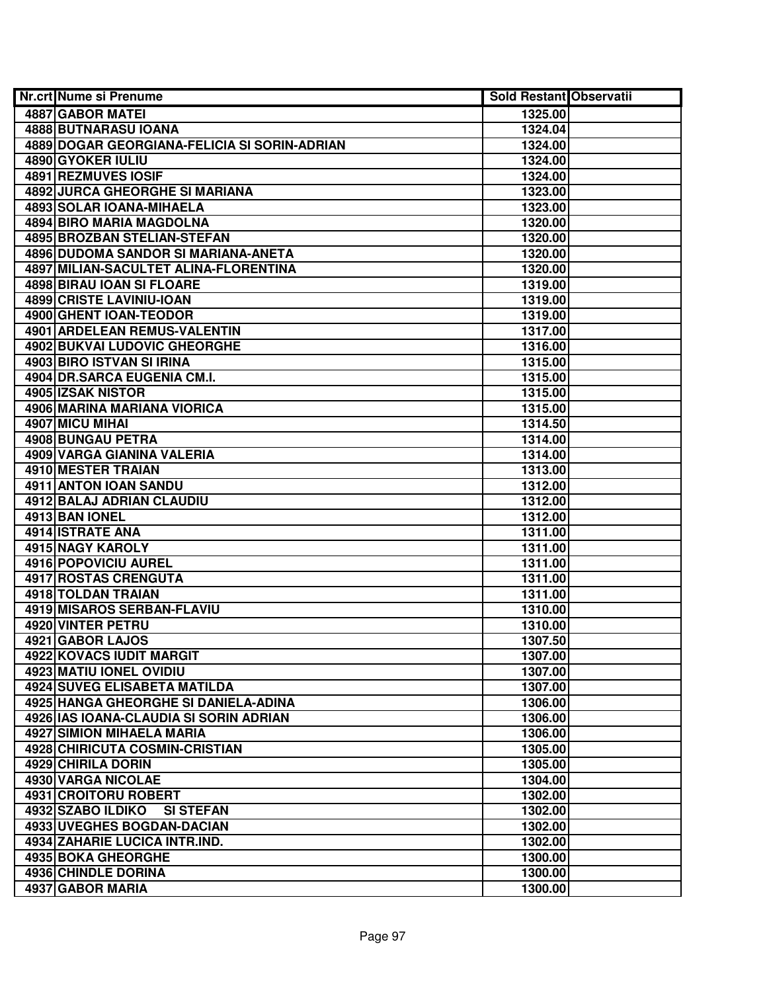| 4887 GABOR MATEI<br>1325.00<br>4888 BUTNARASU IOANA<br>1324.04<br>4889 DOGAR GEORGIANA-FELICIA SI SORIN-ADRIAN<br>1324.00<br>4890 GYOKER IULIU<br>1324.00<br><b>4891 REZMUVES IOSIF</b><br>1324.00<br>4892 JURCA GHEORGHE SI MARIANA<br>1323.00<br><b>4893 SOLAR IOANA-MIHAELA</b><br>1323.00<br>4894 BIRO MARIA MAGDOLNA<br>1320.00<br>4895 BROZBAN STELIAN-STEFAN<br>1320.00<br>4896 DUDOMA SANDOR SI MARIANA-ANETA<br>1320.00<br>4897 MILIAN-SACULTET ALINA-FLORENTINA<br>1320.00<br><b>4898 BIRAU IOAN SI FLOARE</b><br>1319.00<br>4899 CRISTE LAVINIU-IOAN<br>1319.00<br>4900 GHENT IOAN-TEODOR<br>1319.00<br>4901 ARDELEAN REMUS-VALENTIN<br>1317.00<br>4902 BUKVAI LUDOVIC GHEORGHE<br>1316.00<br>4903 BIRO ISTVAN SI IRINA<br>1315.00<br>4904 DR.SARCA EUGENIA CM.I.<br>1315.00<br>4905 IZSAK NISTOR<br>1315.00<br>4906 MARINA MARIANA VIORICA<br>1315.00<br>4907 MICU MIHAI<br>1314.50<br>4908 BUNGAU PETRA<br>1314.00<br>4909 VARGA GIANINA VALERIA<br>1314.00<br>4910 MESTER TRAIAN<br>1313.00<br>4911 ANTON IOAN SANDU<br>1312.00<br>4912 BALAJ ADRIAN CLAUDIU<br>1312.00<br>4913 BAN IONEL<br>1312.00<br>4914 ISTRATE ANA<br>1311.00<br>4915 NAGY KAROLY<br>1311.00<br>4916 POPOVICIU AUREL<br>1311.00<br>4917 ROSTAS CRENGUTA<br>1311.00<br>4918 TOLDAN TRAIAN<br>1311.00<br>4919 MISAROS SERBAN-FLAVIU<br>1310.00<br><b>4920 VINTER PETRU</b><br>1310.00<br>4921 GABOR LAJOS<br>1307.50<br>4922 KOVACS IUDIT MARGIT<br>1307.00<br>4923 MATIU IONEL OVIDIU<br>1307.00<br><b>4924 SUVEG ELISABETA MATILDA</b><br>1307.00<br>4925 HANGA GHEORGHE SI DANIELA-ADINA<br>1306.00<br>4926 IAS IOANA-CLAUDIA SI SORIN ADRIAN<br>1306.00<br>4927 SIMION MIHAELA MARIA<br>1306.00<br>4928 CHIRICUTA COSMIN-CRISTIAN<br>1305.00<br>4929 CHIRILA DORIN<br>1305.00<br>1304.00<br>4930 VARGA NICOLAE<br>4931 CROITORU ROBERT<br>1302.00<br>4932 SZABO ILDIKO SI STEFAN<br>1302.00<br>4933 UVEGHES BOGDAN-DACIAN<br>1302.00<br>4934 ZAHARIE LUCICA INTR.IND.<br>1302.00<br>4935 BOKA GHEORGHE<br>1300.00<br>4936 CHINDLE DORINA<br>1300.00 | Nr.crt Nume si Prenume | Sold Restant Observatii |  |
|-------------------------------------------------------------------------------------------------------------------------------------------------------------------------------------------------------------------------------------------------------------------------------------------------------------------------------------------------------------------------------------------------------------------------------------------------------------------------------------------------------------------------------------------------------------------------------------------------------------------------------------------------------------------------------------------------------------------------------------------------------------------------------------------------------------------------------------------------------------------------------------------------------------------------------------------------------------------------------------------------------------------------------------------------------------------------------------------------------------------------------------------------------------------------------------------------------------------------------------------------------------------------------------------------------------------------------------------------------------------------------------------------------------------------------------------------------------------------------------------------------------------------------------------------------------------------------------------------------------------------------------------------------------------------------------------------------------------------------------------------------------------------------------------------------------------------------------------------------------------------------------------------------------------------------------------------------------------------------------------------------------------------------------------|------------------------|-------------------------|--|
|                                                                                                                                                                                                                                                                                                                                                                                                                                                                                                                                                                                                                                                                                                                                                                                                                                                                                                                                                                                                                                                                                                                                                                                                                                                                                                                                                                                                                                                                                                                                                                                                                                                                                                                                                                                                                                                                                                                                                                                                                                           |                        |                         |  |
|                                                                                                                                                                                                                                                                                                                                                                                                                                                                                                                                                                                                                                                                                                                                                                                                                                                                                                                                                                                                                                                                                                                                                                                                                                                                                                                                                                                                                                                                                                                                                                                                                                                                                                                                                                                                                                                                                                                                                                                                                                           |                        |                         |  |
|                                                                                                                                                                                                                                                                                                                                                                                                                                                                                                                                                                                                                                                                                                                                                                                                                                                                                                                                                                                                                                                                                                                                                                                                                                                                                                                                                                                                                                                                                                                                                                                                                                                                                                                                                                                                                                                                                                                                                                                                                                           |                        |                         |  |
|                                                                                                                                                                                                                                                                                                                                                                                                                                                                                                                                                                                                                                                                                                                                                                                                                                                                                                                                                                                                                                                                                                                                                                                                                                                                                                                                                                                                                                                                                                                                                                                                                                                                                                                                                                                                                                                                                                                                                                                                                                           |                        |                         |  |
|                                                                                                                                                                                                                                                                                                                                                                                                                                                                                                                                                                                                                                                                                                                                                                                                                                                                                                                                                                                                                                                                                                                                                                                                                                                                                                                                                                                                                                                                                                                                                                                                                                                                                                                                                                                                                                                                                                                                                                                                                                           |                        |                         |  |
|                                                                                                                                                                                                                                                                                                                                                                                                                                                                                                                                                                                                                                                                                                                                                                                                                                                                                                                                                                                                                                                                                                                                                                                                                                                                                                                                                                                                                                                                                                                                                                                                                                                                                                                                                                                                                                                                                                                                                                                                                                           |                        |                         |  |
|                                                                                                                                                                                                                                                                                                                                                                                                                                                                                                                                                                                                                                                                                                                                                                                                                                                                                                                                                                                                                                                                                                                                                                                                                                                                                                                                                                                                                                                                                                                                                                                                                                                                                                                                                                                                                                                                                                                                                                                                                                           |                        |                         |  |
|                                                                                                                                                                                                                                                                                                                                                                                                                                                                                                                                                                                                                                                                                                                                                                                                                                                                                                                                                                                                                                                                                                                                                                                                                                                                                                                                                                                                                                                                                                                                                                                                                                                                                                                                                                                                                                                                                                                                                                                                                                           |                        |                         |  |
|                                                                                                                                                                                                                                                                                                                                                                                                                                                                                                                                                                                                                                                                                                                                                                                                                                                                                                                                                                                                                                                                                                                                                                                                                                                                                                                                                                                                                                                                                                                                                                                                                                                                                                                                                                                                                                                                                                                                                                                                                                           |                        |                         |  |
|                                                                                                                                                                                                                                                                                                                                                                                                                                                                                                                                                                                                                                                                                                                                                                                                                                                                                                                                                                                                                                                                                                                                                                                                                                                                                                                                                                                                                                                                                                                                                                                                                                                                                                                                                                                                                                                                                                                                                                                                                                           |                        |                         |  |
|                                                                                                                                                                                                                                                                                                                                                                                                                                                                                                                                                                                                                                                                                                                                                                                                                                                                                                                                                                                                                                                                                                                                                                                                                                                                                                                                                                                                                                                                                                                                                                                                                                                                                                                                                                                                                                                                                                                                                                                                                                           |                        |                         |  |
|                                                                                                                                                                                                                                                                                                                                                                                                                                                                                                                                                                                                                                                                                                                                                                                                                                                                                                                                                                                                                                                                                                                                                                                                                                                                                                                                                                                                                                                                                                                                                                                                                                                                                                                                                                                                                                                                                                                                                                                                                                           |                        |                         |  |
|                                                                                                                                                                                                                                                                                                                                                                                                                                                                                                                                                                                                                                                                                                                                                                                                                                                                                                                                                                                                                                                                                                                                                                                                                                                                                                                                                                                                                                                                                                                                                                                                                                                                                                                                                                                                                                                                                                                                                                                                                                           |                        |                         |  |
|                                                                                                                                                                                                                                                                                                                                                                                                                                                                                                                                                                                                                                                                                                                                                                                                                                                                                                                                                                                                                                                                                                                                                                                                                                                                                                                                                                                                                                                                                                                                                                                                                                                                                                                                                                                                                                                                                                                                                                                                                                           |                        |                         |  |
|                                                                                                                                                                                                                                                                                                                                                                                                                                                                                                                                                                                                                                                                                                                                                                                                                                                                                                                                                                                                                                                                                                                                                                                                                                                                                                                                                                                                                                                                                                                                                                                                                                                                                                                                                                                                                                                                                                                                                                                                                                           |                        |                         |  |
|                                                                                                                                                                                                                                                                                                                                                                                                                                                                                                                                                                                                                                                                                                                                                                                                                                                                                                                                                                                                                                                                                                                                                                                                                                                                                                                                                                                                                                                                                                                                                                                                                                                                                                                                                                                                                                                                                                                                                                                                                                           |                        |                         |  |
|                                                                                                                                                                                                                                                                                                                                                                                                                                                                                                                                                                                                                                                                                                                                                                                                                                                                                                                                                                                                                                                                                                                                                                                                                                                                                                                                                                                                                                                                                                                                                                                                                                                                                                                                                                                                                                                                                                                                                                                                                                           |                        |                         |  |
|                                                                                                                                                                                                                                                                                                                                                                                                                                                                                                                                                                                                                                                                                                                                                                                                                                                                                                                                                                                                                                                                                                                                                                                                                                                                                                                                                                                                                                                                                                                                                                                                                                                                                                                                                                                                                                                                                                                                                                                                                                           |                        |                         |  |
|                                                                                                                                                                                                                                                                                                                                                                                                                                                                                                                                                                                                                                                                                                                                                                                                                                                                                                                                                                                                                                                                                                                                                                                                                                                                                                                                                                                                                                                                                                                                                                                                                                                                                                                                                                                                                                                                                                                                                                                                                                           |                        |                         |  |
|                                                                                                                                                                                                                                                                                                                                                                                                                                                                                                                                                                                                                                                                                                                                                                                                                                                                                                                                                                                                                                                                                                                                                                                                                                                                                                                                                                                                                                                                                                                                                                                                                                                                                                                                                                                                                                                                                                                                                                                                                                           |                        |                         |  |
|                                                                                                                                                                                                                                                                                                                                                                                                                                                                                                                                                                                                                                                                                                                                                                                                                                                                                                                                                                                                                                                                                                                                                                                                                                                                                                                                                                                                                                                                                                                                                                                                                                                                                                                                                                                                                                                                                                                                                                                                                                           |                        |                         |  |
|                                                                                                                                                                                                                                                                                                                                                                                                                                                                                                                                                                                                                                                                                                                                                                                                                                                                                                                                                                                                                                                                                                                                                                                                                                                                                                                                                                                                                                                                                                                                                                                                                                                                                                                                                                                                                                                                                                                                                                                                                                           |                        |                         |  |
|                                                                                                                                                                                                                                                                                                                                                                                                                                                                                                                                                                                                                                                                                                                                                                                                                                                                                                                                                                                                                                                                                                                                                                                                                                                                                                                                                                                                                                                                                                                                                                                                                                                                                                                                                                                                                                                                                                                                                                                                                                           |                        |                         |  |
|                                                                                                                                                                                                                                                                                                                                                                                                                                                                                                                                                                                                                                                                                                                                                                                                                                                                                                                                                                                                                                                                                                                                                                                                                                                                                                                                                                                                                                                                                                                                                                                                                                                                                                                                                                                                                                                                                                                                                                                                                                           |                        |                         |  |
|                                                                                                                                                                                                                                                                                                                                                                                                                                                                                                                                                                                                                                                                                                                                                                                                                                                                                                                                                                                                                                                                                                                                                                                                                                                                                                                                                                                                                                                                                                                                                                                                                                                                                                                                                                                                                                                                                                                                                                                                                                           |                        |                         |  |
|                                                                                                                                                                                                                                                                                                                                                                                                                                                                                                                                                                                                                                                                                                                                                                                                                                                                                                                                                                                                                                                                                                                                                                                                                                                                                                                                                                                                                                                                                                                                                                                                                                                                                                                                                                                                                                                                                                                                                                                                                                           |                        |                         |  |
|                                                                                                                                                                                                                                                                                                                                                                                                                                                                                                                                                                                                                                                                                                                                                                                                                                                                                                                                                                                                                                                                                                                                                                                                                                                                                                                                                                                                                                                                                                                                                                                                                                                                                                                                                                                                                                                                                                                                                                                                                                           |                        |                         |  |
|                                                                                                                                                                                                                                                                                                                                                                                                                                                                                                                                                                                                                                                                                                                                                                                                                                                                                                                                                                                                                                                                                                                                                                                                                                                                                                                                                                                                                                                                                                                                                                                                                                                                                                                                                                                                                                                                                                                                                                                                                                           |                        |                         |  |
|                                                                                                                                                                                                                                                                                                                                                                                                                                                                                                                                                                                                                                                                                                                                                                                                                                                                                                                                                                                                                                                                                                                                                                                                                                                                                                                                                                                                                                                                                                                                                                                                                                                                                                                                                                                                                                                                                                                                                                                                                                           |                        |                         |  |
|                                                                                                                                                                                                                                                                                                                                                                                                                                                                                                                                                                                                                                                                                                                                                                                                                                                                                                                                                                                                                                                                                                                                                                                                                                                                                                                                                                                                                                                                                                                                                                                                                                                                                                                                                                                                                                                                                                                                                                                                                                           |                        |                         |  |
|                                                                                                                                                                                                                                                                                                                                                                                                                                                                                                                                                                                                                                                                                                                                                                                                                                                                                                                                                                                                                                                                                                                                                                                                                                                                                                                                                                                                                                                                                                                                                                                                                                                                                                                                                                                                                                                                                                                                                                                                                                           |                        |                         |  |
|                                                                                                                                                                                                                                                                                                                                                                                                                                                                                                                                                                                                                                                                                                                                                                                                                                                                                                                                                                                                                                                                                                                                                                                                                                                                                                                                                                                                                                                                                                                                                                                                                                                                                                                                                                                                                                                                                                                                                                                                                                           |                        |                         |  |
|                                                                                                                                                                                                                                                                                                                                                                                                                                                                                                                                                                                                                                                                                                                                                                                                                                                                                                                                                                                                                                                                                                                                                                                                                                                                                                                                                                                                                                                                                                                                                                                                                                                                                                                                                                                                                                                                                                                                                                                                                                           |                        |                         |  |
|                                                                                                                                                                                                                                                                                                                                                                                                                                                                                                                                                                                                                                                                                                                                                                                                                                                                                                                                                                                                                                                                                                                                                                                                                                                                                                                                                                                                                                                                                                                                                                                                                                                                                                                                                                                                                                                                                                                                                                                                                                           |                        |                         |  |
|                                                                                                                                                                                                                                                                                                                                                                                                                                                                                                                                                                                                                                                                                                                                                                                                                                                                                                                                                                                                                                                                                                                                                                                                                                                                                                                                                                                                                                                                                                                                                                                                                                                                                                                                                                                                                                                                                                                                                                                                                                           |                        |                         |  |
|                                                                                                                                                                                                                                                                                                                                                                                                                                                                                                                                                                                                                                                                                                                                                                                                                                                                                                                                                                                                                                                                                                                                                                                                                                                                                                                                                                                                                                                                                                                                                                                                                                                                                                                                                                                                                                                                                                                                                                                                                                           |                        |                         |  |
|                                                                                                                                                                                                                                                                                                                                                                                                                                                                                                                                                                                                                                                                                                                                                                                                                                                                                                                                                                                                                                                                                                                                                                                                                                                                                                                                                                                                                                                                                                                                                                                                                                                                                                                                                                                                                                                                                                                                                                                                                                           |                        |                         |  |
|                                                                                                                                                                                                                                                                                                                                                                                                                                                                                                                                                                                                                                                                                                                                                                                                                                                                                                                                                                                                                                                                                                                                                                                                                                                                                                                                                                                                                                                                                                                                                                                                                                                                                                                                                                                                                                                                                                                                                                                                                                           |                        |                         |  |
|                                                                                                                                                                                                                                                                                                                                                                                                                                                                                                                                                                                                                                                                                                                                                                                                                                                                                                                                                                                                                                                                                                                                                                                                                                                                                                                                                                                                                                                                                                                                                                                                                                                                                                                                                                                                                                                                                                                                                                                                                                           |                        |                         |  |
|                                                                                                                                                                                                                                                                                                                                                                                                                                                                                                                                                                                                                                                                                                                                                                                                                                                                                                                                                                                                                                                                                                                                                                                                                                                                                                                                                                                                                                                                                                                                                                                                                                                                                                                                                                                                                                                                                                                                                                                                                                           |                        |                         |  |
|                                                                                                                                                                                                                                                                                                                                                                                                                                                                                                                                                                                                                                                                                                                                                                                                                                                                                                                                                                                                                                                                                                                                                                                                                                                                                                                                                                                                                                                                                                                                                                                                                                                                                                                                                                                                                                                                                                                                                                                                                                           |                        |                         |  |
|                                                                                                                                                                                                                                                                                                                                                                                                                                                                                                                                                                                                                                                                                                                                                                                                                                                                                                                                                                                                                                                                                                                                                                                                                                                                                                                                                                                                                                                                                                                                                                                                                                                                                                                                                                                                                                                                                                                                                                                                                                           |                        |                         |  |
|                                                                                                                                                                                                                                                                                                                                                                                                                                                                                                                                                                                                                                                                                                                                                                                                                                                                                                                                                                                                                                                                                                                                                                                                                                                                                                                                                                                                                                                                                                                                                                                                                                                                                                                                                                                                                                                                                                                                                                                                                                           |                        |                         |  |
|                                                                                                                                                                                                                                                                                                                                                                                                                                                                                                                                                                                                                                                                                                                                                                                                                                                                                                                                                                                                                                                                                                                                                                                                                                                                                                                                                                                                                                                                                                                                                                                                                                                                                                                                                                                                                                                                                                                                                                                                                                           |                        |                         |  |
|                                                                                                                                                                                                                                                                                                                                                                                                                                                                                                                                                                                                                                                                                                                                                                                                                                                                                                                                                                                                                                                                                                                                                                                                                                                                                                                                                                                                                                                                                                                                                                                                                                                                                                                                                                                                                                                                                                                                                                                                                                           |                        |                         |  |
|                                                                                                                                                                                                                                                                                                                                                                                                                                                                                                                                                                                                                                                                                                                                                                                                                                                                                                                                                                                                                                                                                                                                                                                                                                                                                                                                                                                                                                                                                                                                                                                                                                                                                                                                                                                                                                                                                                                                                                                                                                           |                        |                         |  |
|                                                                                                                                                                                                                                                                                                                                                                                                                                                                                                                                                                                                                                                                                                                                                                                                                                                                                                                                                                                                                                                                                                                                                                                                                                                                                                                                                                                                                                                                                                                                                                                                                                                                                                                                                                                                                                                                                                                                                                                                                                           |                        |                         |  |
|                                                                                                                                                                                                                                                                                                                                                                                                                                                                                                                                                                                                                                                                                                                                                                                                                                                                                                                                                                                                                                                                                                                                                                                                                                                                                                                                                                                                                                                                                                                                                                                                                                                                                                                                                                                                                                                                                                                                                                                                                                           |                        |                         |  |
|                                                                                                                                                                                                                                                                                                                                                                                                                                                                                                                                                                                                                                                                                                                                                                                                                                                                                                                                                                                                                                                                                                                                                                                                                                                                                                                                                                                                                                                                                                                                                                                                                                                                                                                                                                                                                                                                                                                                                                                                                                           |                        |                         |  |
|                                                                                                                                                                                                                                                                                                                                                                                                                                                                                                                                                                                                                                                                                                                                                                                                                                                                                                                                                                                                                                                                                                                                                                                                                                                                                                                                                                                                                                                                                                                                                                                                                                                                                                                                                                                                                                                                                                                                                                                                                                           |                        |                         |  |
|                                                                                                                                                                                                                                                                                                                                                                                                                                                                                                                                                                                                                                                                                                                                                                                                                                                                                                                                                                                                                                                                                                                                                                                                                                                                                                                                                                                                                                                                                                                                                                                                                                                                                                                                                                                                                                                                                                                                                                                                                                           | 4937 GABOR MARIA       | 1300.00                 |  |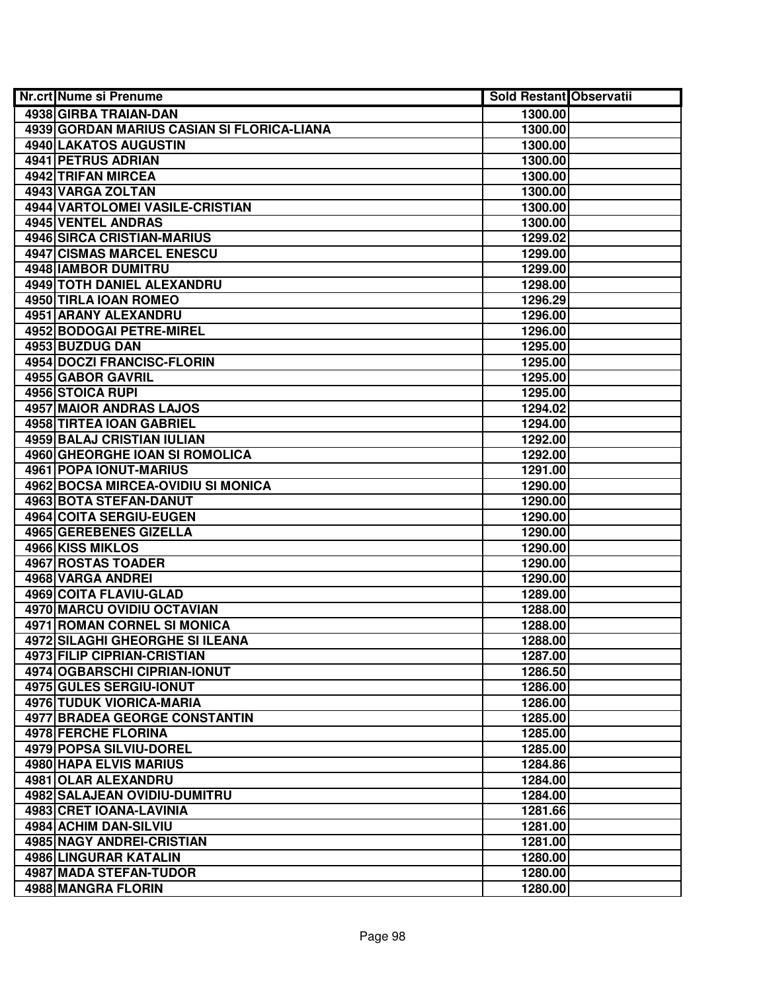| <b>Nr.crt Nume si Prenume</b>              | <b>Sold Restant Observatii</b> |  |
|--------------------------------------------|--------------------------------|--|
| 4938 GIRBA TRAIAN-DAN                      | 1300.00                        |  |
| 4939 GORDAN MARIUS CASIAN SI FLORICA-LIANA | 1300.00                        |  |
| 4940 LAKATOS AUGUSTIN                      | 1300.00                        |  |
| 4941 PETRUS ADRIAN                         | 1300.00                        |  |
| 4942 TRIFAN MIRCEA                         | 1300.00                        |  |
| 4943 VARGA ZOLTAN                          | 1300.00                        |  |
| 4944 VARTOLOMEI VASILE-CRISTIAN            | 1300.00                        |  |
| 4945 VENTEL ANDRAS                         | 1300.00                        |  |
| <b>4946 SIRCA CRISTIAN-MARIUS</b>          | 1299.02                        |  |
| <b>4947 CISMAS MARCEL ENESCU</b>           | 1299.00                        |  |
| <b>4948 IAMBOR DUMITRU</b>                 | 1299.00                        |  |
| 4949 TOTH DANIEL ALEXANDRU                 | 1298.00                        |  |
| 4950 TIRLA IOAN ROMEO                      | 1296.29                        |  |
| 4951 ARANY ALEXANDRU                       | 1296.00                        |  |
| 4952 BODOGAI PETRE-MIREL                   | 1296.00                        |  |
| 4953 BUZDUG DAN                            | 1295.00                        |  |
| <b>4954 DOCZI FRANCISC-FLORIN</b>          | 1295.00                        |  |
| 4955 GABOR GAVRIL                          | 1295.00                        |  |
| 4956 STOICA RUPI                           | 1295.00                        |  |
| <b>4957 MAIOR ANDRAS LAJOS</b>             | 1294.02                        |  |
| 4958 TIRTEA IOAN GABRIEL                   | 1294.00                        |  |
| 4959 BALAJ CRISTIAN IULIAN                 | 1292.00                        |  |
| 4960 GHEORGHE IOAN SI ROMOLICA             | 1292.00                        |  |
| 4961 POPA IONUT-MARIUS                     | 1291.00                        |  |
| 4962 BOCSA MIRCEA-OVIDIU SI MONICA         | 1290.00                        |  |
| 4963 BOTA STEFAN-DANUT                     | 1290.00                        |  |
| 4964 COITA SERGIU-EUGEN                    | 1290.00                        |  |
| 4965 GEREBENES GIZELLA                     | 1290.00                        |  |
| 4966 KISS MIKLOS                           | 1290.00                        |  |
| 4967 ROSTAS TOADER                         | 1290.00                        |  |
| 4968 VARGA ANDREI                          | 1290.00                        |  |
| 4969 COITA FLAVIU-GLAD                     | 1289.00                        |  |
| 4970 MARCU OVIDIU OCTAVIAN                 | 1288.00                        |  |
| 4971 ROMAN CORNEL SI MONICA                | 1288.00                        |  |
| <b>4972 SILAGHI GHEORGHE SI ILEANA</b>     | 1288.00                        |  |
| <b>4973 FILIP CIPRIAN-CRISTIAN</b>         | 1287.00                        |  |
| 4974 OGBARSCHI CIPRIAN-IONUT               | 1286.50                        |  |
| 4975 GULES SERGIU-IONUT                    | 1286.00                        |  |
| 4976 TUDUK VIORICA-MARIA                   | 1286.00                        |  |
| <b>4977 BRADEA GEORGE CONSTANTIN</b>       | 1285.00                        |  |
| 4978 FERCHE FLORINA                        | 1285.00                        |  |
| 4979 POPSA SILVIU-DOREL                    | 1285.00                        |  |
| 4980 HAPA ELVIS MARIUS                     | 1284.86                        |  |
| 4981 OLAR ALEXANDRU                        | 1284.00                        |  |
| 4982 SALAJEAN OVIDIU-DUMITRU               | 1284.00                        |  |
| 4983 CRET IOANA-LAVINIA                    | 1281.66                        |  |
| 4984 ACHIM DAN-SILVIU                      | 1281.00                        |  |
| 4985 NAGY ANDREI-CRISTIAN                  | 1281.00                        |  |
| 4986 LINGURAR KATALIN                      | 1280.00                        |  |
| 4987 MADA STEFAN-TUDOR                     | 1280.00                        |  |
| 4988 MANGRA FLORIN                         | 1280.00                        |  |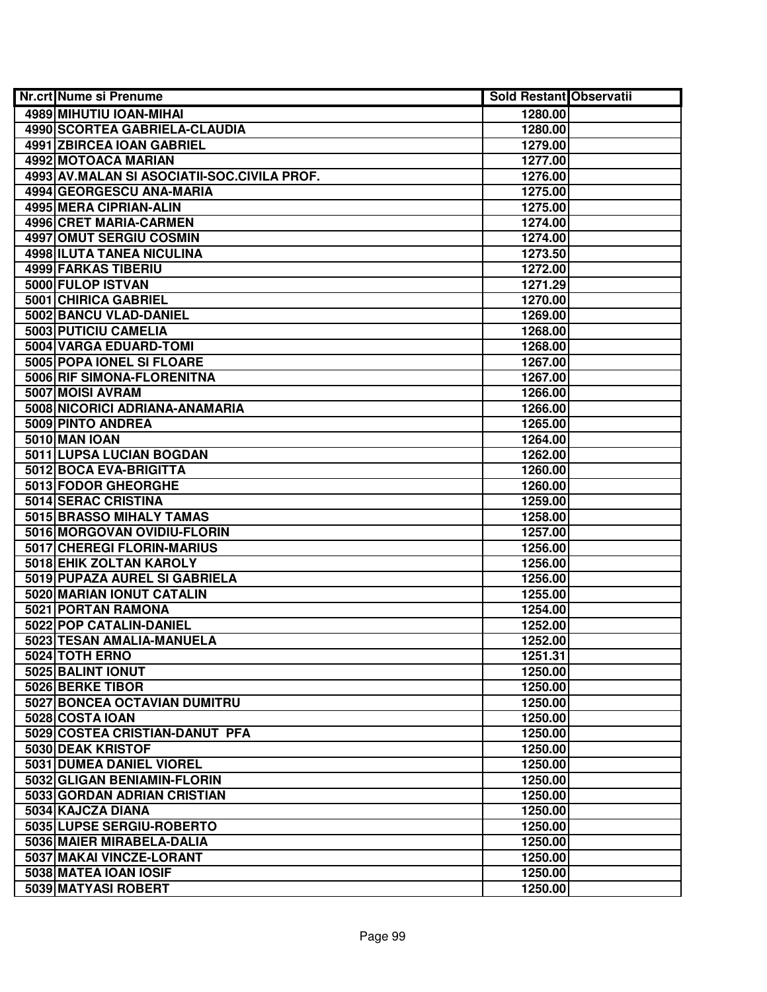| <b>Nr.crt Nume si Prenume</b>               | <b>Sold Restant Observatii</b> |  |
|---------------------------------------------|--------------------------------|--|
| 4989 MIHUTIU IOAN-MIHAI                     | 1280.00                        |  |
| 4990 SCORTEA GABRIELA-CLAUDIA               | 1280.00                        |  |
| 4991 ZBIRCEA IOAN GABRIEL                   | 1279.00                        |  |
| 4992 MOTOACA MARIAN                         | 1277.00                        |  |
| 4993 AV.MALAN SI ASOCIATII-SOC.CIVILA PROF. | 1276.00                        |  |
| 4994 GEORGESCU ANA-MARIA                    | 1275.00                        |  |
| 4995 MERA CIPRIAN-ALIN                      | 1275.00                        |  |
| 4996 CRET MARIA-CARMEN                      | 1274.00                        |  |
| <b>4997 OMUT SERGIU COSMIN</b>              | 1274.00                        |  |
| 4998 ILUTA TANEA NICULINA                   | 1273.50                        |  |
| <b>4999 FARKAS TIBERIU</b>                  | 1272.00                        |  |
| 5000 FULOP ISTVAN                           | 1271.29                        |  |
| 5001 CHIRICA GABRIEL                        | 1270.00                        |  |
| 5002 BANCU VLAD-DANIEL                      | 1269.00                        |  |
| 5003 PUTICIU CAMELIA                        | 1268.00                        |  |
| 5004 VARGA EDUARD-TOMI                      | 1268.00                        |  |
| 5005 POPA IONEL SI FLOARE                   | 1267.00                        |  |
| 5006 RIF SIMONA-FLORENITNA                  | 1267.00                        |  |
| 5007 MOISI AVRAM                            | 1266.00                        |  |
| 5008 NICORICI ADRIANA-ANAMARIA              | 1266.00                        |  |
| 5009 PINTO ANDREA                           | 1265.00                        |  |
| 5010 MAN IOAN                               | 1264.00                        |  |
| 5011 LUPSA LUCIAN BOGDAN                    | 1262.00                        |  |
| 5012 BOCA EVA-BRIGITTA                      | 1260.00                        |  |
| 5013 FODOR GHEORGHE                         | 1260.00                        |  |
| 5014 SERAC CRISTINA                         | 1259.00                        |  |
| 5015 BRASSO MIHALY TAMAS                    | 1258.00                        |  |
| 5016 MORGOVAN OVIDIU-FLORIN                 | 1257.00                        |  |
| 5017 CHEREGI FLORIN-MARIUS                  | 1256.00                        |  |
| 5018 EHIK ZOLTAN KAROLY                     | 1256.00                        |  |
| 5019 PUPAZA AUREL SI GABRIELA               | 1256.00                        |  |
| 5020 MARIAN IONUT CATALIN                   | 1255.00                        |  |
| 5021 PORTAN RAMONA                          | 1254.00                        |  |
| 5022 POP CATALIN-DANIEL                     | 1252.00                        |  |
| 5023 TESAN AMALIA-MANUELA                   | 1252.00                        |  |
| 5024 TOTH ERNO                              | 1251.31                        |  |
| 5025 BALINT IONUT                           | 1250.00                        |  |
| 5026 BERKE TIBOR                            | 1250.00                        |  |
| 5027 BONCEA OCTAVIAN DUMITRU                | 1250.00                        |  |
| 5028 COSTA IOAN                             | 1250.00                        |  |
| 5029 COSTEA CRISTIAN-DANUT PFA              | 1250.00                        |  |
| 5030 DEAK KRISTOF                           | 1250.00                        |  |
| 5031 DUMEA DANIEL VIOREL                    | 1250.00                        |  |
| 5032 GLIGAN BENIAMIN-FLORIN                 | 1250.00                        |  |
| 5033 GORDAN ADRIAN CRISTIAN                 | 1250.00                        |  |
| 5034 KAJCZA DIANA                           | 1250.00                        |  |
| 5035 LUPSE SERGIU-ROBERTO                   | 1250.00                        |  |
| 5036 MAIER MIRABELA-DALIA                   | 1250.00                        |  |
| 5037 MAKAI VINCZE-LORANT                    | 1250.00                        |  |
| 5038 MATEA IOAN IOSIF                       | 1250.00                        |  |
| 5039 MATYASI ROBERT                         | 1250.00                        |  |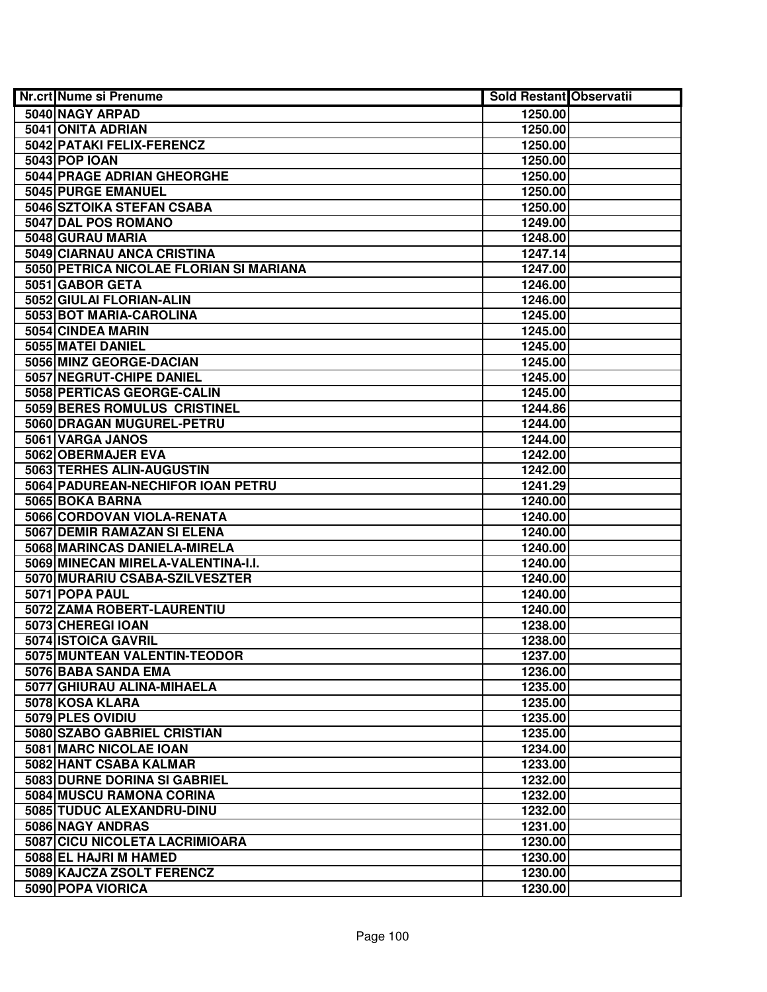| <b>Nr.crt Nume si Prenume</b>           | <b>Sold Restant Observatii</b> |  |
|-----------------------------------------|--------------------------------|--|
| 5040 NAGY ARPAD                         | 1250.00                        |  |
| 5041 ONITA ADRIAN                       | 1250.00                        |  |
| 5042 PATAKI FELIX-FERENCZ               | 1250.00                        |  |
| <b>5043 POP IOAN</b>                    | 1250.00                        |  |
| 5044 PRAGE ADRIAN GHEORGHE              | 1250.00                        |  |
| 5045 PURGE EMANUEL                      | 1250.00                        |  |
| 5046 SZTOIKA STEFAN CSABA               | 1250.00                        |  |
| 5047 DAL POS ROMANO                     | 1249.00                        |  |
| 5048 GURAU MARIA                        | 1248.00                        |  |
| 5049 CIARNAU ANCA CRISTINA              | 1247.14                        |  |
| 5050 PETRICA NICOLAE FLORIAN SI MARIANA | 1247.00                        |  |
| 5051 GABOR GETA                         | 1246.00                        |  |
| 5052 GIULAI FLORIAN-ALIN                | 1246.00                        |  |
| 5053 BOT MARIA-CAROLINA                 | 1245.00                        |  |
| 5054 CINDEA MARIN                       | 1245.00                        |  |
| 5055 MATEI DANIEL                       | 1245.00                        |  |
| 5056 MINZ GEORGE-DACIAN                 | 1245.00                        |  |
| 5057 NEGRUT-CHIPE DANIEL                | 1245.00                        |  |
| 5058 PERTICAS GEORGE-CALIN              | 1245.00                        |  |
| 5059 BERES ROMULUS CRISTINEL            | 1244.86                        |  |
| 5060 DRAGAN MUGUREL-PETRU               | 1244.00                        |  |
| 5061 VARGA JANOS                        | 1244.00                        |  |
| 5062 OBERMAJER EVA                      | 1242.00                        |  |
| 5063 TERHES ALIN-AUGUSTIN               | 1242.00                        |  |
| 5064 PADUREAN-NECHIFOR IOAN PETRU       | 1241.29                        |  |
| 5065 BOKA BARNA                         | 1240.00                        |  |
| 5066 CORDOVAN VIOLA-RENATA              | 1240.00                        |  |
| 5067 DEMIR RAMAZAN SI ELENA             | 1240.00                        |  |
| 5068 MARINCAS DANIELA-MIRELA            | 1240.00                        |  |
| 5069 MINECAN MIRELA-VALENTINA-I.I.      | 1240.00                        |  |
| 5070 MURARIU CSABA-SZILVESZTER          | 1240.00                        |  |
| 5071 POPA PAUL                          | 1240.00                        |  |
| 5072 ZAMA ROBERT-LAURENTIU              | 1240.00                        |  |
| 5073 CHEREGI IOAN                       | 1238.00                        |  |
| 5074 ISTOICA GAVRIL                     | 1238.00                        |  |
| 5075 MUNTEAN VALENTIN-TEODOR            | 1237.00                        |  |
| 5076 BABA SANDA EMA                     | 1236.00                        |  |
| 5077 GHIURAU ALINA-MIHAELA              | 1235.00                        |  |
| 5078 KOSA KLARA                         | 1235.00                        |  |
| 5079 PLES OVIDIU                        | 1235.00                        |  |
| 5080 SZABO GABRIEL CRISTIAN             | 1235.00                        |  |
| 5081 MARC NICOLAE IOAN                  | 1234.00                        |  |
| 5082 HANT CSABA KALMAR                  | 1233.00                        |  |
| 5083 DURNE DORINA SI GABRIEL            | 1232.00                        |  |
| 5084 MUSCU RAMONA CORINA                | 1232.00                        |  |
| 5085 TUDUC ALEXANDRU-DINU               | 1232.00                        |  |
| 5086 NAGY ANDRAS                        | 1231.00                        |  |
| 5087 CICU NICOLETA LACRIMIOARA          | 1230.00                        |  |
| 5088 EL HAJRI M HAMED                   | 1230.00                        |  |
| 5089 KAJCZA ZSOLT FERENCZ               | 1230.00                        |  |
| 5090 POPA VIORICA                       | 1230.00                        |  |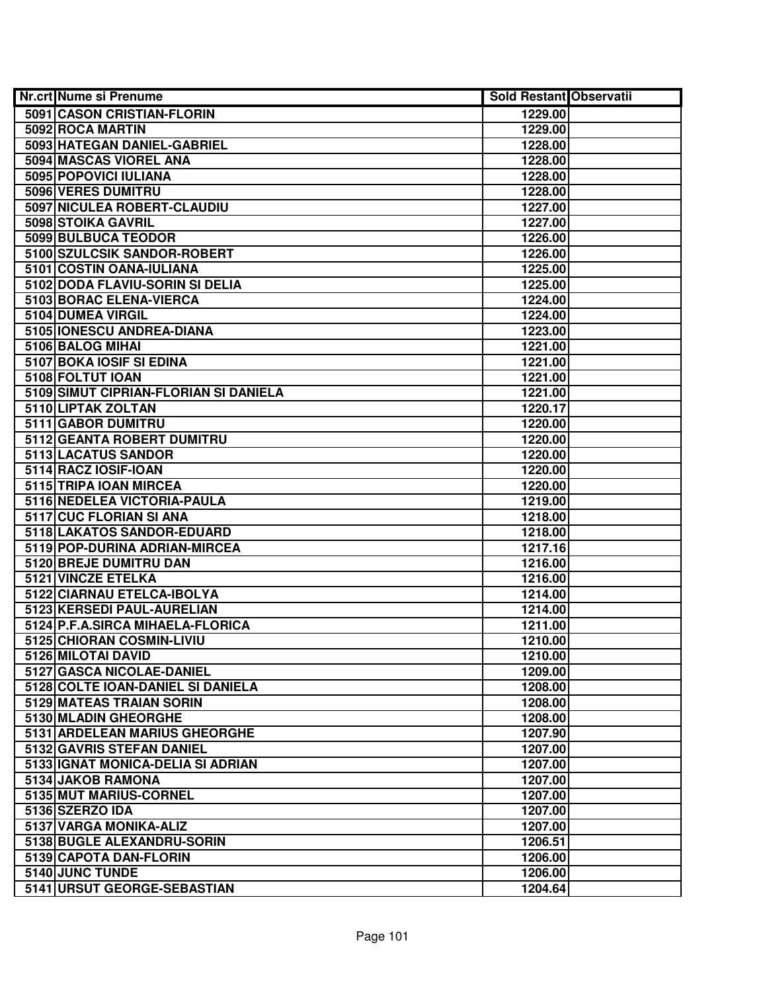| <b>Nr.crt Nume si Prenume</b>         | <b>Sold Restant Observatii</b> |  |
|---------------------------------------|--------------------------------|--|
| 5091 CASON CRISTIAN-FLORIN            | 1229.00                        |  |
| 5092 ROCA MARTIN                      | 1229.00                        |  |
| 5093 HATEGAN DANIEL-GABRIEL           | 1228.00                        |  |
| 5094 MASCAS VIOREL ANA                | 1228.00                        |  |
| 5095 POPOVICI IULIANA                 | 1228.00                        |  |
| 5096 VERES DUMITRU                    | 1228.00                        |  |
| 5097 NICULEA ROBERT-CLAUDIU           | 1227.00                        |  |
| 5098 STOIKA GAVRIL                    | 1227.00                        |  |
| 5099 BULBUCA TEODOR                   | 1226.00                        |  |
| 5100 SZULCSIK SANDOR-ROBERT           | 1226.00                        |  |
| 5101 COSTIN OANA-IULIANA              | 1225.00                        |  |
| 5102 DODA FLAVIU-SORIN SI DELIA       | 1225.00                        |  |
| 5103 BORAC ELENA-VIERCA               | 1224.00                        |  |
| 5104 DUMEA VIRGIL                     | 1224.00                        |  |
| 5105 IONESCU ANDREA-DIANA             | 1223.00                        |  |
| 5106 BALOG MIHAI                      | 1221.00                        |  |
| 5107 BOKA IOSIF SI EDINA              | 1221.00                        |  |
| 5108 FOLTUT IOAN                      | 1221.00                        |  |
| 5109 SIMUT CIPRIAN-FLORIAN SI DANIELA | 1221.00                        |  |
| 5110 LIPTAK ZOLTAN                    | 1220.17                        |  |
| 5111 GABOR DUMITRU                    | 1220.00                        |  |
| 5112 GEANTA ROBERT DUMITRU            | 1220.00                        |  |
| 5113 LACATUS SANDOR                   | 1220.00                        |  |
| 5114 RACZ IOSIF-IOAN                  | 1220.00                        |  |
| 5115 TRIPA IOAN MIRCEA                | 1220.00                        |  |
| 5116 NEDELEA VICTORIA-PAULA           | 1219.00                        |  |
| 5117 CUC FLORIAN SI ANA               | 1218.00                        |  |
| 5118 LAKATOS SANDOR-EDUARD            | 1218.00                        |  |
| 5119 POP-DURINA ADRIAN-MIRCEA         | 1217.16                        |  |
| 5120 BREJE DUMITRU DAN                | 1216.00                        |  |
| 5121 VINCZE ETELKA                    | 1216.00                        |  |
| 5122 CIARNAU ETELCA-IBOLYA            | 1214.00                        |  |
| 5123 KERSEDI PAUL-AURELIAN            | 1214.00                        |  |
| 5124 P.F.A.SIRCA MIHAELA-FLORICA      | 1211.00                        |  |
| 5125 CHIORAN COSMIN-LIVIU             | 1210.00                        |  |
| 5126 MILOTAI DAVID                    | 1210.00                        |  |
| 5127 GASCA NICOLAE-DANIEL             | 1209.00                        |  |
| 5128 COLTE IOAN-DANIEL SI DANIELA     | 1208.00                        |  |
| 5129 MATEAS TRAIAN SORIN              | 1208.00                        |  |
| 5130 MLADIN GHEORGHE                  | 1208.00                        |  |
| 5131 ARDELEAN MARIUS GHEORGHE         | 1207.90                        |  |
| 5132 GAVRIS STEFAN DANIEL             | 1207.00                        |  |
| 5133 IGNAT MONICA-DELIA SI ADRIAN     | 1207.00                        |  |
| 5134 JAKOB RAMONA                     | 1207.00                        |  |
| 5135 MUT MARIUS-CORNEL                | 1207.00                        |  |
| 5136 SZERZO IDA                       | 1207.00                        |  |
| 5137 VARGA MONIKA-ALIZ                | 1207.00                        |  |
| 5138 BUGLE ALEXANDRU-SORIN            | 1206.51                        |  |
| 5139 CAPOTA DAN-FLORIN                | 1206.00                        |  |
| 5140 JUNC TUNDE                       | 1206.00                        |  |
| 5141 URSUT GEORGE-SEBASTIAN           | 1204.64                        |  |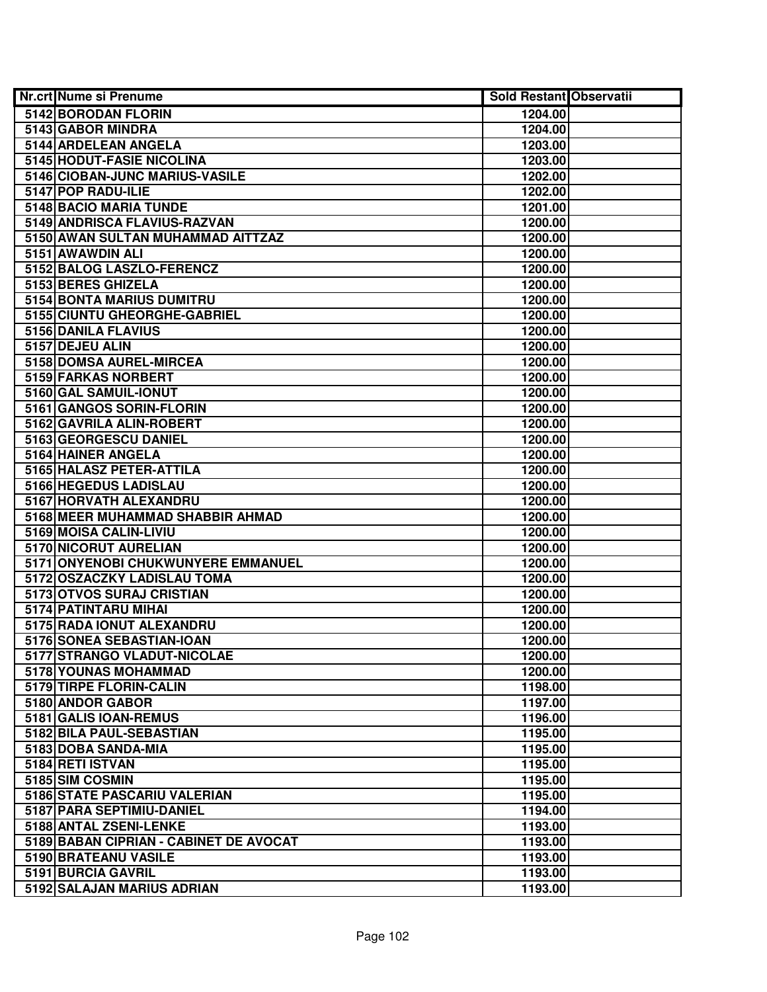| <b>Nr.crt Nume si Prenume</b>          | <b>Sold Restant Observatii</b> |  |
|----------------------------------------|--------------------------------|--|
| 5142 BORODAN FLORIN                    | 1204.00                        |  |
| 5143 GABOR MINDRA                      | 1204.00                        |  |
| 5144 ARDELEAN ANGELA                   | 1203.00                        |  |
| 5145 HODUT-FASIE NICOLINA              | 1203.00                        |  |
| 5146 CIOBAN-JUNC MARIUS-VASILE         | 1202.00                        |  |
| 5147 POP RADU-ILIE                     | 1202.00                        |  |
| 5148 BACIO MARIA TUNDE                 | 1201.00                        |  |
| 5149 ANDRISCA FLAVIUS-RAZVAN           | 1200.00                        |  |
| 5150 AWAN SULTAN MUHAMMAD AITTZAZ      | 1200.00                        |  |
| 5151 AWAWDIN ALI                       | 1200.00                        |  |
| 5152 BALOG LASZLO-FERENCZ              | 1200.00                        |  |
| 5153 BERES GHIZELA                     | 1200.00                        |  |
| <b>5154 BONTA MARIUS DUMITRU</b>       | 1200.00                        |  |
| 5155 CIUNTU GHEORGHE-GABRIEL           | 1200.00                        |  |
| 5156 DANILA FLAVIUS                    | 1200.00                        |  |
| 5157 DEJEU ALIN                        | 1200.00                        |  |
| 5158 DOMSA AUREL-MIRCEA                | 1200.00                        |  |
| 5159 FARKAS NORBERT                    | 1200.00                        |  |
| 5160 GAL SAMUIL-IONUT                  | 1200.00                        |  |
| 5161 GANGOS SORIN-FLORIN               | 1200.00                        |  |
| 5162 GAVRILA ALIN-ROBERT               | 1200.00                        |  |
| 5163 GEORGESCU DANIEL                  | 1200.00                        |  |
| 5164 HAINER ANGELA                     | 1200.00                        |  |
| 5165 HALASZ PETER-ATTILA               | 1200.00                        |  |
| 5166 HEGEDUS LADISLAU                  | 1200.00                        |  |
| 5167 HORVATH ALEXANDRU                 | 1200.00                        |  |
| 5168 MEER MUHAMMAD SHABBIR AHMAD       | 1200.00                        |  |
| 5169 MOISA CALIN-LIVIU                 | 1200.00                        |  |
| 5170 NICORUT AURELIAN                  | 1200.00                        |  |
| 5171 ONYENOBI CHUKWUNYERE EMMANUEL     | 1200.00                        |  |
| 5172 OSZACZKY LADISLAU TOMA            | 1200.00                        |  |
| 5173 OTVOS SURAJ CRISTIAN              | 1200.00                        |  |
| 5174 PATINTARU MIHAI                   | 1200.00                        |  |
| 5175 RADA IONUT ALEXANDRU              | 1200.00                        |  |
| 5176 SONEA SEBASTIAN-IOAN              | 1200.00                        |  |
| 5177 STRANGO VLADUT-NICOLAE            | 1200.00                        |  |
| 5178 YOUNAS MOHAMMAD                   | 1200.00                        |  |
| 5179 TIRPE FLORIN-CALIN                | 1198.00                        |  |
| 5180 ANDOR GABOR                       | 1197.00                        |  |
| 5181 GALIS IOAN-REMUS                  | 1196.00                        |  |
| 5182 BILA PAUL-SEBASTIAN               | 1195.00                        |  |
| 5183 DOBA SANDA-MIA                    | 1195.00                        |  |
| 5184 RETI ISTVAN                       | 1195.00                        |  |
| 5185 SIM COSMIN                        | 1195.00                        |  |
| 5186 STATE PASCARIU VALERIAN           | 1195.00                        |  |
| 5187 PARA SEPTIMIU-DANIEL              | 1194.00                        |  |
| 5188 ANTAL ZSENI-LENKE                 | 1193.00                        |  |
| 5189 BABAN CIPRIAN - CABINET DE AVOCAT | 1193.00                        |  |
| 5190 BRATEANU VASILE                   | 1193.00                        |  |
| 5191 BURCIA GAVRIL                     | 1193.00                        |  |
| 5192 SALAJAN MARIUS ADRIAN             | 1193.00                        |  |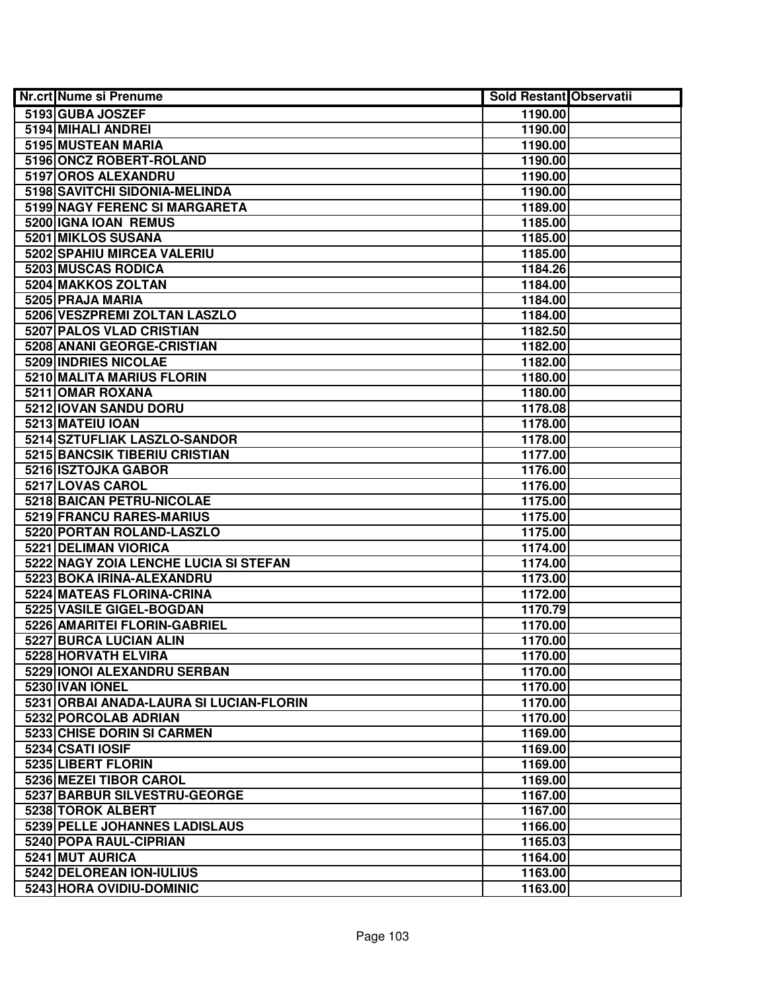| <b>Nr.crt Nume si Prenume</b>           | <b>Sold Restant Observatii</b> |  |
|-----------------------------------------|--------------------------------|--|
| 5193 GUBA JOSZEF                        | 1190.00                        |  |
| 5194 MIHALI ANDREI                      | 1190.00                        |  |
| 5195 MUSTEAN MARIA                      | 1190.00                        |  |
| 5196 ONCZ ROBERT-ROLAND                 | 1190.00                        |  |
| 5197 OROS ALEXANDRU                     | 1190.00                        |  |
| 5198 SAVITCHI SIDONIA-MELINDA           | 1190.00                        |  |
| 5199 NAGY FERENC SI MARGARETA           | 1189.00                        |  |
| 5200 IGNA IOAN REMUS                    | 1185.00                        |  |
| 5201 MIKLOS SUSANA                      | 1185.00                        |  |
| 5202 SPAHIU MIRCEA VALERIU              | 1185.00                        |  |
| 5203 MUSCAS RODICA                      | 1184.26                        |  |
| 5204 MAKKOS ZOLTAN                      | 1184.00                        |  |
| 5205 PRAJA MARIA                        | 1184.00                        |  |
| 5206 VESZPREMI ZOLTAN LASZLO            | 1184.00                        |  |
| 5207 PALOS VLAD CRISTIAN                | 1182.50                        |  |
| 5208 ANANI GEORGE-CRISTIAN              | 1182.00                        |  |
| 5209 INDRIES NICOLAE                    | 1182.00                        |  |
| 5210 MALITA MARIUS FLORIN               | 1180.00                        |  |
| 5211 OMAR ROXANA                        | 1180.00                        |  |
| 5212 IOVAN SANDU DORU                   | 1178.08                        |  |
| 5213 MATEIU IOAN                        | 1178.00                        |  |
| 5214 SZTUFLIAK LASZLO-SANDOR            | 1178.00                        |  |
| 5215 BANCSIK TIBERIU CRISTIAN           | 1177.00                        |  |
| 5216 ISZTOJKA GABOR                     | 1176.00                        |  |
| 5217 LOVAS CAROL                        | 1176.00                        |  |
| 5218 BAICAN PETRU-NICOLAE               | 1175.00                        |  |
| 5219 FRANCU RARES-MARIUS                | 1175.00                        |  |
| 5220 PORTAN ROLAND-LASZLO               | 1175.00                        |  |
| 5221 DELIMAN VIORICA                    | 1174.00                        |  |
| 5222 NAGY ZOIA LENCHE LUCIA SI STEFAN   | 1174.00                        |  |
| 5223 BOKA IRINA-ALEXANDRU               | 1173.00                        |  |
| 5224 MATEAS FLORINA-CRINA               | 1172.00                        |  |
| 5225 VASILE GIGEL-BOGDAN                | 1170.79                        |  |
| 5226 AMARITEI FLORIN-GABRIEL            | 1170.00                        |  |
| 5227 BURCA LUCIAN ALIN                  | 1170.00                        |  |
| 5228 HORVATH ELVIRA                     | 1170.00                        |  |
| 5229 IONOI ALEXANDRU SERBAN             | 1170.00                        |  |
| 5230 IVAN IONEL                         | 1170.00                        |  |
| 5231 ORBAI ANADA-LAURA SI LUCIAN-FLORIN | 1170.00                        |  |
| 5232 PORCOLAB ADRIAN                    | 1170.00                        |  |
| 5233 CHISE DORIN SI CARMEN              | 1169.00                        |  |
| 5234 CSATI IOSIF                        | 1169.00                        |  |
| 5235 LIBERT FLORIN                      | 1169.00                        |  |
| 5236 MEZEI TIBOR CAROL                  | 1169.00                        |  |
| 5237 BARBUR SILVESTRU-GEORGE            | 1167.00                        |  |
| 5238 TOROK ALBERT                       | 1167.00                        |  |
| 5239 PELLE JOHANNES LADISLAUS           | 1166.00                        |  |
| 5240 POPA RAUL-CIPRIAN                  | 1165.03                        |  |
| 5241 MUT AURICA                         | 1164.00                        |  |
| 5242 DELOREAN ION-IULIUS                | 1163.00                        |  |
| 5243 HORA OVIDIU-DOMINIC                | 1163.00                        |  |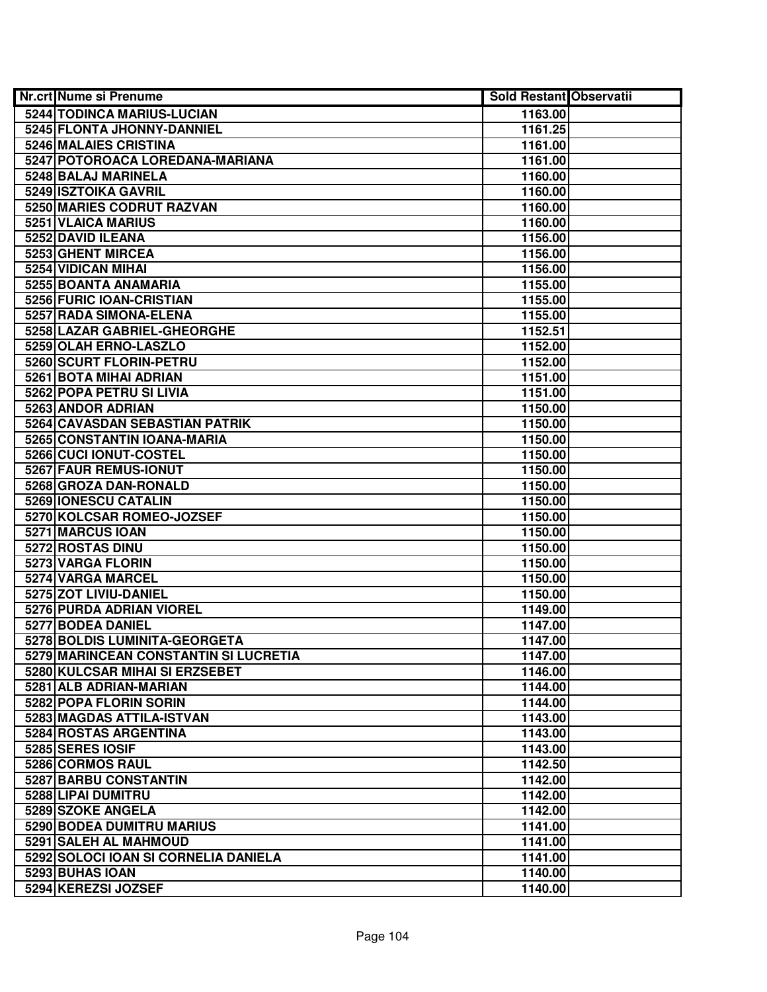| <b>Nr.crt Nume si Prenume</b>         | <b>Sold Restant Observatii</b> |  |
|---------------------------------------|--------------------------------|--|
| <b>5244 TODINCA MARIUS-LUCIAN</b>     | 1163.00                        |  |
| 5245 FLONTA JHONNY-DANNIEL            | 1161.25                        |  |
| 5246 MALAIES CRISTINA                 | 1161.00                        |  |
| 5247 POTOROACA LOREDANA-MARIANA       | 1161.00                        |  |
| 5248 BALAJ MARINELA                   | 1160.00                        |  |
| 5249 ISZTOIKA GAVRIL                  | 1160.00                        |  |
| 5250 MARIES CODRUT RAZVAN             | 1160.00                        |  |
| 5251 VLAICA MARIUS                    | 1160.00                        |  |
| 5252 DAVID ILEANA                     | 1156.00                        |  |
| 5253 GHENT MIRCEA                     | 1156.00                        |  |
| 5254 VIDICAN MIHAI                    | 1156.00                        |  |
| 5255 BOANTA ANAMARIA                  | 1155.00                        |  |
| 5256 FURIC IOAN-CRISTIAN              | 1155.00                        |  |
| 5257 RADA SIMONA-ELENA                | 1155.00                        |  |
| 5258 LAZAR GABRIEL-GHEORGHE           | 1152.51                        |  |
| 5259 OLAH ERNO-LASZLO                 | 1152.00                        |  |
| 5260 SCURT FLORIN-PETRU               | 1152.00                        |  |
| 5261 BOTA MIHAI ADRIAN                | 1151.00                        |  |
| 5262 POPA PETRU SI LIVIA              | 1151.00                        |  |
| 5263 ANDOR ADRIAN                     | 1150.00                        |  |
| 5264 CAVASDAN SEBASTIAN PATRIK        | 1150.00                        |  |
| 5265 CONSTANTIN IOANA-MARIA           | 1150.00                        |  |
| 5266 CUCI IONUT-COSTEL                | 1150.00                        |  |
| 5267 FAUR REMUS-IONUT                 | 1150.00                        |  |
| 5268 GROZA DAN-RONALD                 | 1150.00                        |  |
| 5269 IONESCU CATALIN                  | 1150.00                        |  |
| 5270 KOLCSAR ROMEO-JOZSEF             | 1150.00                        |  |
| 5271 MARCUS IOAN                      | 1150.00                        |  |
| 5272 ROSTAS DINU                      | 1150.00                        |  |
| 5273 VARGA FLORIN                     | 1150.00                        |  |
| 5274 VARGA MARCEL                     | 1150.00                        |  |
| 5275 ZOT LIVIU-DANIEL                 | 1150.00                        |  |
| 5276 PURDA ADRIAN VIOREL              | 1149.00                        |  |
| 5277 BODEA DANIEL                     | 1147.00                        |  |
| 5278 BOLDIS LUMINITA-GEORGETA         | 1147.00                        |  |
| 5279 MARINCEAN CONSTANTIN SI LUCRETIA | 1147.00                        |  |
| 5280 KULCSAR MIHAI SI ERZSEBET        | 1146.00                        |  |
| 5281 ALB ADRIAN-MARIAN                | 1144.00                        |  |
| 5282 POPA FLORIN SORIN                | 1144.00                        |  |
| 5283 MAGDAS ATTILA-ISTVAN             | 1143.00                        |  |
| 5284 ROSTAS ARGENTINA                 | 1143.00                        |  |
| 5285 SERES IOSIF                      | 1143.00                        |  |
| 5286 CORMOS RAUL                      | 1142.50                        |  |
| 5287 BARBU CONSTANTIN                 | 1142.00                        |  |
| 5288 LIPAI DUMITRU                    | 1142.00                        |  |
| 5289 SZOKE ANGELA                     | 1142.00                        |  |
| 5290 BODEA DUMITRU MARIUS             | 1141.00                        |  |
| 5291 SALEH AL MAHMOUD                 | 1141.00                        |  |
| 5292 SOLOCI IOAN SI CORNELIA DANIELA  | 1141.00                        |  |
| 5293 BUHAS IOAN                       | 1140.00                        |  |
| 5294 KEREZSI JOZSEF                   | 1140.00                        |  |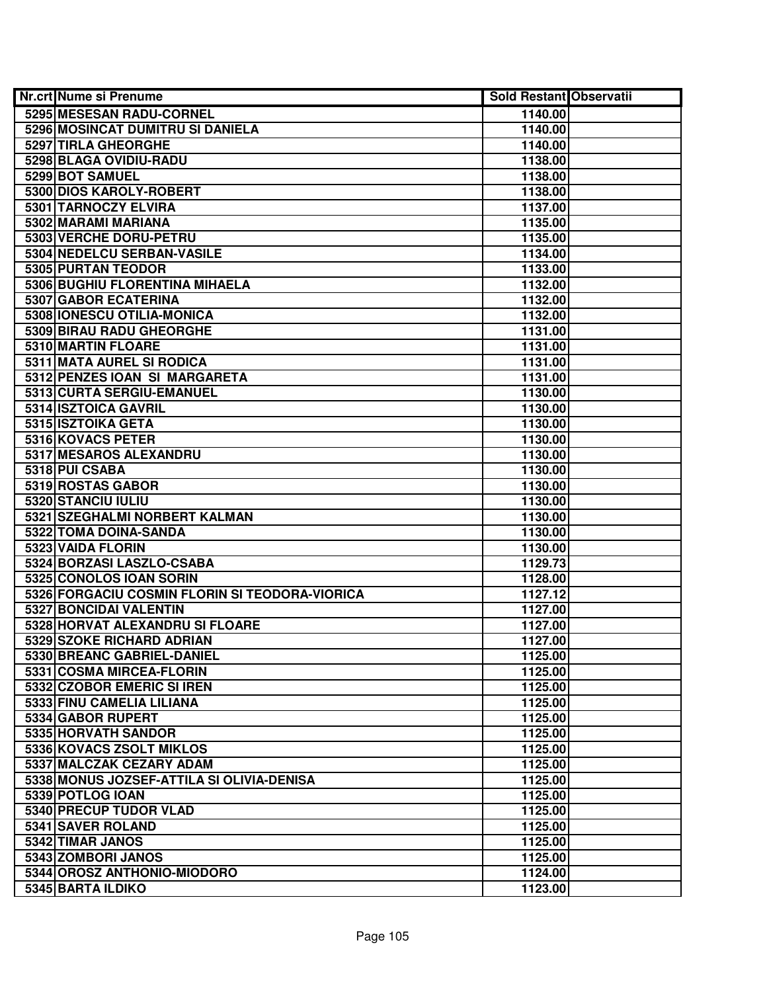| <b>Nr.crt Nume si Prenume</b>                  | <b>Sold Restant Observatii</b> |  |
|------------------------------------------------|--------------------------------|--|
| 5295 MESESAN RADU-CORNEL                       | 1140.00                        |  |
| 5296 MOSINCAT DUMITRU SI DANIELA               | 1140.00                        |  |
| 5297 TIRLA GHEORGHE                            | 1140.00                        |  |
| 5298 BLAGA OVIDIU-RADU                         | 1138.00                        |  |
| 5299 BOT SAMUEL                                | 1138.00                        |  |
| 5300 DIOS KAROLY-ROBERT                        | 1138.00                        |  |
| 5301 TARNOCZY ELVIRA                           | 1137.00                        |  |
| 5302 MARAMI MARIANA                            | 1135.00                        |  |
| 5303 VERCHE DORU-PETRU                         | 1135.00                        |  |
| 5304 NEDELCU SERBAN-VASILE                     | 1134.00                        |  |
| 5305 PURTAN TEODOR                             | 1133.00                        |  |
| 5306 BUGHIU FLORENTINA MIHAELA                 | 1132.00                        |  |
| 5307 GABOR ECATERINA                           | 1132.00                        |  |
| 5308 IONESCU OTILIA-MONICA                     | 1132.00                        |  |
| 5309 BIRAU RADU GHEORGHE                       | 1131.00                        |  |
| 5310 MARTIN FLOARE                             | 1131.00                        |  |
| 5311 MATA AUREL SI RODICA                      | 1131.00                        |  |
| 5312 PENZES IOAN SI MARGARETA                  | 1131.00                        |  |
| 5313 CURTA SERGIU-EMANUEL                      | 1130.00                        |  |
| 5314 ISZTOICA GAVRIL                           | 1130.00                        |  |
| 5315 ISZTOIKA GETA                             | 1130.00                        |  |
| 5316 KOVACS PETER                              | 1130.00                        |  |
| 5317 MESAROS ALEXANDRU                         | 1130.00                        |  |
| 5318 PUI CSABA                                 | 1130.00                        |  |
| 5319 ROSTAS GABOR                              | 1130.00                        |  |
| 5320 STANCIU IULIU                             | 1130.00                        |  |
| 5321 SZEGHALMI NORBERT KALMAN                  | 1130.00                        |  |
| 5322 TOMA DOINA-SANDA                          | 1130.00                        |  |
| 5323 VAIDA FLORIN                              | 1130.00                        |  |
| 5324 BORZASI LASZLO-CSABA                      | 1129.73                        |  |
| 5325 CONOLOS IOAN SORIN                        | 1128.00                        |  |
| 5326 FORGACIU COSMIN FLORIN SI TEODORA-VIORICA | 1127.12                        |  |
| 5327 BONCIDAI VALENTIN                         | 1127.00                        |  |
| 5328 HORVAT ALEXANDRU SI FLOARE                | 1127.00                        |  |
| 5329 SZOKE RICHARD ADRIAN                      | 1127.00                        |  |
| 5330 BREANC GABRIEL-DANIEL                     | 1125.00                        |  |
| 5331 COSMA MIRCEA-FLORIN                       | 1125.00                        |  |
| 5332 CZOBOR EMERIC SI IREN                     | 1125.00                        |  |
| 5333 FINU CAMELIA LILIANA                      | 1125.00                        |  |
| 5334 GABOR RUPERT                              | 1125.00                        |  |
| 5335 HORVATH SANDOR                            | 1125.00                        |  |
| 5336 KOVACS ZSOLT MIKLOS                       | 1125.00                        |  |
| 5337 MALCZAK CEZARY ADAM                       | 1125.00                        |  |
| 5338 MONUS JOZSEF-ATTILA SI OLIVIA-DENISA      | 1125.00                        |  |
| 5339 POTLOG IOAN                               | 1125.00                        |  |
| 5340 PRECUP TUDOR VLAD                         | 1125.00                        |  |
| 5341 SAVER ROLAND                              | 1125.00                        |  |
| 5342 TIMAR JANOS                               | 1125.00                        |  |
| 5343 ZOMBORI JANOS                             | 1125.00                        |  |
| 5344 OROSZ ANTHONIO-MIODORO                    | 1124.00                        |  |
| 5345 BARTA ILDIKO                              | 1123.00                        |  |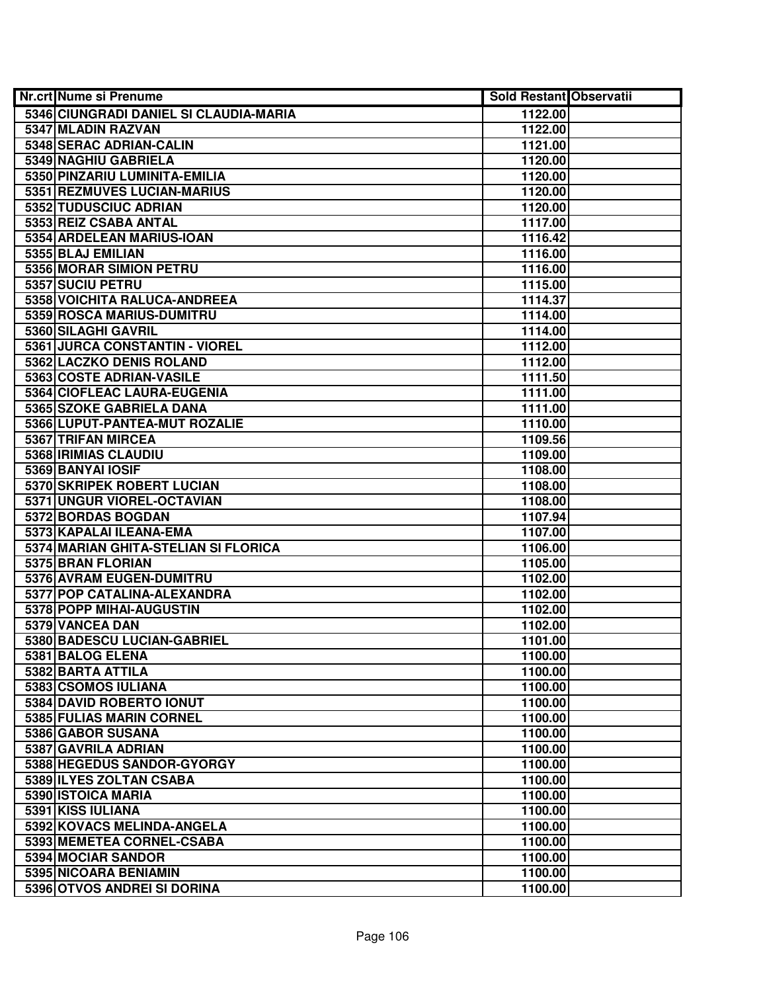| <b>Nr.crt Nume si Prenume</b>          | <b>Sold Restant Observatii</b> |  |
|----------------------------------------|--------------------------------|--|
| 5346 CIUNGRADI DANIEL SI CLAUDIA-MARIA | 1122.00                        |  |
| 5347 MLADIN RAZVAN                     | 1122.00                        |  |
| 5348 SERAC ADRIAN-CALIN                | 1121.00                        |  |
| 5349 NAGHIU GABRIELA                   | 1120.00                        |  |
| 5350 PINZARIU LUMINITA-EMILIA          | 1120.00                        |  |
| 5351 REZMUVES LUCIAN-MARIUS            | 1120.00                        |  |
| 5352 TUDUSCIUC ADRIAN                  | 1120.00                        |  |
| 5353 REIZ CSABA ANTAL                  | 1117.00                        |  |
| 5354 ARDELEAN MARIUS-IOAN              | 1116.42                        |  |
| 5355 BLAJ EMILIAN                      | 1116.00                        |  |
| 5356 MORAR SIMION PETRU                | 1116.00                        |  |
| 5357 SUCIU PETRU                       | 1115.00                        |  |
| 5358 VOICHITA RALUCA-ANDREEA           | 1114.37                        |  |
| 5359 ROSCA MARIUS-DUMITRU              | 1114.00                        |  |
| 5360 SILAGHI GAVRIL                    | 1114.00                        |  |
| 5361 JURCA CONSTANTIN - VIOREL         | 1112.00                        |  |
| 5362 LACZKO DENIS ROLAND               | 1112.00                        |  |
| 5363 COSTE ADRIAN-VASILE               | 1111.50                        |  |
| 5364 CIOFLEAC LAURA-EUGENIA            | 1111.00                        |  |
| 5365 SZOKE GABRIELA DANA               | 1111.00                        |  |
| 5366 LUPUT-PANTEA-MUT ROZALIE          | 1110.00                        |  |
| 5367 TRIFAN MIRCEA                     | 1109.56                        |  |
| 5368 <b>IRIMIAS CLAUDIU</b>            | 1109.00                        |  |
| 5369 BANYAI IOSIF                      | 1108.00                        |  |
| 5370 SKRIPEK ROBERT LUCIAN             | 1108.00                        |  |
| 5371 UNGUR VIOREL-OCTAVIAN             | 1108.00                        |  |
| 5372 BORDAS BOGDAN                     | 1107.94                        |  |
| 5373 KAPALAI ILEANA-EMA                | 1107.00                        |  |
| 5374 MARIAN GHITA-STELIAN SI FLORICA   | 1106.00                        |  |
| 5375 BRAN FLORIAN                      | 1105.00                        |  |
| 5376 AVRAM EUGEN-DUMITRU               | 1102.00                        |  |
| 5377 POP CATALINA-ALEXANDRA            | 1102.00                        |  |
| 5378 POPP MIHAI-AUGUSTIN               | 1102.00                        |  |
| 5379 VANCEA DAN                        | 1102.00                        |  |
| 5380 BADESCU LUCIAN-GABRIEL            | 1101.00                        |  |
| 5381 BALOG ELENA                       | 1100.00                        |  |
| 5382 BARTA ATTILA                      | 1100.00                        |  |
| 5383 CSOMOS IULIANA                    | 1100.00                        |  |
| 5384 DAVID ROBERTO IONUT               | 1100.00                        |  |
| 5385 FULIAS MARIN CORNEL               | 1100.00                        |  |
| 5386 GABOR SUSANA                      | 1100.00                        |  |
| 5387 GAVRILA ADRIAN                    | 1100.00                        |  |
| 5388 HEGEDUS SANDOR-GYORGY             | 1100.00                        |  |
| 5389 ILYES ZOLTAN CSABA                | 1100.00                        |  |
| 5390 ISTOICA MARIA                     | 1100.00                        |  |
| 5391 KISS IULIANA                      | 1100.00                        |  |
| 5392 KOVACS MELINDA-ANGELA             | 1100.00                        |  |
| 5393 MEMETEA CORNEL-CSABA              | 1100.00                        |  |
| 5394 MOCIAR SANDOR                     | 1100.00                        |  |
| 5395 NICOARA BENIAMIN                  | 1100.00                        |  |
| 5396 OTVOS ANDREI SI DORINA            | 1100.00                        |  |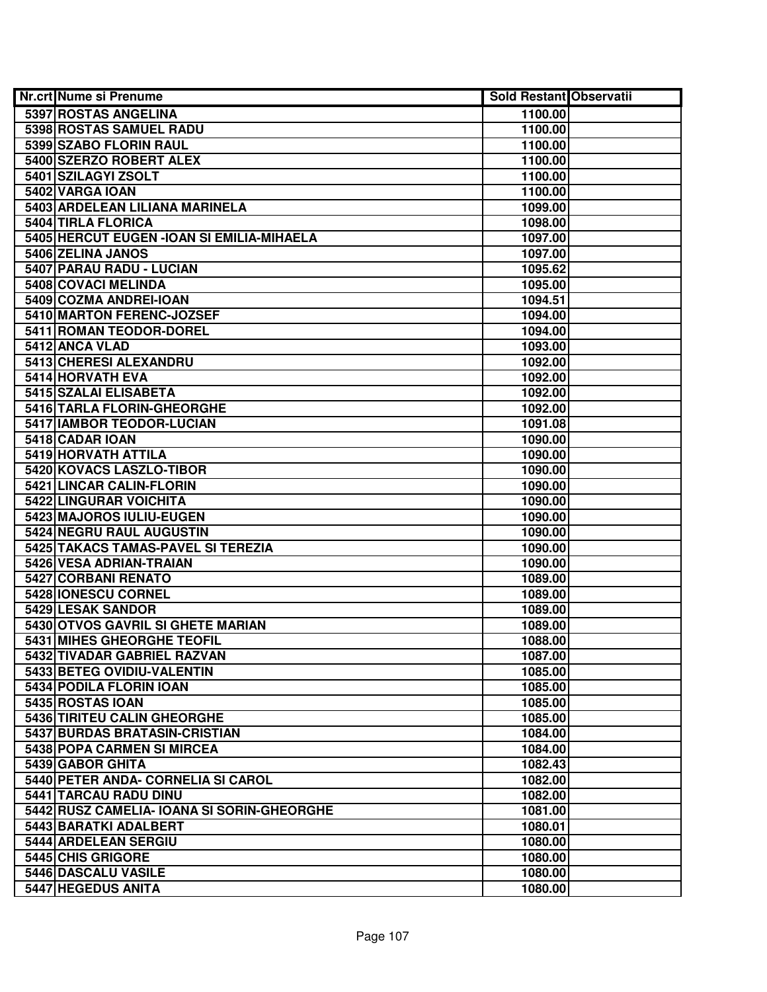| Nr.crt Nume si Prenume                     | Sold Restant Observatii |  |
|--------------------------------------------|-------------------------|--|
| 5397 ROSTAS ANGELINA                       | 1100.00                 |  |
| 5398 ROSTAS SAMUEL RADU                    | 1100.00                 |  |
| 5399 SZABO FLORIN RAUL                     | 1100.00                 |  |
| 5400 SZERZO ROBERT ALEX                    | 1100.00                 |  |
| 5401 SZILAGYI ZSOLT                        | 1100.00                 |  |
| 5402 VARGA IOAN                            | 1100.00                 |  |
| 5403 ARDELEAN LILIANA MARINELA             | 1099.00                 |  |
| 5404 TIRLA FLORICA                         | 1098.00                 |  |
| 5405 HERCUT EUGEN - IOAN SI EMILIA-MIHAELA | 1097.00                 |  |
| 5406 ZELINA JANOS                          | 1097.00                 |  |
| 5407 PARAU RADU - LUCIAN                   | 1095.62                 |  |
| 5408 COVACI MELINDA                        | 1095.00                 |  |
| 5409 COZMA ANDREI-IOAN                     | 1094.51                 |  |
| 5410 MARTON FERENC-JOZSEF                  | 1094.00                 |  |
| 5411 ROMAN TEODOR-DOREL                    | 1094.00                 |  |
| 5412 ANCA VLAD                             | 1093.00                 |  |
| 5413 CHERESI ALEXANDRU                     | 1092.00                 |  |
| 5414 HORVATH EVA                           | 1092.00                 |  |
| 5415 SZALAI ELISABETA                      | 1092.00                 |  |
| 5416 TARLA FLORIN-GHEORGHE                 | 1092.00                 |  |
| 5417 IAMBOR TEODOR-LUCIAN                  | 1091.08                 |  |
| 5418 CADAR IOAN                            | 1090.00                 |  |
| 5419 HORVATH ATTILA                        | 1090.00                 |  |
| 5420 KOVACS LASZLO-TIBOR                   | 1090.00                 |  |
| 5421 LINCAR CALIN-FLORIN                   | 1090.00                 |  |
| 5422 LINGURAR VOICHITA                     | 1090.00                 |  |
| 5423 MAJOROS IULIU-EUGEN                   | 1090.00                 |  |
| 5424 NEGRU RAUL AUGUSTIN                   | 1090.00                 |  |
| 5425 TAKACS TAMAS-PAVEL SI TEREZIA         | 1090.00                 |  |
| 5426 VESA ADRIAN-TRAIAN                    | 1090.00                 |  |
| 5427 CORBANI RENATO                        | 1089.00                 |  |
| 5428 IONESCU CORNEL                        | 1089.00                 |  |
| 5429 LESAK SANDOR                          | 1089.00                 |  |
| 5430 OTVOS GAVRIL SI GHETE MARIAN          | 1089.00                 |  |
| <b>5431 MIHES GHEORGHE TEOFIL</b>          | 1088.00                 |  |
| 5432 TIVADAR GABRIEL RAZVAN                | 1087.00                 |  |
| 5433 BETEG OVIDIU-VALENTIN                 | 1085.00                 |  |
| 5434 PODILA FLORIN IOAN                    | 1085.00                 |  |
| 5435 ROSTAS IOAN                           | 1085.00                 |  |
| 5436 TIRITEU CALIN GHEORGHE                | 1085.00                 |  |
| 5437 BURDAS BRATASIN-CRISTIAN              | 1084.00                 |  |
| 5438 POPA CARMEN SI MIRCEA                 | 1084.00                 |  |
| 5439 GABOR GHITA                           | 1082.43                 |  |
| 5440 PETER ANDA- CORNELIA SI CAROL         | 1082.00                 |  |
| 5441 TARCAU RADU DINU                      | 1082.00                 |  |
| 5442 RUSZ CAMELIA- IOANA SI SORIN-GHEORGHE | 1081.00                 |  |
| 5443 BARATKI ADALBERT                      | 1080.01                 |  |
| 5444 ARDELEAN SERGIU                       | 1080.00                 |  |
| 5445 CHIS GRIGORE                          | 1080.00                 |  |
| 5446 DASCALU VASILE                        | 1080.00                 |  |
| 5447 HEGEDUS ANITA                         | 1080.00                 |  |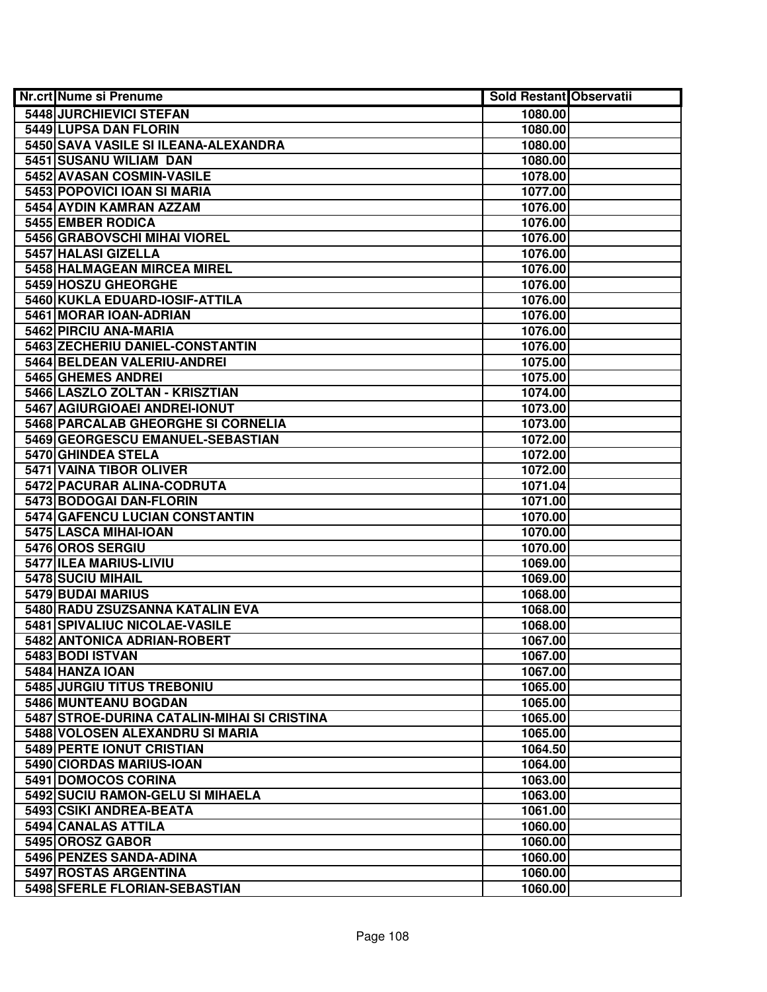| <b>Nr.crt Nume si Prenume</b>               | <b>Sold Restant Observatii</b> |  |
|---------------------------------------------|--------------------------------|--|
| 5448 JURCHIEVICI STEFAN                     | 1080.00                        |  |
| 5449 LUPSA DAN FLORIN                       | 1080.00                        |  |
| 5450 SAVA VASILE SI ILEANA-ALEXANDRA        | 1080.00                        |  |
| 5451 SUSANU WILIAM DAN                      | 1080.00                        |  |
| 5452 AVASAN COSMIN-VASILE                   | 1078.00                        |  |
| 5453 POPOVICI IOAN SI MARIA                 | 1077.00                        |  |
| 5454 AYDIN KAMRAN AZZAM                     | 1076.00                        |  |
| 5455 EMBER RODICA                           | 1076.00                        |  |
| 5456 GRABOVSCHI MIHAI VIOREL                | 1076.00                        |  |
| 5457 HALASI GIZELLA                         | 1076.00                        |  |
| 5458 HALMAGEAN MIRCEA MIREL                 | 1076.00                        |  |
| 5459 HOSZU GHEORGHE                         | 1076.00                        |  |
| 5460 KUKLA EDUARD-IOSIF-ATTILA              | 1076.00                        |  |
| 5461 MORAR IOAN-ADRIAN                      | 1076.00                        |  |
| 5462 PIRCIU ANA-MARIA                       | 1076.00                        |  |
| 5463 ZECHERIU DANIEL-CONSTANTIN             | 1076.00                        |  |
| 5464 BELDEAN VALERIU-ANDREI                 | 1075.00                        |  |
| 5465 GHEMES ANDREI                          | 1075.00                        |  |
| 5466 LASZLO ZOLTAN - KRISZTIAN              | 1074.00                        |  |
| 5467 AGIURGIOAEI ANDREI-IONUT               | 1073.00                        |  |
| 5468 PARCALAB GHEORGHE SI CORNELIA          | 1073.00                        |  |
| 5469 GEORGESCU EMANUEL-SEBASTIAN            | 1072.00                        |  |
| 5470 GHINDEA STELA                          | 1072.00                        |  |
| 5471 VAINA TIBOR OLIVER                     | 1072.00                        |  |
| 5472 PACURAR ALINA-CODRUTA                  | 1071.04                        |  |
| 5473 BODOGAI DAN-FLORIN                     | 1071.00                        |  |
| 5474 GAFENCU LUCIAN CONSTANTIN              | 1070.00                        |  |
| 5475 LASCA MIHAI-IOAN                       | 1070.00                        |  |
| 5476 OROS SERGIU                            | 1070.00                        |  |
| 5477 ILEA MARIUS-LIVIU                      | 1069.00                        |  |
| 5478 SUCIU MIHAIL                           | 1069.00                        |  |
| 5479 BUDAI MARIUS                           | 1068.00                        |  |
| 5480 RADU ZSUZSANNA KATALIN EVA             | 1068.00                        |  |
| 5481 SPIVALIUC NICOLAE-VASILE               | 1068.00                        |  |
| 5482 ANTONICA ADRIAN-ROBERT                 | 1067.00                        |  |
| 5483 BODI ISTVAN                            | 1067.00                        |  |
| 5484 HANZA IOAN                             | 1067.00                        |  |
| 5485 JURGIU TITUS TREBONIU                  | 1065.00                        |  |
| 5486 MUNTEANU BOGDAN                        | 1065.00                        |  |
| 5487 STROE-DURINA CATALIN-MIHAI SI CRISTINA | 1065.00                        |  |
| 5488 VOLOSEN ALEXANDRU SI MARIA             | 1065.00                        |  |
| 5489 PERTE IONUT CRISTIAN                   | 1064.50                        |  |
| 5490 CIORDAS MARIUS-IOAN                    | 1064.00                        |  |
| 5491 DOMOCOS CORINA                         | 1063.00                        |  |
| 5492 SUCIU RAMON-GELU SI MIHAELA            | 1063.00                        |  |
| 5493 CSIKI ANDREA-BEATA                     | 1061.00                        |  |
| 5494 CANALAS ATTILA                         | 1060.00                        |  |
| 5495 OROSZ GABOR                            | 1060.00                        |  |
| 5496 PENZES SANDA-ADINA                     | 1060.00                        |  |
| 5497 ROSTAS ARGENTINA                       | 1060.00                        |  |
| 5498 SFERLE FLORIAN-SEBASTIAN               | 1060.00                        |  |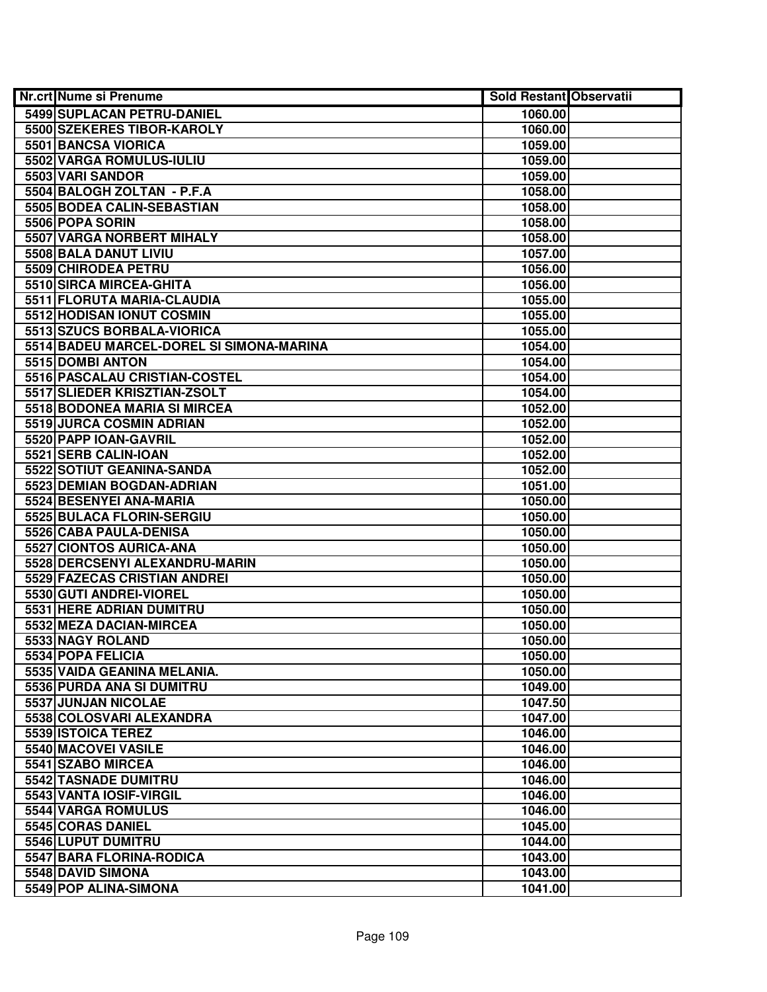| <b>Nr.crt Nume si Prenume</b>            | <b>Sold Restant Observatii</b> |  |
|------------------------------------------|--------------------------------|--|
| 5499 SUPLACAN PETRU-DANIEL               | 1060.00                        |  |
| 5500 SZEKERES TIBOR-KAROLY               | 1060.00                        |  |
| 5501 BANCSA VIORICA                      | 1059.00                        |  |
| 5502 VARGA ROMULUS-IULIU                 | 1059.00                        |  |
| 5503 VARI SANDOR                         | 1059.00                        |  |
| 5504 BALOGH ZOLTAN - P.F.A               | 1058.00                        |  |
| 5505 BODEA CALIN-SEBASTIAN               | 1058.00                        |  |
| 5506 POPA SORIN                          | 1058.00                        |  |
| <b>5507 VARGA NORBERT MIHALY</b>         | 1058.00                        |  |
| 5508 BALA DANUT LIVIU                    | 1057.00                        |  |
| 5509 CHIRODEA PETRU                      | 1056.00                        |  |
| 5510 SIRCA MIRCEA-GHITA                  | 1056.00                        |  |
| 5511 FLORUTA MARIA-CLAUDIA               | 1055.00                        |  |
| 5512 HODISAN IONUT COSMIN                | 1055.00                        |  |
| 5513 SZUCS BORBALA-VIORICA               | 1055.00                        |  |
| 5514 BADEU MARCEL-DOREL SI SIMONA-MARINA | 1054.00                        |  |
| 5515 DOMBI ANTON                         | 1054.00                        |  |
| 5516 PASCALAU CRISTIAN-COSTEL            | 1054.00                        |  |
| 5517 SLIEDER KRISZTIAN-ZSOLT             | 1054.00                        |  |
| 5518 BODONEA MARIA SI MIRCEA             | 1052.00                        |  |
| 5519 JURCA COSMIN ADRIAN                 | 1052.00                        |  |
| 5520 PAPP IOAN-GAVRIL                    | 1052.00                        |  |
| 5521 SERB CALIN-IOAN                     | 1052.00                        |  |
| 5522 SOTIUT GEANINA-SANDA                | 1052.00                        |  |
| 5523 DEMIAN BOGDAN-ADRIAN                | 1051.00                        |  |
| 5524 BESENYEI ANA-MARIA                  | 1050.00                        |  |
| 5525 BULACA FLORIN-SERGIU                | 1050.00                        |  |
| 5526 CABA PAULA-DENISA                   | 1050.00                        |  |
| 5527 CIONTOS AURICA-ANA                  | 1050.00                        |  |
| 5528 DERCSENYI ALEXANDRU-MARIN           | 1050.00                        |  |
| 5529 FAZECAS CRISTIAN ANDREI             | 1050.00                        |  |
| 5530 GUTI ANDREI-VIOREL                  | 1050.00                        |  |
| 5531 HERE ADRIAN DUMITRU                 | 1050.00                        |  |
| 5532 MEZA DACIAN-MIRCEA                  | 1050.00                        |  |
| 5533 NAGY ROLAND                         | 1050.00                        |  |
| 5534 POPA FELICIA                        | 1050.00                        |  |
| 5535 VAIDA GEANINA MELANIA.              | 1050.00                        |  |
| 5536 PURDA ANA SI DUMITRU                | 1049.00                        |  |
| 5537 JUNJAN NICOLAE                      | 1047.50                        |  |
| 5538 COLOSVARI ALEXANDRA                 | 1047.00                        |  |
| 5539 ISTOICA TEREZ                       | 1046.00                        |  |
| 5540 MACOVEI VASILE                      | 1046.00                        |  |
| 5541 SZABO MIRCEA                        | 1046.00                        |  |
| 5542 TASNADE DUMITRU                     | 1046.00                        |  |
| 5543 VANTA IOSIF-VIRGIL                  | 1046.00                        |  |
| 5544 VARGA ROMULUS                       | 1046.00                        |  |
| 5545 CORAS DANIEL                        | 1045.00                        |  |
| 5546 LUPUT DUMITRU                       | 1044.00                        |  |
| 5547 BARA FLORINA-RODICA                 | 1043.00                        |  |
| 5548 DAVID SIMONA                        | 1043.00                        |  |
| 5549 POP ALINA-SIMONA                    | 1041.00                        |  |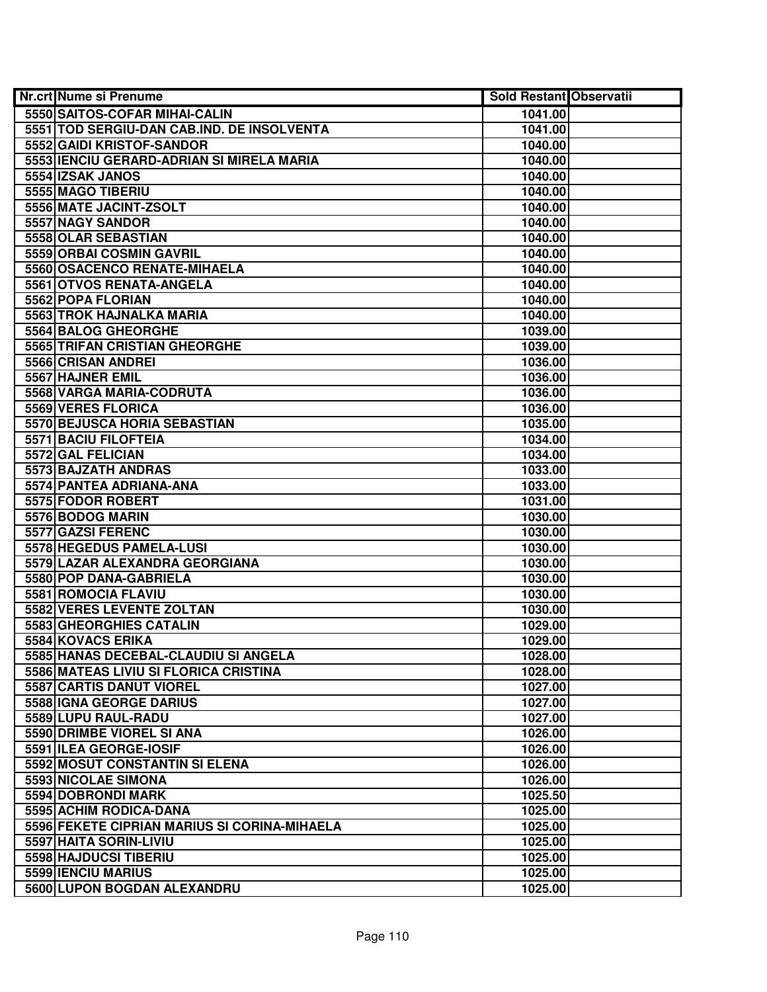| <b>Nr.crt Nume si Prenume</b>                | <b>Sold Restant Observatii</b> |  |
|----------------------------------------------|--------------------------------|--|
| 5550 SAITOS-COFAR MIHAI-CALIN                | 1041.00                        |  |
| 5551 TOD SERGIU-DAN CAB.IND. DE INSOLVENTA   | 1041.00                        |  |
| 5552 GAIDI KRISTOF-SANDOR                    | 1040.00                        |  |
| 5553 IENCIU GERARD-ADRIAN SI MIRELA MARIA    | 1040.00                        |  |
| 5554 IZSAK JANOS                             | 1040.00                        |  |
| 5555 MAGO TIBERIU                            | 1040.00                        |  |
| 5556 MATE JACINT-ZSOLT                       | 1040.00                        |  |
| 5557 NAGY SANDOR                             | 1040.00                        |  |
| 5558 OLAR SEBASTIAN                          | 1040.00                        |  |
| <b>5559 ORBAI COSMIN GAVRIL</b>              | 1040.00                        |  |
| 5560 OSACENCO RENATE-MIHAELA                 | 1040.00                        |  |
| 5561 OTVOS RENATA-ANGELA                     | 1040.00                        |  |
| 5562 POPA FLORIAN                            | 1040.00                        |  |
| 5563 TROK HAJNALKA MARIA                     | 1040.00                        |  |
| 5564 BALOG GHEORGHE                          | 1039.00                        |  |
| 5565 TRIFAN CRISTIAN GHEORGHE                | 1039.00                        |  |
| 5566 CRISAN ANDREI                           | 1036.00                        |  |
| 5567 HAJNER EMIL                             | 1036.00                        |  |
| 5568 VARGA MARIA-CODRUTA                     | 1036.00                        |  |
| 5569 VERES FLORICA                           | 1036.00                        |  |
| 5570 BEJUSCA HORIA SEBASTIAN                 | 1035.00                        |  |
| 5571 BACIU FILOFTEIA                         | 1034.00                        |  |
| 5572 GAL FELICIAN                            | 1034.00                        |  |
| 5573 BAJZATH ANDRAS                          | 1033.00                        |  |
| 5574 PANTEA ADRIANA-ANA                      | 1033.00                        |  |
| 5575 FODOR ROBERT                            | 1031.00                        |  |
| 5576 BODOG MARIN                             | 1030.00                        |  |
| 5577 GAZSI FERENC                            | 1030.00                        |  |
| 5578 HEGEDUS PAMELA-LUSI                     | 1030.00                        |  |
| 5579 LAZAR ALEXANDRA GEORGIANA               | 1030.00                        |  |
| 5580 POP DANA-GABRIELA                       | 1030.00                        |  |
| 5581 ROMOCIA FLAVIU                          | 1030.00                        |  |
| 5582 VERES LEVENTE ZOLTAN                    | 1030.00                        |  |
| 5583 GHEORGHIES CATALIN                      | 1029.00                        |  |
| 5584 KOVACS ERIKA                            | 1029.00                        |  |
| 5585 HANAS DECEBAL-CLAUDIU SI ANGELA         | 1028.00                        |  |
| 5586 MATEAS LIVIU SI FLORICA CRISTINA        | 1028.00                        |  |
| 5587 CARTIS DANUT VIOREL                     | 1027.00                        |  |
| 5588 IGNA GEORGE DARIUS                      | 1027.00                        |  |
| 5589 LUPU RAUL-RADU                          | 1027.00                        |  |
| 5590 DRIMBE VIOREL SI ANA                    | 1026.00                        |  |
| 5591 ILEA GEORGE-IOSIF                       | 1026.00                        |  |
| 5592 MOSUT CONSTANTIN SI ELENA               | 1026.00                        |  |
| 5593 NICOLAE SIMONA                          | 1026.00                        |  |
| 5594 DOBRONDI MARK                           | 1025.50                        |  |
| 5595 ACHIM RODICA-DANA                       | 1025.00                        |  |
| 5596 FEKETE CIPRIAN MARIUS SI CORINA-MIHAELA | 1025.00                        |  |
| 5597 HAITA SORIN-LIVIU                       | 1025.00                        |  |
| 5598 HAJDUCSI TIBERIU                        | 1025.00                        |  |
| 5599 IENCIU MARIUS                           | 1025.00                        |  |
| 5600 LUPON BOGDAN ALEXANDRU                  | 1025.00                        |  |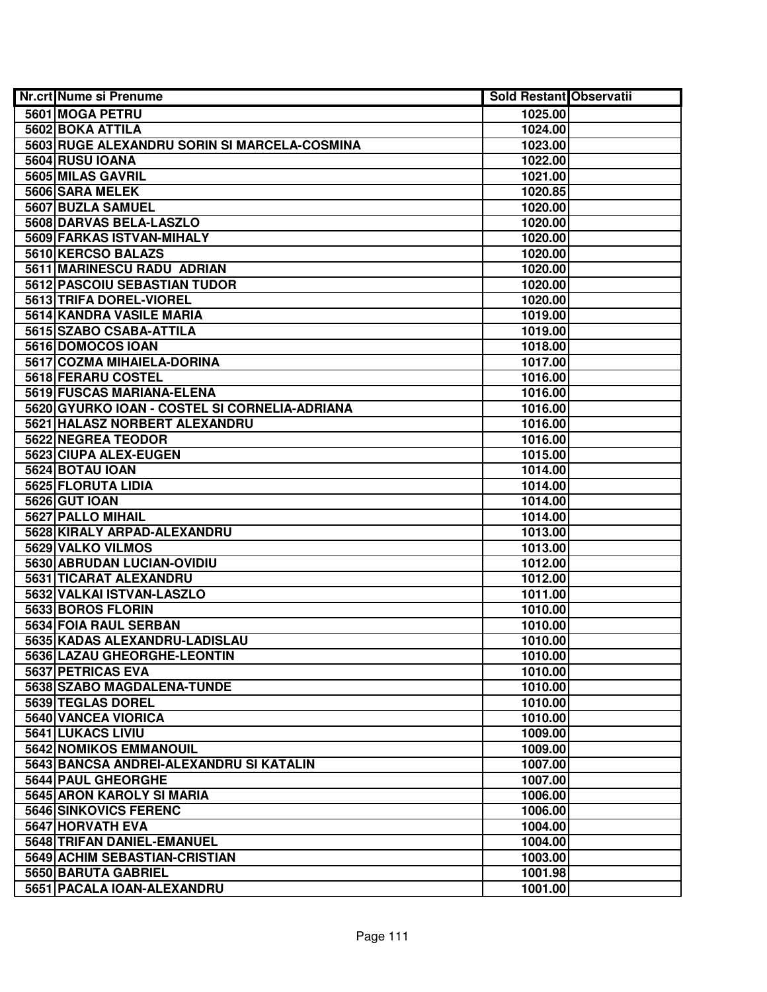| <b>Nr.crt Nume si Prenume</b>                 | <b>Sold Restant Observatii</b> |  |
|-----------------------------------------------|--------------------------------|--|
| 5601 MOGA PETRU                               | 1025.00                        |  |
| 5602 BOKA ATTILA                              | 1024.00                        |  |
| 5603 RUGE ALEXANDRU SORIN SI MARCELA-COSMINA  | 1023.00                        |  |
| 5604 RUSU IOANA                               | 1022.00                        |  |
| 5605 MILAS GAVRIL                             | 1021.00                        |  |
| 5606 SARA MELEK                               | 1020.85                        |  |
| 5607 BUZLA SAMUEL                             | 1020.00                        |  |
| 5608 DARVAS BELA-LASZLO                       | 1020.00                        |  |
| 5609 FARKAS ISTVAN-MIHALY                     | 1020.00                        |  |
| 5610 KERCSO BALAZS                            | 1020.00                        |  |
| 5611 MARINESCU RADU ADRIAN                    | 1020.00                        |  |
| 5612 PASCOIU SEBASTIAN TUDOR                  | 1020.00                        |  |
| 5613 TRIFA DOREL-VIOREL                       | 1020.00                        |  |
| 5614 KANDRA VASILE MARIA                      | 1019.00                        |  |
| 5615 SZABO CSABA-ATTILA                       | 1019.00                        |  |
| 5616 DOMOCOS IOAN                             | 1018.00                        |  |
| 5617 COZMA MIHAIELA-DORINA                    | 1017.00                        |  |
| 5618 FERARU COSTEL                            | 1016.00                        |  |
| 5619 FUSCAS MARIANA-ELENA                     | 1016.00                        |  |
| 5620 GYURKO IOAN - COSTEL SI CORNELIA-ADRIANA | 1016.00                        |  |
| 5621 HALASZ NORBERT ALEXANDRU                 | 1016.00                        |  |
| 5622 NEGREA TEODOR                            | 1016.00                        |  |
| 5623 CIUPA ALEX-EUGEN                         | 1015.00                        |  |
| 5624 BOTAU IOAN                               | 1014.00                        |  |
| 5625 FLORUTA LIDIA                            | 1014.00                        |  |
| 5626 GUT IOAN                                 | 1014.00                        |  |
| 5627 PALLO MIHAIL                             | 1014.00                        |  |
| 5628 KIRALY ARPAD-ALEXANDRU                   | 1013.00                        |  |
| 5629 VALKO VILMOS                             | 1013.00                        |  |
| 5630 ABRUDAN LUCIAN-OVIDIU                    | 1012.00                        |  |
| 5631 TICARAT ALEXANDRU                        | 1012.00                        |  |
| 5632 VALKAI ISTVAN-LASZLO                     | 1011.00                        |  |
| 5633 BOROS FLORIN                             | 1010.00                        |  |
| 5634 FOIA RAUL SERBAN                         | 1010.00                        |  |
| 5635 KADAS ALEXANDRU-LADISLAU                 | 1010.00                        |  |
| 5636 LAZAU GHEORGHE-LEONTIN                   | 1010.00                        |  |
| 5637 PETRICAS EVA                             | 1010.00                        |  |
| 5638 SZABO MAGDALENA-TUNDE                    | 1010.00                        |  |
| 5639 TEGLAS DOREL                             | 1010.00                        |  |
| 5640 VANCEA VIORICA                           | 1010.00                        |  |
| 5641 LUKACS LIVIU                             | 1009.00                        |  |
| 5642 NOMIKOS EMMANOUIL                        | 1009.00                        |  |
| 5643 BANCSA ANDREI-ALEXANDRU SI KATALIN       | 1007.00                        |  |
| 5644 PAUL GHEORGHE                            | 1007.00                        |  |
| 5645 ARON KAROLY SI MARIA                     | 1006.00                        |  |
| 5646 SINKOVICS FERENC                         | 1006.00                        |  |
| 5647 HORVATH EVA                              | 1004.00                        |  |
| 5648 TRIFAN DANIEL-EMANUEL                    | 1004.00                        |  |
| 5649 ACHIM SEBASTIAN-CRISTIAN                 | 1003.00                        |  |
| 5650 BARUTA GABRIEL                           | 1001.98                        |  |
| 5651 PACALA IOAN-ALEXANDRU                    | 1001.00                        |  |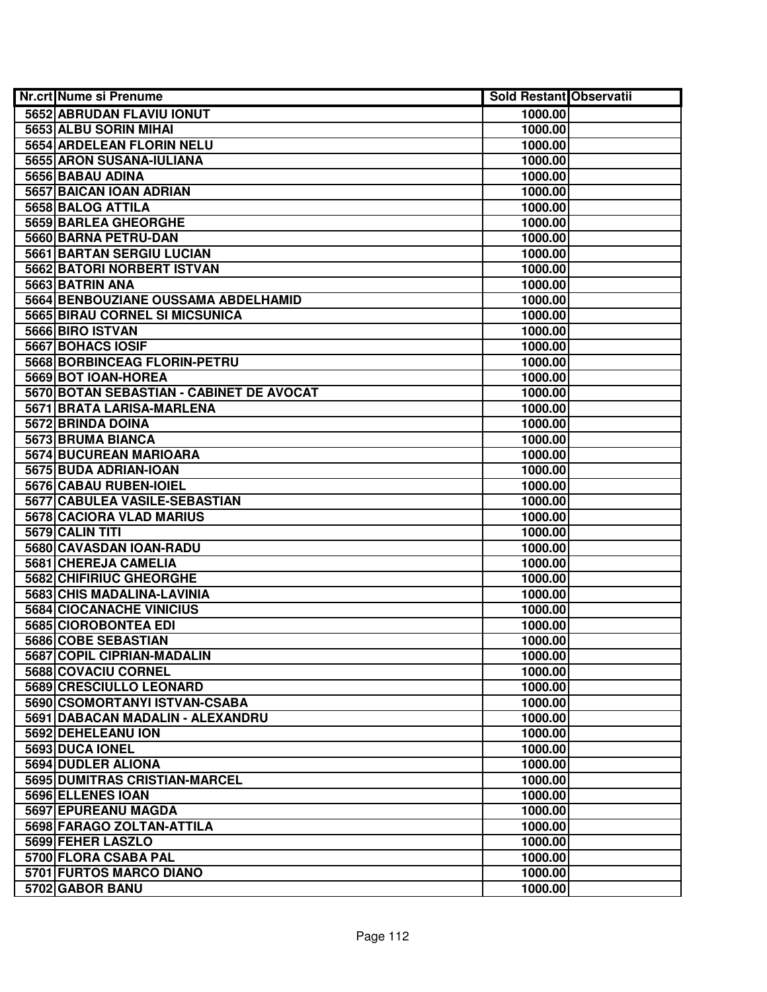| Nr.crt Nume si Prenume                   | <b>Sold Restant Observatii</b> |  |
|------------------------------------------|--------------------------------|--|
| 5652 ABRUDAN FLAVIU IONUT                | 1000.00                        |  |
| 5653 ALBU SORIN MIHAI                    | 1000.00                        |  |
| <b>5654 ARDELEAN FLORIN NELU</b>         | 1000.00                        |  |
| 5655 ARON SUSANA-IULIANA                 | 1000.00                        |  |
| 5656 BABAU ADINA                         | 1000.00                        |  |
| 5657 BAICAN IOAN ADRIAN                  | 1000.00                        |  |
| 5658 BALOG ATTILA                        | 1000.00                        |  |
| 5659 BARLEA GHEORGHE                     | 1000.00                        |  |
| 5660 BARNA PETRU-DAN                     | 1000.00                        |  |
| 5661 BARTAN SERGIU LUCIAN                | 1000.00                        |  |
| 5662 BATORI NORBERT ISTVAN               | 1000.00                        |  |
| 5663 BATRIN ANA                          | 1000.00                        |  |
| 5664 BENBOUZIANE OUSSAMA ABDELHAMID      | 1000.00                        |  |
| 5665 BIRAU CORNEL SI MICSUNICA           | 1000.00                        |  |
| 5666 BIRO ISTVAN                         | 1000.00                        |  |
| 5667 BOHACS IOSIF                        | 1000.00                        |  |
| 5668 BORBINCEAG FLORIN-PETRU             | 1000.00                        |  |
| 5669 BOT IOAN-HOREA                      | 1000.00                        |  |
| 5670 BOTAN SEBASTIAN - CABINET DE AVOCAT | 1000.00                        |  |
| 5671 BRATA LARISA-MARLENA                | 1000.00                        |  |
| 5672 BRINDA DOINA                        | 1000.00                        |  |
| 5673 BRUMA BIANCA                        | 1000.00                        |  |
| 5674 BUCUREAN MARIOARA                   | 1000.00                        |  |
| 5675 BUDA ADRIAN-IOAN                    | 1000.00                        |  |
| 5676 CABAU RUBEN-IOIEL                   | 1000.00                        |  |
| 5677 CABULEA VASILE-SEBASTIAN            | 1000.00                        |  |
| 5678 CACIORA VLAD MARIUS                 | 1000.00                        |  |
| 5679 CALIN TITI                          | 1000.00                        |  |
| 5680 CAVASDAN IOAN-RADU                  | 1000.00                        |  |
| 5681 CHEREJA CAMELIA                     | 1000.00                        |  |
| 5682 CHIFIRIUC GHEORGHE                  | 1000.00                        |  |
| 5683 CHIS MADALINA-LAVINIA               | 1000.00                        |  |
| 5684 CIOCANACHE VINICIUS                 | 1000.00                        |  |
| 5685 CIOROBONTEA EDI                     | 1000.00                        |  |
| 5686 COBE SEBASTIAN                      | 1000.00                        |  |
| <b>5687 COPIL CIPRIAN-MADALIN</b>        | 1000.00                        |  |
| 5688 COVACIU CORNEL                      | 1000.00                        |  |
| 5689 CRESCIULLO LEONARD                  | 1000.00                        |  |
| 5690 CSOMORTANYI ISTVAN-CSABA            | 1000.00                        |  |
| 5691 DABACAN MADALIN - ALEXANDRU         | 1000.00                        |  |
| 5692 DEHELEANU ION                       | 1000.00                        |  |
| 5693 DUCA IONEL                          | 1000.00                        |  |
| 5694 DUDLER ALIONA                       | 1000.00                        |  |
| 5695 DUMITRAS CRISTIAN-MARCEL            | 1000.00                        |  |
| 5696 ELLENES IOAN                        | 1000.00                        |  |
| 5697 EPUREANU MAGDA                      | 1000.00                        |  |
| 5698 FARAGO ZOLTAN-ATTILA                | 1000.00                        |  |
| 5699 FEHER LASZLO                        | 1000.00                        |  |
| 5700 FLORA CSABA PAL                     | 1000.00                        |  |
| 5701 FURTOS MARCO DIANO                  | 1000.00                        |  |
| 5702 GABOR BANU                          | 1000.00                        |  |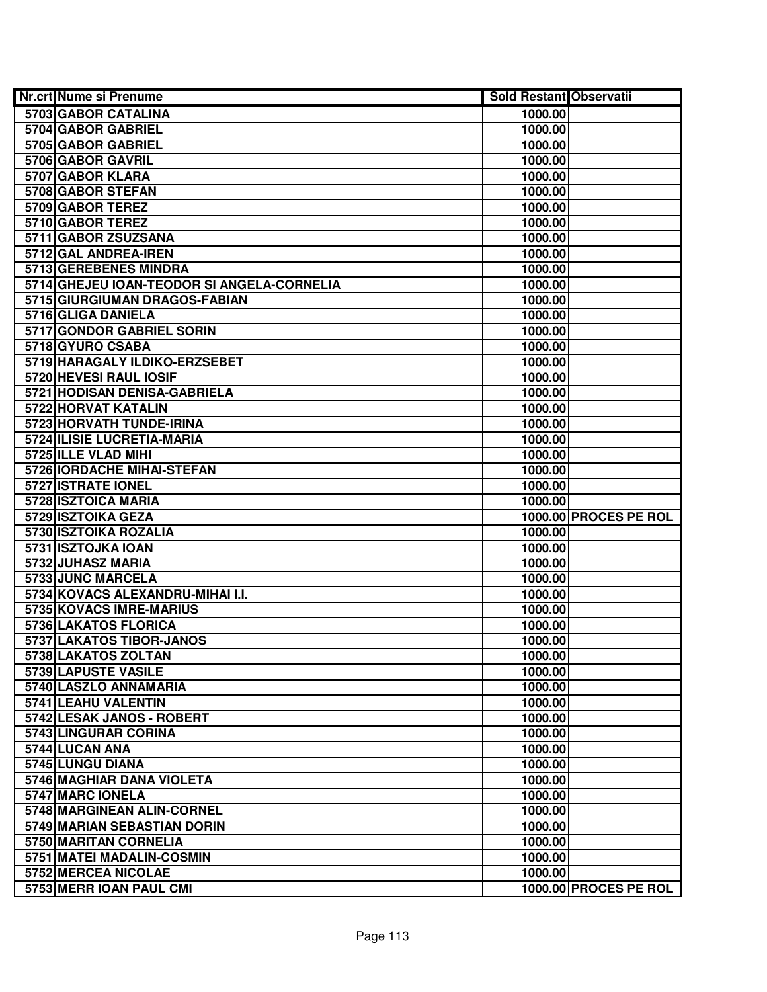| <b>Nr.crt Nume si Prenume</b>              | <b>Sold Restant Observatii</b> |                       |
|--------------------------------------------|--------------------------------|-----------------------|
| 5703 GABOR CATALINA                        | 1000.00                        |                       |
| 5704 GABOR GABRIEL                         | 1000.00                        |                       |
| 5705 GABOR GABRIEL                         | 1000.00                        |                       |
| 5706 GABOR GAVRIL                          | 1000.00                        |                       |
| 5707 GABOR KLARA                           | 1000.00                        |                       |
| 5708 GABOR STEFAN                          | 1000.00                        |                       |
| 5709 GABOR TEREZ                           | 1000.00                        |                       |
| 5710 GABOR TEREZ                           | 1000.00                        |                       |
| 5711 GABOR ZSUZSANA                        | 1000.00                        |                       |
| 5712 GAL ANDREA-IREN                       | 1000.00                        |                       |
| 5713 GEREBENES MINDRA                      | 1000.00                        |                       |
| 5714 GHEJEU IOAN-TEODOR SI ANGELA-CORNELIA | 1000.00                        |                       |
| 5715 GIURGIUMAN DRAGOS-FABIAN              | 1000.00                        |                       |
| 5716 GLIGA DANIELA                         | 1000.00                        |                       |
| 5717 GONDOR GABRIEL SORIN                  | 1000.00                        |                       |
| 5718 GYURO CSABA                           | 1000.00                        |                       |
| 5719 HARAGALY ILDIKO-ERZSEBET              | 1000.00                        |                       |
| 5720 HEVESI RAUL IOSIF                     | 1000.00                        |                       |
| 5721 HODISAN DENISA-GABRIELA               | 1000.00                        |                       |
| 5722 HORVAT KATALIN                        | 1000.00                        |                       |
| <b>5723 HORVATH TUNDE-IRINA</b>            | 1000.00                        |                       |
| 5724 ILISIE LUCRETIA-MARIA                 | 1000.00                        |                       |
| 5725 ILLE VLAD MIHI                        | 1000.00                        |                       |
| 5726 IORDACHE MIHAI-STEFAN                 | 1000.00                        |                       |
| 5727 ISTRATE IONEL                         | 1000.00                        |                       |
| 5728 ISZTOICA MARIA                        | 1000.00                        |                       |
| 5729 ISZTOIKA GEZA                         |                                | 1000.00 PROCES PE ROL |
| 5730 ISZTOIKA ROZALIA                      | 1000.00                        |                       |
| 5731 ISZTOJKA IOAN                         | 1000.00                        |                       |
| 5732 JUHASZ MARIA                          | 1000.00                        |                       |
| 5733 JUNC MARCELA                          | 1000.00                        |                       |
| 5734 KOVACS ALEXANDRU-MIHAI I.I.           | 1000.00                        |                       |
| 5735 KOVACS IMRE-MARIUS                    | 1000.00                        |                       |
| 5736 LAKATOS FLORICA                       | 1000.00                        |                       |
| 5737 LAKATOS TIBOR-JANOS                   | 1000.00                        |                       |
| 5738 LAKATOS ZOLTAN                        | 1000.00                        |                       |
| 5739 LAPUSTE VASILE                        | 1000.00                        |                       |
| 5740 LASZLO ANNAMARIA                      | 1000.00                        |                       |
| 5741 LEAHU VALENTIN                        | 1000.00                        |                       |
| 5742 LESAK JANOS - ROBERT                  | 1000.00                        |                       |
| 5743 LINGURAR CORINA                       | 1000.00                        |                       |
| 5744 LUCAN ANA                             | 1000.00                        |                       |
| 5745 LUNGU DIANA                           | 1000.00                        |                       |
| 5746 MAGHIAR DANA VIOLETA                  | 1000.00                        |                       |
| 5747 MARC IONELA                           | 1000.00                        |                       |
| 5748 MARGINEAN ALIN-CORNEL                 | 1000.00                        |                       |
| 5749 MARIAN SEBASTIAN DORIN                | 1000.00                        |                       |
| 5750 MARITAN CORNELIA                      | 1000.00                        |                       |
| 5751 MATEI MADALIN-COSMIN                  | 1000.00                        |                       |
| 5752 MERCEA NICOLAE                        | 1000.00                        |                       |
| 5753 MERR IOAN PAUL CMI                    |                                | 1000.00 PROCES PE ROL |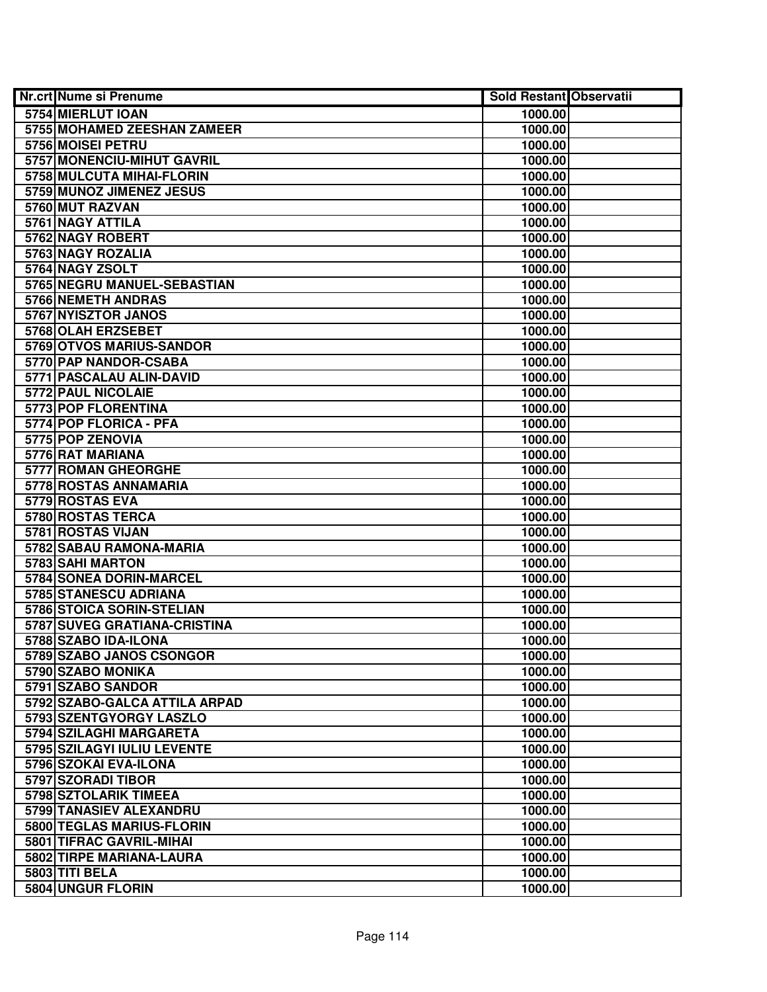| <b>Nr.crt Nume si Prenume</b>  | <b>Sold Restant Observatii</b> |  |
|--------------------------------|--------------------------------|--|
| 5754 MIERLUT IOAN              | 1000.00                        |  |
| 5755 MOHAMED ZEESHAN ZAMEER    | 1000.00                        |  |
| 5756 MOISEI PETRU              | 1000.00                        |  |
| 5757 MONENCIU-MIHUT GAVRIL     | 1000.00                        |  |
| 5758 MULCUTA MIHAI-FLORIN      | 1000.00                        |  |
| 5759 MUNOZ JIMENEZ JESUS       | 1000.00                        |  |
| 5760 MUT RAZVAN                | 1000.00                        |  |
| 5761 NAGY ATTILA               | 1000.00                        |  |
| 5762 NAGY ROBERT               | 1000.00                        |  |
| 5763 NAGY ROZALIA              | 1000.00                        |  |
| 5764 NAGY ZSOLT                | 1000.00                        |  |
| 5765 NEGRU MANUEL-SEBASTIAN    | 1000.00                        |  |
| 5766 NEMETH ANDRAS             | 1000.00                        |  |
| 5767 NYISZTOR JANOS            | 1000.00                        |  |
| 5768 OLAH ERZSEBET             | 1000.00                        |  |
| 5769 OTVOS MARIUS-SANDOR       | 1000.00                        |  |
| 5770 PAP NANDOR-CSABA          | 1000.00                        |  |
| 5771 PASCALAU ALIN-DAVID       | 1000.00                        |  |
| 5772 PAUL NICOLAIE             | 1000.00                        |  |
| 5773 POP FLORENTINA            | 1000.00                        |  |
| 5774 POP FLORICA - PFA         | 1000.00                        |  |
| 5775 POP ZENOVIA               | 1000.00                        |  |
| 5776 RAT MARIANA               | 1000.00                        |  |
| 5777 ROMAN GHEORGHE            | 1000.00                        |  |
| 5778 ROSTAS ANNAMARIA          | 1000.00                        |  |
| 5779 ROSTAS EVA                | 1000.00                        |  |
| 5780 ROSTAS TERCA              | 1000.00                        |  |
| 5781 ROSTAS VIJAN              | 1000.00                        |  |
| 5782 SABAU RAMONA-MARIA        | 1000.00                        |  |
| 5783 SAHI MARTON               | 1000.00                        |  |
| <b>5784 SONEA DORIN-MARCEL</b> | 1000.00                        |  |
| 5785 STANESCU ADRIANA          | 1000.00                        |  |
| 5786 STOICA SORIN-STELIAN      | 1000.00                        |  |
| 5787 SUVEG GRATIANA-CRISTINA   | 1000.00                        |  |
| 5788 SZABO IDA-ILONA           | 1000.00                        |  |
| 5789 SZABO JANOS CSONGOR       | 1000.00                        |  |
| 5790 SZABO MONIKA              | 1000.00                        |  |
| 5791 SZABO SANDOR              | 1000.00                        |  |
| 5792 SZABO-GALCA ATTILA ARPAD  | 1000.00                        |  |
| 5793 SZENTGYORGY LASZLO        | 1000.00                        |  |
| 5794 SZILAGHI MARGARETA        | 1000.00                        |  |
| 5795 SZILAGYI IULIU LEVENTE    | 1000.00                        |  |
| 5796 SZOKAI EVA-ILONA          | 1000.00                        |  |
| 5797 SZORADI TIBOR             | 1000.00                        |  |
| 5798 SZTOLARIK TIMEEA          | 1000.00                        |  |
| 5799 TANASIEV ALEXANDRU        | 1000.00                        |  |
| 5800 TEGLAS MARIUS-FLORIN      | 1000.00                        |  |
| 5801 TIFRAC GAVRIL-MIHAI       | 1000.00                        |  |
| 5802 TIRPE MARIANA-LAURA       | 1000.00                        |  |
| 5803 TITI BELA                 | 1000.00                        |  |
| 5804 UNGUR FLORIN              | 1000.00                        |  |